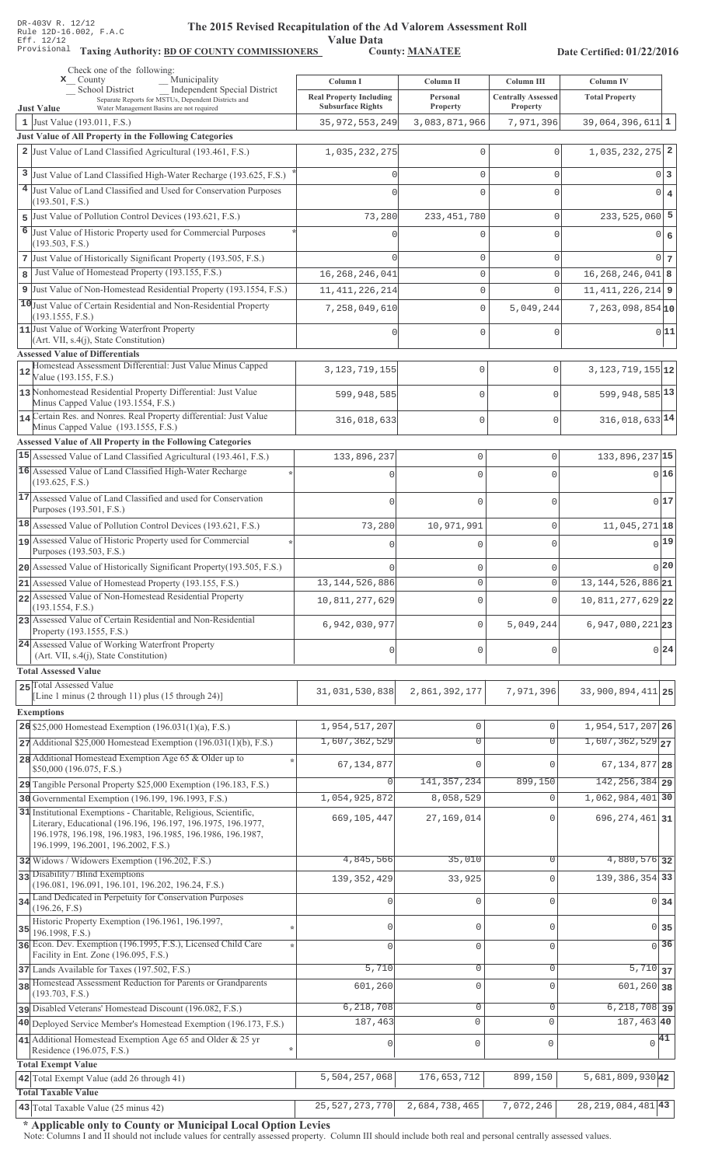Value Data<br>County: MANATEE

Taxing Authority: BD OF COUNTY COMMISSIONERS County: MANATEE

Date Certified: 01/22/2016

| Check one of the following:<br>Municipality<br>$\mathbf{x}$ County                                                                                                                                                                    | Column I                                                   | Column II            | Column III                            | Column IV                     |
|---------------------------------------------------------------------------------------------------------------------------------------------------------------------------------------------------------------------------------------|------------------------------------------------------------|----------------------|---------------------------------------|-------------------------------|
| Independent Special District<br><b>School District</b><br>Separate Reports for MSTUs, Dependent Districts and<br>Water Management Basins are not required                                                                             | <b>Real Property Including</b><br><b>Subsurface Rights</b> | Personal<br>Property | <b>Centrally Assessed</b><br>Property | <b>Total Property</b>         |
| <b>Just Value</b><br>1 Just Value (193.011, F.S.)                                                                                                                                                                                     | 35, 972, 553, 249                                          | 3,083,871,966        | 7,971,396                             | $39,064,396,611$ 1            |
| Just Value of All Property in the Following Categories                                                                                                                                                                                |                                                            |                      |                                       |                               |
| 2 Just Value of Land Classified Agricultural (193.461, F.S.)                                                                                                                                                                          | 1,035,232,275                                              | 0                    | 0                                     | $1,035,232,275$ <sup>2</sup>  |
| 3 Just Value of Land Classified High-Water Recharge (193.625, F.S.)                                                                                                                                                                   |                                                            | 0                    | 0                                     | 0 <sup>3</sup>                |
| 4 Just Value of Land Classified and Used for Conservation Purposes                                                                                                                                                                    |                                                            | 0                    | $\Omega$                              | 0 4                           |
| (193.501, F.S.)                                                                                                                                                                                                                       |                                                            |                      |                                       |                               |
| 5 Just Value of Pollution Control Devices (193.621, F.S.)                                                                                                                                                                             | 73,280                                                     | 233, 451, 780        | 0                                     | $233,525,060$ 5               |
| 6<br>Just Value of Historic Property used for Commercial Purposes                                                                                                                                                                     |                                                            | 0                    | $\Omega$                              | 0 6                           |
| (193.503, F.S.)<br>7 Just Value of Historically Significant Property (193.505, F.S.)                                                                                                                                                  |                                                            | 0                    | 0                                     | 0 <sub>7</sub>                |
| Just Value of Homestead Property (193.155, F.S.)<br>8                                                                                                                                                                                 | 16, 268, 246, 041                                          | $\mathsf{O}\xspace$  | 0                                     | $16, 268, 246, 041$ 8         |
| 9 Just Value of Non-Homestead Residential Property (193.1554, F.S.)                                                                                                                                                                   | 11, 411, 226, 214                                          | 0                    | 0                                     | $11, 411, 226, 214$ 9         |
| 10 Just Value of Certain Residential and Non-Residential Property                                                                                                                                                                     |                                                            |                      |                                       |                               |
| (193.1555, F.S.)                                                                                                                                                                                                                      | 7,258,049,610                                              | 0                    | 5,049,244                             | $7,263,098,854$ <sup>10</sup> |
| 11 Just Value of Working Waterfront Property                                                                                                                                                                                          |                                                            | 0                    | 0                                     | 0 11                          |
| (Art. VII, s.4(j), State Constitution)<br><b>Assessed Value of Differentials</b>                                                                                                                                                      |                                                            |                      |                                       |                               |
| Homestead Assessment Differential: Just Value Minus Capped                                                                                                                                                                            | 3, 123, 719, 155                                           | $\mathbf 0$          | $\Omega$                              | $3,123,719,155$ <sup>12</sup> |
| 12<br>Value (193.155, F.S.)                                                                                                                                                                                                           |                                                            |                      |                                       |                               |
| 13 Nonhomestead Residential Property Differential: Just Value<br>Minus Capped Value (193.1554, F.S.)                                                                                                                                  | 599,948,585                                                | $\Omega$             | $\Omega$                              | 599, 948, 585 13              |
| 14 Certain Res. and Nonres. Real Property differential: Just Value                                                                                                                                                                    | 316,018,633                                                | $\mathbf 0$          | $\Omega$                              | 316, 018, 633 14              |
| Minus Capped Value (193.1555, F.S.)                                                                                                                                                                                                   |                                                            |                      |                                       |                               |
| Assessed Value of All Property in the Following Categories<br>15 Assessed Value of Land Classified Agricultural (193.461, F.S.)                                                                                                       | 133,896,237                                                | $\circ$              | $\mathbf 0$                           | 133,896,237 15                |
| 16 Assessed Value of Land Classified High-Water Recharge                                                                                                                                                                              |                                                            |                      |                                       |                               |
| (193.625, F.S.)                                                                                                                                                                                                                       |                                                            | $\Omega$             | $\Omega$                              | 016                           |
| 17 Assessed Value of Land Classified and used for Conservation<br>Purposes (193.501, F.S.)                                                                                                                                            | $\bigcap$                                                  | $\mathbf 0$          | 0                                     | 017                           |
| $18$ Assessed Value of Pollution Control Devices (193.621, F.S.)                                                                                                                                                                      | 73,280                                                     | 10,971,991           | 0                                     | $11,045,271$ 18               |
| 19 Assessed Value of Historic Property used for Commercial                                                                                                                                                                            |                                                            | $\Omega$             | $\Omega$                              | 0 19                          |
| Purposes (193.503, F.S.)                                                                                                                                                                                                              |                                                            |                      |                                       |                               |
| 20 Assessed Value of Historically Significant Property (193.505, F.S.)                                                                                                                                                                |                                                            | $\mathbf 0$          | 0                                     | 0 20                          |
| 21 Assessed Value of Homestead Property (193.155, F.S.)                                                                                                                                                                               | 13, 144, 526, 886                                          | $\circ$              | $\mathbb O$                           | 13, 144, 526, 886 21          |
| 22 Assessed Value of Non-Homestead Residential Property<br>(193.1554, F.S.)                                                                                                                                                           | 10,811,277,629                                             | $\mathbf 0$          | $\Omega$                              | $10,811,277,629$ 22           |
| 23 Assessed Value of Certain Residential and Non-Residential                                                                                                                                                                          | 6,942,030,977                                              | $\circ$              | 5,049,244                             | $6,947,080,221$ 23            |
| Property (193.1555, F.S.)<br>24 Assessed Value of Working Waterfront Property                                                                                                                                                         |                                                            |                      |                                       |                               |
| (Art. VII, s.4(j), State Constitution)                                                                                                                                                                                                | $\cap$                                                     | $\mathbf 0$          | $\Omega$                              | 0 24                          |
| <b>Total Assessed Value</b>                                                                                                                                                                                                           |                                                            |                      |                                       |                               |
| 25 Total Assessed Value<br>[Line 1 minus (2 through 11) plus (15 through 24)]                                                                                                                                                         | 31,031,530,838                                             | 2,861,392,177        | 7,971,396                             | 33,900,894,411 25             |
|                                                                                                                                                                                                                                       |                                                            |                      |                                       |                               |
| <b>Exemptions</b><br>26 \$25,000 Homestead Exemption (196.031(1)(a), F.S.)                                                                                                                                                            | 1,954,517,207                                              | $\mathbf 0$          | $\Omega$                              | 1,954,517,207 26              |
| $27$ Additional \$25,000 Homestead Exemption (196.031(1)(b), F.S.)                                                                                                                                                                    | 1,607,362,529                                              | $\overline{0}$       | $\overline{0}$                        | $1,607,362,529$ <sub>27</sub> |
| 28 Additional Homestead Exemption Age 65 & Older up to                                                                                                                                                                                |                                                            |                      |                                       |                               |
| \$50,000 (196.075, F.S.)                                                                                                                                                                                                              | 67, 134, 877                                               | $\Omega$             |                                       | 67, 134, 877 28               |
| 29 Tangible Personal Property \$25,000 Exemption (196.183, F.S.)                                                                                                                                                                      |                                                            | 141, 357, 234        | 899,150                               | 142, 256, 384 29              |
| 30 Governmental Exemption (196.199, 196.1993, F.S.)                                                                                                                                                                                   | 1,054,925,872                                              | 8,058,529            | $\Omega$                              | 1,062,984,401 30              |
| 31 Institutional Exemptions - Charitable, Religious, Scientific,<br>Literary, Educational (196.196, 196.197, 196.1975, 196.1977,<br>196.1978, 196.198, 196.1983, 196.1985, 196.1986, 196.1987,<br>196.1999, 196.2001, 196.2002, F.S.) | 669,105,447                                                | 27,169,014           |                                       | $696, 274, 461$ 31            |
| 32 Widows / Widowers Exemption (196.202, F.S.)                                                                                                                                                                                        | 4,845,566                                                  | 35,010               | $\Omega$                              | 4,880,576 32                  |
| 33 Disability / Blind Exemptions<br>(196.081, 196.091, 196.101, 196.202, 196.24, F.S.)                                                                                                                                                | 139, 352, 429                                              | 33,925               | $\Omega$                              | 139, 386, 354 33              |
| 34 Land Dedicated in Perpetuity for Conservation Purposes                                                                                                                                                                             |                                                            |                      | $\cap$                                |                               |
| (196.26, F.S)                                                                                                                                                                                                                         |                                                            | $\mathbf{0}$         |                                       | 0 34                          |
| Historic Property Exemption (196.1961, 196.1997,<br>35<br>196.1998, F.S.)                                                                                                                                                             | Ω                                                          | $\mathbf{0}$         | $\mathbf{0}$                          | 0 35                          |
| 36 Econ. Dev. Exemption (196.1995, F.S.), Licensed Child Care                                                                                                                                                                         |                                                            | $\mathbb O$          | $\mathbf 0$                           | $\overline{0}$ 36             |
| Facility in Ent. Zone (196.095, F.S.)                                                                                                                                                                                                 |                                                            |                      |                                       |                               |
| 37 Lands Available for Taxes (197.502, F.S.)                                                                                                                                                                                          | 5,710                                                      | $\mathbb O$          | 0                                     | $\overline{5,710}$ 37         |
| 38 Homestead Assessment Reduction for Parents or Grandparents<br>(193.703, F.S.)                                                                                                                                                      | 601,260                                                    | $\mathbf 0$          | $\Omega$                              | $601,260$ 38                  |
| pisabled Veterans' Homestead Discount (196.082, F.S.)                                                                                                                                                                                 | 6,218,708                                                  | $\mathbf 0$          | $\mathbf 0$                           | $6,218,708$ 39                |
| 40 Deployed Service Member's Homestead Exemption (196.173, F.S.)                                                                                                                                                                      | 187,463                                                    | $\circ$              | $\Omega$                              | 187,463 40                    |
| 41 Additional Homestead Exemption Age 65 and Older & 25 yr                                                                                                                                                                            | 0                                                          | $\mathbb O$          | $\mathbf 0$                           | $\sqrt{41}$                   |
| Residence (196.075, F.S.)                                                                                                                                                                                                             |                                                            |                      |                                       |                               |
| <b>Total Exempt Value</b><br>42 Total Exempt Value (add 26 through 41)                                                                                                                                                                | 5,504,257,068                                              | 176,653,712          | 899,150                               | 5,681,809,93042               |
| <b>Total Taxable Value</b>                                                                                                                                                                                                            |                                                            |                      |                                       |                               |
| $\sqrt{43}$ Total Taxable Value (25 minus 42)                                                                                                                                                                                         | 25, 527, 273, 770                                          | 2,684,738,465        | 7,072,246                             | $28, 219, 084, 481$ 43        |

\* Applicable only to County or Municipal Local Option Levies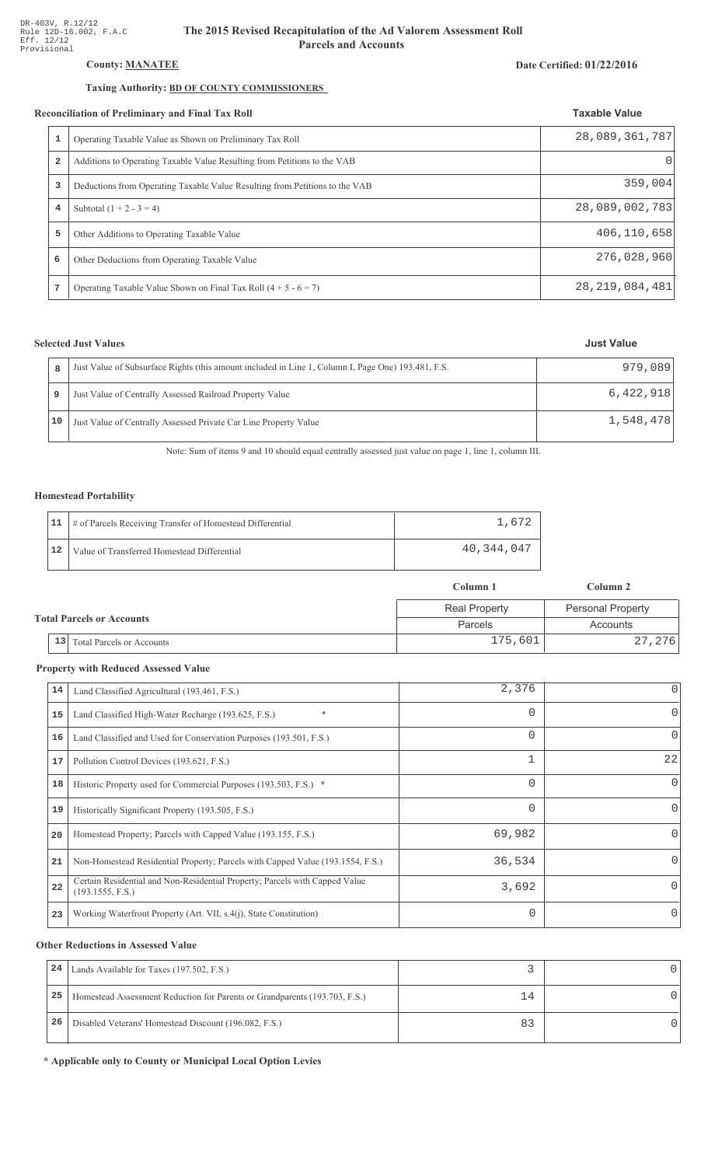## County: **MANATEE**

## Taxing Authority: **BD OF COUNTY COMMISSIONERS**

#### Reconciliation of Preliminary and Final Tax Roll

|                | conciliation of Preliminary and Final Tax Roll                              | <b>Taxable Value</b> |
|----------------|-----------------------------------------------------------------------------|----------------------|
| 1              | Operating Taxable Value as Shown on Preliminary Tax Roll                    | 28,089,361,787       |
| $\overline{a}$ | Additions to Operating Taxable Value Resulting from Petitions to the VAB    |                      |
| 3              | Deductions from Operating Taxable Value Resulting from Petitions to the VAB | 359,004              |
| 4              | Subtotal $(1 + 2 - 3 = 4)$                                                  | 28,089,002,783       |
| 5              | Other Additions to Operating Taxable Value                                  | 406, 110, 658        |
| 6              | Other Deductions from Operating Taxable Value                               | 276,028,960          |
|                | Operating Taxable Value Shown on Final Tax Roll $(4 + 5 - 6 = 7)$           | 28, 219, 084, 481    |

## **Selected Just Values**

|    | Just Value of Subsurface Rights (this amount included in Line 1, Column I, Page One) 193.481, F.S. | 979,089   |
|----|----------------------------------------------------------------------------------------------------|-----------|
|    | Just Value of Centrally Assessed Railroad Property Value                                           | 6,422,918 |
| 10 | Just Value of Centrally Assessed Private Car Line Property Value                                   | 1,548,478 |

Note: Sum of items 9 and 10 should equal centrally assessed just value on page 1, line 1, column III.

### Homestead Portability

|    | 11   # of Parcels Receiving Transfer of Homestead Differential | .612       |
|----|----------------------------------------------------------------|------------|
| 12 | Value of Transferred Homestead Differential                    | 40,344,047 |

|                                            | Column 1             | Column 2                 |  |
|--------------------------------------------|----------------------|--------------------------|--|
|                                            | <b>Real Property</b> | <b>Personal Property</b> |  |
| <b>Total Parcels or Accounts</b>           | Parcels              | Accounts                 |  |
| $\vert 13 \vert$ Total Parcels or Accounts | 175,601              | 27,276                   |  |

#### **Property with Reduced Assessed Value**

| 14 | Land Classified Agricultural (193.461, F.S.)                                                    | 2,376    |              |
|----|-------------------------------------------------------------------------------------------------|----------|--------------|
| 15 | *<br>Land Classified High-Water Recharge (193.625, F.S.)                                        | 0        | 0            |
| 16 | Land Classified and Used for Conservation Purposes (193.501, F.S.)                              | $\Omega$ | 0            |
| 17 | Pollution Control Devices (193.621, F.S.)                                                       |          | 22           |
| 18 | Historic Property used for Commercial Purposes (193.503, F.S.) *                                | $\Omega$ | <sup>0</sup> |
| 19 | Historically Significant Property (193.505, F.S.)                                               | $\Omega$ | $\Omega$     |
| 20 | Homestead Property; Parcels with Capped Value (193.155, F.S.)                                   | 69,982   | 0            |
| 21 | Non-Homestead Residential Property; Parcels with Capped Value (193.1554, F.S.)                  | 36,534   | <sup>n</sup> |
| 22 | Certain Residential and Non-Residential Property; Parcels with Capped Value<br>(193.1555, F.S.) | 3,692    |              |
| 23 | Working Waterfront Property (Art. VII, s.4(j), State Constitution)                              | $\Omega$ | 0            |

#### **Other Reductions in Assessed Value**

| 24 | Lands Available for Taxes (197.502, F.S.)                                  |    |  |
|----|----------------------------------------------------------------------------|----|--|
| 25 | Homestead Assessment Reduction for Parents or Grandparents (193.703, F.S.) | 14 |  |
| 26 | Disabled Veterans' Homestead Discount (196.082, F.S.)                      |    |  |

\* Applicable only to County or Municipal Local Option Levies

#### Date Certified: 01/22/2016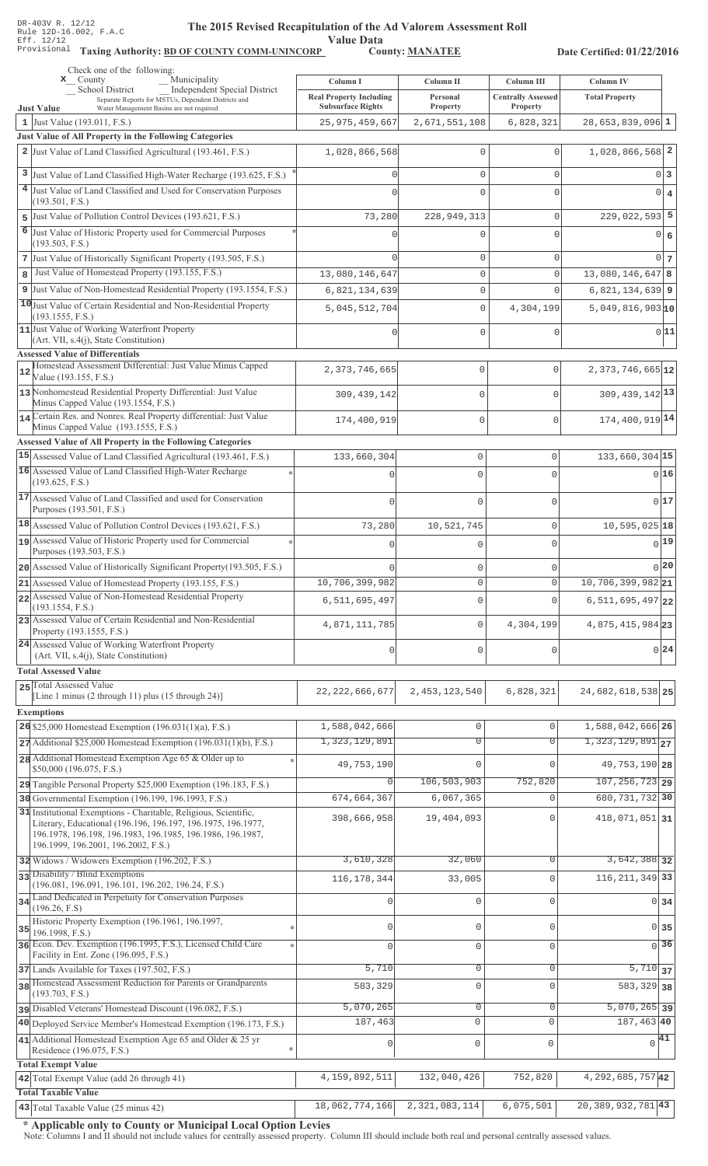Value Data<br>County: MANATEE

Taxing Authority: BD OF COUNTY COMM-UNINCORP County: MANATEE

Date Certified: 01/22/2016

| Check one of the following:<br>Municipality<br>$\mathbf{x}$ County                                                                                                | Column I                                      | Column II                          | Column III                | Column IV                               |                   |
|-------------------------------------------------------------------------------------------------------------------------------------------------------------------|-----------------------------------------------|------------------------------------|---------------------------|-----------------------------------------|-------------------|
| <b>Independent Special District</b><br><b>School District</b><br>Separate Reports for MSTUs, Dependent Districts and                                              | <b>Real Property Including</b>                | Personal                           | <b>Centrally Assessed</b> | <b>Total Property</b>                   |                   |
| Water Management Basins are not required<br><b>Just Value</b><br>1 Just Value (193.011, F.S.)                                                                     | <b>Subsurface Rights</b><br>25, 975, 459, 667 | Property<br>2,671,551,108          | Property<br>6,828,321     | $28,653,839,096$ 1                      |                   |
| Just Value of All Property in the Following Categories                                                                                                            |                                               |                                    |                           |                                         |                   |
| 2 Just Value of Land Classified Agricultural (193.461, F.S.)                                                                                                      | 1,028,866,568                                 | $\mathbf{0}$                       | $\Omega$                  | 1,028,866,568 2                         |                   |
| 3 Just Value of Land Classified High-Water Recharge (193.625, F.S.)                                                                                               |                                               | $\mathbf 0$                        | $\mathbf 0$               |                                         | 0 3               |
| 4 Just Value of Land Classified and Used for Conservation Purposes                                                                                                |                                               | $\Omega$                           | $\Omega$                  |                                         | $0 \mid 4$        |
| (193.501, F.S.)<br>5 Just Value of Pollution Control Devices (193.621, F.S.)                                                                                      | 73,280                                        | 228,949,313                        | $\mathbf 0$               | $229,022,593$ 5                         |                   |
| 6 Just Value of Historic Property used for Commercial Purposes                                                                                                    |                                               | $\Omega$                           | $\Omega$                  |                                         | 0 6               |
| (193.503, F.S.)                                                                                                                                                   |                                               |                                    |                           |                                         |                   |
| 7 Just Value of Historically Significant Property (193.505, F.S.)<br>Just Value of Homestead Property (193.155, F.S.)                                             |                                               | $\mathsf{O}\xspace$                | $\mathbf 0$<br>$\Omega$   |                                         | $0\vert 7$        |
| 8<br>9 Just Value of Non-Homestead Residential Property (193.1554, F.S.)                                                                                          | 13,080,146,647<br>6,821,134,639               | $\mathsf{O}\xspace$<br>$\mathbb O$ | $\Omega$                  | $13,080,146,647$ 8<br>$6,821,134,639$ 9 |                   |
| 10 Just Value of Certain Residential and Non-Residential Property                                                                                                 | 5,045,512,704                                 | $\mathsf{O}\xspace$                | 4,304,199                 | 5,049,816,90310                         |                   |
| (193.1555, F.S.)<br>11 Just Value of Working Waterfront Property                                                                                                  |                                               |                                    |                           |                                         |                   |
| (Art. VII, s.4(j), State Constitution)                                                                                                                            |                                               | $\mathbf 0$                        | $\Omega$                  |                                         | 0 11              |
| <b>Assessed Value of Differentials</b>                                                                                                                            |                                               |                                    |                           |                                         |                   |
| Homestead Assessment Differential: Just Value Minus Capped<br>12<br>Value (193.155, F.S.)                                                                         | 2,373,746,665                                 | 0                                  | $\mathbf 0$               | $2,373,746,665$ <sup>12</sup>           |                   |
| 13 Nonhomestead Residential Property Differential: Just Value<br>Minus Capped Value (193.1554, F.S.)                                                              | 309, 439, 142                                 | 0                                  | $\mathbf 0$               | $309, 439, 142$ <sup>13</sup>           |                   |
| 14 Certain Res. and Nonres. Real Property differential: Just Value<br>Minus Capped Value (193.1555, F.S.)                                                         | 174,400,919                                   | 0                                  | $\mathbf 0$               | 174,400,919 14                          |                   |
| Assessed Value of All Property in the Following Categories                                                                                                        |                                               |                                    |                           |                                         |                   |
| 15 Assessed Value of Land Classified Agricultural (193.461, F.S.)                                                                                                 | 133,660,304                                   | $\mathbf 0$                        | 0                         | $133,660,304$ 15                        |                   |
| 16 Assessed Value of Land Classified High-Water Recharge                                                                                                          |                                               | $\Omega$                           | O                         |                                         | 016               |
| (193.625, F.S.)<br>17 Assessed Value of Land Classified and used for Conservation                                                                                 |                                               |                                    |                           |                                         | 017               |
| Purposes (193.501, F.S.)                                                                                                                                          | $\Omega$                                      | $\mathbf 0$                        | O                         |                                         |                   |
| 18 Assessed Value of Pollution Control Devices (193.621, F.S.)                                                                                                    | 73,280                                        | 10,521,745                         | 0                         | $10,595,025$ <sup>18</sup>              |                   |
| 19 Assessed Value of Historic Property used for Commercial<br>Purposes (193.503, F.S.)                                                                            |                                               | $\Omega$                           | 0                         |                                         | $0$ <sup>19</sup> |
| 20 Assessed Value of Historically Significant Property (193.505, F.S.)                                                                                            | n                                             | $\mathbf 0$                        | 0                         |                                         | 0 20              |
| 21 Assessed Value of Homestead Property (193.155, F.S.)                                                                                                           | 10,706,399,982                                | $\Omega$                           | $\Omega$                  | $10,706,399,982$ <sub>21</sub>          |                   |
| 22 Assessed Value of Non-Homestead Residential Property<br>(193.1554, F.S.)                                                                                       | 6,511,695,497                                 | $\mathbf{0}$                       | U                         | $6, 511, 695, 497$ 22                   |                   |
| 23 Assessed Value of Certain Residential and Non-Residential<br>Property (193.1555, F.S.)                                                                         | 4,871,111,785                                 | $\mathbb O$                        | 4,304,199                 | 4,875,415,984 23                        |                   |
| 24 Assessed Value of Working Waterfront Property<br>(Art. VII, s.4(j), State Constitution)                                                                        | $\mathbf 0$                                   | $\mathbf 0$                        | U                         |                                         | 0 24              |
| <b>Total Assessed Value</b>                                                                                                                                       |                                               |                                    |                           |                                         |                   |
| 25 Total Assessed Value                                                                                                                                           | 22, 222, 666, 677                             | 2, 453, 123, 540                   | 6,828,321                 | 24,682,618,538 25                       |                   |
| [Line 1 minus (2 through 11) plus (15 through 24)]                                                                                                                |                                               |                                    |                           |                                         |                   |
| <b>Exemptions</b><br>26 \$25,000 Homestead Exemption (196.031(1)(a), F.S.)                                                                                        | 1,588,042,666                                 | $\mathbf 0$                        | $\mathbf{0}$              | 1,588,042,666 26                        |                   |
| 27 Additional \$25,000 Homestead Exemption (196.031(1)(b), F.S.)                                                                                                  | 1, 323, 129, 891                              | $\overline{0}$                     | $\overline{0}$            | $1,323,129,891$ <sub>27</sub>           |                   |
| 28 Additional Homestead Exemption Age 65 & Older up to                                                                                                            | 49,753,190                                    | $\mathbf{0}$                       | $\mathbf 0$               | 49, 753, 190 28                         |                   |
| \$50,000 (196.075, F.S.)                                                                                                                                          | O                                             | 106,503,903                        | 752,820                   | $\overline{107, 256, 723}$ 29           |                   |
| 29 Tangible Personal Property \$25,000 Exemption (196.183, F.S.)<br>30 Governmental Exemption (196.199, 196.1993, F.S.)                                           | 674,664,367                                   | 6,067,365                          | $\Omega$                  | 680, 731, 732 30                        |                   |
| 31 Institutional Exemptions - Charitable, Religious, Scientific,                                                                                                  | 398,666,958                                   | 19,404,093                         | $\Omega$                  | 418,071,051 31                          |                   |
| Literary, Educational (196.196, 196.197, 196.1975, 196.1977,<br>196.1978, 196.198, 196.1983, 196.1985, 196.1986, 196.1987,<br>196.1999, 196.2001, 196.2002, F.S.) |                                               |                                    |                           |                                         |                   |
| 32 Widows / Widowers Exemption (196.202, F.S.)                                                                                                                    | 3,610,328                                     | 32,060                             | $\mathbf 0$               | 3,642,388 32                            |                   |
| 33 Disability / Blind Exemptions                                                                                                                                  | 116, 178, 344                                 | 33,005                             | $\Omega$                  | 116, 211, 349 33                        |                   |
| (196.081, 196.091, 196.101, 196.202, 196.24, F.S.)<br>34 Land Dedicated in Perpetuity for Conservation Purposes                                                   | 0                                             | $\mathbf 0$                        | $\mathbf 0$               | 0 <sub>34</sub>                         |                   |
| (196.26, F.S)                                                                                                                                                     |                                               |                                    |                           |                                         |                   |
| Historic Property Exemption (196.1961, 196.1997,<br>35<br>196.1998, F.S.)                                                                                         |                                               | 0                                  | $\Omega$                  | $0$ 35                                  |                   |
| 36 Econ. Dev. Exemption (196.1995, F.S.), Licensed Child Care<br>Facility in Ent. Zone (196.095, F.S.)                                                            |                                               | $\mathbf 0$                        | $\mathbf 0$               | $\overline{0}$ 36                       |                   |
| 37 Lands Available for Taxes (197.502, F.S.)                                                                                                                      | 5,710                                         | 0                                  | $\Omega$                  | $5,710$ 37                              |                   |
| 38 Homestead Assessment Reduction for Parents or Grandparents                                                                                                     | 583,329                                       | $\mathbf 0$                        | $\Omega$                  | 583, 329 38                             |                   |
| (193.703, F.S.)<br>pisabled Veterans' Homestead Discount (196.082, F.S.)                                                                                          | 5,070,265                                     | $\mathbf 0$                        | $\mathbf 0$               | $\overline{5,070,265}$ 39               |                   |
| 40 Deployed Service Member's Homestead Exemption (196.173, F.S.)                                                                                                  | 187,463                                       | $\mathbf 0$                        | $\mathbf 0$               | $187,463$ 40                            |                   |
| 41 Additional Homestead Exemption Age 65 and Older $& 25$ yr                                                                                                      | 0                                             | $\mathsf 0$                        | $\mathbf 0$               | $\sqrt{41}$                             |                   |
| Residence (196.075, F.S.)<br><b>Total Exempt Value</b>                                                                                                            |                                               |                                    |                           |                                         |                   |
| 42 Total Exempt Value (add 26 through 41)                                                                                                                         | 4, 159, 892, 511                              | 132,040,426                        | 752,820                   | 4, 292, 685, 757 42                     |                   |
| <b>Total Taxable Value</b>                                                                                                                                        |                                               |                                    |                           |                                         |                   |
| 43 Total Taxable Value (25 minus 42)                                                                                                                              | 18,062,774,166                                | 2,321,083,114                      | 6,075,501                 | 20,389,932,781 43                       |                   |

\* Applicable only to County or Municipal Local Option Levies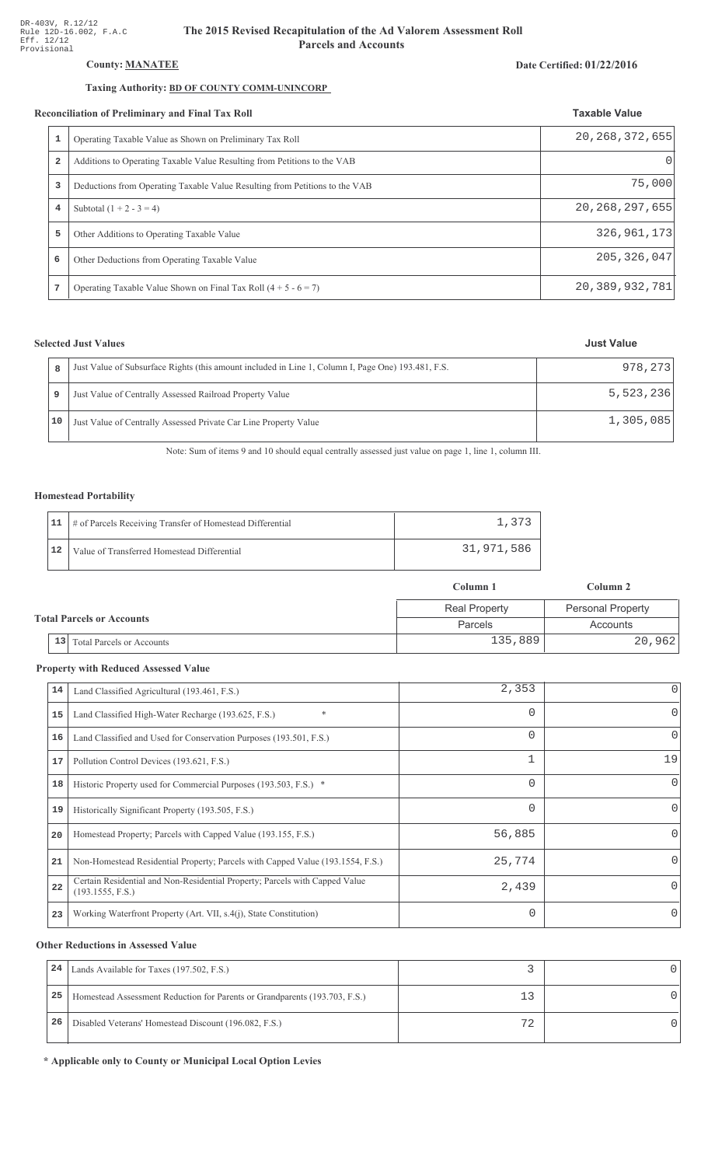## County: **MANATEE**

## Taxing Authority: **BD OF COUNTY COMM-UNINCORP**

#### Reconciliation of Preliminary and Final Tax Roll

|                         | Operating Taxable Value as Shown on Preliminary Tax Roll                    | 20, 268, 372, 655 |  |
|-------------------------|-----------------------------------------------------------------------------|-------------------|--|
| $\overline{\mathbf{2}}$ | Additions to Operating Taxable Value Resulting from Petitions to the VAB    |                   |  |
| 3                       | Deductions from Operating Taxable Value Resulting from Petitions to the VAB | 75,000            |  |
| 4                       | Subtotal $(1 + 2 - 3 = 4)$                                                  | 20, 268, 297, 655 |  |
| 5                       | Other Additions to Operating Taxable Value                                  | 326, 961, 173     |  |
| 6                       | Other Deductions from Operating Taxable Value                               | 205, 326, 047     |  |
| 7                       | Operating Taxable Value Shown on Final Tax Roll $(4 + 5 - 6 = 7)$           | 20, 389, 932, 781 |  |

## **Selected Just Values**

|    | Just Value of Subsurface Rights (this amount included in Line 1, Column I, Page One) 193.481, F.S. | 978, 273  |
|----|----------------------------------------------------------------------------------------------------|-----------|
|    | Just Value of Centrally Assessed Railroad Property Value                                           | 5,523,236 |
| 10 | Just Value of Centrally Assessed Private Car Line Property Value                                   | 1,305,085 |

Note: Sum of items 9 and 10 should equal centrally assessed just value on page 1, line 1, column III.

## Homestead Portability

|    | 11   # of Parcels Receiving Transfer of Homestead Differential |            |
|----|----------------------------------------------------------------|------------|
| 12 | Value of Transferred Homestead Differential                    | 31,971,586 |

|                                        | Column 1             | Column 2                 |  |
|----------------------------------------|----------------------|--------------------------|--|
|                                        | <b>Real Property</b> | <b>Personal Property</b> |  |
| <b>Total Parcels or Accounts</b>       | Parcels              | Accounts                 |  |
| 13<br><b>Total Parcels or Accounts</b> | 135,889              | 20,962                   |  |

#### **Property with Reduced Assessed Value**

| 14 | Land Classified Agricultural (193.461, F.S.)                                                    | 2,353    | 0            |
|----|-------------------------------------------------------------------------------------------------|----------|--------------|
| 15 | $\ast$<br>Land Classified High-Water Recharge (193.625, F.S.)                                   | $\Omega$ | 0            |
| 16 | Land Classified and Used for Conservation Purposes (193.501, F.S.)                              | $\Omega$ | 0            |
| 17 | Pollution Control Devices (193.621, F.S.)                                                       |          | 19           |
| 18 | Historic Property used for Commercial Purposes (193.503, F.S.) *                                | $\Omega$ | $\Omega$     |
| 19 | Historically Significant Property (193.505, F.S.)                                               | $\Omega$ | 0            |
| 20 | Homestead Property; Parcels with Capped Value (193.155, F.S.)                                   | 56,885   | <sup>0</sup> |
| 21 | Non-Homestead Residential Property; Parcels with Capped Value (193.1554, F.S.)                  | 25,774   | <sup>0</sup> |
| 22 | Certain Residential and Non-Residential Property; Parcels with Capped Value<br>(193.1555, F.S.) | 2,439    | 0            |
| 23 | Working Waterfront Property (Art. VII, s.4(j), State Constitution)                              | $\Omega$ | $\Omega$     |

#### **Other Reductions in Assessed Value**

| 24 | Lands Available for Taxes (197.502, F.S.)                                  |    |  |
|----|----------------------------------------------------------------------------|----|--|
| 25 | Homestead Assessment Reduction for Parents or Grandparents (193.703, F.S.) |    |  |
| 26 | Disabled Veterans' Homestead Discount (196.082, F.S.)                      | 70 |  |

\* Applicable only to County or Municipal Local Option Levies

#### Date Certified: 01/22/2016

**Taxable Value**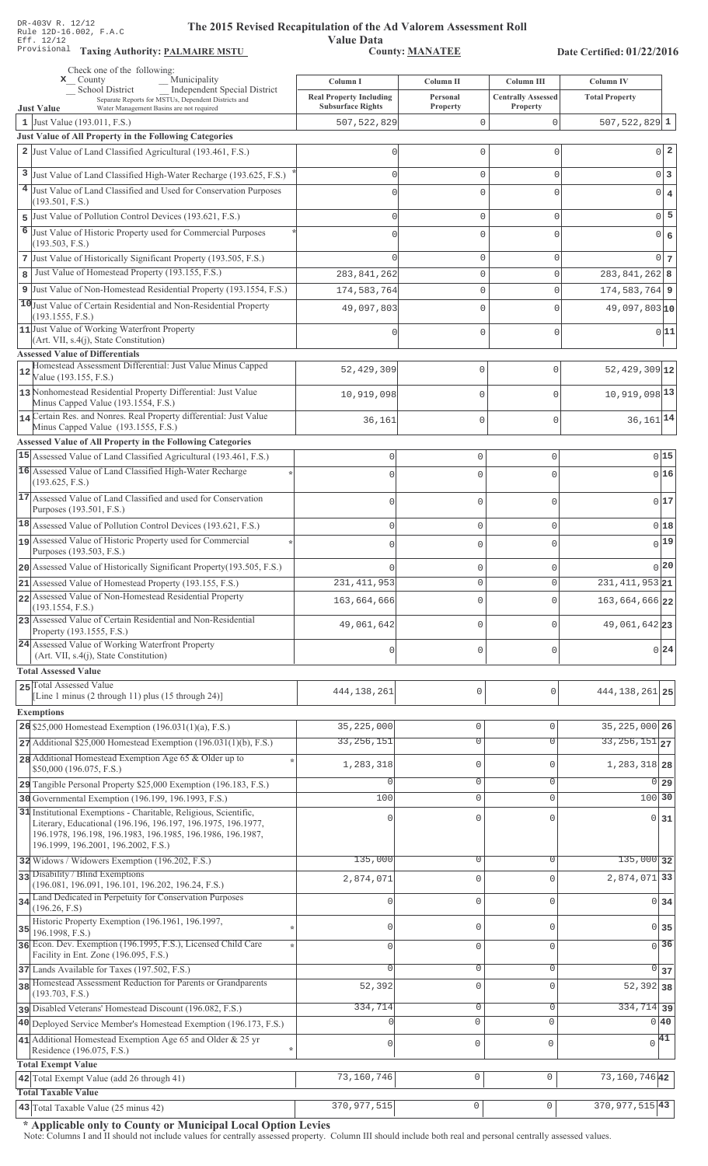**Taxing Auth** 

#### **Th** e 2015 Revised Recapitulation of the Ad Valorem Assessment Roll

**Value Data** ,%\$ \*\$ 0 ",\$1\*\*

Date Certified: 01/22/2016

|              | Check one of the following:<br>Municipality<br>$\mathbf{x}$ County                                                                                                      | Column I                                                   | Column II            | Column III                            | Column IV                  |                 |
|--------------|-------------------------------------------------------------------------------------------------------------------------------------------------------------------------|------------------------------------------------------------|----------------------|---------------------------------------|----------------------------|-----------------|
|              | Independent Special District<br>School District<br>Separate Reports for MSTUs, Dependent Districts and<br>Water Management Basins are not required<br><b>Just Value</b> | <b>Real Property Including</b><br><b>Subsurface Rights</b> | Personal<br>Property | <b>Centrally Assessed</b><br>Property | <b>Total Property</b>      |                 |
|              | 1 Just Value $(193.011, F.S.)$                                                                                                                                          | 507, 522, 829                                              | 0                    | $\Omega$                              | 507, 522, 829 $1$          |                 |
|              | Just Value of All Property in the Following Categories                                                                                                                  |                                                            |                      |                                       |                            |                 |
|              | 2 Just Value of Land Classified Agricultural (193.461, F.S.)                                                                                                            | 0                                                          | 0                    | 0                                     |                            | $0\vert 2$      |
|              | 3 Just Value of Land Classified High-Water Recharge (193.625, F.S.)                                                                                                     | U                                                          | 0                    | 0                                     |                            | 0 3             |
|              | 4 Just Value of Land Classified and Used for Conservation Purposes                                                                                                      | $\Omega$                                                   | $\mathbf 0$          | 0                                     |                            | $0 \mid 4$      |
|              | (193.501, F.S.)                                                                                                                                                         |                                                            |                      |                                       |                            | $0\overline{5}$ |
|              | 5 Just Value of Pollution Control Devices (193.621, F.S.)<br>6 Just Value of Historic Property used for Commercial Purposes                                             | $\Omega$                                                   | 0                    | 0                                     |                            |                 |
|              | (193.503, F.S.)                                                                                                                                                         | $\Omega$                                                   | 0                    | $\Omega$                              |                            | 0 6             |
|              | 7 Just Value of Historically Significant Property (193.505, F.S.)                                                                                                       | $\cap$                                                     | $\mathbb O$          | 0                                     |                            | $0\vert 7$      |
| $\mathbf{8}$ | Just Value of Homestead Property (193.155, F.S.)                                                                                                                        | 283, 841, 262                                              | $\mathbb O$          | 0                                     | 283, 841, 262 8            |                 |
|              | 9 Just Value of Non-Homestead Residential Property (193.1554, F.S.)                                                                                                     | 174,583,764                                                | $\mathbb O$          | 0                                     | $174,583,764$ 9            |                 |
|              | 10 Just Value of Certain Residential and Non-Residential Property<br>(193.1555, F.S.)                                                                                   | 49,097,803                                                 | $\mathbf{0}$         | $\Omega$                              | $49,097,803$ <sub>10</sub> |                 |
|              | 11 Just Value of Working Waterfront Property<br>(Art. VII, s.4(j), State Constitution)                                                                                  |                                                            | 0                    | 0                                     |                            | 0 11            |
|              | <b>Assessed Value of Differentials</b>                                                                                                                                  |                                                            |                      |                                       |                            |                 |
| 12           | Homestead Assessment Differential: Just Value Minus Capped<br>Value (193.155, F.S.)                                                                                     | 52,429,309                                                 | $\mathbf{0}$         | $\mathbf 0$                           | $52,429,309$ 12            |                 |
|              | 13 Nonhomestead Residential Property Differential: Just Value<br>Minus Capped Value (193.1554, F.S.)                                                                    | 10,919,098                                                 | 0                    | $\Omega$                              | 10,919,098 13              |                 |
|              | 14 Certain Res. and Nonres. Real Property differential: Just Value<br>Minus Capped Value (193.1555, F.S.)                                                               | 36,161                                                     | $\mathbf{0}$         | $\mathbf{0}$                          | $36,161$ <sup>14</sup>     |                 |
|              | Assessed Value of All Property in the Following Categories                                                                                                              |                                                            |                      |                                       |                            |                 |
|              | 15 Assessed Value of Land Classified Agricultural (193.461, F.S.)                                                                                                       | $\mathsf 0$                                                | $\mathbf 0$          | 0                                     |                            | $0$ 15          |
|              | 16 Assessed Value of Land Classified High-Water Recharge<br>(193.625, F.S.)                                                                                             | $\Omega$                                                   | $\cap$               | 0                                     |                            | 016             |
|              | 17 Assessed Value of Land Classified and used for Conservation<br>Purposes (193.501, F.S.)                                                                              | $\Omega$                                                   | $\mathbf 0$          | 0                                     |                            | 017             |
|              | 18 Assessed Value of Pollution Control Devices (193.621, F.S.)                                                                                                          | $\mathbf 0$                                                | $\mathbf 0$          | 0                                     |                            | 0 18            |
|              | 19 Assessed Value of Historic Property used for Commercial                                                                                                              | $\Omega$                                                   | $\mathbf 0$          | 0                                     |                            | $_{0} 19 $      |
|              | Purposes (193.503, F.S.)                                                                                                                                                |                                                            |                      |                                       |                            |                 |
|              | 20 Assessed Value of Historically Significant Property (193.505, F.S.)                                                                                                  |                                                            | $\mathbf 0$          | 0                                     |                            | 0 20            |
|              | 21 Assessed Value of Homestead Property (193.155, F.S.)<br>22 Assessed Value of Non-Homestead Residential Property                                                      | 231, 411, 953                                              | $\Omega$             | $\circ$                               | $231, 411, 953$ 21         |                 |
|              | (193.1554, F.S.)                                                                                                                                                        | 163,664,666                                                | $\mathbf 0$          | 0                                     | 163,664,666 22             |                 |
|              | 23 Assessed Value of Certain Residential and Non-Residential<br>Property (193.1555, F.S.)                                                                               | 49,061,642                                                 | $\mathbf 0$          | 0                                     | 49,061,642 23              |                 |
|              | 24 Assessed Value of Working Waterfront Property<br>(Art. VII, s.4(j), State Constitution)                                                                              | 0                                                          | $\mathbf 0$          | $\mathbf 0$                           |                            | 0 24            |
|              | <b>Total Assessed Value</b>                                                                                                                                             |                                                            |                      |                                       |                            |                 |
|              | 25 Total Assessed Value<br>[Line 1 minus $(2 \text{ through } 11)$ plus $(15 \text{ through } 24)$ ]                                                                    | 444, 138, 261                                              | 0                    | $\mathbf 0$                           | 444, 138, 261 25           |                 |
|              | <b>Exemptions</b>                                                                                                                                                       |                                                            |                      |                                       |                            |                 |
|              | $26$ \$25,000 Homestead Exemption (196.031(1)(a), F.S.)                                                                                                                 | 35, 225, 000                                               | $\mathbb O$          | $\mathbf 0$                           | 35, 225, 000 26            |                 |
|              | $27$ Additional \$25,000 Homestead Exemption (196.031(1)(b), F.S.)                                                                                                      | 33, 256, 151                                               | $\overline{0}$       | $\Omega$                              | $33, 256, 151$ 27          |                 |
|              | 28 Additional Homestead Exemption Age 65 & Older up to                                                                                                                  | 1,283,318                                                  | $\mathbb O$          | $\mathbf{0}$                          | 1, 283, 318 28             |                 |
|              | \$50,000 (196.075, F.S.)                                                                                                                                                | 0                                                          | $\mathbf 0$          | 0                                     | 0 29                       |                 |
|              | 29 Tangible Personal Property \$25,000 Exemption (196.183, F.S.)<br>30 Governmental Exemption (196.199, 196.1993, F.S.)                                                 | 100                                                        | $\mathbb O$          | $\mathbf{0}$                          | 100 30                     |                 |
|              | 31 Institutional Exemptions - Charitable, Religious, Scientific,                                                                                                        |                                                            | $\mathbf 0$          |                                       |                            |                 |
|              | Literary, Educational (196.196, 196.197, 196.1975, 196.1977,<br>196.1978, 196.198, 196.1983, 196.1985, 196.1986, 196.1987,<br>196.1999, 196.2001, 196.2002, F.S.)       |                                                            |                      |                                       | $0\overline{31}$           |                 |
|              | 32 Widows / Widowers Exemption (196.202, F.S.)                                                                                                                          | 135,000                                                    | 0                    | $\Omega$                              | $135,000$ 32               |                 |
|              | 33 Disability / Blind Exemptions<br>(196.081, 196.091, 196.101, 196.202, 196.24, F.S.)                                                                                  | 2,874,071                                                  | $\mathbb O$          | $\Omega$                              | 2,874,071 33               |                 |
|              | 34 Land Dedicated in Perpetuity for Conservation Purposes                                                                                                               | $\Omega$                                                   | $\mathbb O$          | $\Omega$                              | 0 34                       |                 |
|              | (196.26, F.S)<br>Historic Property Exemption (196.1961, 196.1997,                                                                                                       | $\mathbf{0}$                                               | $\mathbf 0$          | $\mathbf{0}$                          | $0\overline{35}$           |                 |
|              | $35$ 196.1998, F.S.)<br>36 Econ. Dev. Exemption (196.1995, F.S.), Licensed Child Care                                                                                   | $\mathbf{0}$                                               | $\mathbb O$          | $\mathbf{0}$                          | $\overline{0}$ 36          |                 |
|              | Facility in Ent. Zone (196.095, F.S.)<br>37 Lands Available for Taxes (197.502, F.S.)                                                                                   | $\Omega$                                                   | $\mathbb O$          | $\mathbf{0}$                          | $\overline{0}$ 37          |                 |
|              | 38 Homestead Assessment Reduction for Parents or Grandparents                                                                                                           | 52,392                                                     | $\mathbf 0$          | $\mathbf{0}$                          | $52,392$ 38                |                 |
|              | (193.703, F.S.)<br>pisabled Veterans' Homestead Discount (196.082, F.S.)                                                                                                | 334,714                                                    | $\mathsf{O}\xspace$  | $\mathsf{O}\xspace$                   | $334,714$ 39               |                 |
|              | 40 Deployed Service Member's Homestead Exemption (196.173, F.S.)                                                                                                        | U                                                          | $\circ$              | $\mathbf{0}$                          | $0\vert 40$                |                 |
|              | 41 Additional Homestead Exemption Age 65 and Older & 25 yr                                                                                                              | $\mathbb O$                                                | $\mathsf{O}\xspace$  | $\mathbf 0$                           | $\sqrt{41}$                |                 |
|              | Residence (196.075, F.S.)                                                                                                                                               |                                                            |                      |                                       |                            |                 |
|              | <b>Total Exempt Value</b><br>42 Total Exempt Value (add 26 through 41)                                                                                                  | 73,160,746                                                 | $\mathsf{O}\xspace$  | $\mathsf{O}\xspace$                   | 73, 160, 746 42            |                 |
|              | <b>Total Taxable Value</b>                                                                                                                                              |                                                            |                      |                                       |                            |                 |
|              | $ 43 $ Total Taxable Value (25 minus 42)                                                                                                                                | 370, 977, 515                                              | $\mathsf{O}\xspace$  | $\mathsf{O}$                          | 370, 977, 515   43         |                 |

\* Applicable only to County or Municipal Local Option Levies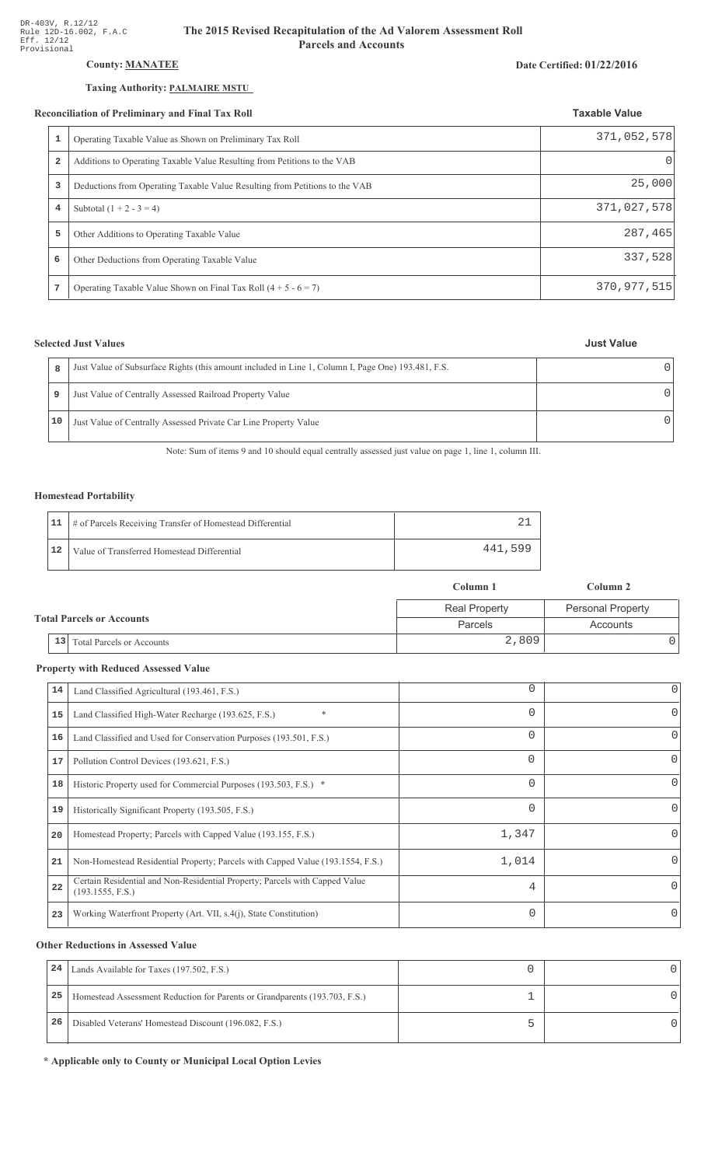# **County: MANATEE**

### Taxing Authority: PALMAIRE MSTU

#### **Reconciliation of Preliminary and Final Tax Roll**

| Date Certified: 01/22/2016 |  |
|----------------------------|--|
|----------------------------|--|

|                | econciliation of Preliminary and Final Tax Roll                             | <b>Taxable Value</b> |
|----------------|-----------------------------------------------------------------------------|----------------------|
|                | Operating Taxable Value as Shown on Preliminary Tax Roll                    | 371,052,578          |
| $\overline{2}$ | Additions to Operating Taxable Value Resulting from Petitions to the VAB    |                      |
|                | Deductions from Operating Taxable Value Resulting from Petitions to the VAB | 25,000               |
| $\overline{4}$ | Subtotal $(1 + 2 - 3 = 4)$                                                  | 371,027,578          |
| 5              | Other Additions to Operating Taxable Value                                  | 287,465              |
| 6              | Other Deductions from Operating Taxable Value                               | 337,528              |
| 7              | Operating Taxable Value Shown on Final Tax Roll $(4 + 5 - 6 = 7)$           | 370, 977, 515        |

## **Selected Just Values**

|  | <b>Just Value</b> |
|--|-------------------|
|  |                   |

| 8  | Just Value of Subsurface Rights (this amount included in Line 1, Column I, Page One) 193.481, F.S. |  |
|----|----------------------------------------------------------------------------------------------------|--|
| 9  | Just Value of Centrally Assessed Railroad Property Value                                           |  |
| 10 | Just Value of Centrally Assessed Private Car Line Property Value                                   |  |

Note: Sum of items 9 and 10 should equal centrally assessed just value on page 1, line 1, column III.

### **Homestead Portability**

|    | 11   # of Parcels Receiving Transfer of Homestead Differential |         |
|----|----------------------------------------------------------------|---------|
| 12 | Value of Transferred Homestead Differential                    | 441,599 |

|                                  |                                        | Column 1             | Column 2                 |  |
|----------------------------------|----------------------------------------|----------------------|--------------------------|--|
| <b>Total Parcels or Accounts</b> |                                        | <b>Real Property</b> | <b>Personal Property</b> |  |
|                                  |                                        | Parcels              | Accounts                 |  |
|                                  | 13<br><b>Total Parcels or Accounts</b> | 2,809                |                          |  |

## **Property with Reduced Assessed Value**

| 14 | Land Classified Agricultural (193.461, F.S.)                                                    | 0              |          |
|----|-------------------------------------------------------------------------------------------------|----------------|----------|
| 15 | $\ast$<br>Land Classified High-Water Recharge (193.625, F.S.)                                   | 0              |          |
| 16 | Land Classified and Used for Conservation Purposes (193.501, F.S.)                              | 0              | O        |
| 17 | Pollution Control Devices (193.621, F.S.)                                                       | 0              | $\Omega$ |
| 18 | Historic Property used for Commercial Purposes (193.503, F.S.) *                                | 0              | 0        |
| 19 | Historically Significant Property (193.505, F.S.)                                               | 0              | $\Omega$ |
| 20 | Homestead Property; Parcels with Capped Value (193.155, F.S.)                                   | 1,347          |          |
| 21 | Non-Homestead Residential Property; Parcels with Capped Value (193.1554, F.S.)                  | 1,014          |          |
| 22 | Certain Residential and Non-Residential Property; Parcels with Capped Value<br>(193.1555, F.S.) | $\overline{4}$ | $\Omega$ |
| 23 | Working Waterfront Property (Art. VII, s.4(j), State Constitution)                              | $\Omega$       | $\Omega$ |

## **Other Reductions in Assessed Value**

| 24 | Lands Available for Taxes (197.502, F.S.)                                  |  |
|----|----------------------------------------------------------------------------|--|
| 25 | Homestead Assessment Reduction for Parents or Grandparents (193.703, F.S.) |  |
| 26 | Disabled Veterans' Homestead Discount (196.082, F.S.)                      |  |

\* Applicable only to County or Municipal Local Option Levies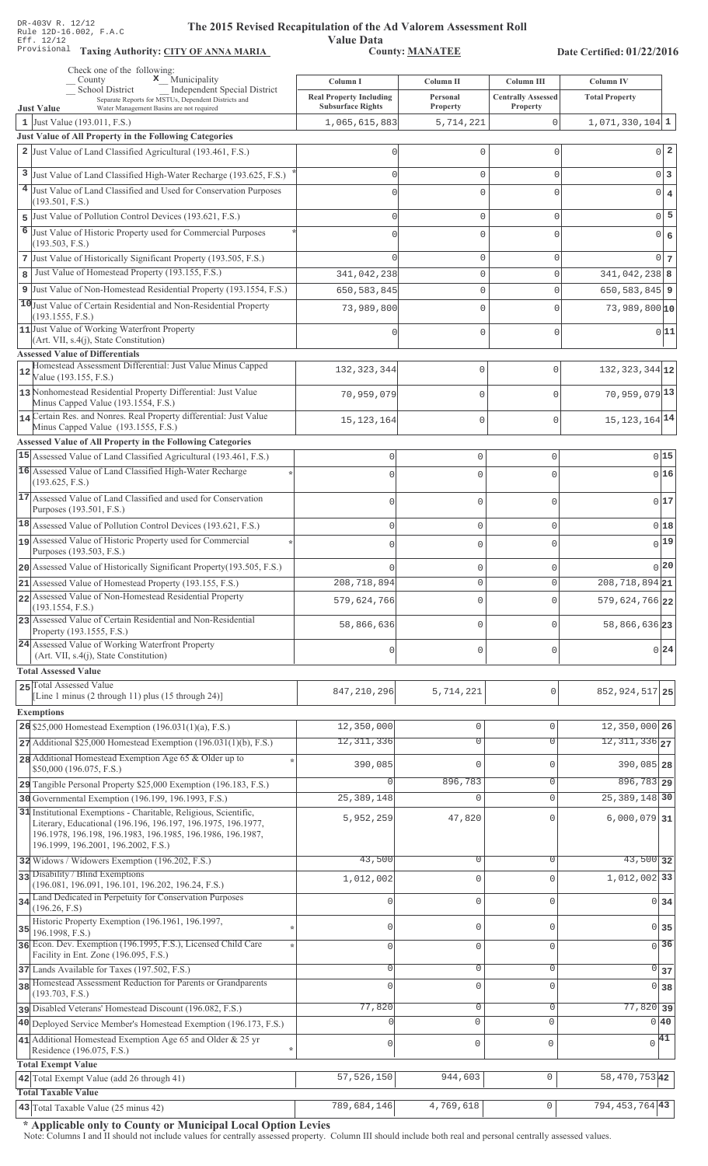Value Data<br>County: MANATEE

Taxing Authority: CITY OF ANNA MARIA County: MANATEE

Date Certified: 01/22/2016

| Check one of the following:<br>$\mathbf x$ Municipality<br>County                                                          | Column I                                  | Column II             | Column III                     | <b>Column IV</b>               |
|----------------------------------------------------------------------------------------------------------------------------|-------------------------------------------|-----------------------|--------------------------------|--------------------------------|
| School District<br>Independent Special District<br>Separate Reports for MSTUs, Dependent Districts and                     | <b>Real Property Including</b>            | Personal              | <b>Centrally Assessed</b>      | <b>Total Property</b>          |
| Water Management Basins are not required<br><b>Just Value</b><br>1 Just Value (193.011, F.S.)                              | <b>Subsurface Rights</b><br>1,065,615,883 | Property<br>5,714,221 | <b>Property</b><br>$\mathbf 0$ | $1,071,330,104$ 1              |
| Just Value of All Property in the Following Categories                                                                     |                                           |                       |                                |                                |
| 2 Just Value of Land Classified Agricultural (193.461, F.S.)                                                               | 0                                         | 0                     | 0                              | $0\vert 2$                     |
| 3 Just Value of Land Classified High-Water Recharge (193.625, F.S.)                                                        | $\Omega$                                  | 0                     | 0                              | $0\vert 3$                     |
| 4 Just Value of Land Classified and Used for Conservation Purposes                                                         | $\Omega$                                  | 0                     | 0                              | $0 \mid 4$                     |
| (193.501, F.S.)                                                                                                            |                                           |                       |                                |                                |
| 5 Just Value of Pollution Control Devices (193.621, F.S.)                                                                  | $\Omega$                                  | 0                     | 0                              | $0\overline{5}$                |
| 6<br>Just Value of Historic Property used for Commercial Purposes<br>(193.503, F.S.)                                       | U                                         | 0                     | 0                              | 0 6                            |
| 7 Just Value of Historically Significant Property (193.505, F.S.)                                                          | $\cap$                                    | 0                     | 0                              | 0 <sub>7</sub>                 |
| Just Value of Homestead Property (193.155, F.S.)<br>8                                                                      | 341,042,238                               | 0                     | 0                              | $341,042,238$ 8                |
| 9 Just Value of Non-Homestead Residential Property (193.1554, F.S.)                                                        | 650, 583, 845                             | 0                     | 0                              | $650, 583, 845$   9            |
| 10 Just Value of Certain Residential and Non-Residential Property                                                          | 73,989,800                                | 0                     | 0                              | $73,989,800 $ 10               |
| (193.1555, F.S.)<br>11 Just Value of Working Waterfront Property                                                           |                                           | 0                     | 0                              | 0 11                           |
| (Art. VII, s.4(j), State Constitution)                                                                                     |                                           |                       |                                |                                |
| <b>Assessed Value of Differentials</b><br>Homestead Assessment Differential: Just Value Minus Capped                       |                                           |                       |                                |                                |
| 12<br>Value (193.155, F.S.)                                                                                                | 132, 323, 344                             | $\mathbf 0$           | $\Omega$                       | $132, 323, 344$ 12             |
| 13 Nonhomestead Residential Property Differential: Just Value<br>Minus Capped Value (193.1554, F.S.)                       | 70,959,079                                | $\mathbf 0$           | $\Omega$                       | 70,959,079 13                  |
| 14 Certain Res. and Nonres. Real Property differential: Just Value                                                         | 15, 123, 164                              | $\mathbf 0$           | $\mathbf 0$                    | 15, 123, 164 14                |
| Minus Capped Value (193.1555, F.S.)<br><b>Assessed Value of All Property in the Following Categories</b>                   |                                           |                       |                                |                                |
| 15 Assessed Value of Land Classified Agricultural (193.461, F.S.)                                                          | $\mathbf 0$                               | $\circ$               | $\mathsf{O}\xspace$            | 015                            |
| 16 Assessed Value of Land Classified High-Water Recharge                                                                   | $\bigcap$                                 | $\Omega$              | $\Omega$                       | 016                            |
| (193.625, F.S.)                                                                                                            |                                           |                       |                                |                                |
| 17 Assessed Value of Land Classified and used for Conservation<br>Purposes (193.501, F.S.)                                 | $\bigcap$                                 | $\mathbf 0$           | $\Omega$                       | 017                            |
| 18 Assessed Value of Pollution Control Devices (193.621, F.S.)                                                             | $\mathbf{0}$                              | $\circ$               | $\mathsf{O}\xspace$            | 018                            |
| 19 Assessed Value of Historic Property used for Commercial                                                                 | $\bigcap$                                 | $\mathbf 0$           | 0                              | 0 19                           |
| Purposes (193.503, F.S.)                                                                                                   |                                           |                       |                                |                                |
| 20 Assessed Value of Historically Significant Property (193.505, F.S.)                                                     |                                           | 0                     | 0                              | 0 20                           |
| 21 Assessed Value of Homestead Property (193.155, F.S.)<br>22 Assessed Value of Non-Homestead Residential Property         | 208,718,894                               | $\mathbf 0$           | $\circ$                        | 208, 718, 894 21               |
| (193.1554, F.S.)                                                                                                           | 579,624,766                               | $\mathbf{0}$          | $\Omega$                       | $579,624,766$  22              |
| 23 Assessed Value of Certain Residential and Non-Residential<br>Property (193.1555, F.S.)                                  | 58,866,636                                | $\mathbf 0$           | $\cap$                         | 58,866,636 23                  |
| 24 Assessed Value of Working Waterfront Property<br>(Art. VII, s.4(j), State Constitution)                                 | $\mathbf{0}$                              | $\mathbf{0}$          | $\mathbf 0$                    | 0 24                           |
| <b>Total Assessed Value</b>                                                                                                |                                           |                       |                                |                                |
| 25 Total Assessed Value<br>[Line 1 minus $(2 \text{ through } 11)$ plus $(15 \text{ through } 24)$ ]                       | 847, 210, 296                             | 5,714,221             | 0                              | 852, 924, 517 25               |
| <b>Exemptions</b>                                                                                                          |                                           |                       |                                |                                |
| 26 \$25,000 Homestead Exemption (196.031(1)(a), F.S.)                                                                      | 12,350,000                                | $\mathbb O$           | $\circ$                        | 12,350,000 26                  |
| $27$ Additional \$25,000 Homestead Exemption (196.031(1)(b), F.S.)                                                         | 12,311,336                                | $\overline{0}$        | $\Omega$                       | $12,311,336$ <sub>27</sub>     |
| 28 Additional Homestead Exemption Age 65 & Older up to                                                                     |                                           | 0                     | $\cap$                         |                                |
| \$50,000 (196.075, F.S.)                                                                                                   | 390,085                                   |                       |                                | 390,085 28                     |
| 29 Tangible Personal Property \$25,000 Exemption (196.183, F.S.)                                                           |                                           | 896,783               | 0                              | 896, 783 29<br>25, 389, 148 30 |
| 30 Governmental Exemption (196.199, 196.1993, F.S.)<br>31 Institutional Exemptions - Charitable, Religious, Scientific,    | 25, 389, 148                              | $\mathbf 0$           | $\mathbf{0}$                   |                                |
| Literary, Educational (196.196, 196.197, 196.1975, 196.1977,<br>196.1978, 196.198, 196.1983, 196.1985, 196.1986, 196.1987, | 5,952,259                                 | 47,820                | $\Omega$                       | $6,000,079$ 31                 |
| 196.1999, 196.2001, 196.2002, F.S.)                                                                                        |                                           |                       |                                |                                |
| 32 Widows / Widowers Exemption (196.202, F.S.)                                                                             | 43,500                                    | $\mathbf 0$           | $\Omega$                       | $43,500$ 32                    |
| 33 Disability / Blind Exemptions<br>(196.081, 196.091, 196.101, 196.202, 196.24, F.S.)                                     | 1,012,002                                 | $\mathbf 0$           | $\Omega$                       | $1,012,002$ 33                 |
| 34 Land Dedicated in Perpetuity for Conservation Purposes                                                                  |                                           | $\mathbf 0$           | $\cap$                         | $0 \overline{\smash{34}}$      |
| (196.26, F.S)<br>Historic Property Exemption (196.1961, 196.1997,                                                          |                                           |                       |                                |                                |
| 35<br>196.1998, F.S.)                                                                                                      | 0                                         | $\mathbf 0$           | $\Omega$                       | 0 35                           |
| 36 Econ. Dev. Exemption (196.1995, F.S.), Licensed Child Care<br>Facility in Ent. Zone (196.095, F.S.)                     | 0                                         | $\mathbf 0$           | $\Omega$                       | $\overline{0}$ 36              |
| 37 Lands Available for Taxes (197.502, F.S.)                                                                               | 0                                         | $\mathbf 0$           | $\mathbf{0}$                   | $\circ$<br>37                  |
| 38 Homestead Assessment Reduction for Parents or Grandparents                                                              | $\Omega$                                  | $\mathbf 0$           | $\Omega$                       | $\overline{0}$<br>38           |
| (193.703, F.S.)<br>pisabled Veterans' Homestead Discount (196.082, F.S.)                                                   | 77,820                                    | $\overline{0}$        | $\mathsf 0$                    | $77,820$ 39                    |
| 40 Deployed Service Member's Homestead Exemption (196.173, F.S.)                                                           |                                           | $\circ$               | $\Omega$                       | $0\vert 40$                    |
| 41 Additional Homestead Exemption Age 65 and Older & 25 yr                                                                 |                                           |                       |                                | $\sqrt{41}$                    |
| Residence (196.075, F.S.)                                                                                                  | 0<br>$\star$                              | $\mathsf{O}\xspace$   | $\mathbf 0$                    |                                |
| <b>Total Exempt Value</b>                                                                                                  |                                           |                       |                                |                                |
| 42 Total Exempt Value (add 26 through 41)<br><b>Total Taxable Value</b>                                                    | 57, 526, 150                              | 944,603               | $\mathsf{O}\xspace$            | 58, 470, 753 42                |
| 43 Total Taxable Value $(25 \text{ minus } 42)$                                                                            | 789,684,146                               | 4,769,618             | 0                              | $794, 453, 764$ 43             |

\* Applicable only to County or Municipal Local Option Levies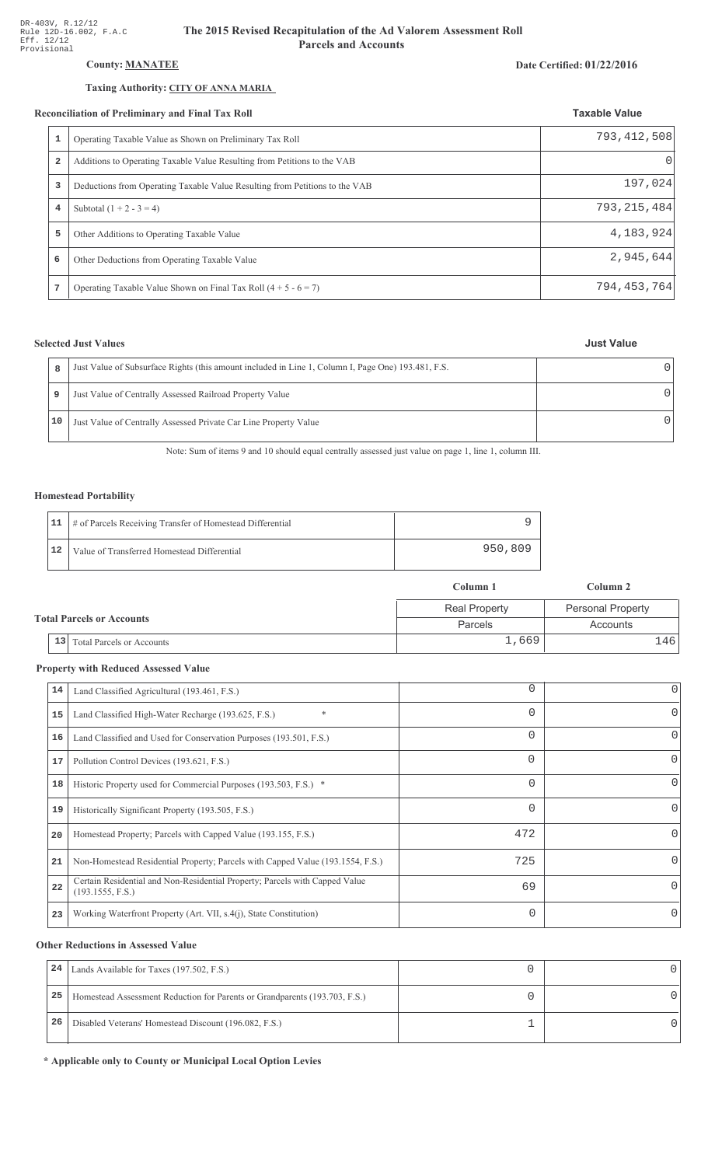# **County: MANATEE**

## Taxing Authority: CITY OF ANNA MARIA

#### Reconciliation of Preliminary and Final Tax Roll

| conciliation of Preliminary and Final Tax Roll |                                                                             | <b>Taxable Value</b> |
|------------------------------------------------|-----------------------------------------------------------------------------|----------------------|
| 1                                              | Operating Taxable Value as Shown on Preliminary Tax Roll                    | 793, 412, 508        |
| $\overline{a}$                                 | Additions to Operating Taxable Value Resulting from Petitions to the VAB    | 0                    |
| 3                                              | Deductions from Operating Taxable Value Resulting from Petitions to the VAB | 197,024              |
| 4                                              | Subtotal $(1 + 2 - 3 = 4)$                                                  | 793, 215, 484        |
| 5                                              | Other Additions to Operating Taxable Value                                  | 4,183,924            |
| 6                                              | Other Deductions from Operating Taxable Value                               | 2,945,644            |
|                                                | Operating Taxable Value Shown on Final Tax Roll $(4 + 5 - 6 = 7)$           | 794, 453, 764        |

# **Selected Just Values**

| 8  | Just Value of Subsurface Rights (this amount included in Line 1, Column I, Page One) 193.481, F.S. |  |
|----|----------------------------------------------------------------------------------------------------|--|
|    | Just Value of Centrally Assessed Railroad Property Value                                           |  |
| 10 | Just Value of Centrally Assessed Private Car Line Property Value                                   |  |

Note: Sum of items 9 and 10 should equal centrally assessed just value on page 1, line 1, column III.

### **Homestead Portability**

|    | 11   # of Parcels Receiving Transfer of Homestead Differential |         |
|----|----------------------------------------------------------------|---------|
| 12 | Value of Transferred Homestead Differential                    | 950,809 |

|  |    |                                  | Column 2<br>Column 1 |                          |  |
|--|----|----------------------------------|----------------------|--------------------------|--|
|  |    |                                  | <b>Real Property</b> | <b>Personal Property</b> |  |
|  |    | <b>Total Parcels or Accounts</b> | Parcels              | Accounts                 |  |
|  | 13 | Total Parcels or Accounts        | 1,669                | .461                     |  |

## **Property with Reduced Assessed Value**

| 14 |                                                                                                 | $\Omega$ | 0 |
|----|-------------------------------------------------------------------------------------------------|----------|---|
|    | Land Classified Agricultural (193.461, F.S.)                                                    |          |   |
| 15 | Land Classified High-Water Recharge (193.625, F.S.)<br>$\ast$                                   | $\Omega$ | 0 |
| 16 | Land Classified and Used for Conservation Purposes (193.501, F.S.)                              | $\Omega$ |   |
| 17 | Pollution Control Devices (193.621, F.S.)                                                       | 0        | 0 |
| 18 | Historic Property used for Commercial Purposes (193.503, F.S.) *                                | $\Omega$ |   |
| 19 | Historically Significant Property (193.505, F.S.)                                               | $\Omega$ | 0 |
| 20 | Homestead Property; Parcels with Capped Value (193.155, F.S.)                                   | 472      | 0 |
| 21 | Non-Homestead Residential Property; Parcels with Capped Value (193.1554, F.S.)                  | 725      | 0 |
| 22 | Certain Residential and Non-Residential Property; Parcels with Capped Value<br>(193.1555, F.S.) | 69       | 0 |
| 23 | Working Waterfront Property (Art. VII, s.4(j), State Constitution)                              | $\Omega$ |   |

## **Other Reductions in Assessed Value**

| 24 | Lands Available for Taxes (197.502, F.S.)                                  |  |
|----|----------------------------------------------------------------------------|--|
| 25 | Homestead Assessment Reduction for Parents or Grandparents (193.703, F.S.) |  |
| 26 | Disabled Veterans' Homestead Discount (196.082, F.S.)                      |  |

\* Applicable only to County or Municipal Local Option Levies

### **Just Value**

Date Certified: 01/22/2016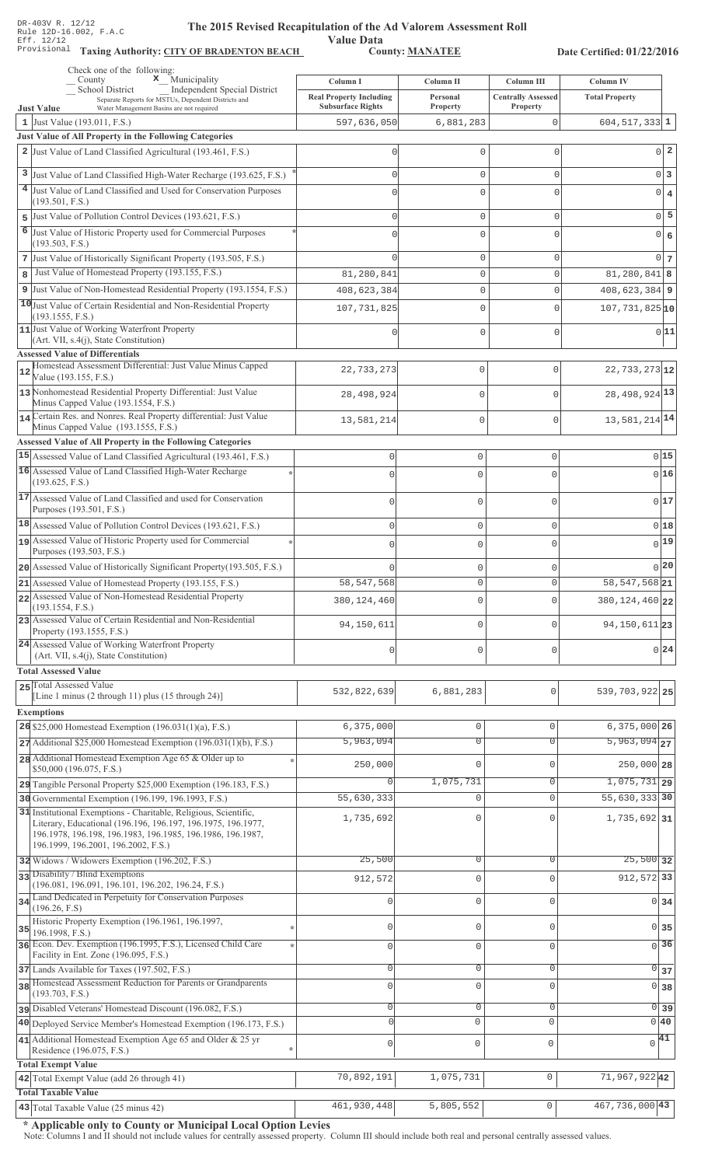Value Data<br>County: MANATEE Taxing Authority: CITY OF BRADENTON BEACH County: MANATEE

Date Certified: 01/22/2016

| Check one of the following:<br>$\mathbf{x}$ Municipality<br>County                                                                                                                                                                    | Column I                                                   | Column II            | Column III                            | Column IV                        |
|---------------------------------------------------------------------------------------------------------------------------------------------------------------------------------------------------------------------------------------|------------------------------------------------------------|----------------------|---------------------------------------|----------------------------------|
| Independent Special District<br><b>School District</b><br>Separate Reports for MSTUs, Dependent Districts and<br>Water Management Basins are not required                                                                             | <b>Real Property Including</b><br><b>Subsurface Rights</b> | Personal<br>Property | <b>Centrally Assessed</b><br>Property | <b>Total Property</b>            |
| <b>Just Value</b><br>1 Just Value $(193.011, F.S.)$                                                                                                                                                                                   | 597,636,050                                                | 6,881,283            | 0                                     | $604, 517, 333$ 1                |
| Just Value of All Property in the Following Categories                                                                                                                                                                                |                                                            |                      |                                       |                                  |
| 2 Just Value of Land Classified Agricultural (193.461, F.S.)                                                                                                                                                                          |                                                            | 0                    | $\mathbf{0}$                          | $0\vert 2$                       |
| 3 Just Value of Land Classified High-Water Recharge (193.625, F.S.)                                                                                                                                                                   |                                                            | $\Omega$             | $\mathbf{0}$                          | $0\vert 3$                       |
| 4 Just Value of Land Classified and Used for Conservation Purposes                                                                                                                                                                    |                                                            | U                    | C                                     | $\bf{4}$<br> 0                   |
| (193.501, F.S.)                                                                                                                                                                                                                       |                                                            |                      |                                       |                                  |
| Just Value of Pollution Control Devices (193.621, F.S.)<br>5                                                                                                                                                                          |                                                            | 0                    | $\Omega$                              | $0\overline{5}$                  |
| 6<br>Just Value of Historic Property used for Commercial Purposes<br>(193.503, F.S.)                                                                                                                                                  |                                                            | $\Omega$             | $\Omega$                              | $\epsilon$<br> 0                 |
| 7 Just Value of Historically Significant Property (193.505, F.S.)                                                                                                                                                                     |                                                            | 0                    | $\mathbf{0}$                          | $0\overline{7}$                  |
| Just Value of Homestead Property (193.155, F.S.)<br>8                                                                                                                                                                                 | 81,280,841                                                 | 0                    | $\mathbf{0}$                          | $81,280,841$ 8                   |
| 9 Just Value of Non-Homestead Residential Property (193.1554, F.S.)                                                                                                                                                                   | 408,623,384                                                | 0                    | $\mathbf{0}$                          | $408,623,384$ 9                  |
| 10 Just Value of Certain Residential and Non-Residential Property                                                                                                                                                                     | 107, 731, 825                                              | 0                    | $\mathbf{0}$                          | $107,731,825$ <sup>10</sup>      |
| (193.1555, F.S.)<br>11 Just Value of Working Waterfront Property                                                                                                                                                                      |                                                            |                      |                                       |                                  |
| (Art. VII, s.4(j), State Constitution)                                                                                                                                                                                                |                                                            | 0                    | $\circ$                               | 0 11                             |
| <b>Assessed Value of Differentials</b>                                                                                                                                                                                                |                                                            |                      |                                       |                                  |
| Homestead Assessment Differential: Just Value Minus Capped<br>12<br>Value (193.155, F.S.)                                                                                                                                             | 22,733,273                                                 | 0                    | $\Omega$                              | 22, 733, 273 12                  |
| 13 Nonhomestead Residential Property Differential: Just Value<br>Minus Capped Value (193.1554, F.S.)                                                                                                                                  | 28, 498, 924                                               | $\mathbf 0$          | $\bigcap$                             | 28, 498, 924 13                  |
| 14 Certain Res. and Nonres. Real Property differential: Just Value                                                                                                                                                                    | 13,581,214                                                 | $\mathbf 0$          | $\mathbf{0}$                          | 13, 581, 214 14                  |
| Minus Capped Value (193.1555, F.S.)                                                                                                                                                                                                   |                                                            |                      |                                       |                                  |
| <b>Assessed Value of All Property in the Following Categories</b><br>15 Assessed Value of Land Classified Agricultural (193.461, F.S.)                                                                                                | $\mathbb O$                                                | 0                    | $\circ$                               | 0 15                             |
| 16 Assessed Value of Land Classified High-Water Recharge                                                                                                                                                                              |                                                            |                      |                                       |                                  |
| (193.625, F.S.)                                                                                                                                                                                                                       | $\Omega$                                                   | 0                    | $\Omega$                              | 016                              |
| 17 Assessed Value of Land Classified and used for Conservation<br>Purposes (193.501, F.S.)                                                                                                                                            | $\Omega$                                                   | 0                    | $\circ$                               | 017                              |
| 18 Assessed Value of Pollution Control Devices (193.621, F.S.)                                                                                                                                                                        | $\Omega$                                                   | 0                    | $\mathbf{0}$                          | 0 18                             |
| 19 Assessed Value of Historic Property used for Commercial                                                                                                                                                                            | $\Omega$                                                   | 0                    | $\Omega$                              | $0$ 19                           |
| Purposes (193.503, F.S.)                                                                                                                                                                                                              |                                                            |                      |                                       | 0 20                             |
| 20 Assessed Value of Historically Significant Property (193.505, F.S.)<br>21 Assessed Value of Homestead Property (193.155, F.S.)                                                                                                     | 58, 547, 568                                               | 0<br>0               | $\mathbf 0$<br>$\Omega$               | 58, 547, 568 21                  |
| 22 Assessed Value of Non-Homestead Residential Property                                                                                                                                                                               |                                                            |                      |                                       |                                  |
| (193.1554, F.S.)                                                                                                                                                                                                                      | 380, 124, 460                                              | 0                    | 0                                     | 380, 124, 460 22                 |
| 23 Assessed Value of Certain Residential and Non-Residential<br>Property (193.1555, F.S.)                                                                                                                                             | 94, 150, 611                                               | 0                    | $\Omega$                              | 94, 150, 611 23                  |
| 24 Assessed Value of Working Waterfront Property                                                                                                                                                                                      | $\Omega$                                                   | 0                    | $\Omega$                              | 0 24                             |
| (Art. VII, s.4(j), State Constitution)                                                                                                                                                                                                |                                                            |                      |                                       |                                  |
| <b>Total Assessed Value</b><br>25 Total Assessed Value                                                                                                                                                                                |                                                            |                      |                                       |                                  |
| [Line 1 minus (2 through 11) plus (15 through 24)]                                                                                                                                                                                    | 532,822,639                                                | 6,881,283            | 0                                     | 539, 703, 922 25                 |
| <b>Exemptions</b>                                                                                                                                                                                                                     |                                                            |                      |                                       |                                  |
| $26$ \$25,000 Homestead Exemption (196.031(1)(a), F.S.)                                                                                                                                                                               | 6,375,000                                                  | $\mathbb O$          | $\mathbf{0}$                          | 6,375,000 26                     |
| $27$ Additional \$25,000 Homestead Exemption (196.031(1)(b), F.S.)                                                                                                                                                                    | 5,963,094                                                  | $\overline{0}$       | $\overline{0}$                        | $5,963,094$ <sub>27</sub>        |
| 28 Additional Homestead Exemption Age 65 & Older up to<br>\$50,000 (196.075, F.S.)                                                                                                                                                    | 250,000                                                    | $\mathbf{0}$         | $\Omega$                              | $250,000$ 28                     |
| 29 Tangible Personal Property \$25,000 Exemption (196.183, F.S.)                                                                                                                                                                      | $\circ$                                                    | 1,075,731            | $\overline{0}$                        | $1,075,731$ 29                   |
| 30 Governmental Exemption (196.199, 196.1993, F.S.)                                                                                                                                                                                   | 55,630,333                                                 | 0                    | $\mathbf{0}$                          | 55,630,333 30                    |
| 31 Institutional Exemptions - Charitable, Religious, Scientific,<br>Literary, Educational (196.196, 196.197, 196.1975, 196.1977,<br>196.1978, 196.198, 196.1983, 196.1985, 196.1986, 196.1987,<br>196.1999, 196.2001, 196.2002, F.S.) | 1,735,692                                                  | $\mathbf 0$          | $\cap$                                | 1,735,692 31                     |
| 32 Widows / Widowers Exemption (196.202, F.S.)                                                                                                                                                                                        | 25,500                                                     | $\overline{0}$       | $\Omega$                              | $25,500$ 32                      |
| 33 Disability / Blind Exemptions                                                                                                                                                                                                      | 912,572                                                    | $\mathbf{0}$         | $\Omega$                              | 912, 572 33                      |
| (196.081, 196.091, 196.101, 196.202, 196.24, F.S.)<br>34 Land Dedicated in Perpetuity for Conservation Purposes                                                                                                                       |                                                            |                      |                                       |                                  |
| (196.26, F.S)                                                                                                                                                                                                                         | O                                                          | $\mathbf 0$          | $\Omega$                              | $0 \overline{\smash{34}}$        |
| Historic Property Exemption (196.1961, 196.1997,<br>35<br>196.1998, F.S.)                                                                                                                                                             | $\Omega$                                                   | $\mathbb O$          | $\mathbf{0}$                          | $0 \overline{\smash{\big)}\ 35}$ |
| 36 Econ. Dev. Exemption (196.1995, F.S.), Licensed Child Care                                                                                                                                                                         | $\mathbf{0}$                                               | $\mathsf{O}\xspace$  | $\mathbf{0}$                          | $\overline{0}$ 36                |
| Facility in Ent. Zone (196.095, F.S.)                                                                                                                                                                                                 | $\Omega$                                                   | $\circ$              | $\mathbf{0}$                          |                                  |
| 37 Lands Available for Taxes (197.502, F.S.)<br>38 Homestead Assessment Reduction for Parents or Grandparents                                                                                                                         | $\Omega$                                                   | $\mathbf 0$          | $\Omega$                              | $\overline{0}$ 37                |
| (193.703, F.S.)                                                                                                                                                                                                                       |                                                            |                      |                                       | 0 38                             |
| pisabled Veterans' Homestead Discount (196.082, F.S.)                                                                                                                                                                                 | 0                                                          | $\mathsf{O}\xspace$  | $\mathbf{0}$                          | $\overline{0}$ 39                |
| 40 Deployed Service Member's Homestead Exemption (196.173, F.S.)                                                                                                                                                                      | $\Omega$                                                   | $\mathbf 0$          | $\Omega$                              | 0 40                             |
| 41 Additional Homestead Exemption Age 65 and Older & 25 yr<br>Residence (196.075, F.S.)                                                                                                                                               | $\mathbf{0}$                                               | $\mathsf{O}\xspace$  | $\mathbf 0$                           | $\sqrt{41}$                      |
| <b>Total Exempt Value</b>                                                                                                                                                                                                             |                                                            |                      |                                       |                                  |
| 42 Total Exempt Value (add 26 through 41)                                                                                                                                                                                             | 70,892,191                                                 | 1,075,731            | $\mathbb O$                           | 71,967,92242                     |
| <b>Total Taxable Value</b>                                                                                                                                                                                                            |                                                            |                      |                                       |                                  |
| 43 Total Taxable Value (25 minus 42)                                                                                                                                                                                                  | 461,930,448                                                | 5,805,552            | 0                                     | 467, 736, 000 43                 |

\* Applicable only to County or Municipal Local Option Levies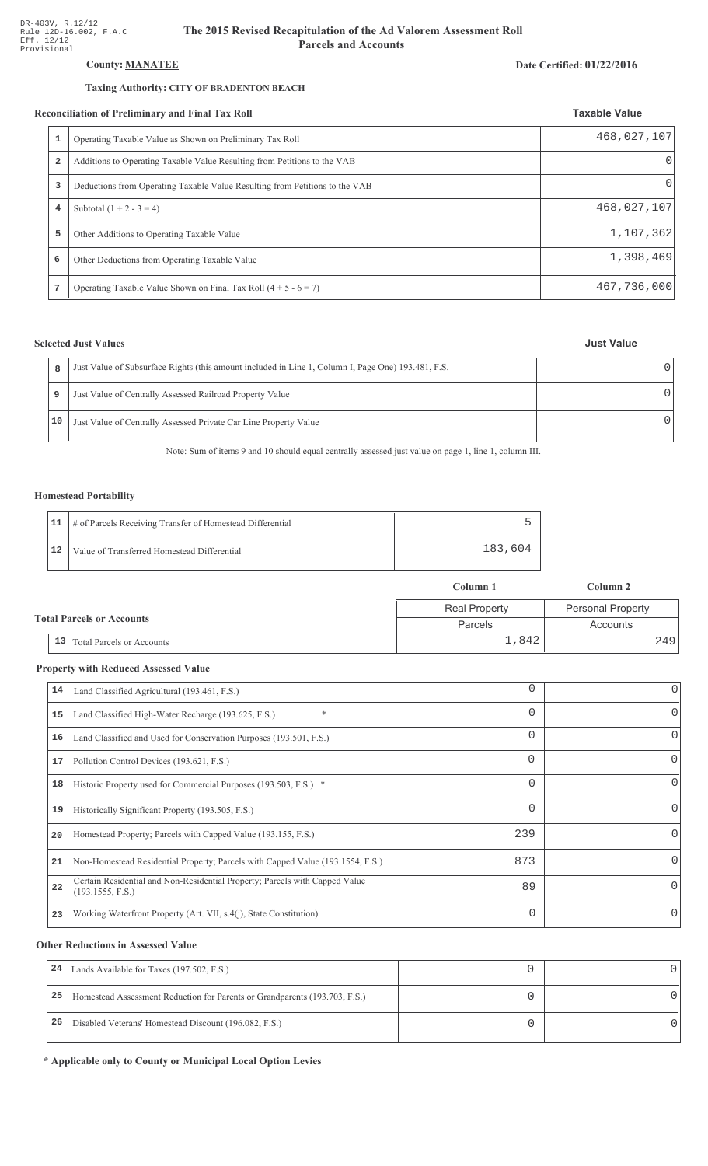## **County: MANATEE**

## Taxing Authority: CITY OF BRADENTON BEACH

#### Reconciliation of Preliminary and Final Tax Roll

| conciliation of Preliminary and Final Tax Roll |                                                                             | <b>Taxable Value</b> |  |
|------------------------------------------------|-----------------------------------------------------------------------------|----------------------|--|
|                                                | Operating Taxable Value as Shown on Preliminary Tax Roll                    | 468,027,107          |  |
| $\overline{\mathbf{2}}$                        | Additions to Operating Taxable Value Resulting from Petitions to the VAB    | 0                    |  |
| 3                                              | Deductions from Operating Taxable Value Resulting from Petitions to the VAB | 01                   |  |
| 4                                              | Subtotal $(1 + 2 - 3 = 4)$                                                  | 468,027,107          |  |
| 5                                              | Other Additions to Operating Taxable Value                                  | 1,107,362            |  |
| 6                                              | Other Deductions from Operating Taxable Value                               | 1,398,469            |  |
| ⇁                                              | Operating Taxable Value Shown on Final Tax Roll $(4 + 5 - 6 = 7)$           | 467,736,000          |  |

## **Selected Just Values**

| 8  | Just Value of Subsurface Rights (this amount included in Line 1, Column I, Page One) 193.481, F.S. |  |
|----|----------------------------------------------------------------------------------------------------|--|
| 9  | Just Value of Centrally Assessed Railroad Property Value                                           |  |
| 10 | Just Value of Centrally Assessed Private Car Line Property Value                                   |  |

Note: Sum of items 9 and 10 should equal centrally assessed just value on page 1, line 1, column III.

### **Homestead Portability**

|    | 11   # of Parcels Receiving Transfer of Homestead Differential |         |
|----|----------------------------------------------------------------|---------|
| 12 | Value of Transferred Homestead Differential                    | 183,604 |

|  |    |                                  | Column 1             | Column 2                 |
|--|----|----------------------------------|----------------------|--------------------------|
|  |    |                                  | <b>Real Property</b> | <b>Personal Property</b> |
|  |    | <b>Total Parcels or Accounts</b> | Parcels              | Accounts                 |
|  | 13 | <b>Total Parcels or Accounts</b> | 1,842                | 249                      |

## **Property with Reduced Assessed Value**

| 14 | Land Classified Agricultural (193.461, F.S.)                                                    | 0        | 0        |
|----|-------------------------------------------------------------------------------------------------|----------|----------|
|    |                                                                                                 |          |          |
| 15 | Land Classified High-Water Recharge (193.625, F.S.)<br>$\ast$                                   | $\Omega$ | 0        |
| 16 | Land Classified and Used for Conservation Purposes (193.501, F.S.)                              | $\Omega$ |          |
| 17 | Pollution Control Devices (193.621, F.S.)                                                       | 0        | 0        |
| 18 | Historic Property used for Commercial Purposes (193.503, F.S.) *                                | $\Omega$ |          |
| 19 | Historically Significant Property (193.505, F.S.)                                               | $\Omega$ | 0        |
| 20 | Homestead Property; Parcels with Capped Value (193.155, F.S.)                                   | 239      | 0        |
| 21 | Non-Homestead Residential Property; Parcels with Capped Value (193.1554, F.S.)                  | 873      | 0        |
| 22 | Certain Residential and Non-Residential Property; Parcels with Capped Value<br>(193.1555, F.S.) | 89       | $\Omega$ |
| 23 | Working Waterfront Property (Art. VII, s.4(j), State Constitution)                              | $\Omega$ |          |

## **Other Reductions in Assessed Value**

| 24 | Lands Available for Taxes (197.502, F.S.)                                  |  |
|----|----------------------------------------------------------------------------|--|
| 25 | Homestead Assessment Reduction for Parents or Grandparents (193.703, F.S.) |  |
| 26 | Disabled Veterans' Homestead Discount (196.082, F.S.)                      |  |

\* Applicable only to County or Municipal Local Option Levies

#### Date Certified: 01/22/2016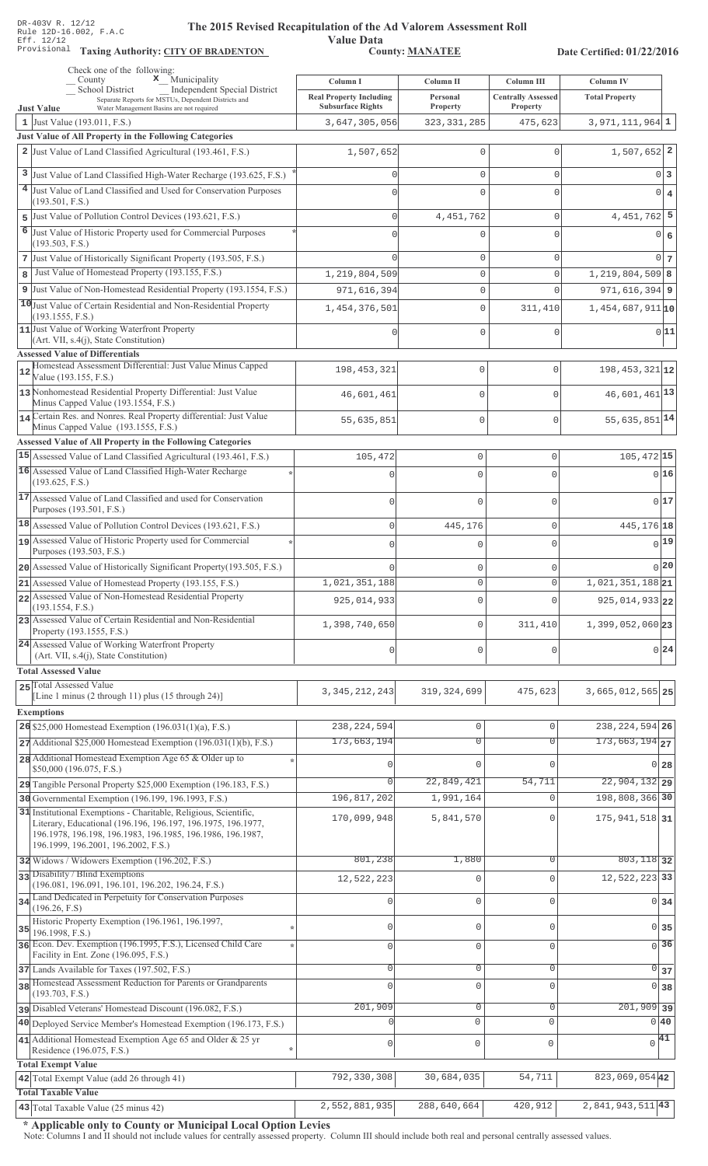**Taxing Auth** 

#### **The 2015 Rev** ised Recapitulation of the Ad Valorem Assessment Roll

**Value Data** ority: <u>CITY OF BRADENTON</u> County: MANATEE

Date Certified: 01/22/2016

| Check one of the following:<br>$\mathbf x$ Municipality<br>County                                                                                                                                                                     | Column I                                                   | Column II                     | Column III                            | Column IV                          |                 |
|---------------------------------------------------------------------------------------------------------------------------------------------------------------------------------------------------------------------------------------|------------------------------------------------------------|-------------------------------|---------------------------------------|------------------------------------|-----------------|
| School District<br>Independent Special District<br>Separate Reports for MSTUs, Dependent Districts and<br>Water Management Basins are not required<br><b>Just Value</b>                                                               | <b>Real Property Including</b><br><b>Subsurface Rights</b> | Personal<br>Property          | <b>Centrally Assessed</b><br>Property | <b>Total Property</b>              |                 |
| 1 Just Value $(193.011, F.S.)$                                                                                                                                                                                                        | 3,647,305,056                                              | 323, 331, 285                 | 475,623                               | $3,971,111,964$ 1                  |                 |
| Just Value of All Property in the Following Categories                                                                                                                                                                                |                                                            |                               |                                       |                                    |                 |
| 2 Just Value of Land Classified Agricultural (193.461, F.S.)                                                                                                                                                                          | 1,507,652                                                  | 0                             | $\mathbf{0}$                          | $1,507,652$ 2                      |                 |
| 3 Just Value of Land Classified High-Water Recharge (193.625, F.S.)                                                                                                                                                                   |                                                            | 0                             | $\mathbf{0}$                          |                                    | 0 3             |
| 4 Just Value of Land Classified and Used for Conservation Purposes                                                                                                                                                                    |                                                            | $\mathbf 0$                   | $\mathbf 0$                           |                                    | $0 \mid 4$      |
| (193.501, F.S.)                                                                                                                                                                                                                       |                                                            |                               |                                       |                                    |                 |
| 5 Just Value of Pollution Control Devices (193.621, F.S.)                                                                                                                                                                             |                                                            | 4, 451, 762                   | $\mathbf{0}$                          | $4,451,762$ 5                      |                 |
| 6 Just Value of Historic Property used for Commercial Purposes<br>(193.503, F.S.)                                                                                                                                                     |                                                            | 0                             | $\mathbf{0}$                          |                                    | 0 6             |
| 7 Just Value of Historically Significant Property (193.505, F.S.)                                                                                                                                                                     |                                                            | 0                             | $\mathbf 0$                           |                                    | $0\overline{7}$ |
| 8 Just Value of Homestead Property (193.155, F.S.)                                                                                                                                                                                    | 1,219,804,509                                              | $\mathbf 0$                   | $\mathbf{0}$                          | $1,219,804,509$ 8                  |                 |
| 9 Just Value of Non-Homestead Residential Property (193.1554, F.S.)                                                                                                                                                                   | 971,616,394                                                | 0                             | $\Omega$                              | $971, 616, 394$ 9                  |                 |
| 10 Just Value of Certain Residential and Non-Residential Property<br>(193.1555, F.S.)                                                                                                                                                 | 1,454,376,501                                              | $\mathbf 0$                   | 311,410                               | $1,454,687,911$ <sup>10</sup>      |                 |
| 11 Just Value of Working Waterfront Property                                                                                                                                                                                          |                                                            | 0                             | $\mathbf 0$                           |                                    | 0 11            |
| $(Art. VII, s.4(j), State Constitution)$<br><b>Assessed Value of Differentials</b>                                                                                                                                                    |                                                            |                               |                                       |                                    |                 |
| Homestead Assessment Differential: Just Value Minus Capped<br>12<br>Value (193.155, F.S.)                                                                                                                                             | 198, 453, 321                                              | $\mathbf 0$                   | 0                                     | $198, 453, 321$ <sub>12</sub>      |                 |
| 13 Nonhomestead Residential Property Differential: Just Value<br>Minus Capped Value (193.1554, F.S.)                                                                                                                                  | 46,601,461                                                 | $\mathbf 0$                   | 0                                     | $46,601,461$ <sup>13</sup>         |                 |
| 14 Certain Res. and Nonres. Real Property differential: Just Value<br>Minus Capped Value (193.1555, F.S.)                                                                                                                             | 55,635,851                                                 | $\mathbf 0$                   | $\overline{0}$                        | $55,635,851$ <sup>14</sup>         |                 |
| Assessed Value of All Property in the Following Categories                                                                                                                                                                            |                                                            |                               |                                       |                                    |                 |
| 15 Assessed Value of Land Classified Agricultural (193.461, F.S.)                                                                                                                                                                     | 105,472                                                    | $\mathbb O$                   | 0                                     | 105,472 15                         |                 |
| 16 Assessed Value of Land Classified High-Water Recharge<br>(193.625, F.S.)                                                                                                                                                           | $\Omega$                                                   | $\mathbf 0$                   | $\Omega$                              | 0 16                               |                 |
| 17 Assessed Value of Land Classified and used for Conservation<br>Purposes (193.501, F.S.)                                                                                                                                            | $\mathbf 0$                                                | $\mathbf 0$                   | $\Omega$                              | 0 17                               |                 |
| 18 Assessed Value of Pollution Control Devices (193.621, F.S.)                                                                                                                                                                        | $\mathsf 0$                                                | 445,176                       | $\mathbf 0$                           | 445, 176 18                        |                 |
| 19 Assessed Value of Historic Property used for Commercial                                                                                                                                                                            | $\mathbf 0$                                                | $\mathbf 0$                   | $\Omega$                              | $0$ 19                             |                 |
| Purposes (193.503, F.S.)                                                                                                                                                                                                              |                                                            |                               |                                       | 0 20                               |                 |
| 20 Assessed Value of Historically Significant Property (193.505, F.S.)                                                                                                                                                                | 1,021,351,188                                              | $\mathbf 0$<br>$\mathbf 0$    | 0<br>0                                | $1,021,351,188$ <sub>21</sub>      |                 |
| 21 Assessed Value of Homestead Property (193.155, F.S.)<br>22 Assessed Value of Non-Homestead Residential Property                                                                                                                    |                                                            |                               |                                       |                                    |                 |
| (193.1554, F.S.)                                                                                                                                                                                                                      | 925,014,933                                                | $\mathbf 0$                   | $\Omega$                              | 925, 014, 933 22                   |                 |
| 23 Assessed Value of Certain Residential and Non-Residential<br>Property (193.1555, F.S.)                                                                                                                                             | 1,398,740,650                                              | $\mathbf 0$                   | 311,410                               | 1,399,052,060 23                   |                 |
| 24 Assessed Value of Working Waterfront Property<br>(Art. VII, s.4(j), State Constitution)                                                                                                                                            | 0                                                          | $\mathbf 0$                   | 0                                     |                                    | 0 24            |
| <b>Total Assessed Value</b>                                                                                                                                                                                                           |                                                            |                               |                                       |                                    |                 |
| 25 Total Assessed Value<br>[Line 1 minus (2 through 11) plus (15 through 24)]                                                                                                                                                         | 3, 345, 212, 243                                           | 319, 324, 699                 | 475,623                               | 3,665,012,565 25                   |                 |
| <b>Exemptions</b>                                                                                                                                                                                                                     |                                                            |                               |                                       |                                    |                 |
| 26 \$25,000 Homestead Exemption $(196.031(1)(a), F.S.)$                                                                                                                                                                               | 238, 224, 594                                              | $\circ$                       | $\mathbf 0$                           | 238, 224, 594 26                   |                 |
| $27$ Additional \$25,000 Homestead Exemption (196.031(1)(b), F.S.)                                                                                                                                                                    | 173,663,194                                                | $\overline{0}$                | $\overline{0}$                        | $173,663,194$ <sub>27</sub>        |                 |
| 28 Additional Homestead Exemption Age 65 & Older up to                                                                                                                                                                                |                                                            | $\Omega$                      | $\Omega$                              | 0 28                               |                 |
| \$50,000 (196.075, F.S.)<br>29 Tangible Personal Property \$25,000 Exemption (196.183, F.S.)                                                                                                                                          | $\Omega$                                                   | 22,849,421                    | 54,711                                | $22,904,132$ 29                    |                 |
| 30 Governmental Exemption (196.199, 196.1993, F.S.)                                                                                                                                                                                   | 196,817,202                                                | 1,991,164                     | $\circ$                               | 198,808,366 30                     |                 |
| 31 Institutional Exemptions - Charitable, Religious, Scientific,<br>Literary, Educational (196.196, 196.197, 196.1975, 196.1977,<br>196.1978, 196.198, 196.1983, 196.1985, 196.1986, 196.1987,<br>196.1999, 196.2001, 196.2002, F.S.) | 170,099,948                                                | 5,841,570                     | $\Omega$                              | 175, 941, 518 31                   |                 |
| 32 Widows / Widowers Exemption (196.202, F.S.)                                                                                                                                                                                        | 801,238                                                    | 1,880                         | $\Omega$                              | $803,118$ 32                       |                 |
| 33 Disability / Blind Exemptions<br>(196.081, 196.091, 196.101, 196.202, 196.24, F.S.)                                                                                                                                                | 12,522,223                                                 | 0                             | $\mathbf{0}$                          | 12,522,223 33                      |                 |
| Land Dedicated in Perpetuity for Conservation Purposes<br>34                                                                                                                                                                          |                                                            | 0                             | $\mathbf 0$                           | $0 \overline{\smash{34}}$          |                 |
| (196.26, F.S)<br>Historic Property Exemption (196.1961, 196.1997,                                                                                                                                                                     | $\Omega$                                                   | 0                             | $\circ$                               | $0 \overline{\smash)35}$           |                 |
| 35<br>196.1998, F.S.)<br>36 Econ. Dev. Exemption (196.1995, F.S.), Licensed Child Care                                                                                                                                                | $\Omega$                                                   | $\mathbb O$                   | $\mathbf 0$                           | $\overline{0}$ 36                  |                 |
| Facility in Ent. Zone (196.095, F.S.)<br>37 Lands Available for Taxes (197.502, F.S.)                                                                                                                                                 | $\mathbf 0$                                                | $\mathbb O$                   | $\circ$                               | $\overline{0}$ 37                  |                 |
| 38 Homestead Assessment Reduction for Parents or Grandparents                                                                                                                                                                         |                                                            | $\mathbf 0$                   | $\mathbf 0$                           | 0 38                               |                 |
| (193.703, F.S.)                                                                                                                                                                                                                       | 201,909                                                    |                               |                                       |                                    |                 |
| pisabled Veterans' Homestead Discount (196.082, F.S.)<br>40 Deployed Service Member's Homestead Exemption (196.173, F.S.)                                                                                                             |                                                            | $\overline{0}$<br>$\mathbf 0$ | $\mathbf 0$<br>$\mathbf 0$            | $\overline{201,909}$ 39<br>$0\,40$ |                 |
| 41 Additional Homestead Exemption Age 65 and Older & 25 yr                                                                                                                                                                            |                                                            |                               |                                       | $\sqrt{41}$                        |                 |
| Residence (196.075, F.S.)                                                                                                                                                                                                             | 0<br>$\star$                                               | $\mathbb O$                   | $\mathsf{O}\xspace$                   |                                    |                 |
| <b>Total Exempt Value</b><br>42 Total Exempt Value (add 26 through 41)                                                                                                                                                                | 792,330,308                                                | 30,684,035                    | 54,711                                | 823,069,054 42                     |                 |
| <b>Total Taxable Value</b>                                                                                                                                                                                                            |                                                            |                               |                                       |                                    |                 |
| $ 43 $ Total Taxable Value (25 minus 42)                                                                                                                                                                                              | 2,552,881,935                                              | 288,640,664                   | 420,912                               | $\boxed{2,841,943,511}$ 43         |                 |

\* Applicable only to County or Municipal Local Option Levies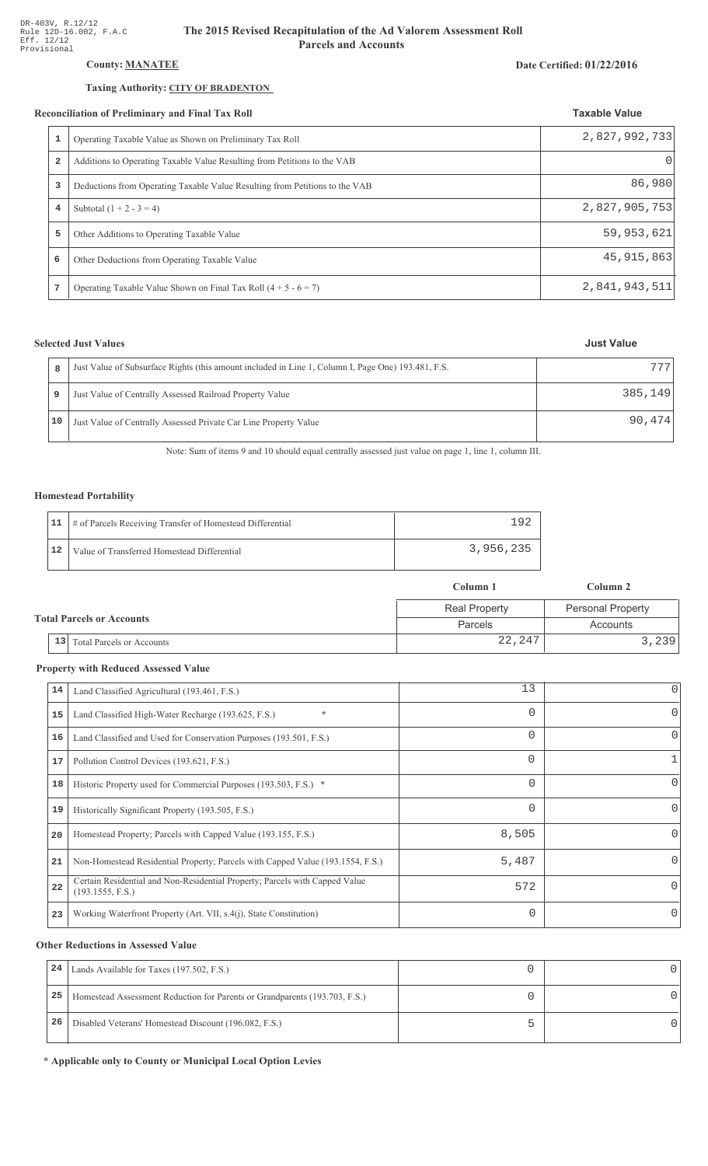# County: **MANATEE**

#### Taxing Authority: CITY OF BRADENTON

#### Reconciliation of Preliminary and Final Tax Roll

| 1              | Operating Taxable Value as Shown on Preliminary Tax Roll                    | 2,827,992,733 |
|----------------|-----------------------------------------------------------------------------|---------------|
| $\overline{2}$ | Additions to Operating Taxable Value Resulting from Petitions to the VAB    | O             |
| 3              | Deductions from Operating Taxable Value Resulting from Petitions to the VAB | 86,980        |
| $\overline{4}$ | Subtotal $(1 + 2 - 3 = 4)$                                                  | 2,827,905,753 |
| 5              | Other Additions to Operating Taxable Value                                  | 59,953,621    |
| 6              | Other Deductions from Operating Taxable Value                               | 45, 915, 863  |
| 7              | Operating Taxable Value Shown on Final Tax Roll $(4 + 5 - 6 = 7)$           | 2,841,943,511 |

### **Selected Just Values**

|    | Just Value of Subsurface Rights (this amount included in Line 1, Column I, Page One) 193.481, F.S. | 777     |
|----|----------------------------------------------------------------------------------------------------|---------|
|    | Just Value of Centrally Assessed Railroad Property Value                                           | 385,149 |
| 10 | Just Value of Centrally Assessed Private Car Line Property Value                                   | 90,474  |

Note: Sum of items 9 and 10 should equal centrally assessed just value on page 1, line 1, column III.

### Homestead Portability

|    | 11   # of Parcels Receiving Transfer of Homestead Differential | $+9r$     |
|----|----------------------------------------------------------------|-----------|
| 12 | Value of Transferred Homestead Differential                    | 3,956,235 |

|                                  |                                        | Column 1             | Column 2                 |  |
|----------------------------------|----------------------------------------|----------------------|--------------------------|--|
| <b>Total Parcels or Accounts</b> |                                        | <b>Real Property</b> | <b>Personal Property</b> |  |
|                                  |                                        | <b>Parcels</b>       | Accounts                 |  |
|                                  | 13<br><b>Total Parcels or Accounts</b> | 22,247               | 3, 239                   |  |

#### **Property with Reduced Assessed Value**

| 14 | Land Classified Agricultural (193.461, F.S.)                                                    | 13       | 0        |
|----|-------------------------------------------------------------------------------------------------|----------|----------|
| 15 | $\ast$<br>Land Classified High-Water Recharge (193.625, F.S.)                                   | 0        | 0        |
| 16 | Land Classified and Used for Conservation Purposes (193.501, F.S.)                              | $\Omega$ | 0        |
| 17 | Pollution Control Devices (193.621, F.S.)                                                       | 0        |          |
| 18 | Historic Property used for Commercial Purposes (193.503, F.S.) *                                | 0        |          |
| 19 | Historically Significant Property (193.505, F.S.)                                               | $\Omega$ | 0        |
| 20 | Homestead Property; Parcels with Capped Value (193.155, F.S.)                                   | 8,505    |          |
| 21 | Non-Homestead Residential Property; Parcels with Capped Value (193.1554, F.S.)                  | 5,487    | 0        |
| 22 | Certain Residential and Non-Residential Property; Parcels with Capped Value<br>(193.1555, F.S.) | 572      | 0        |
| 23 | Working Waterfront Property (Art. VII, s.4(j), State Constitution)                              | $\Omega$ | $\Omega$ |

#### **Other Reductions in Assessed Value**

| 24 | Lands Available for Taxes (197.502, F.S.)                                  |  |
|----|----------------------------------------------------------------------------|--|
| 25 | Homestead Assessment Reduction for Parents or Grandparents (193.703, F.S.) |  |
| 26 | Disabled Veterans' Homestead Discount (196.082, F.S.)                      |  |

\* Applicable only to County or Municipal Local Option Levies

#### **Taxable Value**

Date Certified: 01/22/2016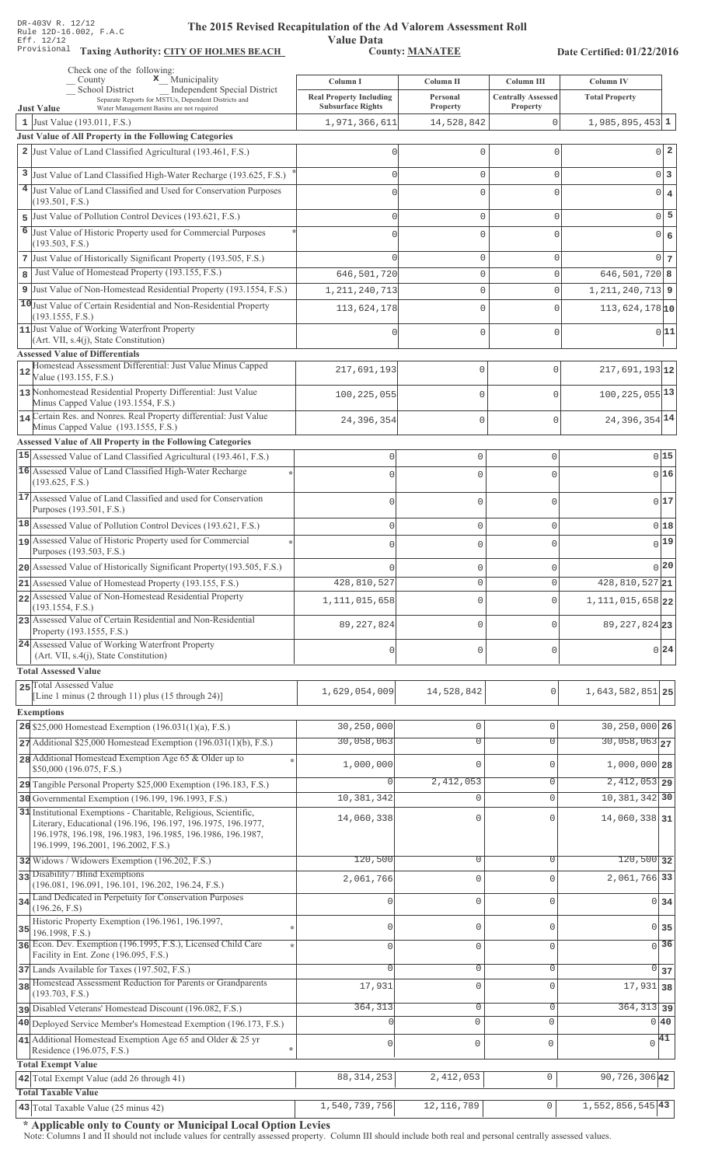Value Data<br>County: MANATEE Taxing Authority: CITY OF HOLMES BEACH County: MANATEE

Date Certified: 01/22/2016

|                | Check one of the following:<br>$\mathbf x$ Municipality<br>County                                                          | Column I                                                   | Column II            | Column III                            | Column IV                        |
|----------------|----------------------------------------------------------------------------------------------------------------------------|------------------------------------------------------------|----------------------|---------------------------------------|----------------------------------|
|                | School District<br><b>Independent Special District</b><br>Separate Reports for MSTUs, Dependent Districts and              | <b>Real Property Including</b><br><b>Subsurface Rights</b> | Personal<br>Property | <b>Centrally Assessed</b><br>Property | <b>Total Property</b>            |
|                | <b>Just Value</b><br>Water Management Basins are not required<br>1 Just Value $(193.011, F.S.)$                            | 1,971,366,611                                              | 14,528,842           | 0                                     | $1,985,895,453$ 1                |
|                | Just Value of All Property in the Following Categories                                                                     |                                                            |                      |                                       |                                  |
|                | 2 Just Value of Land Classified Agricultural (193.461, F.S.)                                                               |                                                            | 0                    | $\mathbf 0$                           | $0\vert 2$                       |
|                | 3 Just Value of Land Classified High-Water Recharge (193.625, F.S.)                                                        |                                                            | 0                    | $\mathbf{0}$                          | $0\vert 3$                       |
|                | 4 Just Value of Land Classified and Used for Conservation Purposes                                                         |                                                            | $\Omega$             | C                                     | $0 \mid 4$                       |
|                | (193.501, F.S.)                                                                                                            |                                                            |                      |                                       |                                  |
| 5              | Just Value of Pollution Control Devices (193.621, F.S.)                                                                    |                                                            | 0                    | $\mathbf{0}$                          | $0\overline{5}$                  |
| $\overline{6}$ | Just Value of Historic Property used for Commercial Purposes<br>(193.503, F.S.)                                            |                                                            | 0                    | $\circ$                               | $\overline{0}$<br>$\epsilon$     |
|                | 7 Just Value of Historically Significant Property (193.505, F.S.)                                                          |                                                            | 0                    | $\mathbf{0}$                          | $0\overline{7}$                  |
| 8              | Just Value of Homestead Property (193.155, F.S.)                                                                           | 646,501,720                                                | 0                    | $\mathbf 0$                           | $646, 501, 720$ 8                |
|                | 9 Just Value of Non-Homestead Residential Property (193.1554, F.S.)                                                        | 1, 211, 240, 713                                           | 0                    | $\mathbf{0}$                          | $1, 211, 240, 713$ 9             |
|                | 10 Just Value of Certain Residential and Non-Residential Property                                                          | 113,624,178                                                | 0                    | $\mathbf 0$                           | $113,624,178$ <sup>10</sup>      |
|                | (193.1555, F.S.)                                                                                                           |                                                            |                      |                                       |                                  |
|                | 11 Just Value of Working Waterfront Property<br>(Art. VII, s.4(j), State Constitution)                                     |                                                            | 0                    | $\mathbf 0$                           | 0 11                             |
|                | <b>Assessed Value of Differentials</b>                                                                                     |                                                            |                      |                                       |                                  |
| 12             | Homestead Assessment Differential: Just Value Minus Capped<br>Value (193.155, F.S.)                                        | 217,691,193                                                | $\mathbf 0$          | $\mathbf{0}$                          | $217,691,193$ <sub>12</sub>      |
|                | 13 Nonhomestead Residential Property Differential: Just Value                                                              | 100,225,055                                                | $\mathbf 0$          | $\mathbf{0}$                          | $100, 225, 055$ <sup>13</sup>    |
|                | Minus Capped Value (193.1554, F.S.)                                                                                        |                                                            |                      |                                       |                                  |
|                | 14 Certain Res. and Nonres. Real Property differential: Just Value<br>Minus Capped Value (193.1555, F.S.)                  | 24,396,354                                                 | $\mathbf 0$          | $\mathbf{0}$                          | 24, 396, 354 14                  |
|                | Assessed Value of All Property in the Following Categories                                                                 |                                                            |                      |                                       |                                  |
|                | 15 Assessed Value of Land Classified Agricultural (193.461, F.S.)                                                          | $\mathsf 0$                                                | $\mathbf 0$          | $\mathbf{0}$                          | 0 15                             |
|                | 16 Assessed Value of Land Classified High-Water Recharge                                                                   | $\Omega$                                                   | $\mathbf 0$          | $\Omega$                              | 0 16                             |
|                | (193.625, F.S.)                                                                                                            |                                                            |                      |                                       |                                  |
|                | 17 Assessed Value of Land Classified and used for Conservation<br>Purposes (193.501, F.S.)                                 | 0                                                          | $\mathbf 0$          | 0                                     | 017                              |
|                | 18 Assessed Value of Pollution Control Devices (193.621, F.S.)                                                             | $\mathbf 0$                                                | $\mathbf 0$          | 0                                     | 018                              |
|                | 19 Assessed Value of Historic Property used for Commercial                                                                 | $\Omega$                                                   | $\mathbf 0$          | $\Omega$                              | $0$ <sup>19</sup>                |
|                | Purposes (193.503, F.S.)                                                                                                   |                                                            |                      |                                       |                                  |
|                | 20 Assessed Value of Historically Significant Property (193.505, F.S.)                                                     |                                                            | $\mathbf 0$          | O                                     | 0 20                             |
|                | 21 Assessed Value of Homestead Property (193.155, F.S.)<br>22 Assessed Value of Non-Homestead Residential Property         | 428,810,527                                                | $\mathbf 0$          | $\Omega$                              | $428,810,527$ 21                 |
|                | (193.1554, F.S.)                                                                                                           | 1, 111, 015, 658                                           | 0                    | 0                                     | 1, 111, 015, 658 22              |
|                | 23 Assessed Value of Certain Residential and Non-Residential<br>Property (193.1555, F.S.)                                  | 89, 227, 824                                               | $\mathbf 0$          | $\Omega$                              | 89, 227, 824 23                  |
|                | 24 Assessed Value of Working Waterfront Property                                                                           |                                                            |                      |                                       | 0 24                             |
|                | (Art. VII, s.4(j), State Constitution)                                                                                     | 0                                                          | $\mathbf 0$          | O                                     |                                  |
|                | <b>Total Assessed Value</b>                                                                                                |                                                            |                      |                                       |                                  |
|                | 25 Total Assessed Value<br>[Line 1 minus (2 through 11) plus (15 through 24)]                                              | 1,629,054,009                                              | 14,528,842           | $\mathbf 0$                           | 1,643,582,851 25                 |
|                | <b>Exemptions</b>                                                                                                          |                                                            |                      |                                       |                                  |
|                | 26 \$25,000 Homestead Exemption $(196.031(1)(a), F.S.)$                                                                    | 30,250,000                                                 | 0                    | $\mathbf{0}$                          | 30,250,000 26                    |
|                | 27 Additional \$25,000 Homestead Exemption (196.031(1)(b), F.S.)                                                           | 30,058,063                                                 | $\overline{0}$       | $\overline{0}$                        | $30,058,063$ <sub>27</sub>       |
|                | 28 Additional Homestead Exemption Age 65 & Older up to                                                                     | 1,000,000                                                  | 0                    | $\mathbf{0}$                          | $1,000,000$ 28                   |
|                | \$50,000 (196.075, F.S.)<br>29 Tangible Personal Property \$25,000 Exemption (196.183, F.S.)                               | $\Omega$                                                   | 2,412,053            | 0                                     | $\overline{2,412,053}$ 29        |
|                | 30 Governmental Exemption (196.199, 196.1993, F.S.)                                                                        | 10,381,342                                                 | 0                    | $\mathbf{0}$                          | 10, 381, 342 30                  |
|                | 31 Institutional Exemptions - Charitable, Religious, Scientific,                                                           |                                                            |                      |                                       |                                  |
|                | Literary, Educational (196.196, 196.197, 196.1975, 196.1977,<br>196.1978, 196.198, 196.1983, 196.1985, 196.1986, 196.1987, | 14,060,338                                                 | 0                    | $\mathbf 0$                           | 14,060,338 31                    |
|                | 196.1999, 196.2001, 196.2002, F.S.)                                                                                        |                                                            |                      |                                       |                                  |
|                | 32 Widows / Widowers Exemption (196.202, F.S.)                                                                             | 120,500                                                    | $\overline{0}$       | $\mathbf{0}$                          | $120,500$ 32                     |
|                | 33 Disability / Blind Exemptions<br>(196.081, 196.091, 196.101, 196.202, 196.24, F.S.)                                     | 2,061,766                                                  | 0                    | $\mathbf{0}$                          | 2,061,766 33                     |
|                | 34 Land Dedicated in Perpetuity for Conservation Purposes                                                                  |                                                            | 0                    | $\mathbf 0$                           | 0 <sub>34</sub>                  |
|                | (196.26, F.S)<br>Historic Property Exemption (196.1961, 196.1997,                                                          |                                                            |                      |                                       |                                  |
| 35             | 196.1998, F.S.)                                                                                                            | $\Omega$                                                   | 0                    | 0                                     | $0 \overline{\smash{\big)}\ 35}$ |
|                | 36 Econ. Dev. Exemption (196.1995, F.S.), Licensed Child Care<br>Facility in Ent. Zone (196.095, F.S.)                     | $\Omega$                                                   | 0                    | $\mathbf 0$                           | $\overline{0}$ 36                |
|                | 37 Lands Available for Taxes (197.502, F.S.)                                                                               | $\Omega$                                                   | 0                    | 0                                     | 0 37                             |
|                | 38 Homestead Assessment Reduction for Parents or Grandparents                                                              | 17,931                                                     | 0                    | $\mathbf 0$                           | $17,931$ 38                      |
|                | (193.703, F.S.)                                                                                                            |                                                            |                      |                                       |                                  |
|                | Disabled Veterans' Homestead Discount (196.082, F.S.)                                                                      | 364, 313                                                   | 0<br>$\circ$         | $\mathbf{0}$                          | $364, 313$ 39<br>0 40            |
|                | 40 Deployed Service Member's Homestead Exemption (196.173, F.S.)                                                           |                                                            |                      | $\mathbf{0}$                          |                                  |
|                | 41 Additional Homestead Exemption Age 65 and Older & 25 yr<br>Residence (196.075, F.S.)                                    | $\mathbf 0$                                                | 0                    | $\mathbf 0$                           | $\sqrt{41}$                      |
|                | <b>Total Exempt Value</b>                                                                                                  |                                                            |                      |                                       |                                  |
|                | 42 Total Exempt Value (add 26 through 41)                                                                                  | 88, 314, 253                                               | 2,412,053            | $\mathsf{O}\xspace$                   | 90,726,306 42                    |
|                | <b>Total Taxable Value</b>                                                                                                 |                                                            |                      |                                       |                                  |
|                | $\overline{43}$ Total Taxable Value (25 minus 42)                                                                          | 1,540,739,756                                              | 12, 116, 789         | $\mathsf{O}\xspace$                   | 1, 552, 856, 545 43              |

\* Applicable only to County or Municipal Local Option Levies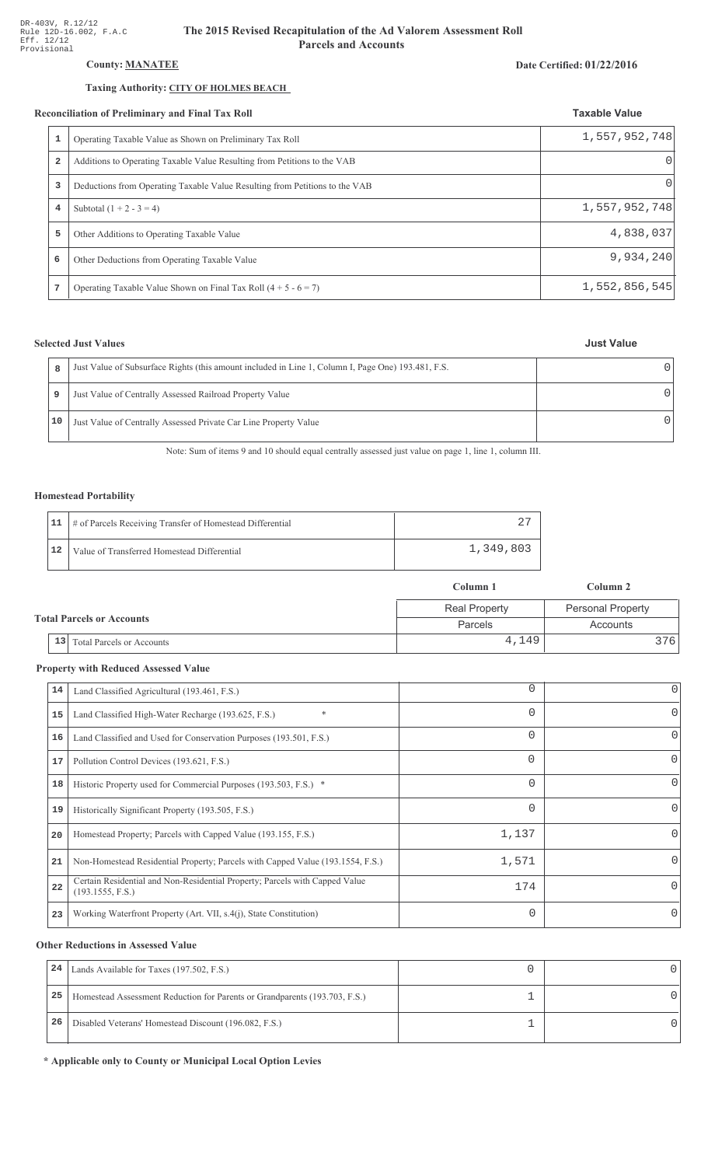# **County: MANATEE**

### Taxing Authority: CITY OF HOLMES BEACH

#### Reconciliation of Preliminary and Final Tax Roll

|                         | conciliation of Preliminary and Final Tax Roll                              | <b>Taxable Value</b> |  |
|-------------------------|-----------------------------------------------------------------------------|----------------------|--|
| 1                       | Operating Taxable Value as Shown on Preliminary Tax Roll                    | 1,557,952,748        |  |
| $\overline{\mathbf{2}}$ | Additions to Operating Taxable Value Resulting from Petitions to the VAB    |                      |  |
| 3                       | Deductions from Operating Taxable Value Resulting from Petitions to the VAB | $\Omega$             |  |
| 4                       | Subtotal $(1 + 2 - 3 = 4)$                                                  | 1,557,952,748        |  |
| 5                       | Other Additions to Operating Taxable Value                                  | 4,838,037            |  |
| 6                       | Other Deductions from Operating Taxable Value                               | 9,934,240            |  |
|                         | Operating Taxable Value Shown on Final Tax Roll $(4 + 5 - 6 = 7)$           | 1,552,856,545        |  |

## **Selected Just Values**

 $\bf 8$ 

9

 $10$ 

| Just Value of Subsurface Rights (this amount included in Line 1, Column I, Page One) 193.481, F.S. |  |
|----------------------------------------------------------------------------------------------------|--|
| Just Value of Centrally Assessed Railroad Property Value                                           |  |
| Just Value of Centrally Assessed Private Car Line Property Value                                   |  |

Note: Sum of items 9 and 10 should equal centrally assessed just value on page 1, line 1, column III.

### **Homestead Portability**

|    | 11   # of Parcels Receiving Transfer of Homestead Differential |           |
|----|----------------------------------------------------------------|-----------|
| 12 | Value of Transferred Homestead Differential                    | 1,349,803 |

|                                        | Column 1             | Column 2                 |
|----------------------------------------|----------------------|--------------------------|
|                                        | <b>Real Property</b> | <b>Personal Property</b> |
| <b>Total Parcels or Accounts</b>       | Parcels              | Accounts                 |
| 13<br><b>Total Parcels or Accounts</b> | 4,149                | 3761                     |

## **Property with Reduced Assessed Value**

| 14 | Land Classified Agricultural (193.461, F.S.)                                                    | 0        | 0 |
|----|-------------------------------------------------------------------------------------------------|----------|---|
| 15 | *<br>Land Classified High-Water Recharge (193.625, F.S.)                                        | 0        | 0 |
| 16 | Land Classified and Used for Conservation Purposes (193.501, F.S.)                              | 0        |   |
| 17 | Pollution Control Devices (193.621, F.S.)                                                       | 0        | 0 |
| 18 | Historic Property used for Commercial Purposes (193.503, F.S.) *                                | 0        |   |
| 19 | Historically Significant Property (193.505, F.S.)                                               | $\Omega$ | 0 |
| 20 | Homestead Property; Parcels with Capped Value (193.155, F.S.)                                   | 1,137    | 0 |
| 21 | Non-Homestead Residential Property; Parcels with Capped Value (193.1554, F.S.)                  | 1,571    | 0 |
| 22 | Certain Residential and Non-Residential Property; Parcels with Capped Value<br>(193.1555, F.S.) | 174      | 0 |
| 23 | Working Waterfront Property (Art. VII, s.4(j), State Constitution)                              | $\Omega$ |   |
|    |                                                                                                 |          |   |

### **Other Reductions in Assessed Value**

| 24 | Lands Available for Taxes (197.502, F.S.)                                  |  |
|----|----------------------------------------------------------------------------|--|
| 25 | Homestead Assessment Reduction for Parents or Grandparents (193.703, F.S.) |  |
| 26 | Disabled Veterans' Homestead Discount (196.082, F.S.)                      |  |

\* Applicable only to County or Municipal Local Option Levies

#### Date Certified: 01/22/2016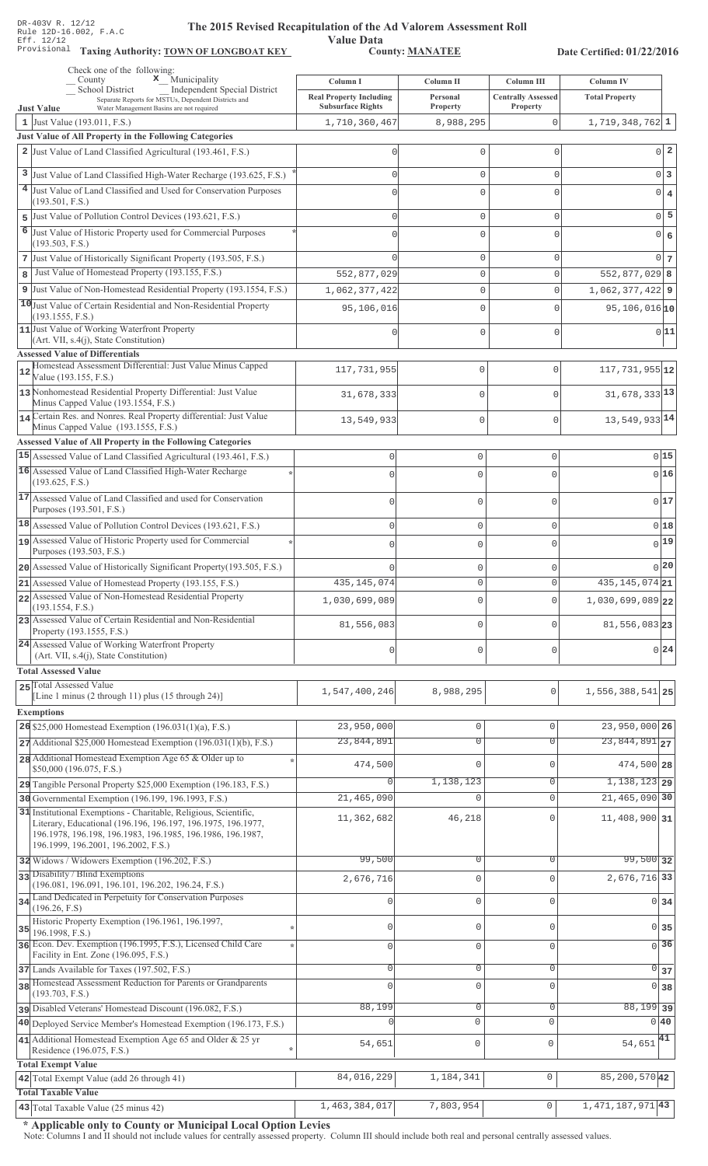Value Data<br>County: MANATEE

Taxing Authority: **TOWN OF LONGBOAT KEY** County: **MANATEE** 

Date Certified: 01/22/2016

|    | Check one of the following:<br>x Municipality<br>County                                                                    |                                            |                       |                                                |                                           |
|----|----------------------------------------------------------------------------------------------------------------------------|--------------------------------------------|-----------------------|------------------------------------------------|-------------------------------------------|
|    | <b>School District</b><br>Independent Special District                                                                     | Column I<br><b>Real Property Including</b> | Column II<br>Personal | <b>Column III</b><br><b>Centrally Assessed</b> | <b>Column IV</b><br><b>Total Property</b> |
|    | Separate Reports for MSTUs, Dependent Districts and<br><b>Just Value</b><br>Water Management Basins are not required       | <b>Subsurface Rights</b>                   | Property              | Property                                       |                                           |
|    | 1 Just Value $(193.011, F.S.)$                                                                                             | 1,710,360,467                              | 8,988,295             | $\mathbf{0}$                                   | $1,719,348,762$ 1                         |
|    | <b>Just Value of All Property in the Following Categories</b>                                                              |                                            |                       |                                                |                                           |
|    | 2 Just Value of Land Classified Agricultural (193.461, F.S.)                                                               | U                                          | 0                     | 0                                              | $0\vert 2$                                |
|    | 3 Just Value of Land Classified High-Water Recharge (193.625, F.S.)                                                        | Ω                                          | 0                     | 0                                              | 0 3                                       |
|    | 4 Just Value of Land Classified and Used for Conservation Purposes                                                         |                                            | $\Omega$              | $\Omega$                                       | $0 \mid 4$                                |
|    | (193.501, F.S.)                                                                                                            |                                            |                       |                                                |                                           |
| 5  | Just Value of Pollution Control Devices (193.621, F.S.)                                                                    | Ω                                          | 0                     | 0                                              | $0\overline{5}$                           |
| 6  | Just Value of Historic Property used for Commercial Purposes<br>(193.503, F.S.)                                            |                                            | $\Omega$              | 0                                              | $0 \big  6$                               |
|    | 7 Just Value of Historically Significant Property (193.505, F.S.)                                                          |                                            | 0                     | 0                                              | 0 <sub>7</sub>                            |
| 8  | Just Value of Homestead Property (193.155, F.S.)                                                                           | 552,877,029                                | 0                     | 0                                              | $552,877,029$ 8                           |
|    | 9 Just Value of Non-Homestead Residential Property (193.1554, F.S.)                                                        | 1,062,377,422                              | 0                     | 0                                              | $1,062,377,422$ 9                         |
|    | 10 Just Value of Certain Residential and Non-Residential Property                                                          | 95,106,016                                 | 0                     | 0                                              | $95, 106, 016$ <sub>10</sub>              |
|    | (193.1555, F.S.)                                                                                                           |                                            |                       |                                                |                                           |
|    | 11 Just Value of Working Waterfront Property<br>(Art. VII, s.4(j), State Constitution)                                     |                                            | 0                     | 0                                              | 0 11                                      |
|    | <b>Assessed Value of Differentials</b>                                                                                     |                                            |                       |                                                |                                           |
|    | Homestead Assessment Differential: Just Value Minus Capped                                                                 | 117, 731, 955                              | $\mathbf 0$           | $\mathbf 0$                                    | $117,731,955$ 12                          |
|    | Value (193.155, F.S.)                                                                                                      |                                            |                       |                                                |                                           |
|    | 13 Nonhomestead Residential Property Differential: Just Value<br>Minus Capped Value (193.1554, F.S.)                       | 31,678,333                                 | $\mathbf 0$           | $\Omega$                                       | $31,678,333$ <sup>13</sup>                |
|    | 14 Certain Res. and Nonres. Real Property differential: Just Value                                                         | 13,549,933                                 | $\mathbf{0}$          | $\mathbf 0$                                    | 13,549,933 14                             |
|    | Minus Capped Value (193.1555, F.S.)                                                                                        |                                            |                       |                                                |                                           |
|    | Assessed Value of All Property in the Following Categories                                                                 |                                            |                       |                                                |                                           |
|    | 15 Assessed Value of Land Classified Agricultural (193.461, F.S.)                                                          | $\Omega$                                   | $\mathbf 0$           | 0                                              | 015                                       |
|    | 16 Assessed Value of Land Classified High-Water Recharge<br>(193.625, F.S.)                                                |                                            | $\mathbf{0}$          | $\cap$                                         | 0 16                                      |
|    | 17 Assessed Value of Land Classified and used for Conservation                                                             |                                            |                       |                                                | 017                                       |
|    | Purposes (193.501, F.S.)                                                                                                   | $\bigcap$                                  | $\mathbf 0$           | $\Omega$                                       |                                           |
|    | 18 Assessed Value of Pollution Control Devices (193.621, F.S.)                                                             | $\mathbf{0}$                               | $\mathbf 0$           | $\Omega$                                       | 018                                       |
|    | 19 Assessed Value of Historic Property used for Commercial                                                                 | $\bigcap$                                  | $\mathbf 0$           |                                                | 0 19                                      |
|    | Purposes (193.503, F.S.)                                                                                                   |                                            |                       |                                                | 0 20                                      |
|    | 20 Assessed Value of Historically Significant Property (193.505, F.S.)                                                     |                                            | $\mathbf{0}$          |                                                | $435, 145, 074$ 21                        |
|    | $21$ Assessed Value of Homestead Property (193.155, F.S.)<br>22 Assessed Value of Non-Homestead Residential Property       | 435, 145, 074                              | 0                     | U                                              |                                           |
|    | (193.1554, F.S.)                                                                                                           | 1,030,699,089                              | $\Omega$              | $\Omega$                                       | 1,030,699,089 22                          |
|    | 23 Assessed Value of Certain Residential and Non-Residential<br>Property (193.1555, F.S.)                                  | 81,556,083                                 | $\mathbf{0}$          | $\Omega$                                       | $81,556,083$ 23                           |
|    | 24 Assessed Value of Working Waterfront Property<br>(Art. VII, s.4(j), State Constitution)                                 | 0                                          | $\mathbf 0$           | $\mathbf 0$                                    | 0 24                                      |
|    | <b>Total Assessed Value</b>                                                                                                |                                            |                       |                                                |                                           |
|    | 25 Total Assessed Value                                                                                                    |                                            |                       |                                                |                                           |
|    | [Line 1 minus $(2 \text{ through } 11)$ plus $(15 \text{ through } 24)$ ]                                                  | 1,547,400,246                              | 8,988,295             | 0                                              | 1,556,388,541 25                          |
|    | <b>Exemptions</b>                                                                                                          |                                            |                       |                                                |                                           |
|    | 26 \$25,000 Homestead Exemption $(196.031(1)(a), F.S.)$                                                                    | 23,950,000                                 | $\mathbf 0$           | $\Omega$                                       | $23,950,000$ 26                           |
|    | $27$ Additional \$25,000 Homestead Exemption (196.031(1)(b), F.S.)                                                         | 23,844,891                                 | $\overline{0}$        | $\Omega$                                       | $\overline{23,844,891}$ 27                |
|    | 28 Additional Homestead Exemption Age 65 & Older up to<br>\$50,000 (196.075, F.S.)                                         | 474,500                                    | $\mathbf 0$           | $\mathbf{0}$                                   | 474,500 28                                |
|    | 29 Tangible Personal Property \$25,000 Exemption (196.183, F.S.)                                                           |                                            | 1,138,123             | $\Omega$                                       | $1,138,123$ 29                            |
|    | 30 Governmental Exemption (196.199, 196.1993, F.S.)                                                                        | 21,465,090                                 | $\Omega$              | $\mathbf{0}$                                   | 21,465,090 30                             |
|    | 31 Institutional Exemptions - Charitable, Religious, Scientific,                                                           | 11,362,682                                 | 46,218                | $\Omega$                                       | $11,408,900$ 31                           |
|    | Literary, Educational (196.196, 196.197, 196.1975, 196.1977,<br>196.1978, 196.198, 196.1983, 196.1985, 196.1986, 196.1987, |                                            |                       |                                                |                                           |
|    | 196.1999, 196.2001, 196.2002, F.S.)                                                                                        |                                            |                       |                                                |                                           |
|    | 32 Widows / Widowers Exemption (196.202, F.S.)                                                                             | 99,500                                     | $\overline{0}$        | $\mathbf{0}$                                   | $99,500$ 32                               |
|    | 33 Disability / Blind Exemptions                                                                                           | 2,676,716                                  | $\mathbb O$           | $\Omega$                                       | 2,676,716 33                              |
|    | (196.081, 196.091, 196.101, 196.202, 196.24, F.S.)<br>Land Dedicated in Perpetuity for Conservation Purposes               |                                            |                       |                                                |                                           |
| 34 | (196.26, F.S)                                                                                                              | 0                                          | $\mathbb O$           | $\mathbf{0}$                                   | 0 34                                      |
| 35 | Historic Property Exemption (196.1961, 196.1997,                                                                           | 0                                          | $\mathbf 0$           | $\mathbf{0}$                                   | $0 \overline{\smash{\big)}\ 35}$          |
|    | 196.1998, F.S.)<br>36 Econ. Dev. Exemption (196.1995, F.S.), Licensed Child Care                                           |                                            |                       | $\Omega$                                       | $\overline{0}$ 36                         |
|    | Facility in Ent. Zone (196.095, F.S.)                                                                                      | $\Omega$                                   | $\mathbf 0$           |                                                |                                           |
|    | 37 Lands Available for Taxes (197.502, F.S.)                                                                               | 0                                          | $\mathbf 0$           | $\mathbf 0$                                    | $\overline{0}$<br>37                      |
|    | 38 Homestead Assessment Reduction for Parents or Grandparents<br>(193.703, F.S.)                                           | Λ                                          | $\mathbf 0$           | $\Omega$                                       | $\Omega$<br>38                            |
|    | pisabled Veterans' Homestead Discount (196.082, F.S.)                                                                      | 88,199                                     | $\mathbb O$           | 0                                              | $88,199$ 39                               |
|    | 40 Deployed Service Member's Homestead Exemption (196.173, F.S.)                                                           |                                            | $\circ$               | $\mathbf 0$                                    | 0 40                                      |
|    | 41 Additional Homestead Exemption Age 65 and Older & 25 yr                                                                 |                                            |                       |                                                |                                           |
|    | Residence (196.075, F.S.)                                                                                                  | 54,651                                     | $\mathbb O$           | $\mathbf{0}$                                   | $54,651$ <sup>41</sup>                    |
|    | <b>Total Exempt Value</b>                                                                                                  |                                            |                       |                                                |                                           |
|    | 42 Total Exempt Value (add 26 through 41)                                                                                  | 84,016,229                                 | 1,184,341             | 0                                              | 85, 200, 570 42                           |
|    | <b>Total Taxable Value</b>                                                                                                 | 1,463,384,017                              | 7,803,954             | $\mathbf 0$                                    | 1, 471, 187, 971 43                       |
|    | 43 Total Taxable Value (25 minus 42)                                                                                       |                                            |                       |                                                |                                           |

\* Applicable only to County or Municipal Local Option Levies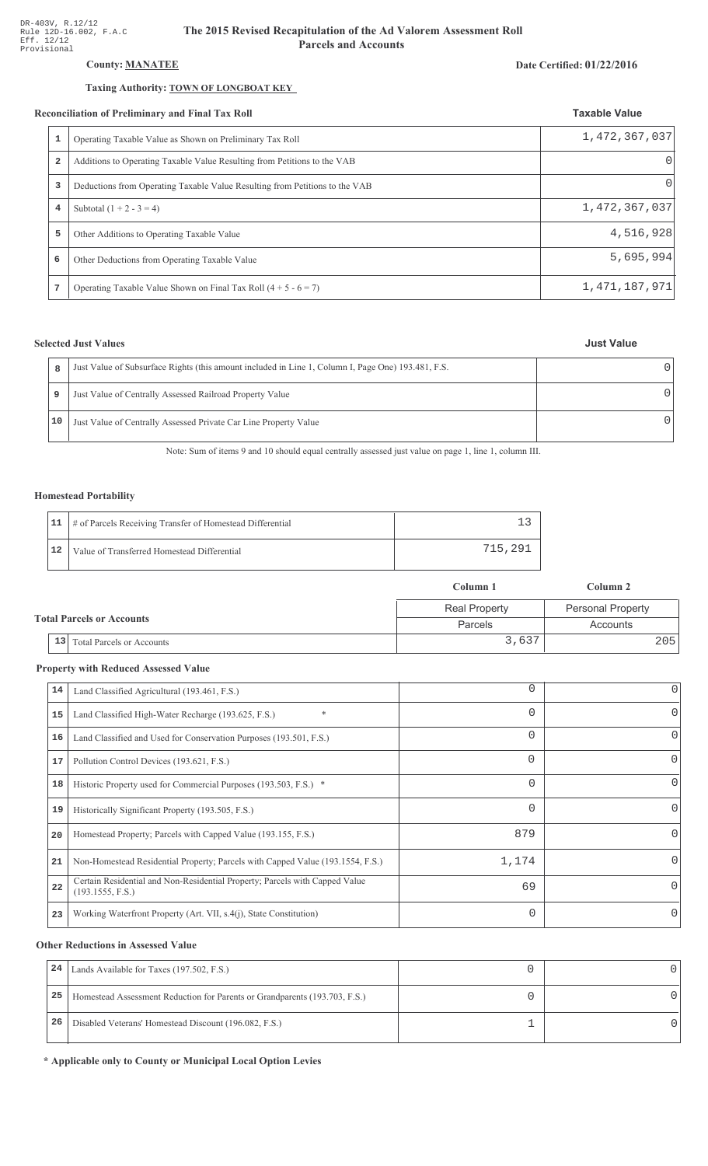# County: **MANATEE**

#### Taxing Authority: **TOWN OF LONGBOAT KEY**

#### Reconciliation of Preliminary and Final Tax Roll

|   | conciliation of Preliminary and Final Tax Roll                              | <b>Taxable Value</b> |
|---|-----------------------------------------------------------------------------|----------------------|
| 1 | Operating Taxable Value as Shown on Preliminary Tax Roll                    | 1,472,367,037        |
| 2 | Additions to Operating Taxable Value Resulting from Petitions to the VAB    | $\Omega$             |
| 3 | Deductions from Operating Taxable Value Resulting from Petitions to the VAB | $\left( \right)$     |
| 4 | Subtotal $(1 + 2 - 3 = 4)$                                                  | 1,472,367,037        |
| 5 | Other Additions to Operating Taxable Value                                  | 4,516,928            |
| 6 | Other Deductions from Operating Taxable Value                               | 5,695,994            |
| 7 | Operating Taxable Value Shown on Final Tax Roll $(4 + 5 - 6 = 7)$           | 1,471,187,971        |

## **Selected Just Values**

| 8  | Just Value of Subsurface Rights (this amount included in Line 1, Column I, Page One) 193.481, F.S. |  |
|----|----------------------------------------------------------------------------------------------------|--|
|    | Just Value of Centrally Assessed Railroad Property Value                                           |  |
| 10 | Just Value of Centrally Assessed Private Car Line Property Value                                   |  |

Note: Sum of items 9 and 10 should equal centrally assessed just value on page 1, line 1, column III.

### Homestead Portability

|    | 11   # of Parcels Receiving Transfer of Homestead Differential |         |
|----|----------------------------------------------------------------|---------|
| 12 | Value of Transferred Homestead Differential                    | 715,291 |

|                                  |    |                                  | Column 1             | Column 2                 |
|----------------------------------|----|----------------------------------|----------------------|--------------------------|
| <b>Total Parcels or Accounts</b> |    |                                  | <b>Real Property</b> | <b>Personal Property</b> |
|                                  |    |                                  | Parcels              | Accounts                 |
|                                  | 13 | <b>Total Parcels or Accounts</b> | 3,637                | 2051                     |

#### **Property with Reduced Assessed Value**

| 14 | Land Classified Agricultural (193.461, F.S.)                                                    | 0        | 0                |
|----|-------------------------------------------------------------------------------------------------|----------|------------------|
| 15 | $\ast$<br>Land Classified High-Water Recharge (193.625, F.S.)                                   | 0        | 0                |
| 16 | Land Classified and Used for Conservation Purposes (193.501, F.S.)                              | $\Omega$ | 0                |
| 17 | Pollution Control Devices (193.621, F.S.)                                                       | 0        | 0                |
| 18 | Historic Property used for Commercial Purposes (193.503, F.S.) *                                | 0        |                  |
| 19 | Historically Significant Property (193.505, F.S.)                                               | $\Omega$ | 0                |
| 20 | Homestead Property; Parcels with Capped Value (193.155, F.S.)                                   | 879      | $\left( \right)$ |
| 21 | Non-Homestead Residential Property; Parcels with Capped Value (193.1554, F.S.)                  | 1,174    | 0                |
| 22 | Certain Residential and Non-Residential Property; Parcels with Capped Value<br>(193.1555, F.S.) | 69       | 0                |
| 23 | Working Waterfront Property (Art. VII, s.4(j), State Constitution)                              | $\Omega$ | $\Omega$         |

#### **Other Reductions in Assessed Value**

| 24 | Lands Available for Taxes (197.502, F.S.)                                  |  |
|----|----------------------------------------------------------------------------|--|
| 25 | Homestead Assessment Reduction for Parents or Grandparents (193.703, F.S.) |  |
| 26 | Disabled Veterans' Homestead Discount (196.082, F.S.)                      |  |

\* Applicable only to County or Municipal Local Option Levies

# Date Certified: 01/22/2016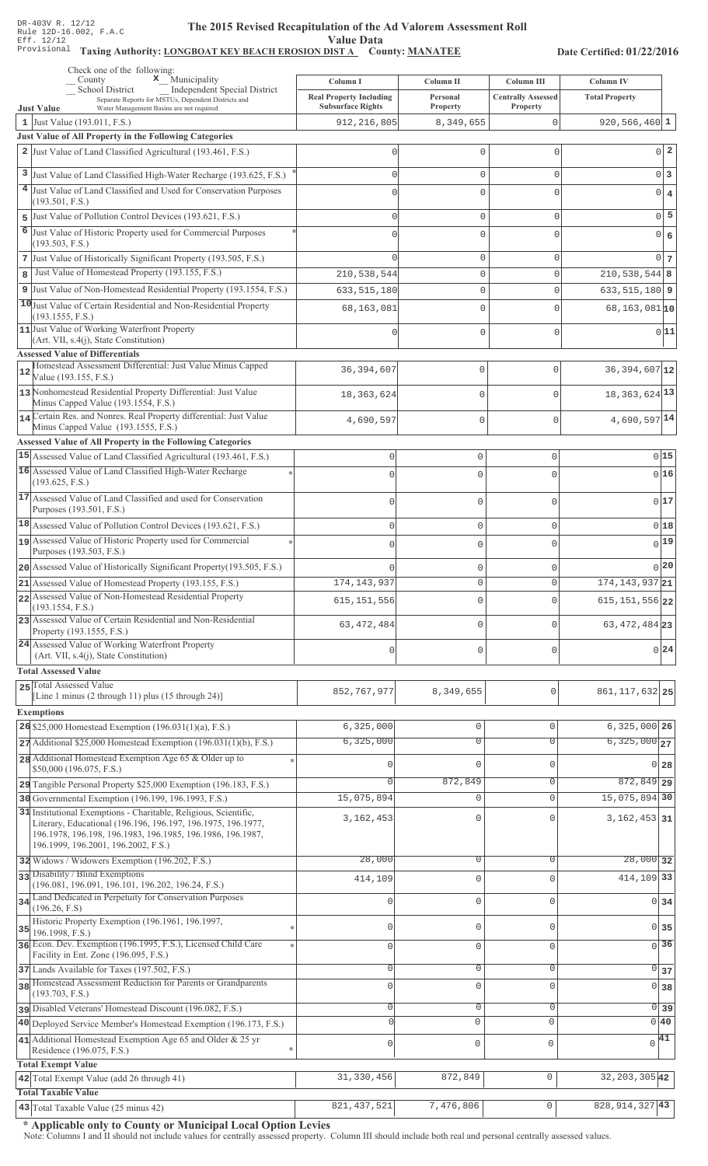#### The 2015 Revised Recapitulation of th The 2015 Revised Recapitulation of the Ad Valorem Assessment Roll **Value Data**

# Taxing Authority: LONGBOAT KEY BEACH EROSION DIST A County: MANATEE

Date Certified: 01/22/2016

| Check one of the following:<br>$\mathbf x$ Municipality<br>County                                                                      |                              | Column I                       | Column II                     | Column III                | <b>Column IV</b>                            |
|----------------------------------------------------------------------------------------------------------------------------------------|------------------------------|--------------------------------|-------------------------------|---------------------------|---------------------------------------------|
| School District<br>Separate Reports for MSTUs, Dependent Districts and                                                                 | Independent Special District | <b>Real Property Including</b> | Personal                      | <b>Centrally Assessed</b> | <b>Total Property</b>                       |
| Water Management Basins are not required<br><b>Just Value</b>                                                                          |                              | <b>Subsurface Rights</b>       | Property                      | <b>Property</b>           | $920, 566, 460$ 1                           |
| 1 Just Value (193.011, F.S.)<br>Just Value of All Property in the Following Categories                                                 |                              | 912, 216, 805                  | 8,349,655                     | 0                         |                                             |
| 2 Just Value of Land Classified Agricultural (193.461, F.S.)                                                                           |                              | 0                              | 0                             | 0                         | $0\vert 2$                                  |
| 3 Just Value of Land Classified High-Water Recharge (193.625, F.S.)                                                                    |                              | $\Omega$                       | 0                             | 0                         | $0\vert 3$                                  |
| 4 Just Value of Land Classified and Used for Conservation Purposes                                                                     |                              | $\Omega$                       | 0                             | 0                         | $0 \mid 4$                                  |
| (193.501, F.S.)                                                                                                                        |                              |                                |                               |                           |                                             |
| 5 Just Value of Pollution Control Devices (193.621, F.S.)                                                                              |                              | $\Omega$                       | 0                             | 0                         | $0\overline{5}$                             |
| 6<br>Just Value of Historic Property used for Commercial Purposes<br>(193.503, F.S.)                                                   |                              | U                              | 0                             | 0                         | 0 6                                         |
| 7 Just Value of Historically Significant Property (193.505, F.S.)                                                                      |                              | $\cap$                         | 0                             | 0                         | 0 <sub>7</sub>                              |
| Just Value of Homestead Property (193.155, F.S.)<br>8                                                                                  |                              | 210,538,544                    | 0                             | 0                         | $210,538,544$ 8                             |
| 9 Just Value of Non-Homestead Residential Property (193.1554, F.S.)                                                                    |                              | 633, 515, 180                  | 0                             | 0                         | $633, 515, 180$ 9                           |
| 10 Just Value of Certain Residential and Non-Residential Property<br>(193.1555, F.S.)                                                  |                              | 68,163,081                     | 0                             | 0                         | 68, 163, 081 10                             |
| 11 Just Value of Working Waterfront Property                                                                                           |                              | Ω                              | 0                             | 0                         | 0 11                                        |
| (Art. VII, s.4(j), State Constitution)<br><b>Assessed Value of Differentials</b>                                                       |                              |                                |                               |                           |                                             |
| Homestead Assessment Differential: Just Value Minus Capped                                                                             |                              | 36, 394, 607                   | $\mathbf 0$                   | $\Omega$                  | 36, 394, 607 12                             |
| 12<br>Value (193.155, F.S.)                                                                                                            |                              |                                |                               |                           |                                             |
| 13 Nonhomestead Residential Property Differential: Just Value<br>Minus Capped Value (193.1554, F.S.)                                   |                              | 18, 363, 624                   | $\mathbf 0$                   | $\Omega$                  | 18, 363, 624 13                             |
| 14 Certain Res. and Nonres. Real Property differential: Just Value                                                                     |                              | 4,690,597                      | $\mathbf{0}$                  | $\mathbf 0$               | $4,690,597$ <sup>14</sup>                   |
| Minus Capped Value (193.1555, F.S.)                                                                                                    |                              |                                |                               |                           |                                             |
| <b>Assessed Value of All Property in the Following Categories</b><br>15 Assessed Value of Land Classified Agricultural (193.461, F.S.) |                              | $\mathbf 0$                    | $\circ$                       | $\mathsf{O}\xspace$       | 015                                         |
| 16 Assessed Value of Land Classified High-Water Recharge                                                                               |                              | $\bigcap$                      | $\Omega$                      | $\Omega$                  | 016                                         |
| (193.625, F.S.)                                                                                                                        |                              |                                |                               |                           |                                             |
| 17 Assessed Value of Land Classified and used for Conservation<br>Purposes (193.501, F.S.)                                             |                              | $\bigcap$                      | $\mathbf 0$                   | $\Omega$                  | 017                                         |
| 18 Assessed Value of Pollution Control Devices (193.621, F.S.)                                                                         |                              | $\mathbf{0}$                   | $\mathbb O$                   | $\mathsf{O}\xspace$       | 018                                         |
| 19 Assessed Value of Historic Property used for Commercial                                                                             |                              | $\bigcap$                      | $\mathbf 0$                   | 0                         | 0 19                                        |
| Purposes (193.503, F.S.)                                                                                                               |                              |                                |                               |                           |                                             |
| 20 Assessed Value of Historically Significant Property (193.505, F.S.)                                                                 |                              |                                | 0                             | 0                         | 0 20                                        |
| 21 Assessed Value of Homestead Property (193.155, F.S.)<br>22 Assessed Value of Non-Homestead Residential Property                     |                              | 174, 143, 937                  | $\mathbf 0$                   | $\circ$                   | 174, 143, 937 21                            |
| (193.1554, F.S.)                                                                                                                       |                              | 615, 151, 556                  | $\mathbf 0$                   | $\Omega$                  | $615, 151, 556$  22                         |
| 23 Assessed Value of Certain Residential and Non-Residential<br>Property (193.1555, F.S.)                                              |                              | 63, 472, 484                   | $\mathbf 0$                   | $\cap$                    | 63, 472, 484 23                             |
| 24 Assessed Value of Working Waterfront Property                                                                                       |                              | $\Omega$                       | $\mathbf{0}$                  | $\mathbf 0$               | 0 24                                        |
| (Art. VII, s.4(j), State Constitution)<br><b>Total Assessed Value</b>                                                                  |                              |                                |                               |                           |                                             |
| 25 Total Assessed Value                                                                                                                |                              |                                |                               |                           |                                             |
| [Line 1 minus $(2 \text{ through } 11)$ plus $(15 \text{ through } 24)$ ]                                                              |                              | 852, 767, 977                  | 8,349,655                     | 0                         | 861, 117, 632 25                            |
| <b>Exemptions</b>                                                                                                                      |                              |                                |                               |                           |                                             |
| 26 \$25,000 Homestead Exemption (196.031(1)(a), F.S.)                                                                                  |                              | 6,325,000<br>6,325,000         | $\mathbb O$<br>$\overline{0}$ | 0<br>$\Omega$             | $6,325,000$ 26<br>$6,325,000$ <sub>27</sub> |
| $27$ Additional \$25,000 Homestead Exemption (196.031(1)(b), F.S.)<br>28 Additional Homestead Exemption Age 65 & Older up to           |                              |                                |                               |                           |                                             |
| \$50,000 (196.075, F.S.)                                                                                                               |                              |                                | 0                             | $\cap$                    | $0\vert 28$                                 |
| 29 Tangible Personal Property \$25,000 Exemption (196.183, F.S.)                                                                       |                              |                                | 872,849                       | 0                         | $872,849$ 29                                |
| 30 Governmental Exemption (196.199, 196.1993, F.S.)                                                                                    |                              | 15,075,894                     | 0                             | $\mathbf{0}$              | 15,075,894 30                               |
| 31 Institutional Exemptions - Charitable, Religious, Scientific,<br>Literary, Educational (196.196, 196.197, 196.1975, 196.1977,       |                              | 3, 162, 453                    | $\mathbf 0$                   |                           | $3,162,453$ 31                              |
| 196.1978, 196.198, 196.1983, 196.1985, 196.1986, 196.1987,<br>196.1999, 196.2001, 196.2002, F.S.)                                      |                              |                                |                               |                           |                                             |
| 32 Widows / Widowers Exemption (196.202, F.S.)                                                                                         |                              | 28,000                         | $\mathbf 0$                   | $\Omega$                  | $28,000$ 32                                 |
| 33 Disability / Blind Exemptions                                                                                                       |                              | 414,109                        | $\mathbf 0$                   | $\Omega$                  | 414, 109 33                                 |
| (196.081, 196.091, 196.101, 196.202, 196.24, F.S.)                                                                                     |                              |                                |                               |                           |                                             |
| 34 Land Dedicated in Perpetuity for Conservation Purposes<br>(196.26, F.S)                                                             |                              |                                | $\mathbf 0$                   | ∩                         | $0 \overline{\smash{34}}$                   |
| Historic Property Exemption (196.1961, 196.1997,<br>35                                                                                 |                              | 0                              | $\mathbf 0$                   | $\cap$                    | 0 35                                        |
| 196.1998, F.S.)<br>36 Econ. Dev. Exemption (196.1995, F.S.), Licensed Child Care                                                       |                              | 0                              | $\mathbf 0$                   | $\Omega$                  | $\overline{0}$ 36                           |
| Facility in Ent. Zone (196.095, F.S.)                                                                                                  |                              |                                |                               |                           |                                             |
| 37 Lands Available for Taxes (197.502, F.S.)<br>38 Homestead Assessment Reduction for Parents or Grandparents                          |                              | 0                              | $\mathbf 0$                   | $\mathbf{0}$              | $\circ$<br>37                               |
| (193.703, F.S.)                                                                                                                        |                              | 0                              | $\mathbf 0$                   | $\cap$                    | $\overline{0}$<br>38                        |
| pisabled Veterans' Homestead Discount (196.082, F.S.)                                                                                  |                              | 0                              | $\overline{0}$                | $\mathsf 0$               | $0\overline{)39}$                           |
| 40 Deployed Service Member's Homestead Exemption (196.173, F.S.)                                                                       |                              | $\cap$                         | $\circ$                       | $\Omega$                  | 0 40                                        |
| 41 Additional Homestead Exemption Age 65 and Older & 25 yr<br>Residence (196.075, F.S.)                                                | $\star$                      | 0                              | $\mathsf{O}\xspace$           | $\mathbf 0$               | $\sqrt{41}$                                 |
| <b>Total Exempt Value</b>                                                                                                              |                              |                                |                               |                           |                                             |
| 42 Total Exempt Value (add 26 through 41)                                                                                              |                              | 31,330,456                     | 872,849                       | $\mathsf{O}\xspace$       | 32, 203, 305 42                             |
| <b>Total Taxable Value</b>                                                                                                             |                              |                                |                               |                           |                                             |
| 43 Total Taxable Value $(25 \text{ minus } 42)$                                                                                        |                              | 821, 437, 521                  | 7,476,806                     | 0                         | 828, 914, 327 43                            |

\* Applicable only to County or Municipal Local Option Levies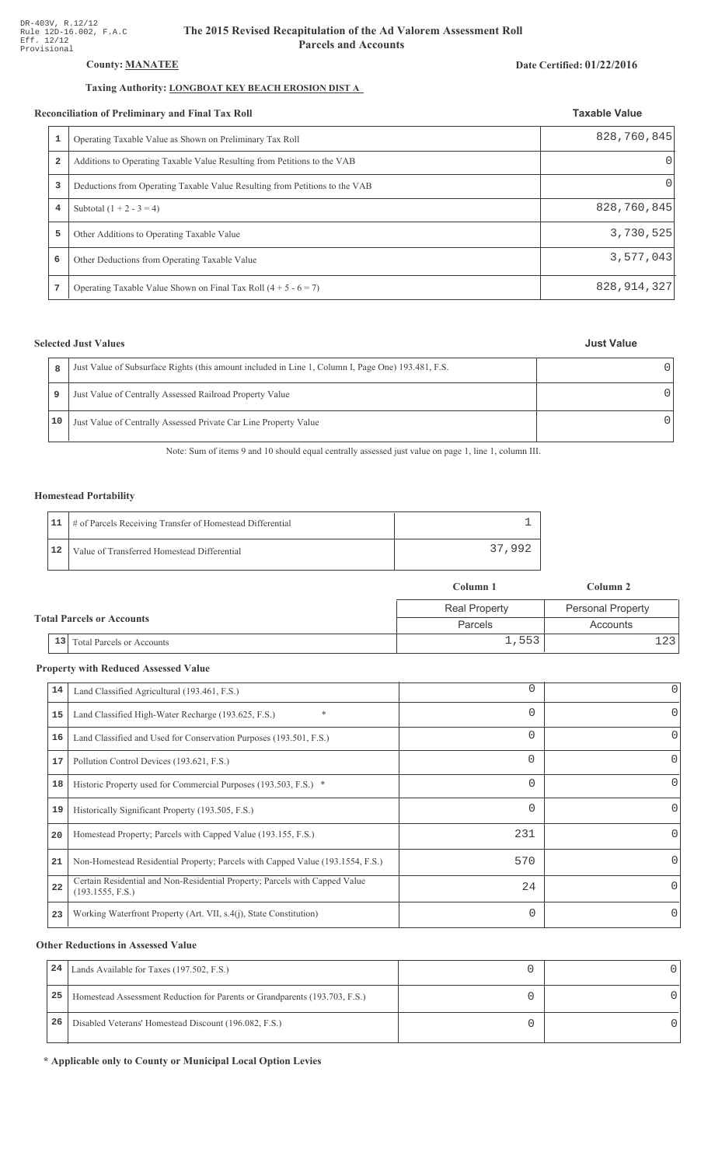## **County: MANATEE**

## Taxing Authority: **LONGBOAT KEY BEACH EROSION DIST A**

#### Reconciliation of Preliminary and Final Tax Roll

|   | conciliation of Preliminary and Final Tax Roll                              | <b>Taxable Value</b> |
|---|-----------------------------------------------------------------------------|----------------------|
|   | Operating Taxable Value as Shown on Preliminary Tax Roll                    | 828,760,845          |
| 2 | Additions to Operating Taxable Value Resulting from Petitions to the VAB    | 0                    |
| 3 | Deductions from Operating Taxable Value Resulting from Petitions to the VAB | $\left( \right)$     |
| 4 | Subtotal $(1 + 2 - 3 = 4)$                                                  | 828,760,845          |
| 5 | Other Additions to Operating Taxable Value                                  | 3,730,525            |
| 6 | Other Deductions from Operating Taxable Value                               | 3,577,043            |
| 7 | Operating Taxable Value Shown on Final Tax Roll $(4 + 5 - 6 = 7)$           | 828, 914, 327        |

## **Selected Just Values**

| 8  | Just Value of Subsurface Rights (this amount included in Line 1, Column I, Page One) 193.481, F.S. |  |
|----|----------------------------------------------------------------------------------------------------|--|
| 9  | Just Value of Centrally Assessed Railroad Property Value                                           |  |
| 10 | Just Value of Centrally Assessed Private Car Line Property Value                                   |  |

Note: Sum of items 9 and 10 should equal centrally assessed just value on page 1, line 1, column III.

### **Homestead Portability**

|    | 11   # of Parcels Receiving Transfer of Homestead Differential |        |
|----|----------------------------------------------------------------|--------|
| 12 | Value of Transferred Homestead Differential                    | 37.992 |

|                                  |                                        | Column 1             | Column 2                 |
|----------------------------------|----------------------------------------|----------------------|--------------------------|
|                                  |                                        | <b>Real Property</b> | <b>Personal Property</b> |
| <b>Total Parcels or Accounts</b> |                                        | Parcels              | Accounts                 |
|                                  | 13<br><b>Total Parcels or Accounts</b> | 1,553                |                          |

## **Property with Reduced Assessed Value**

| 14 | Land Classified Agricultural (193.461, F.S.)                                                    | 0        | 0 |
|----|-------------------------------------------------------------------------------------------------|----------|---|
| 15 | *<br>Land Classified High-Water Recharge (193.625, F.S.)                                        | 0        | 0 |
| 16 | Land Classified and Used for Conservation Purposes (193.501, F.S.)                              | 0        |   |
| 17 | Pollution Control Devices (193.621, F.S.)                                                       | 0        | 0 |
| 18 | Historic Property used for Commercial Purposes (193.503, F.S.) *                                | 0        |   |
| 19 | Historically Significant Property (193.505, F.S.)                                               | $\Omega$ | 0 |
| 20 | Homestead Property; Parcels with Capped Value (193.155, F.S.)                                   | 231      | 0 |
| 21 | Non-Homestead Residential Property; Parcels with Capped Value (193.1554, F.S.)                  | 570      | 0 |
| 22 | Certain Residential and Non-Residential Property; Parcels with Capped Value<br>(193.1555, F.S.) | 24       | 0 |
| 23 | Working Waterfront Property (Art. VII, s.4(j), State Constitution)                              | $\Omega$ |   |
|    |                                                                                                 |          |   |

## **Other Reductions in Assessed Value**

| 24 | Lands Available for Taxes (197.502, F.S.)                                  |  |
|----|----------------------------------------------------------------------------|--|
| 25 | Homestead Assessment Reduction for Parents or Grandparents (193.703, F.S.) |  |
| 26 | Disabled Veterans' Homestead Discount (196.082, F.S.)                      |  |

\* Applicable only to County or Municipal Local Option Levies

#### Date Certified: 01/22/2016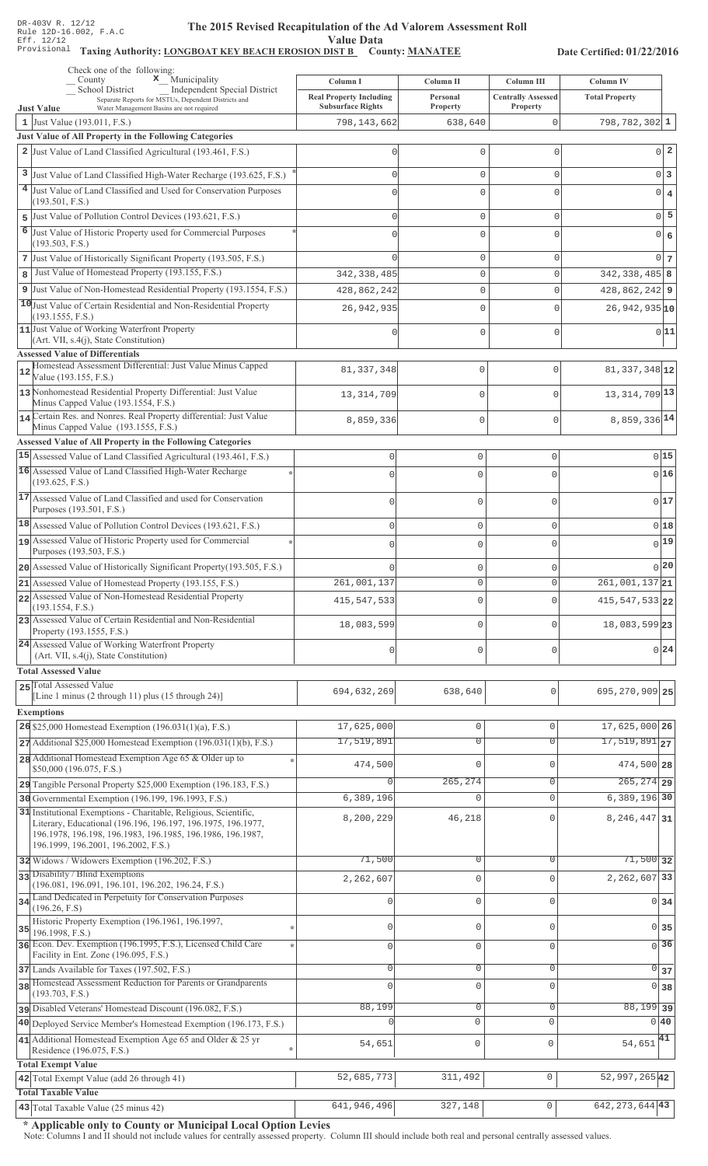#### The 2015 Revised Recapitulation of th The 2015 Revised Recapitulation of the Ad Valorem Assessment Roll **Value Data**

# Taxing Authority: LONGBOAT KEY BEACH EROSION DIST B County: MANATEE

Date Certified: 01/22/2016

| Check one of the following:<br>x_Municipality<br>County                                                                                | Column I                                  | Column II                     | Column III                | <b>Column IV</b>                            |
|----------------------------------------------------------------------------------------------------------------------------------------|-------------------------------------------|-------------------------------|---------------------------|---------------------------------------------|
| School District<br>Independent Special District<br>Separate Reports for MSTUs, Dependent Districts and                                 | <b>Real Property Including</b>            | Personal                      | <b>Centrally Assessed</b> | <b>Total Property</b>                       |
| Water Management Basins are not required<br><b>Just Value</b><br>1 Just Value (193.011, F.S.)                                          | <b>Subsurface Rights</b><br>798, 143, 662 | <b>Property</b><br>638,640    | <b>Property</b><br>0      | $798, 782, 302$ 1                           |
| Just Value of All Property in the Following Categories                                                                                 |                                           |                               |                           |                                             |
| 2 Just Value of Land Classified Agricultural (193.461, F.S.)                                                                           | 0                                         | 0                             | 0                         | $0\vert 2$                                  |
| 3 Just Value of Land Classified High-Water Recharge (193.625, F.S.)                                                                    | $\Omega$                                  | 0                             | 0                         | $0\vert 3$                                  |
| 4 Just Value of Land Classified and Used for Conservation Purposes                                                                     | $\Omega$                                  | 0                             | 0                         | $0 \mid 4$                                  |
| (193.501, F.S.)                                                                                                                        |                                           |                               |                           |                                             |
| 5 Just Value of Pollution Control Devices (193.621, F.S.)                                                                              | $\Omega$                                  | 0                             | 0                         | $0\overline{5}$                             |
| 6<br>Just Value of Historic Property used for Commercial Purposes<br>(193.503, F.S.)                                                   | U                                         | 0                             | 0                         | 0 6                                         |
| 7 Just Value of Historically Significant Property (193.505, F.S.)                                                                      | $\cap$                                    | 0                             | 0                         | 0 <sub>7</sub>                              |
| Just Value of Homestead Property (193.155, F.S.)<br>8                                                                                  | 342, 338, 485                             | 0                             | 0                         | $342, 338, 485$ 8                           |
| 9 Just Value of Non-Homestead Residential Property (193.1554, F.S.)                                                                    | 428,862,242                               | 0                             | 0                         | $428,862,242$ 9                             |
| 10 Just Value of Certain Residential and Non-Residential Property<br>(193.1555, F.S.)                                                  | 26,942,935                                | 0                             | 0                         | $26,942,935$ <sub>10</sub>                  |
| 11 Just Value of Working Waterfront Property                                                                                           |                                           | 0                             | 0                         | 0 11                                        |
| (Art. VII, s.4(j), State Constitution)<br><b>Assessed Value of Differentials</b>                                                       |                                           |                               |                           |                                             |
| Homestead Assessment Differential: Just Value Minus Capped                                                                             | 81, 337, 348                              | $\mathbf 0$                   | $\Omega$                  | 81, 337, 348 12                             |
| 12<br>Value (193.155, F.S.)                                                                                                            |                                           |                               |                           |                                             |
| 13 Nonhomestead Residential Property Differential: Just Value<br>Minus Capped Value (193.1554, F.S.)                                   | 13, 314, 709                              | $\mathbf 0$                   | $\Omega$                  | 13, 314, 709 13                             |
| 14 Certain Res. and Nonres. Real Property differential: Just Value                                                                     | 8,859,336                                 | $\mathbf{0}$                  | $\mathbf 0$               | 8,859,336 14                                |
| Minus Capped Value (193.1555, F.S.)                                                                                                    |                                           |                               |                           |                                             |
| <b>Assessed Value of All Property in the Following Categories</b><br>15 Assessed Value of Land Classified Agricultural (193.461, F.S.) | $\mathbf 0$                               | $\circ$                       | $\mathsf{O}\xspace$       | 015                                         |
| 16 Assessed Value of Land Classified High-Water Recharge                                                                               | $\bigcap$                                 | $\Omega$                      | $\Omega$                  | 016                                         |
| (193.625, F.S.)                                                                                                                        |                                           |                               |                           |                                             |
| 17 Assessed Value of Land Classified and used for Conservation<br>Purposes (193.501, F.S.)                                             | $\bigcap$                                 | $\mathbf 0$                   | $\Omega$                  | 017                                         |
| 18 Assessed Value of Pollution Control Devices (193.621, F.S.)                                                                         | $\mathbf{0}$                              | $\mathbb O$                   | $\mathsf{O}\xspace$       | 018                                         |
| 19 Assessed Value of Historic Property used for Commercial                                                                             | $\bigcap$                                 | $\mathbf 0$                   | 0                         | 0 19                                        |
| Purposes (193.503, F.S.)                                                                                                               |                                           |                               |                           |                                             |
| 20 Assessed Value of Historically Significant Property (193.505, F.S.)                                                                 |                                           | 0                             | 0                         | 0 20                                        |
| 21 Assessed Value of Homestead Property (193.155, F.S.)<br>22 Assessed Value of Non-Homestead Residential Property                     | 261,001,137                               | $\mathbf 0$                   | $\circ$                   | $\overline{261,001,137}$ 21                 |
| (193.1554, F.S.)                                                                                                                       | 415, 547, 533                             | $\mathbf 0$                   | $\Omega$                  | $415, 547, 533$ 22                          |
| 23 Assessed Value of Certain Residential and Non-Residential<br>Property (193.1555, F.S.)                                              | 18,083,599                                | $\mathbf 0$                   | $\Omega$                  | 18,083,599 23                               |
| 24 Assessed Value of Working Waterfront Property<br>(Art. VII, s.4(j), State Constitution)                                             | $\mathbf{0}$                              | $\mathbf{0}$                  | $\mathbf 0$               | 0 24                                        |
| <b>Total Assessed Value</b>                                                                                                            |                                           |                               |                           |                                             |
| 25 Total Assessed Value                                                                                                                | 694,632,269                               | 638,640                       | 0                         | 695, 270, 909 25                            |
| [Line 1 minus $(2 \text{ through } 11)$ plus $(15 \text{ through } 24)$ ]                                                              |                                           |                               |                           |                                             |
| <b>Exemptions</b>                                                                                                                      |                                           |                               |                           |                                             |
| 26 \$25,000 Homestead Exemption (196.031(1)(a), F.S.)<br>$27$ Additional \$25,000 Homestead Exemption (196.031(1)(b), F.S.)            | 17,625,000<br>17,519,891                  | $\mathbf 0$<br>$\overline{0}$ | $\circ$<br>$\Omega$       | 17,625,000 26<br>$17,519,891$ <sub>27</sub> |
| 28 Additional Homestead Exemption Age 65 & Older up to                                                                                 |                                           |                               |                           |                                             |
| \$50,000 (196.075, F.S.)                                                                                                               | 474,500                                   | 0                             | $\cap$                    | 474,500 28                                  |
| 29 Tangible Personal Property \$25,000 Exemption (196.183, F.S.)                                                                       |                                           | 265, 274                      | 0                         | $265, 274$ 29                               |
| 30 Governmental Exemption (196.199, 196.1993, F.S.)                                                                                    | 6,389,196                                 | $\mathbf 0$                   | $\mathbf{0}$              | $6,389,196$ 30                              |
| 31 Institutional Exemptions - Charitable, Religious, Scientific,<br>Literary, Educational (196.196, 196.197, 196.1975, 196.1977,       | 8,200,229                                 | 46,218                        | $\Omega$                  | 8, 246, 447 31                              |
| 196.1978, 196.198, 196.1983, 196.1985, 196.1986, 196.1987,<br>196.1999, 196.2001, 196.2002, F.S.)                                      |                                           |                               |                           |                                             |
| 32 Widows / Widowers Exemption (196.202, F.S.)                                                                                         | 71,500                                    | $\mathbf 0$                   | $\Omega$                  | $71,500$ 32                                 |
| 33 Disability / Blind Exemptions                                                                                                       | 2,262,607                                 | $\mathbf 0$                   | $\Omega$                  | 2, 262, 607 33                              |
| (196.081, 196.091, 196.101, 196.202, 196.24, F.S.)                                                                                     |                                           |                               |                           |                                             |
| 34 Land Dedicated in Perpetuity for Conservation Purposes<br>(196.26, F.S)                                                             |                                           | $\mathbf 0$                   | $\cap$                    | $0 \overline{\smash{34}}$                   |
| Historic Property Exemption (196.1961, 196.1997,<br>35                                                                                 | 0                                         | $\mathbf 0$                   | $\mathbf{0}$              | 0 35                                        |
| 196.1998, F.S.)<br>36 Econ. Dev. Exemption (196.1995, F.S.), Licensed Child Care                                                       | 0                                         | $\mathbf 0$                   | $\Omega$                  | $\overline{0}$ 36                           |
| Facility in Ent. Zone (196.095, F.S.)                                                                                                  |                                           |                               |                           |                                             |
| 37 Lands Available for Taxes (197.502, F.S.)<br>38 Homestead Assessment Reduction for Parents or Grandparents                          | 0                                         | $\mathbf 0$                   | $\mathbf{0}$              | $\circ$<br>37                               |
| (193.703, F.S.)                                                                                                                        | $\Omega$                                  | $\mathbf 0$                   | $\Omega$                  | $\overline{0}$<br>38                        |
| pisabled Veterans' Homestead Discount (196.082, F.S.)                                                                                  | 88,199                                    | $\overline{0}$                | $\mathsf{O}\xspace$       | $88,199$ 39                                 |
| 40 Deployed Service Member's Homestead Exemption (196.173, F.S.)                                                                       |                                           | $\circ$                       | $\Omega$                  | 0 40                                        |
| 41 Additional Homestead Exemption Age 65 and Older & 25 yr<br>Residence (196.075, F.S.)                                                | 54,651<br>$\star$                         | $\mathsf{O}\xspace$           | $\mathbf 0$               | $54,651$ <sup>41</sup>                      |
| <b>Total Exempt Value</b>                                                                                                              |                                           |                               |                           |                                             |
| 42 Total Exempt Value (add 26 through 41)                                                                                              | 52,685,773                                | 311,492                       | $\mathsf{O}\xspace$       | 52, 997, 265 42                             |
| <b>Total Taxable Value</b>                                                                                                             |                                           |                               |                           |                                             |
| 43 Total Taxable Value (25 minus 42)                                                                                                   | 641,946,496                               | 327,148                       | 0                         | $642, 273, 644$ 43                          |

\* Applicable only to County or Municipal Local Option Levies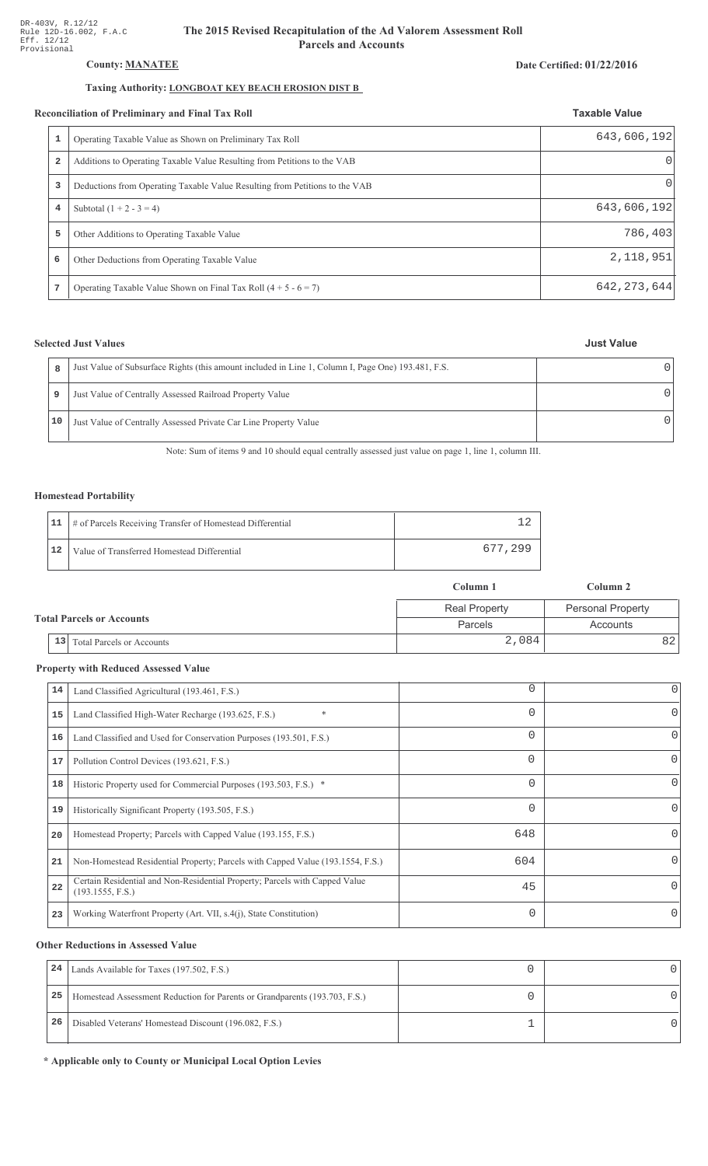## **County: MANATEE**

## Taxing Authority: **LONGBOAT KEY BEACH EROSION DIST B**

#### **Reconciliation of Preliminary and Final Tax Roll**

| conciliation of Preliminary and Final Tax Roll |                                                                             | <b>Taxable Value</b> |
|------------------------------------------------|-----------------------------------------------------------------------------|----------------------|
|                                                | Operating Taxable Value as Shown on Preliminary Tax Roll                    | 643,606,192          |
| 2                                              | Additions to Operating Taxable Value Resulting from Petitions to the VAB    |                      |
| 3                                              | Deductions from Operating Taxable Value Resulting from Petitions to the VAB | $\Omega$             |
| 4                                              | Subtotal $(1 + 2 - 3 = 4)$                                                  | 643,606,192          |
| 5                                              | Other Additions to Operating Taxable Value                                  | 786,403              |
| 6                                              | Other Deductions from Operating Taxable Value                               | 2, 118, 951          |
| 7                                              | Operating Taxable Value Shown on Final Tax Roll $(4 + 5 - 6 = 7)$           | 642, 273, 644        |

## **Selected Just Values**

| <b>Just Value</b> |
|-------------------|
|-------------------|

Date Certified: 01/22/2016

| R  | Just Value of Subsurface Rights (this amount included in Line 1, Column I, Page One) 193.481, F.S. |  |
|----|----------------------------------------------------------------------------------------------------|--|
| 9  | Just Value of Centrally Assessed Railroad Property Value                                           |  |
| 10 | Just Value of Centrally Assessed Private Car Line Property Value                                   |  |

Note: Sum of items 9 and 10 should equal centrally assessed just value on page 1, line 1, column III.

### **Homestead Portability**

|              | 11   # of Parcels Receiving Transfer of Homestead Differential |         |
|--------------|----------------------------------------------------------------|---------|
| $ 12\rangle$ | Value of Transferred Homestead Differential                    | 677.299 |

|                                  |                                      | Column 1             | Column 2                 |  |
|----------------------------------|--------------------------------------|----------------------|--------------------------|--|
|                                  |                                      | <b>Real Property</b> | <b>Personal Property</b> |  |
| <b>Total Parcels or Accounts</b> |                                      | Parcels              | Accounts                 |  |
|                                  | $\vert$ 13 Total Parcels or Accounts | 2,084                | 82 I                     |  |

## **Property with Reduced Assessed Value**

| 14 | Land Classified Agricultural (193.461, F.S.)                                                    | 0        | 0        |
|----|-------------------------------------------------------------------------------------------------|----------|----------|
| 15 | Land Classified High-Water Recharge (193.625, F.S.)                                             | $\Omega$ | $\Omega$ |
| 16 | Land Classified and Used for Conservation Purposes (193.501, F.S.)                              | $\Omega$ | $\Omega$ |
| 17 | Pollution Control Devices (193.621, F.S.)                                                       | 0        | 0        |
| 18 | Historic Property used for Commercial Purposes (193.503, F.S.) *                                | $\Omega$ | $\Omega$ |
| 19 | Historically Significant Property (193.505, F.S.)                                               | $\Omega$ | $\Omega$ |
| 20 | Homestead Property; Parcels with Capped Value (193.155, F.S.)                                   | 648      | $\Omega$ |
| 21 | Non-Homestead Residential Property; Parcels with Capped Value (193.1554, F.S.)                  | 604      | 0        |
| 22 | Certain Residential and Non-Residential Property; Parcels with Capped Value<br>(193.1555, F.S.) | 45       | 0        |
| 23 | Working Waterfront Property (Art. VII, s.4(j), State Constitution)                              | $\Omega$ | 0        |

## **Other Reductions in Assessed Value**

| 24 | Lands Available for Taxes (197.502, F.S.)                                  |  |
|----|----------------------------------------------------------------------------|--|
| 25 | Homestead Assessment Reduction for Parents or Grandparents (193.703, F.S.) |  |
| 26 | Disabled Veterans' Homestead Discount (196.082, F.S.)                      |  |

\* Applicable only to County or Municipal Local Option Levies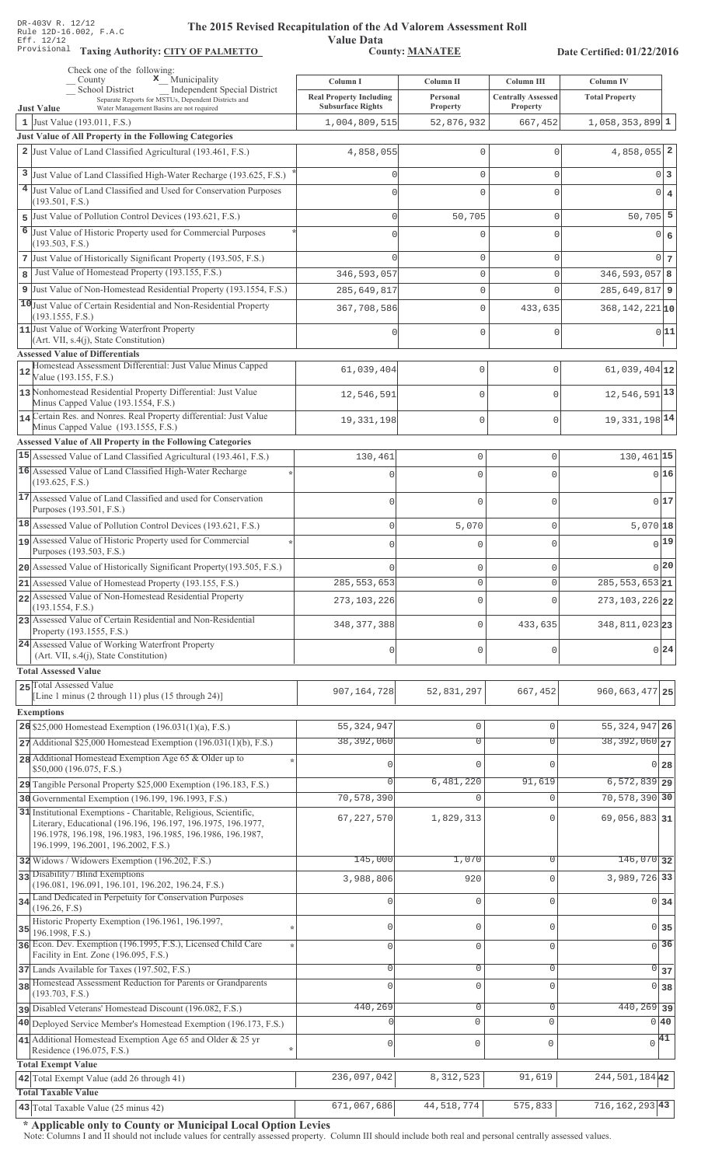**Taxing Auth** 

#### **The 2015 Rev** ised Recapitulation of the Ad Valorem Assessment Roll

**Value Data** ority: <u>CITY OF PALMETTO</u> County: MANATEE

Date Certified: 01/22/2016

|    | Check one of the following:<br>$\mathbf x$ Municipality<br>County                                                                                                                                                                     | Column I                                                   | Column II            | Column III                            | <b>Column IV</b>              |            |
|----|---------------------------------------------------------------------------------------------------------------------------------------------------------------------------------------------------------------------------------------|------------------------------------------------------------|----------------------|---------------------------------------|-------------------------------|------------|
|    | School District<br><b>Independent Special District</b><br>Separate Reports for MSTUs, Dependent Districts and<br>Water Management Basins are not required<br><b>Just Value</b>                                                        | <b>Real Property Including</b><br><b>Subsurface Rights</b> | Personal<br>Property | <b>Centrally Assessed</b><br>Property | <b>Total Property</b>         |            |
|    | 1 Just Value $(193.011, F.S.)$                                                                                                                                                                                                        | 1,004,809,515                                              | 52,876,932           | 667,452                               | $1,058,353,899$ 1             |            |
|    | Just Value of All Property in the Following Categories                                                                                                                                                                                |                                                            |                      |                                       |                               |            |
|    | 2 Just Value of Land Classified Agricultural (193.461, F.S.)                                                                                                                                                                          | 4,858,055                                                  | $\mathbf 0$          | $\mathbf{0}$                          | $4,858,055$ 2                 |            |
| 3  | Just Value of Land Classified High-Water Recharge (193.625, F.S.)                                                                                                                                                                     |                                                            | $\mathbf{0}$         | $\mathbf 0$                           | 0 3                           |            |
|    | 4 Just Value of Land Classified and Used for Conservation Purposes                                                                                                                                                                    | $\Omega$                                                   | $\mathbf{0}$         | $\mathbf 0$                           | $0 \mid 4$                    |            |
|    | (193.501, F.S.)                                                                                                                                                                                                                       |                                                            |                      |                                       |                               |            |
|    | 5 Just Value of Pollution Control Devices (193.621, F.S.)<br>6 Just Value of Historic Property used for Commercial Purposes                                                                                                           | $\Omega$                                                   | 50,705               | $\mathbf 0$                           | $50,705$ 5                    |            |
|    | (193.503, F.S.)                                                                                                                                                                                                                       | O                                                          | $\mathbf 0$          | $\mathbf{0}$                          | 0                             | $\epsilon$ |
|    | 7 Just Value of Historically Significant Property (193.505, F.S.)                                                                                                                                                                     | n                                                          | $\mathbf 0$          | $\mathbf 0$                           | $0\overline{7}$               |            |
| 8  | Just Value of Homestead Property (193.155, F.S.)                                                                                                                                                                                      | 346, 593, 057                                              | $\mathbf{0}$         | $\mathbf 0$                           | $346, 593, 057$ 8             |            |
|    | 9 Just Value of Non-Homestead Residential Property (193.1554, F.S.)                                                                                                                                                                   | 285,649,817                                                | $\mathbb O$          | $\mathbf 0$                           | $285, 649, 817$ 9             |            |
|    | 10 Just Value of Certain Residential and Non-Residential Property<br>(193.1555, F.S.)                                                                                                                                                 | 367,708,586                                                | $\mathbf 0$          | 433,635                               | $368, 142, 221$ <sub>10</sub> |            |
|    | 11 Just Value of Working Waterfront Property                                                                                                                                                                                          | U                                                          | $\mathbf 0$          | $\mathbf 0$                           | 0 11                          |            |
|    | (Art. VII, s.4(j), State Constitution)                                                                                                                                                                                                |                                                            |                      |                                       |                               |            |
|    | <b>Assessed Value of Differentials</b><br>Homestead Assessment Differential: Just Value Minus Capped                                                                                                                                  |                                                            |                      |                                       |                               |            |
| 12 | Value (193.155, F.S.)                                                                                                                                                                                                                 | 61,039,404                                                 | $\mathbf 0$          | 0                                     | $61,039,404$ <sup>12</sup>    |            |
|    | 13 Nonhomestead Residential Property Differential: Just Value<br>Minus Capped Value (193.1554, F.S.)                                                                                                                                  | 12,546,591                                                 | $\mathbf{0}$         | 0                                     | $12,546,591$ <sup>13</sup>    |            |
|    | 14 Certain Res. and Nonres. Real Property differential: Just Value                                                                                                                                                                    | 19, 331, 198                                               | $\mathbf 0$          | $\overline{0}$                        | 19, 331, 198 14               |            |
|    | Minus Capped Value (193.1555, F.S.)<br>Assessed Value of All Property in the Following Categories                                                                                                                                     |                                                            |                      |                                       |                               |            |
|    | 15 Assessed Value of Land Classified Agricultural (193.461, F.S.)                                                                                                                                                                     | 130,461                                                    | $\mathsf{O}\xspace$  | 0                                     | 130,461 15                    |            |
|    | 16 Assessed Value of Land Classified High-Water Recharge                                                                                                                                                                              | U                                                          | $\Omega$             | $\cap$                                | 0 16                          |            |
|    | (193.625, F.S.)                                                                                                                                                                                                                       |                                                            |                      |                                       |                               |            |
|    | 17 Assessed Value of Land Classified and used for Conservation<br>Purposes (193.501, F.S.)                                                                                                                                            | $\Omega$                                                   | $\mathbf 0$          | $\Omega$                              | 0 17                          |            |
|    | 18 Assessed Value of Pollution Control Devices (193.621, F.S.)                                                                                                                                                                        | $\mathbf 0$                                                | 5,070                | $\mathbf 0$                           | $5,070$ 18                    |            |
|    | 19 Assessed Value of Historic Property used for Commercial                                                                                                                                                                            | O                                                          | $\mathbf 0$          | $\Omega$                              | $0$ 19                        |            |
|    | Purposes (193.503, F.S.)                                                                                                                                                                                                              |                                                            |                      |                                       |                               |            |
|    | 20 Assessed Value of Historically Significant Property (193.505, F.S.)                                                                                                                                                                |                                                            | $\mathbf 0$          | $\mathbf{0}$                          | 0 20                          |            |
|    | 21 Assessed Value of Homestead Property (193.155, F.S.)<br>22 Assessed Value of Non-Homestead Residential Property                                                                                                                    | 285, 553, 653                                              | 0                    | $\Omega$                              | 285, 553, 653 21              |            |
|    | (193.1554, F.S.)                                                                                                                                                                                                                      | 273, 103, 226                                              | $\mathbf 0$          |                                       | $273, 103, 226$ 22            |            |
|    | 23 Assessed Value of Certain Residential and Non-Residential<br>Property (193.1555, F.S.)                                                                                                                                             | 348, 377, 388                                              | $\mathbf 0$          | 433,635                               | 348, 811, 023 23              |            |
|    | 24 Assessed Value of Working Waterfront Property                                                                                                                                                                                      | 0                                                          | $\mathbf 0$          | $\mathbf{0}$                          | 0 24                          |            |
|    | (Art. VII, s.4(j), State Constitution)<br><b>Total Assessed Value</b>                                                                                                                                                                 |                                                            |                      |                                       |                               |            |
|    | 25 Total Assessed Value                                                                                                                                                                                                               |                                                            |                      |                                       |                               |            |
|    | [Line 1 minus (2 through 11) plus (15 through 24)]                                                                                                                                                                                    | 907, 164, 728                                              | 52,831,297           | 667,452                               | 960, 663, 477 25              |            |
|    | <b>Exemptions</b>                                                                                                                                                                                                                     |                                                            |                      |                                       |                               |            |
|    | 26 \$25,000 Homestead Exemption $(196.031(1)(a), F.S.)$                                                                                                                                                                               | 55, 324, 947                                               | $\mathsf{O}\xspace$  | $\mathbf{0}$                          | 55, 324, 947 26               |            |
|    | $27$ Additional \$25,000 Homestead Exemption (196.031(1)(b), F.S.)                                                                                                                                                                    | 38,392,060                                                 | $\overline{0}$       | $\overline{0}$                        | $38,392,060$ <sub>27</sub>    |            |
|    | 28 Additional Homestead Exemption Age 65 & Older up to<br>\$50,000 (196.075, F.S.)                                                                                                                                                    |                                                            | 0                    | $\Omega$                              | 0 28                          |            |
|    | 29 Tangible Personal Property \$25,000 Exemption (196.183, F.S.)                                                                                                                                                                      | $\Omega$                                                   | 6,481,220            | 91,619                                | $6,572,839$ 29                |            |
|    | 30 Governmental Exemption (196.199, 196.1993, F.S.)                                                                                                                                                                                   | 70,578,390                                                 | $\mathbf 0$          | $\mathbf{0}$                          | 70,578,390 30                 |            |
|    | 31 Institutional Exemptions - Charitable, Religious, Scientific,<br>Literary, Educational (196.196, 196.197, 196.1975, 196.1977,<br>196.1978, 196.198, 196.1983, 196.1985, 196.1986, 196.1987,<br>196.1999, 196.2001, 196.2002, F.S.) | 67, 227, 570                                               | 1,829,313            | $\Omega$                              | 69,056,883 31                 |            |
|    | 32 Widows / Widowers Exemption (196.202, F.S.)                                                                                                                                                                                        | 145,000                                                    | 1,070                | 0                                     | $146,070$ 32                  |            |
|    | 33 Disability / Blind Exemptions<br>(196.081, 196.091, 196.101, 196.202, 196.24, F.S.)                                                                                                                                                | 3,988,806                                                  | 920                  | $\mathbf{0}$                          | 3,989,726 33                  |            |
| 34 | Land Dedicated in Perpetuity for Conservation Purposes                                                                                                                                                                                | U                                                          | $\mathbf 0$          | $\mathbf 0$                           | $0 \overline{\smash{34}}$     |            |
|    | (196.26, F.S)<br>Historic Property Exemption (196.1961, 196.1997,                                                                                                                                                                     |                                                            |                      |                                       |                               |            |
| 35 | 196.1998, F.S.)                                                                                                                                                                                                                       | 0                                                          | $\mathbf 0$          | $\mathbf{0}$                          | $0 \overline{\smash)35}$      |            |
|    | 36 Econ. Dev. Exemption (196.1995, F.S.), Licensed Child Care<br>Facility in Ent. Zone (196.095, F.S.)                                                                                                                                | 0                                                          | $\mathbf 0$          | $\mathbf 0$                           | $\overline{0}$ 36             |            |
|    | 37 Lands Available for Taxes (197.502, F.S.)                                                                                                                                                                                          | 0                                                          | $\mathsf{O}\xspace$  | $\mathbf 0$                           | $\overline{0}$ 37             |            |
|    | 38 Homestead Assessment Reduction for Parents or Grandparents                                                                                                                                                                         | $\Omega$                                                   | $\mathbf 0$          | $\mathbf 0$                           | 0 38                          |            |
|    | (193.703, F.S.)<br>pisabled Veterans' Homestead Discount (196.082, F.S.)                                                                                                                                                              | 440,269                                                    | $\overline{0}$       | $\mathbb O$                           | $440, 269$ 39                 |            |
|    | 40 Deployed Service Member's Homestead Exemption (196.173, F.S.)                                                                                                                                                                      | $\cap$                                                     | $\mathbf 0$          | 0                                     | $0\,40$                       |            |
|    | 41 Additional Homestead Exemption Age 65 and Older & 25 yr                                                                                                                                                                            |                                                            |                      |                                       | $\sqrt{41}$                   |            |
|    | Residence (196.075, F.S.)                                                                                                                                                                                                             | 0                                                          | $\mathbb O$          | $\mathbf 0$                           |                               |            |
|    | <b>Total Exempt Value</b>                                                                                                                                                                                                             |                                                            |                      | 91,619                                | 244, 501, 184 42              |            |
|    | 42 Total Exempt Value (add 26 through 41)<br><b>Total Taxable Value</b>                                                                                                                                                               | 236,097,042                                                | 8, 312, 523          |                                       |                               |            |
|    | $ 43 $ Total Taxable Value (25 minus 42)                                                                                                                                                                                              | 671,067,686                                                | 44,518,774           | 575,833                               | $\overline{716,162,293 43}$   |            |

\* Applicable only to County or Municipal Local Option Levies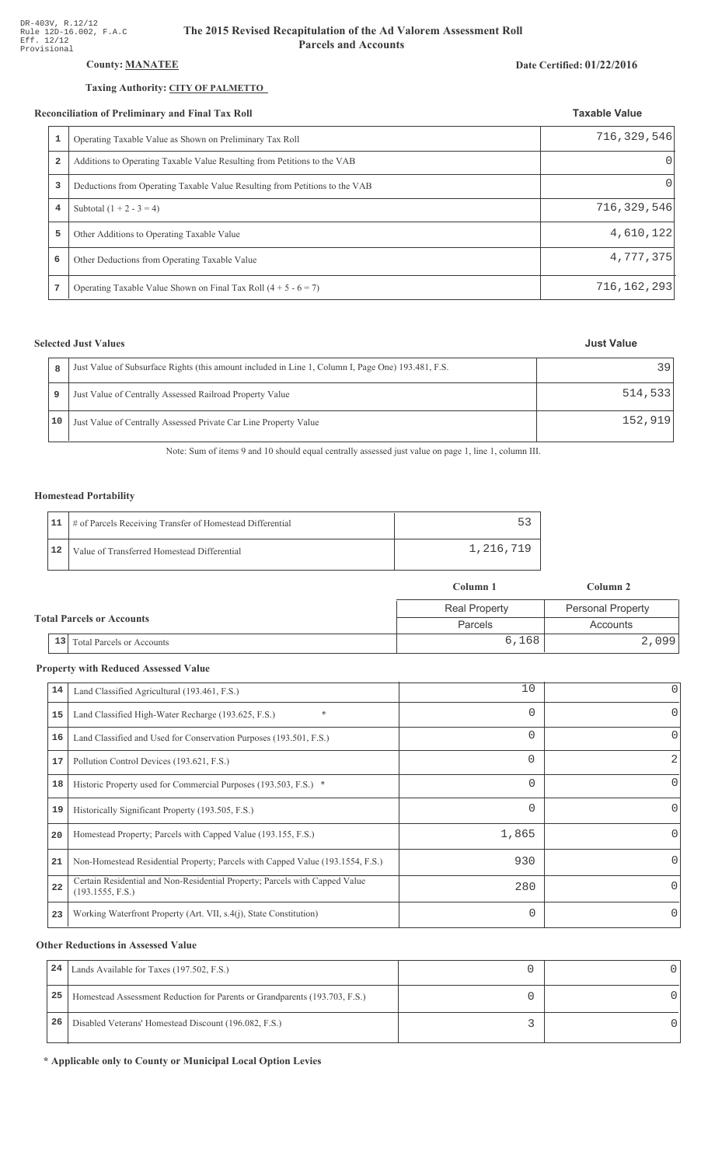## County: **MANATEE**

### Taxing Authority: CITY OF PALMETTO

#### Reconciliation of Preliminary and Final Tax Roll

| 1              | Operating Taxable Value as Shown on Preliminary Tax Roll                    | 716,329,546 |
|----------------|-----------------------------------------------------------------------------|-------------|
| $\overline{a}$ | Additions to Operating Taxable Value Resulting from Petitions to the VAB    | $\Omega$    |
| 3              | Deductions from Operating Taxable Value Resulting from Petitions to the VAB | $\Omega$    |
| $\overline{4}$ | Subtotal $(1 + 2 - 3 = 4)$                                                  | 716,329,546 |
| 5              | Other Additions to Operating Taxable Value                                  | 4,610,122   |
| 6              | Other Deductions from Operating Taxable Value                               | 4,777,375   |
| 7              | Operating Taxable Value Shown on Final Tax Roll $(4 + 5 - 6 = 7)$           | 716,162,293 |

# **Selected Just Values**

|    | Just Value of Subsurface Rights (this amount included in Line 1, Column I, Page One) 193.481, F.S. | 39      |
|----|----------------------------------------------------------------------------------------------------|---------|
|    | Just Value of Centrally Assessed Railroad Property Value                                           | 514,533 |
| 10 | Just Value of Centrally Assessed Private Car Line Property Value                                   | 152.919 |

Note: Sum of items 9 and 10 should equal centrally assessed just value on page 1, line 1, column III.

## Homestead Portability

|    | 11   # of Parcels Receiving Transfer of Homestead Differential |           |
|----|----------------------------------------------------------------|-----------|
| 12 | Value of Transferred Homestead Differential                    | 1,216,719 |

| Column 1                         |                                        |                      | Column 2                 |  |
|----------------------------------|----------------------------------------|----------------------|--------------------------|--|
| <b>Total Parcels or Accounts</b> |                                        | <b>Real Property</b> | <b>Personal Property</b> |  |
|                                  |                                        | <b>Parcels</b>       | Accounts                 |  |
|                                  | 13<br><b>Total Parcels or Accounts</b> | 6,168                | 2,099                    |  |

#### **Property with Reduced Assessed Value**

| 14 | Land Classified Agricultural (193.461, F.S.)                                                    | 10       | 0            |
|----|-------------------------------------------------------------------------------------------------|----------|--------------|
| 15 | $\ast$<br>Land Classified High-Water Recharge (193.625, F.S.)                                   | $\Omega$ | 0            |
| 16 | Land Classified and Used for Conservation Purposes (193.501, F.S.)                              | $\Omega$ | $\Omega$     |
| 17 | Pollution Control Devices (193.621, F.S.)                                                       | $\Omega$ | 2            |
| 18 | Historic Property used for Commercial Purposes (193.503, F.S.) *                                | $\Omega$ | 0            |
| 19 | Historically Significant Property (193.505, F.S.)                                               | $\Omega$ | 0            |
| 20 | Homestead Property; Parcels with Capped Value (193.155, F.S.)                                   | 1,865    | <sup>o</sup> |
| 21 | Non-Homestead Residential Property; Parcels with Capped Value (193.1554, F.S.)                  | 930      | <sup>o</sup> |
| 22 | Certain Residential and Non-Residential Property; Parcels with Capped Value<br>(193.1555, F.S.) | 280      | 0            |
| 23 | Working Waterfront Property (Art. VII, s.4(j), State Constitution)                              | $\Omega$ | 0            |

#### **Other Reductions in Assessed Value**

| 24 | Lands Available for Taxes (197.502, F.S.)                                  |  |
|----|----------------------------------------------------------------------------|--|
| 25 | Homestead Assessment Reduction for Parents or Grandparents (193.703, F.S.) |  |
| 26 | Disabled Veterans' Homestead Discount (196.082, F.S.)                      |  |

\* Applicable only to County or Municipal Local Option Levies

#### Date Certified: 01/22/2016

**Taxable Value**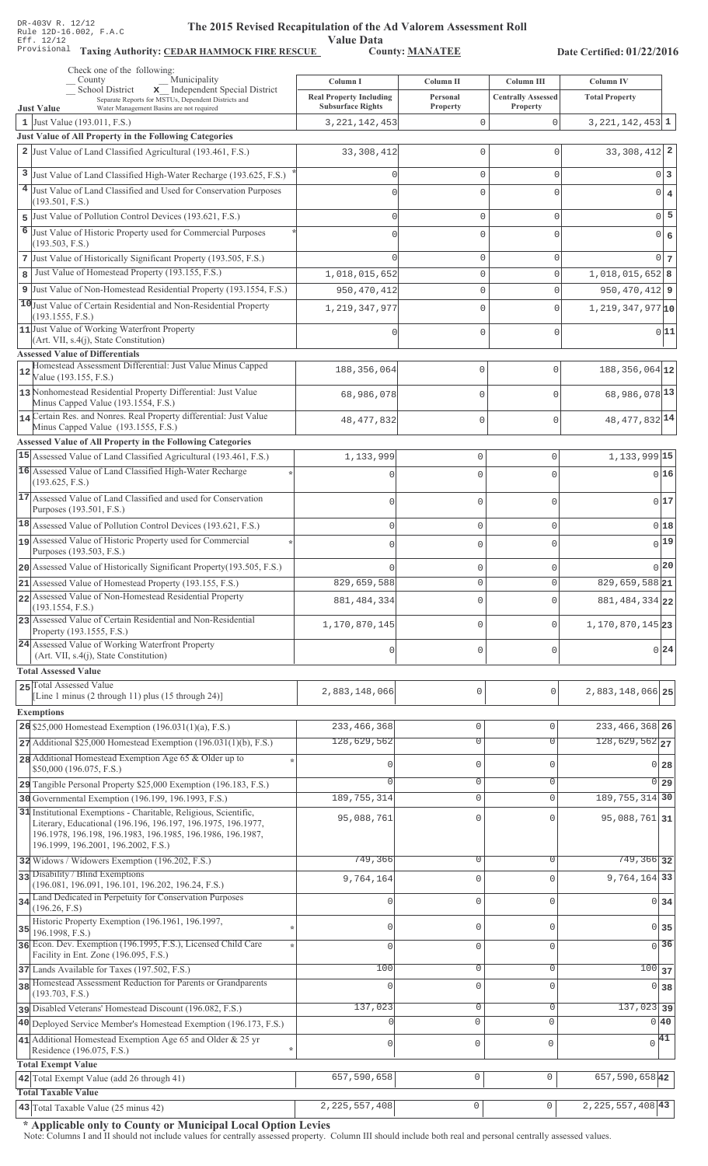Value Data<br>County: MANATEE

Taxing Authority: CEDAR HAMMOCK FIRE RESCUE County: MANATEE

Date Certified: 01/22/2016

| Check one of the following:<br>Municipality<br>County                                                                                                                                                                                 | Column I                                                   | Column II                      | Column III                | Column IV                                       |  |
|---------------------------------------------------------------------------------------------------------------------------------------------------------------------------------------------------------------------------------------|------------------------------------------------------------|--------------------------------|---------------------------|-------------------------------------------------|--|
| x Independent Special District<br><b>School District</b><br>Separate Reports for MSTUs, Dependent Districts and                                                                                                                       | <b>Real Property Including</b><br><b>Subsurface Rights</b> | Personal                       | <b>Centrally Assessed</b> | <b>Total Property</b>                           |  |
| <b>Just Value</b><br>Water Management Basins are not required<br>1 Just Value (193.011, F.S.)                                                                                                                                         | 3, 221, 142, 453                                           | <b>Property</b><br>$\mathbf 0$ | Property<br>0             | $3,221,142,453$ 1                               |  |
| Just Value of All Property in the Following Categories                                                                                                                                                                                |                                                            |                                |                           |                                                 |  |
| 2 Just Value of Land Classified Agricultural (193.461, F.S.)                                                                                                                                                                          | 33, 308, 412                                               | 0                              | 0                         | $33,308,412$ 2                                  |  |
| 3 Just Value of Land Classified High-Water Recharge (193.625, F.S.)                                                                                                                                                                   |                                                            | $\mathbf 0$                    | $\mathbf{0}$              | $0\vert 3$                                      |  |
| 4 Just Value of Land Classified and Used for Conservation Purposes                                                                                                                                                                    |                                                            | $\Omega$                       | $\Omega$                  | $0 \mid 4$                                      |  |
| (193.501, F.S.)                                                                                                                                                                                                                       |                                                            |                                |                           |                                                 |  |
| 5 Just Value of Pollution Control Devices (193.621, F.S.)                                                                                                                                                                             | $\Omega$                                                   | $\mathbf 0$                    | $\mathbf{0}$              | $0\overline{5}$                                 |  |
| 6 Just Value of Historic Property used for Commercial Purposes<br>(193.503, F.S.)                                                                                                                                                     | U                                                          | 0                              | $\Omega$                  | $0 \big  6$                                     |  |
| 7 Just Value of Historically Significant Property (193.505, F.S.)                                                                                                                                                                     |                                                            | $\mathbf{0}$                   | $\mathbf{0}$              | $0\vert 7$                                      |  |
| Just Value of Homestead Property (193.155, F.S.)<br>8                                                                                                                                                                                 | 1,018,015,652                                              | $\mathsf{O}\xspace$            | $\mathsf 0$               | $1,018,015,652$ 8                               |  |
| 9 Just Value of Non-Homestead Residential Property (193.1554, F.S.)                                                                                                                                                                   | 950, 470, 412                                              | $\mathbf 0$                    | $\mathbf{0}$              | $950, 470, 412$ 9                               |  |
| 10 Just Value of Certain Residential and Non-Residential Property                                                                                                                                                                     | 1, 219, 347, 977                                           | $\Omega$                       | $\mathbf 0$               | $1,219,347,977$ 10                              |  |
| (193.1555, F.S.)                                                                                                                                                                                                                      |                                                            |                                |                           |                                                 |  |
| 11 Just Value of Working Waterfront Property<br>(Art. VII, s.4(j), State Constitution)                                                                                                                                                | Ω                                                          | $\Omega$                       | $\mathbf 0$               | 0 11                                            |  |
| <b>Assessed Value of Differentials</b>                                                                                                                                                                                                |                                                            |                                |                           |                                                 |  |
| Homestead Assessment Differential: Just Value Minus Capped<br>$12$<br>Value (193.155, F.S.)                                                                                                                                           | 188, 356, 064                                              | 0                              | $\mathbf{0}$              | $188, 356, 064$ 12                              |  |
| 13 Nonhomestead Residential Property Differential: Just Value<br>Minus Capped Value (193.1554, F.S.)                                                                                                                                  | 68,986,078                                                 | 0                              | $\mathbf{0}$              | 68,986,078 13                                   |  |
| 14 Certain Res. and Nonres. Real Property differential: Just Value                                                                                                                                                                    | 48, 477, 832                                               | $\mathbf 0$                    | $\mathbf{0}$              | 48, 477, 832 14                                 |  |
| Minus Capped Value (193.1555, F.S.)                                                                                                                                                                                                   |                                                            |                                |                           |                                                 |  |
| Assessed Value of All Property in the Following Categories                                                                                                                                                                            |                                                            |                                |                           |                                                 |  |
| 15 Assessed Value of Land Classified Agricultural (193.461, F.S.)<br>16 Assessed Value of Land Classified High-Water Recharge                                                                                                         | 1,133,999                                                  | $\mathbf 0$                    | $\mathbf 0$               | 1, 133, 999 15                                  |  |
| (193.625, F.S.)                                                                                                                                                                                                                       |                                                            | $\Omega$                       | O                         | 0 16                                            |  |
| 17 Assessed Value of Land Classified and used for Conservation<br>Purposes (193.501, F.S.)                                                                                                                                            | $\bigcap$                                                  | $\mathbf 0$                    | 0                         | 0 17                                            |  |
| 18 Assessed Value of Pollution Control Devices (193.621, F.S.)                                                                                                                                                                        | $\bigcap$                                                  | $\mathbf 0$                    | 0                         | 018                                             |  |
| 19 Assessed Value of Historic Property used for Commercial                                                                                                                                                                            |                                                            | $\mathbf 0$                    | $\Omega$                  | $0$ <sup>19</sup>                               |  |
| Purposes (193.503, F.S.)                                                                                                                                                                                                              |                                                            |                                |                           |                                                 |  |
| 20 Assessed Value of Historically Significant Property (193.505, F.S.)                                                                                                                                                                |                                                            | $\mathbf 0$                    | 0                         | 0 20                                            |  |
| 21 Assessed Value of Homestead Property (193.155, F.S.)                                                                                                                                                                               | 829,659,588                                                | $\mathbf{0}$                   | 0                         | $829,659,588$ 21                                |  |
| 22 Assessed Value of Non-Homestead Residential Property<br>(193.1554, F.S.)                                                                                                                                                           | 881, 484, 334                                              | $\mathbf 0$                    | 0                         | 881, 484, 334 22                                |  |
| 23 Assessed Value of Certain Residential and Non-Residential<br>Property (193.1555, F.S.)                                                                                                                                             | 1,170,870,145                                              | $\mathbf{0}$                   | 0                         | 1,170,870,145 23                                |  |
| 24 Assessed Value of Working Waterfront Property<br>(Art. VII, s.4(j), State Constitution)                                                                                                                                            | $\cap$                                                     | $\mathbf{0}$                   | $\Omega$                  | 0 24                                            |  |
| <b>Total Assessed Value</b>                                                                                                                                                                                                           |                                                            |                                |                           |                                                 |  |
| 25 Total Assessed Value                                                                                                                                                                                                               | 2,883,148,066                                              | 0                              | 0                         | 2,883,148,066 25                                |  |
| [Line 1 minus (2 through 11) plus (15 through 24)]                                                                                                                                                                                    |                                                            |                                |                           |                                                 |  |
| <b>Exemptions</b>                                                                                                                                                                                                                     |                                                            |                                |                           |                                                 |  |
| 26 \$25,000 Homestead Exemption $(196.031(1)(a), F.S.)$                                                                                                                                                                               | 233, 466, 368<br>128,629,562                               | $\mathbb O$<br>$\overline{0}$  | $\mathbf{0}$<br>$\Omega$  | 233, 466, 368 26<br>$128,629,562$ <sub>27</sub> |  |
| 27 Additional \$25,000 Homestead Exemption (196.031(1)(b), F.S.)<br>28 Additional Homestead Exemption Age 65 & Older up to                                                                                                            |                                                            |                                |                           |                                                 |  |
| \$50,000 (196.075, F.S.)                                                                                                                                                                                                              | $\Omega$                                                   | $\mathbb O$                    | $\Omega$                  | $0$ 28                                          |  |
| 29 Tangible Personal Property \$25,000 Exemption (196.183, F.S.)                                                                                                                                                                      | $\cap$                                                     | $\overline{0}$                 | 0                         | 0 29                                            |  |
| 30 Governmental Exemption (196.199, 196.1993, F.S.)                                                                                                                                                                                   | 189, 755, 314                                              | $\mathbb O$                    | $\Omega$                  | 189, 755, 314 30                                |  |
| 31 Institutional Exemptions - Charitable, Religious, Scientific,<br>Literary, Educational (196.196, 196.197, 196.1975, 196.1977,<br>196.1978, 196.198, 196.1983, 196.1985, 196.1986, 196.1987,<br>196.1999, 196.2001, 196.2002, F.S.) | 95,088,761                                                 | $\Omega$                       | $\Omega$                  | 95,088,761 31                                   |  |
| 32 Widows / Widowers Exemption (196.202, F.S.)                                                                                                                                                                                        | 749,366                                                    | $\overline{0}$                 | $\Omega$                  | 749, 366 32                                     |  |
| 33 Disability / Blind Exemptions<br>(196.081, 196.091, 196.101, 196.202, 196.24, F.S.)                                                                                                                                                | 9,764,164                                                  | $\mathbf 0$                    | $\Omega$                  | 9,764,164 33                                    |  |
| 34 Land Dedicated in Perpetuity for Conservation Purposes                                                                                                                                                                             | 0                                                          | $\mathbf 0$                    | $\Omega$                  | $0\overline{34}$                                |  |
| (196.26, F.S)<br>Historic Property Exemption (196.1961, 196.1997,                                                                                                                                                                     |                                                            |                                |                           |                                                 |  |
| $35$ 196.1998, F.S.)                                                                                                                                                                                                                  | $\mathbf{0}$                                               | $\mathbf 0$                    | $\mathbf{0}$              | 0 35                                            |  |
| 36 Econ. Dev. Exemption (196.1995, F.S.), Licensed Child Care<br>Facility in Ent. Zone (196.095, F.S.)                                                                                                                                | $\Omega$                                                   | $\mathsf{O}\xspace$            | $\mathbf 0$               | $\overline{0}$ 36                               |  |
| 37 Lands Available for Taxes (197.502, F.S.)                                                                                                                                                                                          | 100                                                        | $\circ$                        | 0                         | 10037                                           |  |
| 38 Homestead Assessment Reduction for Parents or Grandparents<br>(193.703, F.S.)                                                                                                                                                      | $\Omega$                                                   | $\mathbf 0$                    | $\Omega$                  | 0 38                                            |  |
| Disabled Veterans' Homestead Discount (196.082, F.S.)                                                                                                                                                                                 | 137,023                                                    | $\mathbb O$                    | $\mathbf 0$               | $137,023$ 39                                    |  |
| 40 Deployed Service Member's Homestead Exemption (196.173, F.S.)                                                                                                                                                                      |                                                            | 0                              | $\mathbf{0}$              | 0 40                                            |  |
| 41 Additional Homestead Exemption Age 65 and Older & 25 yr                                                                                                                                                                            | $\mathsf{O}\xspace$                                        | $\mathsf{O}\xspace$            | $\mathbf 0$               | $\sqrt{41}$                                     |  |
| Residence (196.075, F.S.)<br><b>Total Exempt Value</b>                                                                                                                                                                                |                                                            |                                |                           |                                                 |  |
| 42 Total Exempt Value (add 26 through 41)                                                                                                                                                                                             | 657,590,658                                                | $\mathsf 0$                    | $\mathbf{0}$              | 657,590,65842                                   |  |
| <b>Total Taxable Value</b>                                                                                                                                                                                                            |                                                            |                                |                           |                                                 |  |
| $\vert$ 43 Total Taxable Value (25 minus 42)                                                                                                                                                                                          | 2, 225, 557, 408                                           | 0                              |                           | $2,225,557,408$ 43                              |  |

\* Applicable only to County or Municipal Local Option Levies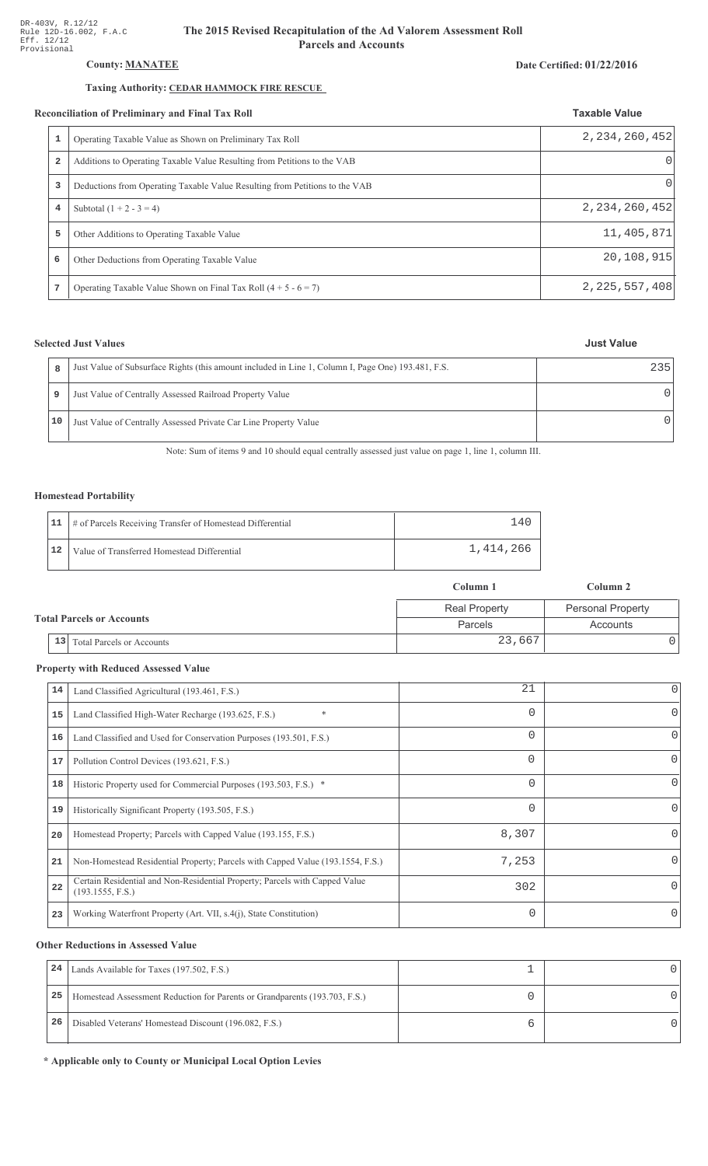## **County: MANATEE**

# Taxing Authority: CEDAR HAMMOCK FIRE RESCUE

#### Reconciliation of Preliminary and Final Tax Roll

| conciliation of Preliminary and Final Tax Roll |                                                                             | <b>Taxable Value</b> |
|------------------------------------------------|-----------------------------------------------------------------------------|----------------------|
|                                                | Operating Taxable Value as Shown on Preliminary Tax Roll                    | 2, 234, 260, 452     |
| 2                                              | Additions to Operating Taxable Value Resulting from Petitions to the VAB    | 0                    |
| 3                                              | Deductions from Operating Taxable Value Resulting from Petitions to the VAB | 0                    |
| 4                                              | Subtotal $(1 + 2 - 3 = 4)$                                                  | 2, 234, 260, 452     |
| 5                                              | Other Additions to Operating Taxable Value                                  | 11,405,871           |
| 6                                              | Other Deductions from Operating Taxable Value                               | 20,108,915           |
|                                                | Operating Taxable Value Shown on Final Tax Roll $(4 + 5 - 6 = 7)$           | 2,225,557,408        |

# **Selected Just Values**

| 8  | Just Value of Subsurface Rights (this amount included in Line 1, Column I, Page One) 193.481, F.S. | 235    |
|----|----------------------------------------------------------------------------------------------------|--------|
| 9  | Just Value of Centrally Assessed Railroad Property Value                                           | $\cap$ |
| 10 | Just Value of Centrally Assessed Private Car Line Property Value                                   | $\cap$ |

Note: Sum of items 9 and 10 should equal centrally assessed just value on page 1, line 1, column III.

### **Homestead Portability**

|    | 11   # of Parcels Receiving Transfer of Homestead Differential | 4 <sup>1</sup> |
|----|----------------------------------------------------------------|----------------|
| 12 | Value of Transferred Homestead Differential                    | 1,414,266      |

|                                        | Column 1             | Column 2                 |
|----------------------------------------|----------------------|--------------------------|
|                                        | <b>Real Property</b> | <b>Personal Property</b> |
| <b>Total Parcels or Accounts</b>       | Parcels              | Accounts                 |
| 13<br><b>Total Parcels or Accounts</b> | 23,667               |                          |

## **Property with Reduced Assessed Value**

| 14 | Land Classified Agricultural (193.461, F.S.)                                                    | 21       | 0            |
|----|-------------------------------------------------------------------------------------------------|----------|--------------|
| 15 | $\ast$<br>Land Classified High-Water Recharge (193.625, F.S.)                                   | $\Omega$ | 0            |
| 16 | Land Classified and Used for Conservation Purposes (193.501, F.S.)                              | 0        | O            |
| 17 | Pollution Control Devices (193.621, F.S.)                                                       | 0        | 0            |
| 18 | Historic Property used for Commercial Purposes (193.503, F.S.) *                                | 0        | 0            |
| 19 | Historically Significant Property (193.505, F.S.)                                               | 0        | 0            |
| 20 | Homestead Property; Parcels with Capped Value (193.155, F.S.)                                   | 8,307    | <sup>0</sup> |
| 21 | Non-Homestead Residential Property; Parcels with Capped Value (193.1554, F.S.)                  | 7,253    | <sup>o</sup> |
| 22 | Certain Residential and Non-Residential Property; Parcels with Capped Value<br>(193.1555, F.S.) | 302      | 0            |
| 23 | Working Waterfront Property (Art. VII, s.4(j), State Constitution)                              | $\Omega$ | $\Omega$     |

## **Other Reductions in Assessed Value**

| 24 | Lands Available for Taxes (197.502, F.S.)                                  |  |
|----|----------------------------------------------------------------------------|--|
| 25 | Homestead Assessment Reduction for Parents or Grandparents (193.703, F.S.) |  |
| 26 | Disabled Veterans' Homestead Discount (196.082, F.S.)                      |  |

\* Applicable only to County or Municipal Local Option Levies

#### Date Certified: 01/22/2016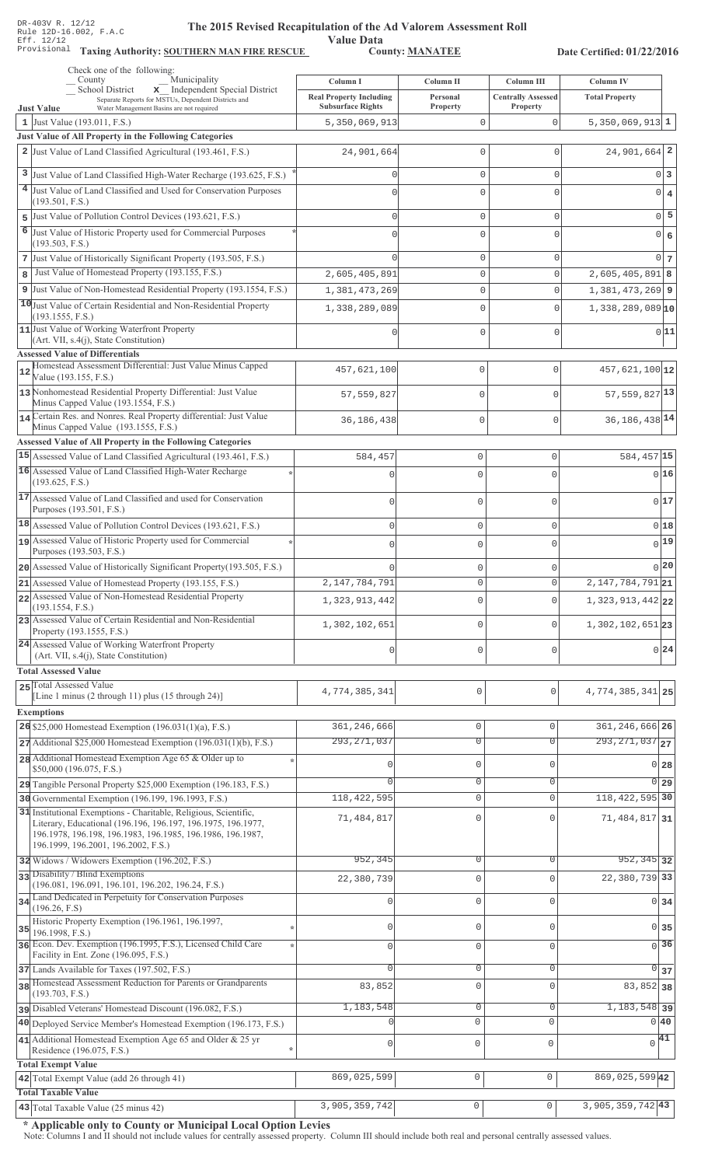# **The 2015 Rev** ised Recapitulation of the Ad Valorem Assessment Roll ation of ....<br>Value Data<br>County: <u>MANATEE</u>

Taxing Authority: SOUTHERN MAN FIRE RESCUE County: MANATEE

Date Certified: 01/22/2016

| Check one of the following:<br>Municipality<br>County                                                                      |                                                            |                               |                                       |                                                   |
|----------------------------------------------------------------------------------------------------------------------------|------------------------------------------------------------|-------------------------------|---------------------------------------|---------------------------------------------------|
| x Independent Special District<br>School District                                                                          | Column I                                                   | Column II                     | Column III                            | <b>Column IV</b>                                  |
| Separate Reports for MSTUs, Dependent Districts and<br><b>Just Value</b><br>Water Management Basins are not required       | <b>Real Property Including</b><br><b>Subsurface Rights</b> | Personal<br>Property          | <b>Centrally Assessed</b><br>Property | <b>Total Property</b>                             |
| 1 Just Value (193.011, F.S.)                                                                                               | 5,350,069,913                                              | 0                             | $\mathbf 0$                           | $5,350,069,913$ 1                                 |
| <b>Just Value of All Property in the Following Categories</b>                                                              |                                                            |                               |                                       |                                                   |
| 2 Just Value of Land Classified Agricultural (193.461, F.S.)                                                               | 24,901,664                                                 | 0                             | 0                                     | $24,901,664$ 2                                    |
| 3 Just Value of Land Classified High-Water Recharge (193.625, F.S.)                                                        |                                                            | 0                             | 0                                     | 0 <sup>3</sup>                                    |
| 4 Just Value of Land Classified and Used for Conservation Purposes                                                         |                                                            | 0                             | $\Omega$                              |                                                   |
| (193.501, F.S.)                                                                                                            |                                                            |                               |                                       | $0 \mid 4$                                        |
| 5 Just Value of Pollution Control Devices (193.621, F.S.)                                                                  | $\cap$                                                     | 0                             | 0                                     | $0\overline{5}$                                   |
| 6<br>Just Value of Historic Property used for Commercial Purposes                                                          |                                                            | 0                             | $\Omega$                              | $0 \big  6$                                       |
| (193.503, F.S.)                                                                                                            |                                                            |                               |                                       |                                                   |
| 7 Just Value of Historically Significant Property (193.505, F.S.)                                                          |                                                            | 0                             | 0                                     | 0 <sub>7</sub>                                    |
| Just Value of Homestead Property (193.155, F.S.)<br>8                                                                      | 2,605,405,891                                              | 0                             | 0                                     | $2,605,405,891$ 8                                 |
| 9 Just Value of Non-Homestead Residential Property (193.1554, F.S.)                                                        | 1,381,473,269                                              | 0                             | 0                                     | $1,381,473,269$ 9                                 |
| 10 Just Value of Certain Residential and Non-Residential Property<br>(193.1555, F.S.)                                      | 1,338,289,089                                              | 0                             | 0                                     | $1,338,289,089$ <sup>10</sup>                     |
| 11 Just Value of Working Waterfront Property                                                                               | Ω                                                          | 0                             | 0                                     | 0 11                                              |
| (Art. VII, s.4(j), State Constitution)                                                                                     |                                                            |                               |                                       |                                                   |
| <b>Assessed Value of Differentials</b><br>Homestead Assessment Differential: Just Value Minus Capped                       |                                                            |                               |                                       |                                                   |
| 12<br>Value (193.155, F.S.)                                                                                                | 457,621,100                                                | $\mathbf{0}$                  | $\mathbf 0$                           | 457,621,100 12                                    |
| 13 Nonhomestead Residential Property Differential: Just Value                                                              | 57,559,827                                                 | $\mathbf{0}$                  | $\Omega$                              | $57,559,827$ <sup>13</sup>                        |
| Minus Capped Value (193.1554, F.S.)                                                                                        |                                                            |                               |                                       |                                                   |
| 14 Certain Res. and Nonres. Real Property differential: Just Value<br>Minus Capped Value (193.1555, F.S.)                  | 36,186,438                                                 | $\mathbf{0}$                  | $\Omega$                              | 36, 186, 438 14                                   |
| Assessed Value of All Property in the Following Categories                                                                 |                                                            |                               |                                       |                                                   |
| 15 Assessed Value of Land Classified Agricultural (193.461, F.S.)                                                          | 584,457                                                    | $\mathbb O$                   | $\mathbf 0$                           | 584,457 15                                        |
| 16 Assessed Value of Land Classified High-Water Recharge                                                                   |                                                            | $\Omega$                      | $\Omega$                              | 016                                               |
| (193.625, F.S.)                                                                                                            |                                                            |                               |                                       |                                                   |
| 17 Assessed Value of Land Classified and used for Conservation                                                             | $\bigcap$                                                  | $\circ$                       | $\Omega$                              | 017                                               |
| Purposes (193.501, F.S.)                                                                                                   |                                                            |                               |                                       |                                                   |
| 18 Assessed Value of Pollution Control Devices (193.621, F.S.)                                                             | $\mathbf{0}$                                               | $\mathbf 0$                   | $\Omega$                              | 018                                               |
| 19 Assessed Value of Historic Property used for Commercial<br>Purposes (193.503, F.S.)                                     | $\Omega$                                                   | $\mathbf{0}$                  | $\Omega$                              | 0 19                                              |
| 20 Assessed Value of Historically Significant Property (193.505, F.S.)                                                     |                                                            | $\circ$                       | $\Omega$                              | 0 20                                              |
| 21 Assessed Value of Homestead Property (193.155, F.S.)                                                                    | 2, 147, 784, 791                                           | $\circ$                       | 0                                     | $\overline{2,147,784,791}$ 21                     |
| 22 Assessed Value of Non-Homestead Residential Property                                                                    |                                                            |                               | $\Omega$                              |                                                   |
| (193.1554, F.S.)                                                                                                           | 1,323,913,442                                              | $\mathbf{0}$                  |                                       | 1, 323, 913, 442 22                               |
| 23 Assessed Value of Certain Residential and Non-Residential<br>Property (193.1555, F.S.)                                  | 1,302,102,651                                              | $\circ$                       | $\Omega$                              | 1,302,102,651 23                                  |
| 24 Assessed Value of Working Waterfront Property                                                                           |                                                            |                               |                                       |                                                   |
| (Art. VII, s.4(j), State Constitution)                                                                                     | $\cap$                                                     | $\mathbf 0$                   | $\Omega$                              | $0\vert 24$                                       |
| <b>Total Assessed Value</b>                                                                                                |                                                            |                               |                                       |                                                   |
| 25 Total Assessed Value                                                                                                    | 4,774,385,341                                              | 0                             | 0                                     | 4, 774, 385, 341 25                               |
| [Line 1 minus (2 through 11) plus (15 through 24)]                                                                         |                                                            |                               |                                       |                                                   |
| <b>Exemptions</b>                                                                                                          |                                                            |                               |                                       |                                                   |
| 26 \$25,000 Homestead Exemption $(196.031(1)(a), F.S.)$                                                                    | 361, 246, 666<br>293, 271, 037                             | $\mathbb O$<br>$\overline{0}$ | $\mathbf{0}$<br>$\Omega$              | 361, 246, 666 26<br>$293, 271, 037$ <sub>27</sub> |
| 27 Additional \$25,000 Homestead Exemption (196.031(1)(b), F.S.)                                                           |                                                            |                               |                                       |                                                   |
| 28 Additional Homestead Exemption Age 65 & Older up to<br>\$50,000 (196.075, F.S.)                                         |                                                            | $\mathbf 0$                   | $\cap$                                | $0$ 28                                            |
| 29 Tangible Personal Property \$25,000 Exemption (196.183, F.S.)                                                           |                                                            | $\overline{0}$                | $\Omega$                              | $0\overline{29}$                                  |
| 30 Governmental Exemption (196.199, 196.1993, F.S.)                                                                        | 118, 422, 595                                              | $\mathbb O$                   | $\mathbf 0$                           | 118, 422, 595 30                                  |
| 31 Institutional Exemptions - Charitable, Religious, Scientific,                                                           | 71,484,817                                                 | $\mathbf{0}$                  |                                       | $71,484,817$ 31                                   |
| Literary, Educational (196.196, 196.197, 196.1975, 196.1977,<br>196.1978, 196.198, 196.1983, 196.1985, 196.1986, 196.1987, |                                                            |                               |                                       |                                                   |
| 196.1999, 196.2001, 196.2002, F.S.)                                                                                        |                                                            |                               |                                       |                                                   |
| 32 Widows / Widowers Exemption (196.202, F.S.)                                                                             | 952,345                                                    | $\overline{0}$                | $\Omega$                              | $952, 345$ 32                                     |
| 33 Disability / Blind Exemptions                                                                                           | 22,380,739                                                 | $\mathbf 0$                   | $\cap$                                | 22,380,739 33                                     |
| (196.081, 196.091, 196.101, 196.202, 196.24, F.S.)<br>34 Land Dedicated in Perpetuity for Conservation Purposes            |                                                            |                               |                                       |                                                   |
| (196.26, F.S)                                                                                                              |                                                            | $\mathbb O$                   | $\cap$                                | 0 34                                              |
| Historic Property Exemption (196.1961, 196.1997,                                                                           |                                                            | $\mathbf 0$                   | $\mathbf{0}$                          | 0 35                                              |
| 35<br>196.1998, F.S.)<br>36 Econ. Dev. Exemption (196.1995, F.S.), Licensed Child Care                                     |                                                            |                               |                                       | $\overline{0}$ 36                                 |
| Facility in Ent. Zone (196.095, F.S.)                                                                                      | O                                                          | $\mathbb O$                   | $\mathbf{0}$                          |                                                   |
| 37 Lands Available for Taxes (197.502, F.S.)                                                                               | Ω                                                          | $\mathbb O$                   | 0                                     | $\overline{0}$<br>37                              |
| 38 Homestead Assessment Reduction for Parents or Grandparents                                                              | 83,852                                                     | $\mathbf 0$                   | $\Omega$                              | 83,852 38                                         |
| (193.703, F.S.)                                                                                                            |                                                            |                               | $\mathbf 0$                           | $1,183,548$ 39                                    |
| pisabled Veterans' Homestead Discount (196.082, F.S.)                                                                      | 1,183,548                                                  | $\mathbf 0$<br>$\mathbf{0}$   | $\Omega$                              | 0 40                                              |
| 40 Deployed Service Member's Homestead Exemption (196.173, F.S.)                                                           |                                                            |                               |                                       |                                                   |
| 41 Additional Homestead Exemption Age 65 and Older & 25 yr<br>Residence (196.075, F.S.)                                    | 0                                                          | $\mathbf 0$                   | $\mathbf 0$                           | $\sqrt{41}$                                       |
| <b>Total Exempt Value</b>                                                                                                  |                                                            |                               |                                       |                                                   |
| 42 Total Exempt Value (add 26 through 41)                                                                                  | 869,025,599                                                | $\mathsf 0$                   | 0                                     | 869,025,599 42                                    |
| <b>Total Taxable Value</b>                                                                                                 |                                                            |                               |                                       |                                                   |
| 43 Total Taxable Value (25 minus 42)                                                                                       | 3,905,359,742                                              | U                             | U                                     | $3,905,359,742$ 43                                |

\* Applicable only to County or Municipal Local Option Levies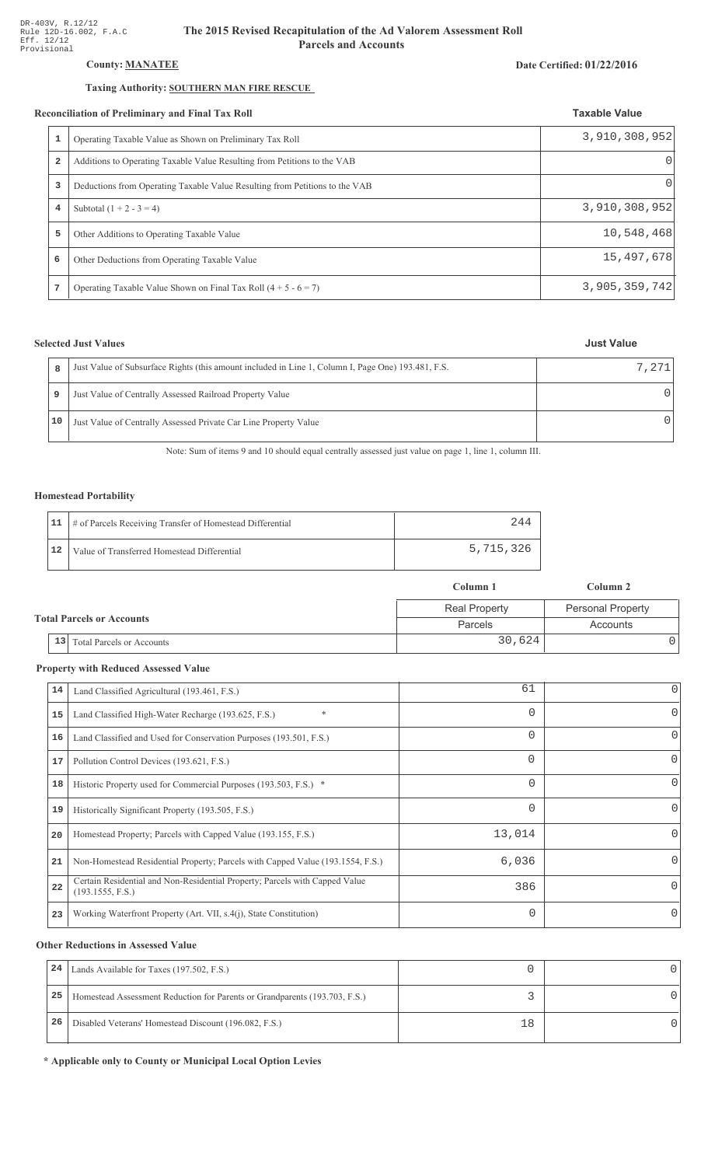# **County: MANATEE**

# Taxing Authority: SOUTHERN MAN FIRE RESCUE

#### **Reconciliation of Preliminary and Final Tax Roll**

|   | conciliation of Preliminary and Final Tax Roll                              | <b>Taxable Value</b> |
|---|-----------------------------------------------------------------------------|----------------------|
| 1 | Operating Taxable Value as Shown on Preliminary Tax Roll                    | 3,910,308,952        |
| 2 | Additions to Operating Taxable Value Resulting from Petitions to the VAB    | $\Omega$             |
| 3 | Deductions from Operating Taxable Value Resulting from Petitions to the VAB | $\Omega$             |
| 4 | Subtotal $(1 + 2 - 3 = 4)$                                                  | 3,910,308,952        |
| 5 | Other Additions to Operating Taxable Value                                  | 10,548,468           |
| 6 | Other Deductions from Operating Taxable Value                               | 15,497,678           |
| 7 | Operating Taxable Value Shown on Final Tax Roll $(4 + 5 - 6 = 7)$           | 3,905,359,742        |

## **Selected Just Values**

| R  | Just Value of Subsurface Rights (this amount included in Line 1, Column I, Page One) 193.481, F.S. | 7,271 |
|----|----------------------------------------------------------------------------------------------------|-------|
| 9  | Just Value of Centrally Assessed Railroad Property Value                                           |       |
| 10 | Just Value of Centrally Assessed Private Car Line Property Value                                   |       |

Note: Sum of items 9 and 10 should equal centrally assessed just value on page 1, line 1, column III.

### **Homestead Portability**

|    | 11   # of Parcels Receiving Transfer of Homestead Differential | 244       |
|----|----------------------------------------------------------------|-----------|
| 12 | Value of Transferred Homestead Differential                    | 5,715,326 |

|                                        | Column 1             | Column 2                 |
|----------------------------------------|----------------------|--------------------------|
|                                        | <b>Real Property</b> | <b>Personal Property</b> |
| <b>Total Parcels or Accounts</b>       | Parcels              | Accounts                 |
| 13<br><b>Total Parcels or Accounts</b> | 30,624               |                          |

## **Property with Reduced Assessed Value**

| 14 | Land Classified Agricultural (193.461, F.S.)                                                    | 61       | 0            |
|----|-------------------------------------------------------------------------------------------------|----------|--------------|
| 15 | $\ast$<br>Land Classified High-Water Recharge (193.625, F.S.)                                   | $\Omega$ | 0            |
| 16 | Land Classified and Used for Conservation Purposes (193.501, F.S.)                              | $\Omega$ | O            |
| 17 | Pollution Control Devices (193.621, F.S.)                                                       | $\Omega$ | 0            |
| 18 | Historic Property used for Commercial Purposes (193.503, F.S.) *                                | $\Omega$ | 0            |
| 19 | Historically Significant Property (193.505, F.S.)                                               | $\Omega$ | 0            |
| 20 | Homestead Property; Parcels with Capped Value (193.155, F.S.)                                   | 13,014   | <sup>o</sup> |
| 21 | Non-Homestead Residential Property; Parcels with Capped Value (193.1554, F.S.)                  | 6,036    | <sup>o</sup> |
| 22 | Certain Residential and Non-Residential Property; Parcels with Capped Value<br>(193.1555, F.S.) | 386      | 0            |
| 23 | Working Waterfront Property (Art. VII, s.4(j), State Constitution)                              | $\Omega$ | 0            |

## **Other Reductions in Assessed Value**

| 24 | Lands Available for Taxes (197.502, F.S.)                                  |    |  |
|----|----------------------------------------------------------------------------|----|--|
| 25 | Homestead Assessment Reduction for Parents or Grandparents (193.703, F.S.) |    |  |
| 26 | Disabled Veterans' Homestead Discount (196.082, F.S.)                      | 18 |  |

\* Applicable only to County or Municipal Local Option Levies

#### Date Certified: 01/22/2016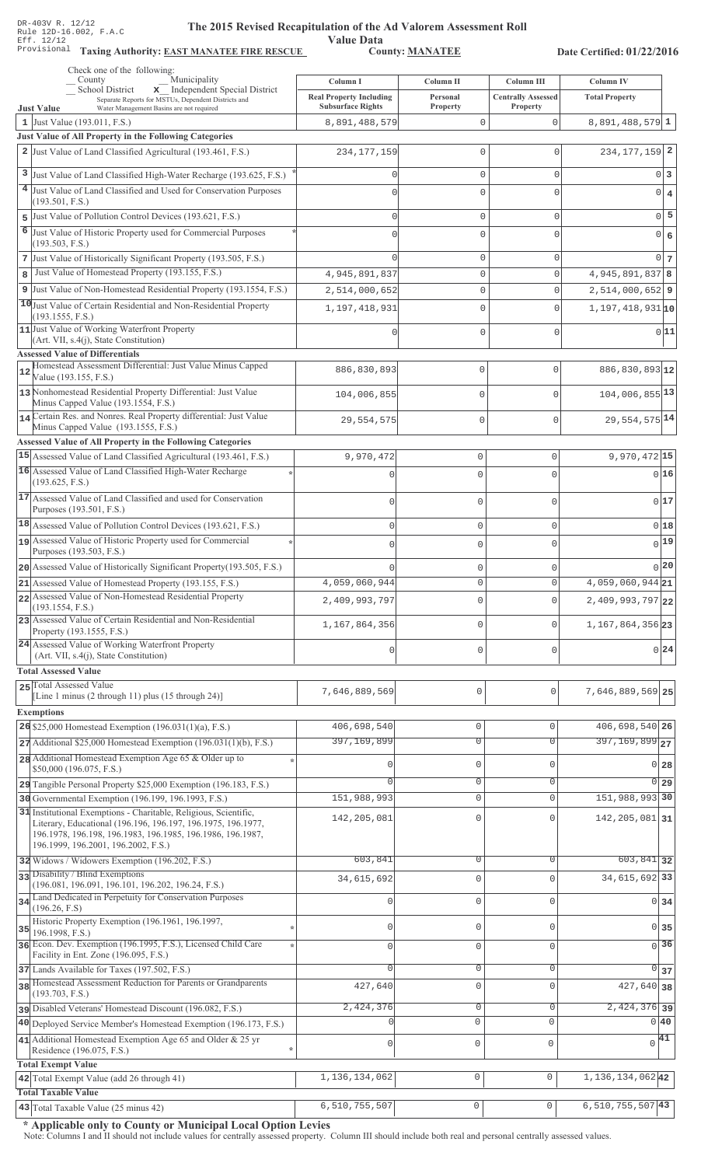Value Data<br>County: MANATEE Taxing Authority: **EAST MANATEE FIRE RESCUE** County: **MANATEE** 

Date Certified: 01/22/2016

|   | Check one of the following:<br>Municipality<br>County                                                                      |                                            |                              |                                         |                                    |  |
|---|----------------------------------------------------------------------------------------------------------------------------|--------------------------------------------|------------------------------|-----------------------------------------|------------------------------------|--|
|   | School District<br>x Independent Special District                                                                          | Column I<br><b>Real Property Including</b> | <b>Column II</b><br>Personal | Column III<br><b>Centrally Assessed</b> | Column IV<br><b>Total Property</b> |  |
|   | Separate Reports for MSTUs, Dependent Districts and<br><b>Just Value</b><br>Water Management Basins are not required       | <b>Subsurface Rights</b>                   | Property                     | Property                                |                                    |  |
|   | 1 Just Value $(193.011, F.S.)$                                                                                             | 8,891,488,579                              | $\mathbb O$                  | 0                                       | $8,891,488,579$ 1                  |  |
|   | Just Value of All Property in the Following Categories                                                                     |                                            |                              |                                         |                                    |  |
|   | 2 Just Value of Land Classified Agricultural (193.461, F.S.)                                                               | 234, 177, 159                              | $\mathbf{0}$                 | 0                                       | $234, 177, 159$ 2                  |  |
|   | 3 Just Value of Land Classified High-Water Recharge (193.625, F.S.)                                                        | O                                          | $\mathbf{0}$                 | 0                                       | $0\vert 3$                         |  |
|   | 4 Just Value of Land Classified and Used for Conservation Purposes<br>(193.501, F.S.)                                      |                                            | 0                            | $\Omega$                                | $0 \mid 4$                         |  |
| 5 | Just Value of Pollution Control Devices (193.621, F.S.)                                                                    | $\Omega$                                   | $\mathbf{0}$                 | 0                                       | $0\overline{5}$                    |  |
| 6 | Just Value of Historic Property used for Commercial Purposes                                                               |                                            | 0                            | $\Omega$                                | $0 \big  6$                        |  |
|   | (193.503, F.S.)                                                                                                            |                                            |                              |                                         |                                    |  |
| 8 | 7 Just Value of Historically Significant Property (193.505, F.S.)<br>Just Value of Homestead Property (193.155, F.S.)      | 4,945,891,837                              | $\mathbf{0}$<br>$\mathbf{0}$ | 0<br>0                                  | $0\vert$ 7<br>$4,945,891,837$ 8    |  |
|   | 9 Just Value of Non-Homestead Residential Property (193.1554, F.S.)                                                        | 2,514,000,652                              | $\mathbf 0$                  | 0                                       | $2,514,000,652$ 9                  |  |
|   | 10 Just Value of Certain Residential and Non-Residential Property                                                          | 1,197,418,931                              | 0                            | 0                                       | $1,197,418,931$ <sub>10</sub>      |  |
|   | (193.1555, F.S.)                                                                                                           |                                            |                              |                                         |                                    |  |
|   | 11 Just Value of Working Waterfront Property<br>(Art. VII, s.4(j), State Constitution)                                     | O                                          | 0                            | 0                                       | 0 11                               |  |
|   | <b>Assessed Value of Differentials</b>                                                                                     |                                            |                              |                                         |                                    |  |
|   | Homestead Assessment Differential: Just Value Minus Capped<br>Value (193.155, F.S.)                                        | 886,830,893                                | $\mathbf{0}$                 | $\mathbf{0}$                            | 886,830,893 12                     |  |
|   | 13 Nonhomestead Residential Property Differential: Just Value                                                              | 104,006,855                                | $\mathbf{0}$                 | $\mathbf{0}$                            | 104,006,855 13                     |  |
|   | Minus Capped Value (193.1554, F.S.)<br>14 Certain Res. and Nonres. Real Property differential: Just Value                  |                                            |                              |                                         | 29, 554, 575 14                    |  |
|   | Minus Capped Value (193.1555, F.S.)                                                                                        | 29,554,575                                 | $\mathbf{0}$                 | $\mathbf{0}$                            |                                    |  |
|   | <b>Assessed Value of All Property in the Following Categories</b>                                                          |                                            |                              |                                         |                                    |  |
|   | 15 Assessed Value of Land Classified Agricultural (193.461, F.S.)                                                          | 9,970,472                                  | $\mathbf 0$                  | 0                                       | $9,970,472$ 15                     |  |
|   | 16 Assessed Value of Land Classified High-Water Recharge<br>(193.625, F.S.)                                                | n                                          | $\mathbf 0$                  | 0                                       | 0 16                               |  |
|   | 17 Assessed Value of Land Classified and used for Conservation                                                             | $\cap$                                     | $\Omega$                     | 0                                       | 0 17                               |  |
|   | Purposes (193.501, F.S.)                                                                                                   |                                            |                              |                                         |                                    |  |
|   | 18 Assessed Value of Pollution Control Devices (193.621, F.S.)                                                             | $\mathbf 0$                                | $\mathbf 0$                  | 0                                       | 0 18                               |  |
|   | 19 Assessed Value of Historic Property used for Commercial<br>Purposes (193.503, F.S.)                                     | $\Omega$                                   | $\mathbf 0$                  | O                                       | $_{0} 19 $                         |  |
|   | 20 Assessed Value of Historically Significant Property (193.505, F.S.)                                                     |                                            | $\Omega$                     |                                         | 0 20                               |  |
|   | 21 Assessed Value of Homestead Property (193.155, F.S.)                                                                    | 4,059,060,944                              | U                            |                                         | $4,059,060,944$ 21                 |  |
|   | 22 Assessed Value of Non-Homestead Residential Property<br>(193.1554, F.S.)                                                | 2,409,993,797                              | $\Omega$                     | $\Omega$                                | 2,409,993,797 22                   |  |
|   | 23 Assessed Value of Certain Residential and Non-Residential<br>Property (193.1555, F.S.)                                  | 1,167,864,356                              | 0                            | $\mathbf{0}$                            | 1, 167, 864, 356 23                |  |
|   | 24 Assessed Value of Working Waterfront Property                                                                           |                                            |                              |                                         | 0 24                               |  |
|   | (Art. VII, s.4(j), State Constitution)                                                                                     | 0                                          | $\mathbf 0$                  | 0                                       |                                    |  |
|   | <b>Total Assessed Value</b>                                                                                                |                                            |                              |                                         |                                    |  |
|   | 25 Total Assessed Value<br>[Line 1 minus $(2 \text{ through } 11)$ plus $(15 \text{ through } 24)$ ]                       | 7,646,889,569                              | $\mathbf 0$                  | 0                                       | 7,646,889,569 25                   |  |
|   | <b>Exemptions</b>                                                                                                          |                                            |                              |                                         |                                    |  |
|   | 26 \$25,000 Homestead Exemption $(196.031(1)(a), F.S.)$                                                                    | 406,698,540                                | $\mathsf{O}\xspace$          | $\mathbf{0}$                            | 406,698,540 26                     |  |
|   | $27$ Additional \$25,000 Homestead Exemption (196.031(1)(b), F.S.)                                                         | 397, 169, 899                              | $\overline{0}$               | 0                                       | $397, 169, 899$ <sub>27</sub>      |  |
|   | 28 Additional Homestead Exemption Age 65 & Older up to<br>\$50,000 (196.075, F.S.)                                         | 0                                          | $\mathbf 0$                  | $\mathbf{0}$                            | 0 <sub>28</sub>                    |  |
|   | 29 Tangible Personal Property \$25,000 Exemption (196.183, F.S.)                                                           |                                            | 0                            | 0                                       | $0\,$ 29                           |  |
|   | 30 Governmental Exemption (196.199, 196.1993, F.S.)                                                                        | 151,988,993                                | $\mathbb O$                  | 0                                       | 151,988,993 30                     |  |
|   | 31 Institutional Exemptions - Charitable, Religious, Scientific,                                                           | 142, 205, 081                              | $\mathbf 0$                  | $\mathbf{0}$                            | 142, 205, 081 31                   |  |
|   | Literary, Educational (196.196, 196.197, 196.1975, 196.1977,<br>196.1978, 196.198, 196.1983, 196.1985, 196.1986, 196.1987, |                                            |                              |                                         |                                    |  |
|   | 196.1999, 196.2001, 196.2002, F.S.)<br>32 Widows / Widowers Exemption (196.202, F.S.)                                      | 603,841                                    | 0                            | 0                                       | $603,841$ 32                       |  |
|   | 33 Disability / Blind Exemptions                                                                                           | 34,615,692                                 | $\mathsf{O}\xspace$          | $\Omega$                                | 34, 615, 692 33                    |  |
|   | (196.081, 196.091, 196.101, 196.202, 196.24, F.S.)                                                                         |                                            |                              |                                         |                                    |  |
|   | 34 Land Dedicated in Perpetuity for Conservation Purposes<br>(196.26, F.S)                                                 | $\mathbf{0}$                               | $\mathsf{O}\xspace$          | $\mathbf{0}$                            | $0 \overline{\smash)34}$           |  |
|   | Historic Property Exemption (196.1961, 196.1997,                                                                           | $\circ$                                    | $\mathbb O$                  | $\mathbf{0}$                            | $0 \overline{\smash{\big)}\ 35}$   |  |
|   | $35$ 196.1998, F.S.)<br>36 Econ. Dev. Exemption (196.1995, F.S.), Licensed Child Care                                      | $\circ$                                    | $\mathsf{O}\xspace$          | $\Omega$                                | $\sqrt{36}$                        |  |
|   | Facility in Ent. Zone (196.095, F.S.)                                                                                      |                                            |                              |                                         |                                    |  |
|   | 37 Lands Available for Taxes (197.502, F.S.)                                                                               | $\mathbf{0}$                               | $\mathbb O$                  | $\mathbf 0$                             | $\overline{0}$ 37                  |  |
|   | 38 Homestead Assessment Reduction for Parents or Grandparents<br>(193.703, F.S.)                                           | 427,640                                    | $\mathsf{O}\xspace$          | $\Omega$                                | 427,640 38                         |  |
|   | pisabled Veterans' Homestead Discount (196.082, F.S.)                                                                      | 2,424,376                                  | $\mathbb O$                  | $\mathbf 0$                             | $\overline{2,424,376}$ 39          |  |
|   | 40 Deployed Service Member's Homestead Exemption (196.173, F.S.)                                                           |                                            | $\circ$                      | $\mathbf{0}$                            | $0\,40$                            |  |
|   | 41 Additional Homestead Exemption Age 65 and Older & 25 yr                                                                 | $\mathbf{0}$                               | $\mathsf 0$                  | 0                                       | 41<br>$\overline{0}$               |  |
|   | Residence (196.075, F.S.)<br><b>Total Exempt Value</b>                                                                     |                                            |                              |                                         |                                    |  |
|   | 42 Total Exempt Value (add 26 through 41)                                                                                  | 1, 136, 134, 062                           | $\mathsf 0$                  | $\circ$                                 | 1, 136, 134, 062 42                |  |
|   | <b>Total Taxable Value</b>                                                                                                 |                                            |                              |                                         |                                    |  |
|   | 43 Total Taxable Value (25 minus 42)                                                                                       | 6,510,755,507                              | $\mathbb O$                  | $\mathsf{O}\xspace$                     | $6,510,755,507$ 43                 |  |

\* Applicable only to County or Municipal Local Option Levies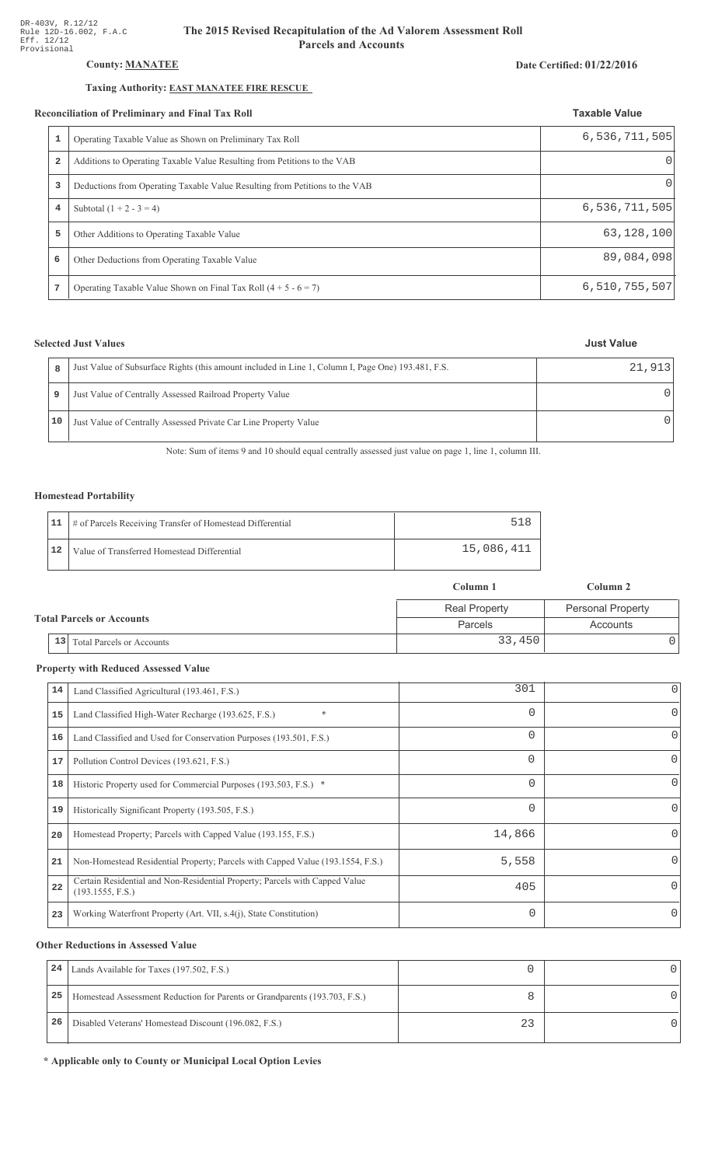## County: **MANATEE**

### Taxing Authority: **EAST MANATEE FIRE RESCUE**

#### Reconciliation of Preliminary and Final Tax Roll

|                | conciliation of Preliminary and Final Tax Roll                              | <b>Taxable Value</b> |
|----------------|-----------------------------------------------------------------------------|----------------------|
| 1              | Operating Taxable Value as Shown on Preliminary Tax Roll                    | 6,536,711,505        |
| $\overline{a}$ | Additions to Operating Taxable Value Resulting from Petitions to the VAB    | $\Omega$             |
| 3              | Deductions from Operating Taxable Value Resulting from Petitions to the VAB | $\Omega$             |
| 4              | Subtotal $(1 + 2 - 3 = 4)$                                                  | 6,536,711,505        |
| 5              | Other Additions to Operating Taxable Value                                  | 63,128,100           |
| 6              | Other Deductions from Operating Taxable Value                               | 89,084,098           |
| 7              | Operating Taxable Value Shown on Final Tax Roll $(4 + 5 - 6 = 7)$           | 6,510,755,507        |

## **Selected Just Values**

| R    | Just Value of Subsurface Rights (this amount included in Line 1, Column I, Page One) 193.481, F.S. | 21.913 |
|------|----------------------------------------------------------------------------------------------------|--------|
| 9    | Just Value of Centrally Assessed Railroad Property Value                                           |        |
| 10 I | Just Value of Centrally Assessed Private Car Line Property Value                                   |        |

Note: Sum of items 9 and 10 should equal centrally assessed just value on page 1, line 1, column III.

### Homestead Portability

|    | 11   # of Parcels Receiving Transfer of Homestead Differential |            |
|----|----------------------------------------------------------------|------------|
| 12 | Value of Transferred Homestead Differential                    | 15,086,411 |

|                                  | Column 1             | Column 2                 |
|----------------------------------|----------------------|--------------------------|
|                                  | <b>Real Property</b> | <b>Personal Property</b> |
| <b>Total Parcels or Accounts</b> | <b>Parcels</b>       | Accounts                 |
| $13$ Total Parcels or Accounts   | 33,450               |                          |

#### **Property with Reduced Assessed Value**

| 14 | Land Classified Agricultural (193.461, F.S.)                                                    | 301      | 0                |
|----|-------------------------------------------------------------------------------------------------|----------|------------------|
| 15 | *<br>Land Classified High-Water Recharge (193.625, F.S.)                                        | $\Omega$ | 0                |
| 16 | Land Classified and Used for Conservation Purposes (193.501, F.S.)                              | $\Omega$ | 0                |
| 17 | Pollution Control Devices (193.621, F.S.)                                                       | $\Omega$ | $\left( \right)$ |
| 18 | Historic Property used for Commercial Purposes (193.503, F.S.) *                                | $\Omega$ | O                |
| 19 | Historically Significant Property (193.505, F.S.)                                               | $\Omega$ | 0                |
| 20 | Homestead Property; Parcels with Capped Value (193.155, F.S.)                                   | 14,866   |                  |
| 21 | Non-Homestead Residential Property; Parcels with Capped Value (193.1554, F.S.)                  | 5,558    |                  |
| 22 | Certain Residential and Non-Residential Property; Parcels with Capped Value<br>(193.1555, F.S.) | 405      | 0                |
| 23 | Working Waterfront Property (Art. VII, s.4(j), State Constitution)                              | $\Omega$ |                  |

#### **Other Reductions in Assessed Value**

| 24 | Lands Available for Taxes (197.502, F.S.)                                  |  |
|----|----------------------------------------------------------------------------|--|
| 25 | Homestead Assessment Reduction for Parents or Grandparents (193.703, F.S.) |  |
| 26 | Disabled Veterans' Homestead Discount (196.082, F.S.)                      |  |

\* Applicable only to County or Municipal Local Option Levies

#### Date Certified: 01/22/2016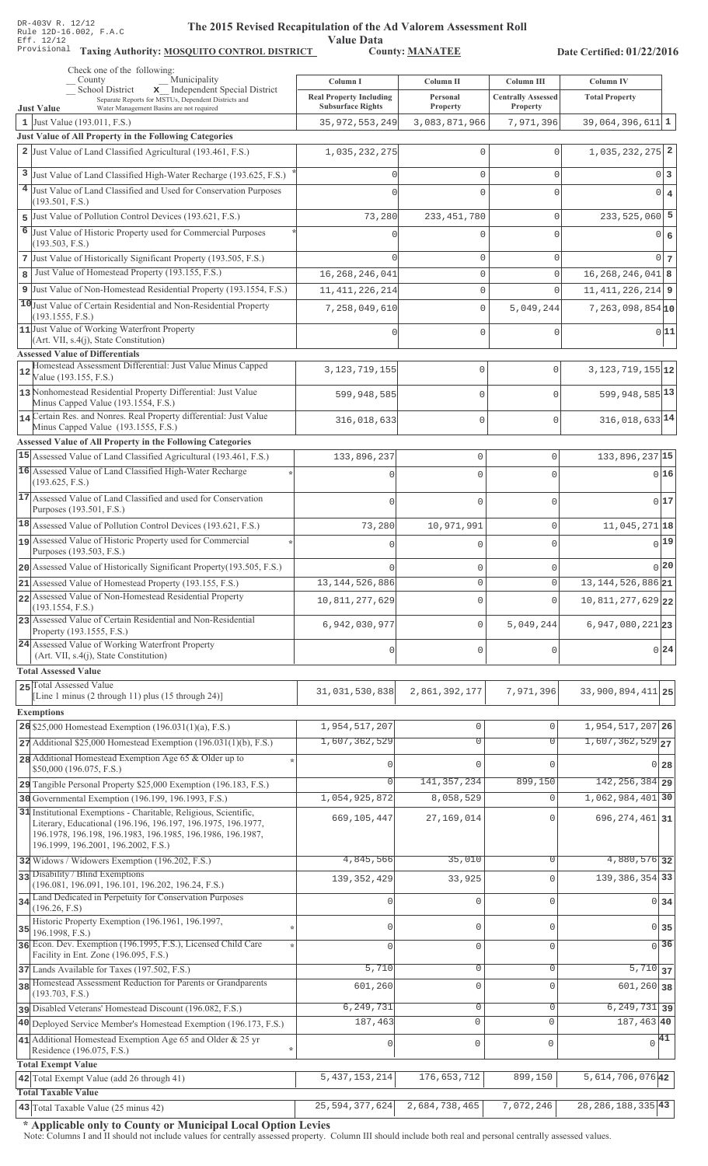Value Data<br>County: MANATEE Taxing Authority: **MOSQUITO CONTROL DISTRICT** County: **MANATEE** 

Date Certified: 01/22/2016

| Check one of the following:<br>Municipality<br>County                                                                                                                                                                                 | Column I                                                   | Column II            | Column III                            | Column IV                                         |  |
|---------------------------------------------------------------------------------------------------------------------------------------------------------------------------------------------------------------------------------------|------------------------------------------------------------|----------------------|---------------------------------------|---------------------------------------------------|--|
| School District<br>x Independent Special District<br>Separate Reports for MSTUs, Dependent Districts and<br><b>Just Value</b><br>Water Management Basins are not required                                                             | <b>Real Property Including</b><br><b>Subsurface Rights</b> | Personal<br>Property | <b>Centrally Assessed</b><br>Property | <b>Total Property</b>                             |  |
| 1 Just Value (193.011, F.S.)                                                                                                                                                                                                          | 35, 972, 553, 249                                          | 3,083,871,966        | 7,971,396                             | $39,064,396,611$ 1                                |  |
| Just Value of All Property in the Following Categories                                                                                                                                                                                |                                                            |                      |                                       |                                                   |  |
| 2 Just Value of Land Classified Agricultural (193.461, F.S.)                                                                                                                                                                          | 1,035,232,275                                              | 0                    | $\Omega$                              | $1,035,232,275$ 2                                 |  |
| 3 Just Value of Land Classified High-Water Recharge (193.625, F.S.)                                                                                                                                                                   |                                                            | 0                    | $\mathbf 0$                           | 0 <sup>3</sup>                                    |  |
| 4 Just Value of Land Classified and Used for Conservation Purposes                                                                                                                                                                    |                                                            | $\Omega$             | $\cap$                                | $0 \mid 4$                                        |  |
| (193.501, F.S.)                                                                                                                                                                                                                       |                                                            |                      |                                       |                                                   |  |
| 5 Just Value of Pollution Control Devices (193.621, F.S.)                                                                                                                                                                             | 73,280                                                     | 233, 451, 780        | $\mathbf 0$                           | $233,525,060$ 5                                   |  |
| 6<br>Just Value of Historic Property used for Commercial Purposes<br>(193.503, F.S.)                                                                                                                                                  |                                                            | 0                    | U                                     | $0 \mid 6$                                        |  |
| 7 Just Value of Historically Significant Property (193.505, F.S.)                                                                                                                                                                     |                                                            | 0                    | $\mathbf 0$                           | $0\vert 7$                                        |  |
| Just Value of Homestead Property (193.155, F.S.)<br>8                                                                                                                                                                                 | 16, 268, 246, 041                                          | $\mathbf 0$          | $\mathbf 0$                           | $16, 268, 246, 041$ 8                             |  |
| 9 Just Value of Non-Homestead Residential Property (193.1554, F.S.)                                                                                                                                                                   | 11, 411, 226, 214                                          | 0                    | $\Omega$                              | $11,411,226,214$ 9                                |  |
| 10 Just Value of Certain Residential and Non-Residential Property                                                                                                                                                                     | 7,258,049,610                                              | 0                    | 5,049,244                             | $7,263,098,854$ <sup>10</sup>                     |  |
| (193.1555, F.S.)<br>11 Just Value of Working Waterfront Property<br>(Art. VII, s.4(j), State Constitution)                                                                                                                            |                                                            | $\Omega$             | $\Omega$                              | 0 11                                              |  |
| <b>Assessed Value of Differentials</b><br>Homestead Assessment Differential: Just Value Minus Capped                                                                                                                                  |                                                            |                      |                                       |                                                   |  |
| 12<br>Value (193.155, F.S.)                                                                                                                                                                                                           | 3, 123, 719, 155                                           | $\mathbf 0$          | 0                                     | $3,123,719,155$ <sup>12</sup>                     |  |
| 13 Nonhomestead Residential Property Differential: Just Value<br>Minus Capped Value (193.1554, F.S.)                                                                                                                                  | 599,948,585                                                | 0                    | 0                                     | 599, 948, 585 13                                  |  |
| 14 Certain Res. and Nonres. Real Property differential: Just Value<br>Minus Capped Value (193.1555, F.S.)                                                                                                                             | 316,018,633                                                | 0                    | $\mathbf 0$                           | 316, 018, 633 14                                  |  |
| Assessed Value of All Property in the Following Categories                                                                                                                                                                            |                                                            |                      |                                       |                                                   |  |
| 15 Assessed Value of Land Classified Agricultural (193.461, F.S.)                                                                                                                                                                     | 133,896,237                                                | $\mathbb O$          | 0                                     | 133,896,237 15                                    |  |
| 16 Assessed Value of Land Classified High-Water Recharge                                                                                                                                                                              |                                                            | $\Omega$             | $\Omega$                              | 0 16                                              |  |
| (193.625, F.S.)<br>17 Assessed Value of Land Classified and used for Conservation                                                                                                                                                     |                                                            |                      |                                       |                                                   |  |
| Purposes (193.501, F.S.)                                                                                                                                                                                                              |                                                            | $\Omega$             | 0                                     | 017                                               |  |
| $18$ Assessed Value of Pollution Control Devices (193.621, F.S.)                                                                                                                                                                      | 73,280                                                     | 10,971,991           | 0                                     | 11,045,271 18                                     |  |
| 19 Assessed Value of Historic Property used for Commercial<br>Purposes (193.503, F.S.)                                                                                                                                                |                                                            | $\Omega$             | 0                                     | 0 19                                              |  |
| 20 Assessed Value of Historically Significant Property (193.505, F.S.)                                                                                                                                                                |                                                            | $\mathbf{0}$         | 0                                     | 0 20                                              |  |
| 21 Assessed Value of Homestead Property (193.155, F.S.)                                                                                                                                                                               | 13, 144, 526, 886                                          | $\mathbf 0$          | 0                                     | 13, 144, 526, 886 21                              |  |
| 22 Assessed Value of Non-Homestead Residential Property                                                                                                                                                                               | 10,811,277,629                                             | $\mathbf 0$          | 0                                     | 10,811,277,629 22                                 |  |
| (193.1554, F.S.)<br>23 Assessed Value of Certain Residential and Non-Residential                                                                                                                                                      | 6,942,030,977                                              | $\mathbf{0}$         | 5,049,244                             | $6,947,080,221$ 23                                |  |
| Property (193.1555, F.S.)<br>24 Assessed Value of Working Waterfront Property                                                                                                                                                         | $\sqrt{ }$                                                 | $\Omega$             |                                       | 0 24                                              |  |
| (Art. VII, s.4(j), State Constitution)<br><b>Total Assessed Value</b>                                                                                                                                                                 |                                                            |                      | 0                                     |                                                   |  |
| 25 Total Assessed Value                                                                                                                                                                                                               | 31,031,530,838                                             | 2,861,392,177        | 7,971,396                             | 33,900,894,411 25                                 |  |
| [Line 1 minus (2 through 11) plus (15 through 24)]                                                                                                                                                                                    |                                                            |                      |                                       |                                                   |  |
| <b>Exemptions</b>                                                                                                                                                                                                                     |                                                            |                      |                                       |                                                   |  |
| 26 \$25,000 Homestead Exemption $(196.031(1)(a), F.S.)$                                                                                                                                                                               | 1,954,517,207<br>1,607,362,529                             | 0<br>$\overline{0}$  | 0<br>$\Omega$                         | 1,954,517,207 26<br>$1,607,362,529$ <sub>27</sub> |  |
| $27$ Additional \$25,000 Homestead Exemption (196.031(1)(b), F.S.)                                                                                                                                                                    |                                                            |                      |                                       |                                                   |  |
| 28 Additional Homestead Exemption Age 65 & Older up to<br>\$50,000 (196.075, F.S.)                                                                                                                                                    |                                                            | $\Omega$             |                                       | $0\,$ 28                                          |  |
| 29 Tangible Personal Property \$25,000 Exemption (196.183, F.S.)                                                                                                                                                                      | O                                                          | 141, 357, 234        | 899,150                               | 142, 256, 384 29                                  |  |
| 30 Governmental Exemption (196.199, 196.1993, F.S.)                                                                                                                                                                                   | 1,054,925,872                                              | 8,058,529            | $\Omega$                              | 1,062,984,401 30                                  |  |
| 31 Institutional Exemptions - Charitable, Religious, Scientific,<br>Literary, Educational (196.196, 196.197, 196.1975, 196.1977,<br>196.1978, 196.198, 196.1983, 196.1985, 196.1986, 196.1987,<br>196.1999, 196.2001, 196.2002, F.S.) | 669,105,447                                                | 27,169,014           |                                       | 696, 274, 461 31                                  |  |
| 32 Widows / Widowers Exemption (196.202, F.S.)                                                                                                                                                                                        | 4,845,566                                                  | 35,010               | O                                     | 4,880,576 32                                      |  |
| 33 Disability / Blind Exemptions<br>(196.081, 196.091, 196.101, 196.202, 196.24, F.S.)                                                                                                                                                | 139, 352, 429                                              | 33,925               | $\mathbf 0$                           | 139, 386, 354 33                                  |  |
| 34 Land Dedicated in Perpetuity for Conservation Purposes                                                                                                                                                                             |                                                            | 0                    | O                                     | $0 \overline{\smash{34}}$                         |  |
| (196.26, F.S)<br>Historic Property Exemption (196.1961, 196.1997,                                                                                                                                                                     |                                                            |                      |                                       |                                                   |  |
| 35<br>196.1998, F.S.)                                                                                                                                                                                                                 | 0                                                          | 0                    | O                                     | $0 \overline{\smash{35}}$                         |  |
| 36 Econ. Dev. Exemption (196.1995, F.S.), Licensed Child Care<br>Facility in Ent. Zone (196.095, F.S.)                                                                                                                                | $\Omega$                                                   | $\overline{0}$       | $\mathbf 0$                           | $\overline{0}$ 36                                 |  |
| 37 Lands Available for Taxes (197.502, F.S.)                                                                                                                                                                                          | 5,710                                                      | 0                    | $\mathbf{0}$                          | $\overline{5,710}$ 37                             |  |
| 38 Homestead Assessment Reduction for Parents or Grandparents<br>(193.703, F.S.)                                                                                                                                                      | 601,260                                                    | $\mathbf 0$          | $\mathbf 0$                           | $601, 260$ 38                                     |  |
| pisabled Veterans' Homestead Discount (196.082, F.S.)                                                                                                                                                                                 | 6, 249, 731                                                | 0                    | $\mathbf 0$                           | $\overline{6,249,731}$ 39                         |  |
| 40 Deployed Service Member's Homestead Exemption (196.173, F.S.)                                                                                                                                                                      | 187,463                                                    | $\circ$              | $\Omega$                              | 187,463 40                                        |  |
| 41 Additional Homestead Exemption Age 65 and Older & 25 yr<br>Residence (196.075, F.S.)                                                                                                                                               | 0                                                          | $\circ$              | $\mathbf 0$                           | $\sqrt{41}$                                       |  |
| <b>Total Exempt Value</b>                                                                                                                                                                                                             |                                                            |                      |                                       |                                                   |  |
| 42 Total Exempt Value (add 26 through 41)                                                                                                                                                                                             | 5, 437, 153, 214                                           | 176,653,712          | 899,150                               | $5,614,706,076$ 42                                |  |
| <b>Total Taxable Value</b>                                                                                                                                                                                                            |                                                            |                      |                                       |                                                   |  |
| 43 Total Taxable Value (25 minus 42)                                                                                                                                                                                                  | 25, 594, 377, 624                                          | 2,684,738,465        | 7,072,246                             | 28, 286, 188, 335 43                              |  |

\* Applicable only to County or Municipal Local Option Levies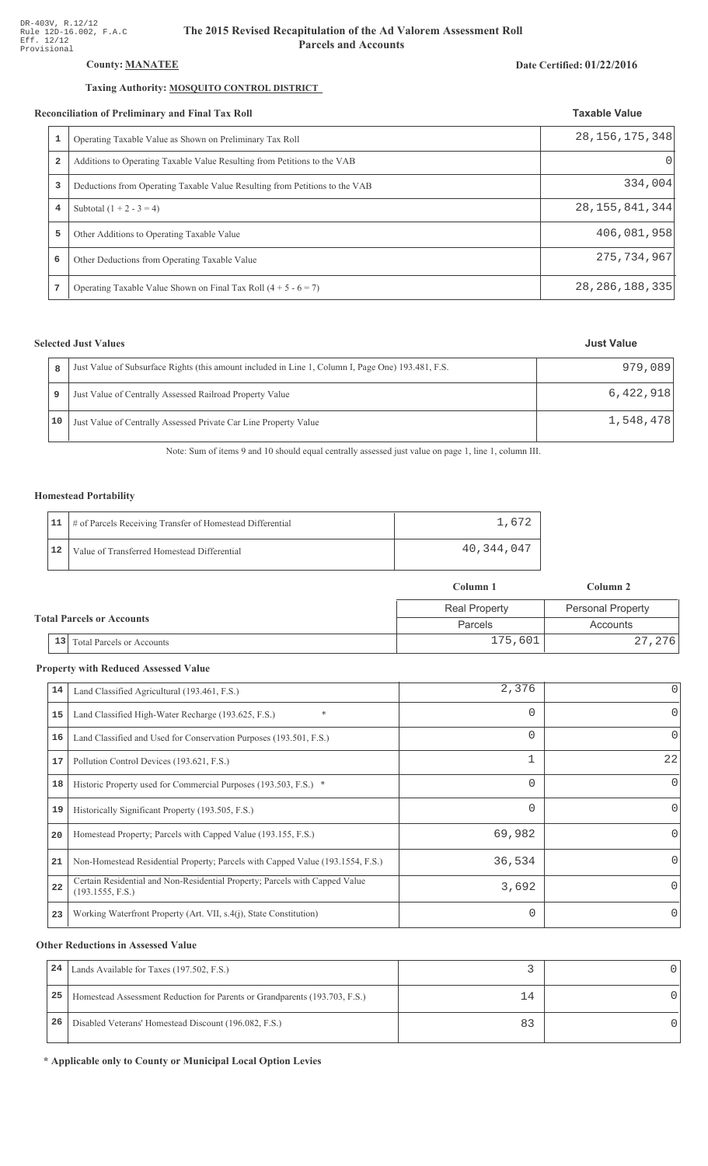## County: **MANATEE**

## Taxing Authority: **MOSQUITO CONTROL DISTRICT**

#### Reconciliation of Preliminary and Final Tax Roll

|                | conciliation of Preliminary and Final Tax Roll                              | <b>Taxable Value</b> |
|----------------|-----------------------------------------------------------------------------|----------------------|
| 1              | Operating Taxable Value as Shown on Preliminary Tax Roll                    | 28, 156, 175, 348    |
| $\overline{a}$ | Additions to Operating Taxable Value Resulting from Petitions to the VAB    | $\Omega$             |
| 3              | Deductions from Operating Taxable Value Resulting from Petitions to the VAB | 334,004              |
| 4              | Subtotal $(1 + 2 - 3 = 4)$                                                  | 28, 155, 841, 344    |
| 5              | Other Additions to Operating Taxable Value                                  | 406,081,958          |
| 6              | Other Deductions from Operating Taxable Value                               | 275, 734, 967        |
|                | Operating Taxable Value Shown on Final Tax Roll $(4 + 5 - 6 = 7)$           | 28, 286, 188, 335    |

## **Selected Just Values**

|    | Just Value of Subsurface Rights (this amount included in Line 1, Column I, Page One) 193.481, F.S. | 979,089   |
|----|----------------------------------------------------------------------------------------------------|-----------|
|    | Just Value of Centrally Assessed Railroad Property Value                                           | 6,422,918 |
| 10 | Just Value of Centrally Assessed Private Car Line Property Value                                   | 1,548,478 |

Note: Sum of items 9 and 10 should equal centrally assessed just value on page 1, line 1, column III.

### Homestead Portability

|    | 11   # of Parcels Receiving Transfer of Homestead Differential | .612       |
|----|----------------------------------------------------------------|------------|
| 12 | Value of Transferred Homestead Differential                    | 40,344,047 |

|  |                                  |                                  | Column 1             | Column 2                 |
|--|----------------------------------|----------------------------------|----------------------|--------------------------|
|  | <b>Total Parcels or Accounts</b> |                                  | <b>Real Property</b> | <b>Personal Property</b> |
|  |                                  |                                  | Parcels              | Accounts                 |
|  | 13                               | <b>Total Parcels or Accounts</b> | 175,601              | 27,276                   |

#### **Property with Reduced Assessed Value**

| 14 | Land Classified Agricultural (193.461, F.S.)                                                    | 2,376    |          |
|----|-------------------------------------------------------------------------------------------------|----------|----------|
| 15 | $\ast$<br>Land Classified High-Water Recharge (193.625, F.S.)                                   | 0        | $\Omega$ |
| 16 | Land Classified and Used for Conservation Purposes (193.501, F.S.)                              | $\Omega$ | 0        |
| 17 | Pollution Control Devices (193.621, F.S.)                                                       | 1        | 22       |
| 18 | Historic Property used for Commercial Purposes (193.503, F.S.) *                                | 0        | $\Omega$ |
| 19 | Historically Significant Property (193.505, F.S.)                                               | 0        | $\Omega$ |
| 20 | Homestead Property; Parcels with Capped Value (193.155, F.S.)                                   | 69,982   |          |
| 21 | Non-Homestead Residential Property; Parcels with Capped Value (193.1554, F.S.)                  | 36,534   |          |
| 22 | Certain Residential and Non-Residential Property; Parcels with Capped Value<br>(193.1555, F.S.) | 3,692    | $\Omega$ |
| 23 | Working Waterfront Property (Art. VII, s.4(j), State Constitution)                              | $\Omega$ | $\Omega$ |

#### **Other Reductions in Assessed Value**

| 24 | Lands Available for Taxes (197.502, F.S.)                                  |    |  |
|----|----------------------------------------------------------------------------|----|--|
| 25 | Homestead Assessment Reduction for Parents or Grandparents (193.703, F.S.) | 14 |  |
| 26 | Disabled Veterans' Homestead Discount (196.082, F.S.)                      |    |  |

\* Applicable only to County or Municipal Local Option Levies

## Date Certified: 01/22/2016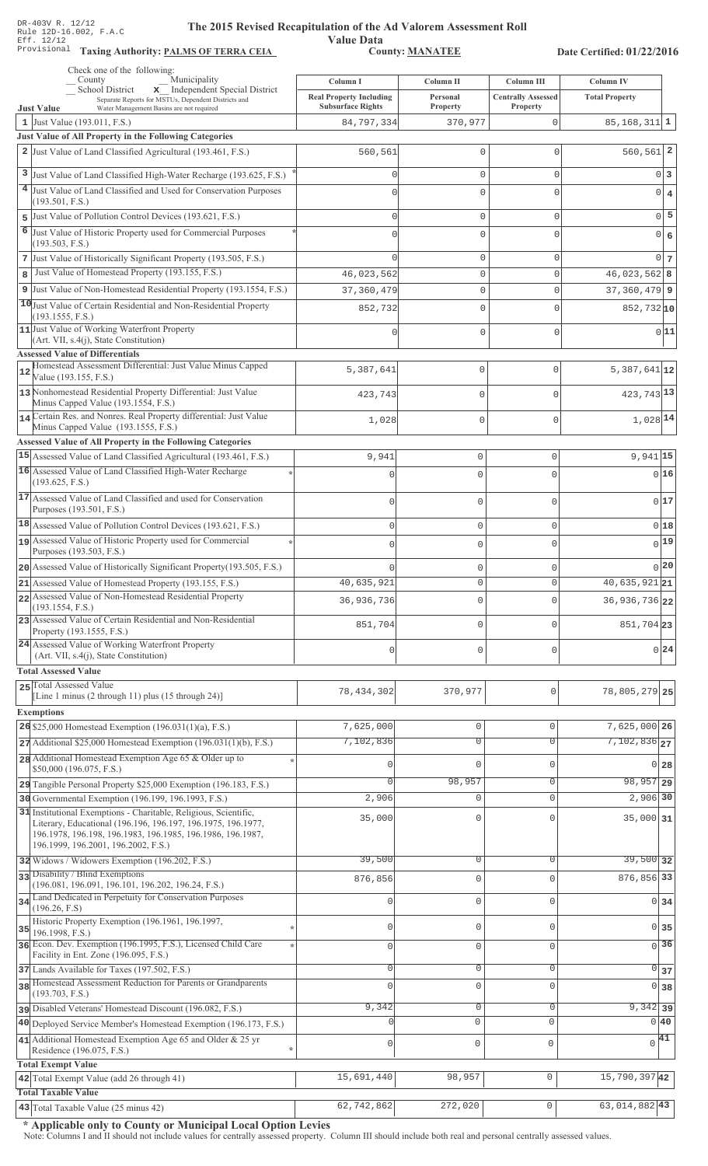Value Data<br>County: MANATEE

Taxing Authority: PALMS OF TERRA CEIA COUNTY: MANATEE

Date Certified: 01/22/2016

| School District<br>x Independent Special District<br><b>Real Property Including</b><br><b>Centrally Assessed</b><br><b>Total Property</b><br>Personal<br>Separate Reports for MSTUs, Dependent Districts and<br><b>Subsurface Rights</b><br><b>Property</b><br>Property<br><b>Just Value</b><br>Water Management Basins are not required<br>1 Just Value $(193.011, F.S.)$<br>84,797,334<br>0<br>370,977<br>$85, 168, 311$ 1<br><b>Just Value of All Property in the Following Categories</b><br>$560, 561$ 2<br>2 Just Value of Land Classified Agricultural (193.461, F.S.)<br>560,561<br>$\mathbf{0}$<br>O<br>3<br>Just Value of Land Classified High-Water Recharge (193.625, F.S.)<br>$0\vert 3$<br>$\mathbf{0}$<br>$\mathbf{0}$<br>$\Omega$<br>4 Just Value of Land Classified and Used for Conservation Purposes<br>$0 \mid 4$<br>$\Omega$<br>$\mathbf{0}$<br>$\Omega$<br>(193.501, F.S.)<br>$0\overline{5}$<br>Just Value of Pollution Control Devices (193.621, F.S.)<br>$\mathbf{0}$<br>$\mathsf{O}\xspace$<br>$\Omega$<br>5<br>6<br>Just Value of Historic Property used for Commercial Purposes<br>0 6<br>$\Omega$<br>$\Omega$<br>$\Omega$<br>(193.503, F.S.)<br>7 Just Value of Historically Significant Property (193.505, F.S.)<br>$\mathbf{0}$<br>$\mathbf{0}$<br>$\Omega$<br>Just Value of Homestead Property (193.155, F.S.)<br>46,023,562<br>8<br>$\mathbf 0$<br>$\Omega$<br>9 Just Value of Non-Homestead Residential Property (193.1554, F.S.)<br>$\mathbf 0$<br>37,360,479<br>$\mathbf{0}$<br>10 Just Value of Certain Residential and Non-Residential Property<br>852,732<br>$\Omega$<br>$\Omega$<br>(193.1555, F.S.)<br>11 Just Value of Working Waterfront Property<br>$\Omega$<br>$\mathbf{0}$<br>$\Omega$<br>(Art. VII, s.4(j), State Constitution)<br><b>Assessed Value of Differentials</b><br>Homestead Assessment Differential: Just Value Minus Capped<br>5,387,641<br>0<br>$\mathbf{0}$<br>12<br>Value (193.155, F.S.)<br>13 Nonhomestead Residential Property Differential: Just Value<br>423,743<br>0<br>$\bigcap$<br>Minus Capped Value (193.1554, F.S.)<br>14 Certain Res. and Nonres. Real Property differential: Just Value<br>1,028<br>0<br>$\Omega$<br>Minus Capped Value (193.1555, F.S.)<br>Assessed Value of All Property in the Following Categories<br>15 Assessed Value of Land Classified Agricultural (193.461, F.S.)<br>$9,941$ 15<br>9,941<br>$\mathbf 0$<br>$\mathbf 0$<br>16 Assessed Value of Land Classified High-Water Recharge<br>0 16<br>$\Omega$<br>$\Omega$<br>(193.625, F.S.)<br>17 Assessed Value of Land Classified and used for Conservation<br>0 17<br>$\Omega$<br>$\Omega$<br>$\Omega$<br>Purposes (193.501, F.S.)<br>18 Assessed Value of Pollution Control Devices (193.621, F.S.)<br>0 18<br>$\mathbf 0$<br>$\mathbf 0$<br>$\Omega$<br>19 Assessed Value of Historic Property used for Commercial<br>$0$ <sup>19</sup><br>$\mathbf 0$<br>$\Omega$<br>Purposes (193.503, F.S.)<br>0 20<br>20 Assessed Value of Historically Significant Property (193.505, F.S.)<br>$\mathbf 0$<br>$\mathbf 0$<br>$40,635,921$ 21<br>40,635,921<br>21 Assessed Value of Homestead Property (193.155, F.S.)<br>$\mathsf 0$<br>0<br>22 Assessed Value of Non-Homestead Residential Property<br>36, 936, 736 22<br>36,936,736<br>$\mathbf 0$<br>$\Omega$<br>(193.1554, F.S.)<br>23 Assessed Value of Certain Residential and Non-Residential<br>851,704<br>$\mathbf 0$<br>851,704 23<br>$\Omega$<br>Property (193.1555, F.S.)<br>24 Assessed Value of Working Waterfront Property<br>0 24<br>$\mathbf 0$<br>$\mathbf 0$<br>$\Omega$<br>(Art. VII, s.4(j), State Constitution)<br><b>Total Assessed Value</b><br>25 Total Assessed Value<br>78,805,279 25<br>78, 434, 302<br>370,977<br>0<br>[Line 1 minus (2 through 11) plus (15 through 24)]<br><b>Exemptions</b><br>26 \$25,000 Homestead Exemption $(196.031(1)(a), F.S.)$<br>7,625,000 26<br>7,625,000<br>$\mathsf{O}\xspace$<br>$\Omega$<br>$7,102,836$ <sub>27</sub><br>7,102,836<br>$\overline{0}$<br>$\overline{0}$<br>$27$ Additional \$25,000 Homestead Exemption (196.031(1)(b), F.S.)<br>28 Additional Homestead Exemption Age 65 & Older up to<br>$\mathbf 0$<br>$\mathbf{0}$<br>$\mathbf{0}$<br>0 28<br>\$50,000 (196.075, F.S.)<br>$98,957$ 29<br>98,957<br>$\Omega$<br>$\mathbf 0$<br>29 Tangible Personal Property \$25,000 Exemption (196.183, F.S.)<br>2,906 30<br>30 Governmental Exemption (196.199, 196.1993, F.S.)<br>2,906<br>$\mathbf{0}$<br>$\Omega$<br>31 Institutional Exemptions - Charitable, Religious, Scientific,<br>35,000<br>$35,000$ 31<br>$\Omega$<br>0<br>Literary, Educational (196.196, 196.197, 196.1975, 196.1977,<br>196.1978, 196.198, 196.1983, 196.1985, 196.1986, 196.1987,<br>196.1999, 196.2001, 196.2002, F.S.)<br>39,500<br>39,500 32<br>0<br>0<br>32 Widows / Widowers Exemption (196.202, F.S.)<br>33 Disability / Blind Exemptions<br>876,856 33<br>876,856<br>$\mathbf{0}$<br>$\Omega$<br>(196.081, 196.091, 196.101, 196.202, 196.24, F.S.)<br>34 Land Dedicated in Perpetuity for Conservation Purposes<br>$\mathbf{0}$<br>$\Omega$<br>$0 \overline{\smash{34}}$<br>$\mathbf 0$<br>(196.26, F.S)<br>Historic Property Exemption (196.1961, 196.1997,<br>$\mathbf 0$<br>$0\overline{35}$<br>$\mathbf 0$<br>$\mathbf{0}$<br>35<br>196.1998, F.S.)<br>36 Econ. Dev. Exemption (196.1995, F.S.), Licensed Child Care<br>$\sqrt{36}$<br>$\mathbf 0$<br>$\mathbf{0}$<br>$\Omega$<br>Facility in Ent. Zone (196.095, F.S.)<br>$\mathsf{O}\xspace$<br>$\mathbf{0}$<br>$0 \overline{\smash{\big)}\ 37}$<br>$\mathbf 0$<br>37 Lands Available for Taxes (197.502, F.S.)<br>38 Homestead Assessment Reduction for Parents or Grandparents<br>$\mathbf 0$<br>$\Omega$<br>$\mathbf{0}$<br>0 38<br>(193.703, F.S.)<br>9,342<br>$9,342$ 39<br>0<br>0<br>pisabled Veterans' Homestead Discount (196.082, F.S.)<br>$\Omega$<br>0 40<br>$\mathbf{0}$<br>40 Deployed Service Member's Homestead Exemption (196.173, F.S.)<br>41 Additional Homestead Exemption Age 65 and Older & 25 yr<br>41<br>$\Omega$<br>$\mathsf 0$<br>$\mathbf 0$<br>$\mathbf{0}$<br>Residence (196.075, F.S.)<br><b>Total Exempt Value</b><br>15,790,39742<br>15,691,440<br>$\mathsf{O}\xspace$<br>42 Total Exempt Value (add 26 through 41)<br>98,957<br><b>Total Taxable Value</b><br>43 Total Taxable Value (25 minus 42)<br>62,742,862<br>272,020<br>0<br>63,014,882 43 | Check one of the following:<br>Municipality<br>County | Column I | Column II | Column III | <b>Column IV</b> |
|--------------------------------------------------------------------------------------------------------------------------------------------------------------------------------------------------------------------------------------------------------------------------------------------------------------------------------------------------------------------------------------------------------------------------------------------------------------------------------------------------------------------------------------------------------------------------------------------------------------------------------------------------------------------------------------------------------------------------------------------------------------------------------------------------------------------------------------------------------------------------------------------------------------------------------------------------------------------------------------------------------------------------------------------------------------------------------------------------------------------------------------------------------------------------------------------------------------------------------------------------------------------------------------------------------------------------------------------------------------------------------------------------------------------------------------------------------------------------------------------------------------------------------------------------------------------------------------------------------------------------------------------------------------------------------------------------------------------------------------------------------------------------------------------------------------------------------------------------------------------------------------------------------------------------------------------------------------------------------------------------------------------------------------------------------------------------------------------------------------------------------------------------------------------------------------------------------------------------------------------------------------------------------------------------------------------------------------------------------------------------------------------------------------------------------------------------------------------------------------------------------------------------------------------------------------------------------------------------------------------------------------------------------------------------------------------------------------------------------------------------------------------------------------------------------------------------------------------------------------------------------------------------------------------------------------------------------------------------------------------------------------------------------------------------------------------------------------------------------------------------------------------------------------------------------------------------------------------------------------------------------------------------------------------------------------------------------------------------------------------------------------------------------------------------------------------------------------------------------------------------------------------------------------------------------------------------------------------------------------------------------------------------------------------------------------------------------------------------------------------------------------------------------------------------------------------------------------------------------------------------------------------------------------------------------------------------------------------------------------------------------------------------------------------------------------------------------------------------------------------------------------------------------------------------------------------------------------------------------------------------------------------------------------------------------------------------------------------------------------------------------------------------------------------------------------------------------------------------------------------------------------------------------------------------------------------------------------------------------------------------------------------------------------------------------------------------------------------------------------------------------------------------------------------------------------------------------------------------------------------------------------------------------------------------------------------------------------------------------------------------------------------------------------------------------------------------------------------------------------------------------------------------------------------------------------------------------------------------------------------------------------------------------------------------------------------------------------------------------------------------------------------------------------------------------------------------------------------------------------------------------------------------------------------------------------------------------------------------------------------------------------------------------------------------------------------------------------------------------------------------------------------------------------------------------------------------------------------------------------------------------------------------------------------------------------------------------------------------------------------------------------------------------------------------------------------------------------------------------------------------------------------------------------------------------------------------------------------------------------------------------------------------------------------------------------------------------------------------------------------------------------------|-------------------------------------------------------|----------|-----------|------------|------------------|
|                                                                                                                                                                                                                                                                                                                                                                                                                                                                                                                                                                                                                                                                                                                                                                                                                                                                                                                                                                                                                                                                                                                                                                                                                                                                                                                                                                                                                                                                                                                                                                                                                                                                                                                                                                                                                                                                                                                                                                                                                                                                                                                                                                                                                                                                                                                                                                                                                                                                                                                                                                                                                                                                                                                                                                                                                                                                                                                                                                                                                                                                                                                                                                                                                                                                                                                                                                                                                                                                                                                                                                                                                                                                                                                                                                                                                                                                                                                                                                                                                                                                                                                                                                                                                                                                                                                                                                                                                                                                                                                                                                                                                                                                                                                                                                                                                                                                                                                                                                                                                                                                                                                                                                                                                                                                                                                                                                                                                                                                                                                                                                                                                                                                                                                                                                                                                                                                                                                                                                                                                                                                                                                                                                                                                                                                                                                                                                                            |                                                       |          |           |            |                  |
| $0 \vert 7 \vert$<br>$46,023,562$ 8<br>$37,360,479$ 9<br>852,732 10<br>0 11 <br>$5,387,641$ 12<br>423, 743 13<br>$1,028$ <sup>14</sup>                                                                                                                                                                                                                                                                                                                                                                                                                                                                                                                                                                                                                                                                                                                                                                                                                                                                                                                                                                                                                                                                                                                                                                                                                                                                                                                                                                                                                                                                                                                                                                                                                                                                                                                                                                                                                                                                                                                                                                                                                                                                                                                                                                                                                                                                                                                                                                                                                                                                                                                                                                                                                                                                                                                                                                                                                                                                                                                                                                                                                                                                                                                                                                                                                                                                                                                                                                                                                                                                                                                                                                                                                                                                                                                                                                                                                                                                                                                                                                                                                                                                                                                                                                                                                                                                                                                                                                                                                                                                                                                                                                                                                                                                                                                                                                                                                                                                                                                                                                                                                                                                                                                                                                                                                                                                                                                                                                                                                                                                                                                                                                                                                                                                                                                                                                                                                                                                                                                                                                                                                                                                                                                                                                                                                                                     |                                                       |          |           |            |                  |
|                                                                                                                                                                                                                                                                                                                                                                                                                                                                                                                                                                                                                                                                                                                                                                                                                                                                                                                                                                                                                                                                                                                                                                                                                                                                                                                                                                                                                                                                                                                                                                                                                                                                                                                                                                                                                                                                                                                                                                                                                                                                                                                                                                                                                                                                                                                                                                                                                                                                                                                                                                                                                                                                                                                                                                                                                                                                                                                                                                                                                                                                                                                                                                                                                                                                                                                                                                                                                                                                                                                                                                                                                                                                                                                                                                                                                                                                                                                                                                                                                                                                                                                                                                                                                                                                                                                                                                                                                                                                                                                                                                                                                                                                                                                                                                                                                                                                                                                                                                                                                                                                                                                                                                                                                                                                                                                                                                                                                                                                                                                                                                                                                                                                                                                                                                                                                                                                                                                                                                                                                                                                                                                                                                                                                                                                                                                                                                                            |                                                       |          |           |            |                  |
|                                                                                                                                                                                                                                                                                                                                                                                                                                                                                                                                                                                                                                                                                                                                                                                                                                                                                                                                                                                                                                                                                                                                                                                                                                                                                                                                                                                                                                                                                                                                                                                                                                                                                                                                                                                                                                                                                                                                                                                                                                                                                                                                                                                                                                                                                                                                                                                                                                                                                                                                                                                                                                                                                                                                                                                                                                                                                                                                                                                                                                                                                                                                                                                                                                                                                                                                                                                                                                                                                                                                                                                                                                                                                                                                                                                                                                                                                                                                                                                                                                                                                                                                                                                                                                                                                                                                                                                                                                                                                                                                                                                                                                                                                                                                                                                                                                                                                                                                                                                                                                                                                                                                                                                                                                                                                                                                                                                                                                                                                                                                                                                                                                                                                                                                                                                                                                                                                                                                                                                                                                                                                                                                                                                                                                                                                                                                                                                            |                                                       |          |           |            |                  |
|                                                                                                                                                                                                                                                                                                                                                                                                                                                                                                                                                                                                                                                                                                                                                                                                                                                                                                                                                                                                                                                                                                                                                                                                                                                                                                                                                                                                                                                                                                                                                                                                                                                                                                                                                                                                                                                                                                                                                                                                                                                                                                                                                                                                                                                                                                                                                                                                                                                                                                                                                                                                                                                                                                                                                                                                                                                                                                                                                                                                                                                                                                                                                                                                                                                                                                                                                                                                                                                                                                                                                                                                                                                                                                                                                                                                                                                                                                                                                                                                                                                                                                                                                                                                                                                                                                                                                                                                                                                                                                                                                                                                                                                                                                                                                                                                                                                                                                                                                                                                                                                                                                                                                                                                                                                                                                                                                                                                                                                                                                                                                                                                                                                                                                                                                                                                                                                                                                                                                                                                                                                                                                                                                                                                                                                                                                                                                                                            |                                                       |          |           |            |                  |
|                                                                                                                                                                                                                                                                                                                                                                                                                                                                                                                                                                                                                                                                                                                                                                                                                                                                                                                                                                                                                                                                                                                                                                                                                                                                                                                                                                                                                                                                                                                                                                                                                                                                                                                                                                                                                                                                                                                                                                                                                                                                                                                                                                                                                                                                                                                                                                                                                                                                                                                                                                                                                                                                                                                                                                                                                                                                                                                                                                                                                                                                                                                                                                                                                                                                                                                                                                                                                                                                                                                                                                                                                                                                                                                                                                                                                                                                                                                                                                                                                                                                                                                                                                                                                                                                                                                                                                                                                                                                                                                                                                                                                                                                                                                                                                                                                                                                                                                                                                                                                                                                                                                                                                                                                                                                                                                                                                                                                                                                                                                                                                                                                                                                                                                                                                                                                                                                                                                                                                                                                                                                                                                                                                                                                                                                                                                                                                                            |                                                       |          |           |            |                  |
|                                                                                                                                                                                                                                                                                                                                                                                                                                                                                                                                                                                                                                                                                                                                                                                                                                                                                                                                                                                                                                                                                                                                                                                                                                                                                                                                                                                                                                                                                                                                                                                                                                                                                                                                                                                                                                                                                                                                                                                                                                                                                                                                                                                                                                                                                                                                                                                                                                                                                                                                                                                                                                                                                                                                                                                                                                                                                                                                                                                                                                                                                                                                                                                                                                                                                                                                                                                                                                                                                                                                                                                                                                                                                                                                                                                                                                                                                                                                                                                                                                                                                                                                                                                                                                                                                                                                                                                                                                                                                                                                                                                                                                                                                                                                                                                                                                                                                                                                                                                                                                                                                                                                                                                                                                                                                                                                                                                                                                                                                                                                                                                                                                                                                                                                                                                                                                                                                                                                                                                                                                                                                                                                                                                                                                                                                                                                                                                            |                                                       |          |           |            |                  |
|                                                                                                                                                                                                                                                                                                                                                                                                                                                                                                                                                                                                                                                                                                                                                                                                                                                                                                                                                                                                                                                                                                                                                                                                                                                                                                                                                                                                                                                                                                                                                                                                                                                                                                                                                                                                                                                                                                                                                                                                                                                                                                                                                                                                                                                                                                                                                                                                                                                                                                                                                                                                                                                                                                                                                                                                                                                                                                                                                                                                                                                                                                                                                                                                                                                                                                                                                                                                                                                                                                                                                                                                                                                                                                                                                                                                                                                                                                                                                                                                                                                                                                                                                                                                                                                                                                                                                                                                                                                                                                                                                                                                                                                                                                                                                                                                                                                                                                                                                                                                                                                                                                                                                                                                                                                                                                                                                                                                                                                                                                                                                                                                                                                                                                                                                                                                                                                                                                                                                                                                                                                                                                                                                                                                                                                                                                                                                                                            |                                                       |          |           |            |                  |
|                                                                                                                                                                                                                                                                                                                                                                                                                                                                                                                                                                                                                                                                                                                                                                                                                                                                                                                                                                                                                                                                                                                                                                                                                                                                                                                                                                                                                                                                                                                                                                                                                                                                                                                                                                                                                                                                                                                                                                                                                                                                                                                                                                                                                                                                                                                                                                                                                                                                                                                                                                                                                                                                                                                                                                                                                                                                                                                                                                                                                                                                                                                                                                                                                                                                                                                                                                                                                                                                                                                                                                                                                                                                                                                                                                                                                                                                                                                                                                                                                                                                                                                                                                                                                                                                                                                                                                                                                                                                                                                                                                                                                                                                                                                                                                                                                                                                                                                                                                                                                                                                                                                                                                                                                                                                                                                                                                                                                                                                                                                                                                                                                                                                                                                                                                                                                                                                                                                                                                                                                                                                                                                                                                                                                                                                                                                                                                                            |                                                       |          |           |            |                  |
|                                                                                                                                                                                                                                                                                                                                                                                                                                                                                                                                                                                                                                                                                                                                                                                                                                                                                                                                                                                                                                                                                                                                                                                                                                                                                                                                                                                                                                                                                                                                                                                                                                                                                                                                                                                                                                                                                                                                                                                                                                                                                                                                                                                                                                                                                                                                                                                                                                                                                                                                                                                                                                                                                                                                                                                                                                                                                                                                                                                                                                                                                                                                                                                                                                                                                                                                                                                                                                                                                                                                                                                                                                                                                                                                                                                                                                                                                                                                                                                                                                                                                                                                                                                                                                                                                                                                                                                                                                                                                                                                                                                                                                                                                                                                                                                                                                                                                                                                                                                                                                                                                                                                                                                                                                                                                                                                                                                                                                                                                                                                                                                                                                                                                                                                                                                                                                                                                                                                                                                                                                                                                                                                                                                                                                                                                                                                                                                            |                                                       |          |           |            |                  |
|                                                                                                                                                                                                                                                                                                                                                                                                                                                                                                                                                                                                                                                                                                                                                                                                                                                                                                                                                                                                                                                                                                                                                                                                                                                                                                                                                                                                                                                                                                                                                                                                                                                                                                                                                                                                                                                                                                                                                                                                                                                                                                                                                                                                                                                                                                                                                                                                                                                                                                                                                                                                                                                                                                                                                                                                                                                                                                                                                                                                                                                                                                                                                                                                                                                                                                                                                                                                                                                                                                                                                                                                                                                                                                                                                                                                                                                                                                                                                                                                                                                                                                                                                                                                                                                                                                                                                                                                                                                                                                                                                                                                                                                                                                                                                                                                                                                                                                                                                                                                                                                                                                                                                                                                                                                                                                                                                                                                                                                                                                                                                                                                                                                                                                                                                                                                                                                                                                                                                                                                                                                                                                                                                                                                                                                                                                                                                                                            |                                                       |          |           |            |                  |
|                                                                                                                                                                                                                                                                                                                                                                                                                                                                                                                                                                                                                                                                                                                                                                                                                                                                                                                                                                                                                                                                                                                                                                                                                                                                                                                                                                                                                                                                                                                                                                                                                                                                                                                                                                                                                                                                                                                                                                                                                                                                                                                                                                                                                                                                                                                                                                                                                                                                                                                                                                                                                                                                                                                                                                                                                                                                                                                                                                                                                                                                                                                                                                                                                                                                                                                                                                                                                                                                                                                                                                                                                                                                                                                                                                                                                                                                                                                                                                                                                                                                                                                                                                                                                                                                                                                                                                                                                                                                                                                                                                                                                                                                                                                                                                                                                                                                                                                                                                                                                                                                                                                                                                                                                                                                                                                                                                                                                                                                                                                                                                                                                                                                                                                                                                                                                                                                                                                                                                                                                                                                                                                                                                                                                                                                                                                                                                                            |                                                       |          |           |            |                  |
|                                                                                                                                                                                                                                                                                                                                                                                                                                                                                                                                                                                                                                                                                                                                                                                                                                                                                                                                                                                                                                                                                                                                                                                                                                                                                                                                                                                                                                                                                                                                                                                                                                                                                                                                                                                                                                                                                                                                                                                                                                                                                                                                                                                                                                                                                                                                                                                                                                                                                                                                                                                                                                                                                                                                                                                                                                                                                                                                                                                                                                                                                                                                                                                                                                                                                                                                                                                                                                                                                                                                                                                                                                                                                                                                                                                                                                                                                                                                                                                                                                                                                                                                                                                                                                                                                                                                                                                                                                                                                                                                                                                                                                                                                                                                                                                                                                                                                                                                                                                                                                                                                                                                                                                                                                                                                                                                                                                                                                                                                                                                                                                                                                                                                                                                                                                                                                                                                                                                                                                                                                                                                                                                                                                                                                                                                                                                                                                            |                                                       |          |           |            |                  |
|                                                                                                                                                                                                                                                                                                                                                                                                                                                                                                                                                                                                                                                                                                                                                                                                                                                                                                                                                                                                                                                                                                                                                                                                                                                                                                                                                                                                                                                                                                                                                                                                                                                                                                                                                                                                                                                                                                                                                                                                                                                                                                                                                                                                                                                                                                                                                                                                                                                                                                                                                                                                                                                                                                                                                                                                                                                                                                                                                                                                                                                                                                                                                                                                                                                                                                                                                                                                                                                                                                                                                                                                                                                                                                                                                                                                                                                                                                                                                                                                                                                                                                                                                                                                                                                                                                                                                                                                                                                                                                                                                                                                                                                                                                                                                                                                                                                                                                                                                                                                                                                                                                                                                                                                                                                                                                                                                                                                                                                                                                                                                                                                                                                                                                                                                                                                                                                                                                                                                                                                                                                                                                                                                                                                                                                                                                                                                                                            |                                                       |          |           |            |                  |
|                                                                                                                                                                                                                                                                                                                                                                                                                                                                                                                                                                                                                                                                                                                                                                                                                                                                                                                                                                                                                                                                                                                                                                                                                                                                                                                                                                                                                                                                                                                                                                                                                                                                                                                                                                                                                                                                                                                                                                                                                                                                                                                                                                                                                                                                                                                                                                                                                                                                                                                                                                                                                                                                                                                                                                                                                                                                                                                                                                                                                                                                                                                                                                                                                                                                                                                                                                                                                                                                                                                                                                                                                                                                                                                                                                                                                                                                                                                                                                                                                                                                                                                                                                                                                                                                                                                                                                                                                                                                                                                                                                                                                                                                                                                                                                                                                                                                                                                                                                                                                                                                                                                                                                                                                                                                                                                                                                                                                                                                                                                                                                                                                                                                                                                                                                                                                                                                                                                                                                                                                                                                                                                                                                                                                                                                                                                                                                                            |                                                       |          |           |            |                  |
|                                                                                                                                                                                                                                                                                                                                                                                                                                                                                                                                                                                                                                                                                                                                                                                                                                                                                                                                                                                                                                                                                                                                                                                                                                                                                                                                                                                                                                                                                                                                                                                                                                                                                                                                                                                                                                                                                                                                                                                                                                                                                                                                                                                                                                                                                                                                                                                                                                                                                                                                                                                                                                                                                                                                                                                                                                                                                                                                                                                                                                                                                                                                                                                                                                                                                                                                                                                                                                                                                                                                                                                                                                                                                                                                                                                                                                                                                                                                                                                                                                                                                                                                                                                                                                                                                                                                                                                                                                                                                                                                                                                                                                                                                                                                                                                                                                                                                                                                                                                                                                                                                                                                                                                                                                                                                                                                                                                                                                                                                                                                                                                                                                                                                                                                                                                                                                                                                                                                                                                                                                                                                                                                                                                                                                                                                                                                                                                            |                                                       |          |           |            |                  |
|                                                                                                                                                                                                                                                                                                                                                                                                                                                                                                                                                                                                                                                                                                                                                                                                                                                                                                                                                                                                                                                                                                                                                                                                                                                                                                                                                                                                                                                                                                                                                                                                                                                                                                                                                                                                                                                                                                                                                                                                                                                                                                                                                                                                                                                                                                                                                                                                                                                                                                                                                                                                                                                                                                                                                                                                                                                                                                                                                                                                                                                                                                                                                                                                                                                                                                                                                                                                                                                                                                                                                                                                                                                                                                                                                                                                                                                                                                                                                                                                                                                                                                                                                                                                                                                                                                                                                                                                                                                                                                                                                                                                                                                                                                                                                                                                                                                                                                                                                                                                                                                                                                                                                                                                                                                                                                                                                                                                                                                                                                                                                                                                                                                                                                                                                                                                                                                                                                                                                                                                                                                                                                                                                                                                                                                                                                                                                                                            |                                                       |          |           |            |                  |
|                                                                                                                                                                                                                                                                                                                                                                                                                                                                                                                                                                                                                                                                                                                                                                                                                                                                                                                                                                                                                                                                                                                                                                                                                                                                                                                                                                                                                                                                                                                                                                                                                                                                                                                                                                                                                                                                                                                                                                                                                                                                                                                                                                                                                                                                                                                                                                                                                                                                                                                                                                                                                                                                                                                                                                                                                                                                                                                                                                                                                                                                                                                                                                                                                                                                                                                                                                                                                                                                                                                                                                                                                                                                                                                                                                                                                                                                                                                                                                                                                                                                                                                                                                                                                                                                                                                                                                                                                                                                                                                                                                                                                                                                                                                                                                                                                                                                                                                                                                                                                                                                                                                                                                                                                                                                                                                                                                                                                                                                                                                                                                                                                                                                                                                                                                                                                                                                                                                                                                                                                                                                                                                                                                                                                                                                                                                                                                                            |                                                       |          |           |            |                  |
|                                                                                                                                                                                                                                                                                                                                                                                                                                                                                                                                                                                                                                                                                                                                                                                                                                                                                                                                                                                                                                                                                                                                                                                                                                                                                                                                                                                                                                                                                                                                                                                                                                                                                                                                                                                                                                                                                                                                                                                                                                                                                                                                                                                                                                                                                                                                                                                                                                                                                                                                                                                                                                                                                                                                                                                                                                                                                                                                                                                                                                                                                                                                                                                                                                                                                                                                                                                                                                                                                                                                                                                                                                                                                                                                                                                                                                                                                                                                                                                                                                                                                                                                                                                                                                                                                                                                                                                                                                                                                                                                                                                                                                                                                                                                                                                                                                                                                                                                                                                                                                                                                                                                                                                                                                                                                                                                                                                                                                                                                                                                                                                                                                                                                                                                                                                                                                                                                                                                                                                                                                                                                                                                                                                                                                                                                                                                                                                            |                                                       |          |           |            |                  |
|                                                                                                                                                                                                                                                                                                                                                                                                                                                                                                                                                                                                                                                                                                                                                                                                                                                                                                                                                                                                                                                                                                                                                                                                                                                                                                                                                                                                                                                                                                                                                                                                                                                                                                                                                                                                                                                                                                                                                                                                                                                                                                                                                                                                                                                                                                                                                                                                                                                                                                                                                                                                                                                                                                                                                                                                                                                                                                                                                                                                                                                                                                                                                                                                                                                                                                                                                                                                                                                                                                                                                                                                                                                                                                                                                                                                                                                                                                                                                                                                                                                                                                                                                                                                                                                                                                                                                                                                                                                                                                                                                                                                                                                                                                                                                                                                                                                                                                                                                                                                                                                                                                                                                                                                                                                                                                                                                                                                                                                                                                                                                                                                                                                                                                                                                                                                                                                                                                                                                                                                                                                                                                                                                                                                                                                                                                                                                                                            |                                                       |          |           |            |                  |
|                                                                                                                                                                                                                                                                                                                                                                                                                                                                                                                                                                                                                                                                                                                                                                                                                                                                                                                                                                                                                                                                                                                                                                                                                                                                                                                                                                                                                                                                                                                                                                                                                                                                                                                                                                                                                                                                                                                                                                                                                                                                                                                                                                                                                                                                                                                                                                                                                                                                                                                                                                                                                                                                                                                                                                                                                                                                                                                                                                                                                                                                                                                                                                                                                                                                                                                                                                                                                                                                                                                                                                                                                                                                                                                                                                                                                                                                                                                                                                                                                                                                                                                                                                                                                                                                                                                                                                                                                                                                                                                                                                                                                                                                                                                                                                                                                                                                                                                                                                                                                                                                                                                                                                                                                                                                                                                                                                                                                                                                                                                                                                                                                                                                                                                                                                                                                                                                                                                                                                                                                                                                                                                                                                                                                                                                                                                                                                                            |                                                       |          |           |            |                  |
|                                                                                                                                                                                                                                                                                                                                                                                                                                                                                                                                                                                                                                                                                                                                                                                                                                                                                                                                                                                                                                                                                                                                                                                                                                                                                                                                                                                                                                                                                                                                                                                                                                                                                                                                                                                                                                                                                                                                                                                                                                                                                                                                                                                                                                                                                                                                                                                                                                                                                                                                                                                                                                                                                                                                                                                                                                                                                                                                                                                                                                                                                                                                                                                                                                                                                                                                                                                                                                                                                                                                                                                                                                                                                                                                                                                                                                                                                                                                                                                                                                                                                                                                                                                                                                                                                                                                                                                                                                                                                                                                                                                                                                                                                                                                                                                                                                                                                                                                                                                                                                                                                                                                                                                                                                                                                                                                                                                                                                                                                                                                                                                                                                                                                                                                                                                                                                                                                                                                                                                                                                                                                                                                                                                                                                                                                                                                                                                            |                                                       |          |           |            |                  |
|                                                                                                                                                                                                                                                                                                                                                                                                                                                                                                                                                                                                                                                                                                                                                                                                                                                                                                                                                                                                                                                                                                                                                                                                                                                                                                                                                                                                                                                                                                                                                                                                                                                                                                                                                                                                                                                                                                                                                                                                                                                                                                                                                                                                                                                                                                                                                                                                                                                                                                                                                                                                                                                                                                                                                                                                                                                                                                                                                                                                                                                                                                                                                                                                                                                                                                                                                                                                                                                                                                                                                                                                                                                                                                                                                                                                                                                                                                                                                                                                                                                                                                                                                                                                                                                                                                                                                                                                                                                                                                                                                                                                                                                                                                                                                                                                                                                                                                                                                                                                                                                                                                                                                                                                                                                                                                                                                                                                                                                                                                                                                                                                                                                                                                                                                                                                                                                                                                                                                                                                                                                                                                                                                                                                                                                                                                                                                                                            |                                                       |          |           |            |                  |
|                                                                                                                                                                                                                                                                                                                                                                                                                                                                                                                                                                                                                                                                                                                                                                                                                                                                                                                                                                                                                                                                                                                                                                                                                                                                                                                                                                                                                                                                                                                                                                                                                                                                                                                                                                                                                                                                                                                                                                                                                                                                                                                                                                                                                                                                                                                                                                                                                                                                                                                                                                                                                                                                                                                                                                                                                                                                                                                                                                                                                                                                                                                                                                                                                                                                                                                                                                                                                                                                                                                                                                                                                                                                                                                                                                                                                                                                                                                                                                                                                                                                                                                                                                                                                                                                                                                                                                                                                                                                                                                                                                                                                                                                                                                                                                                                                                                                                                                                                                                                                                                                                                                                                                                                                                                                                                                                                                                                                                                                                                                                                                                                                                                                                                                                                                                                                                                                                                                                                                                                                                                                                                                                                                                                                                                                                                                                                                                            |                                                       |          |           |            |                  |
|                                                                                                                                                                                                                                                                                                                                                                                                                                                                                                                                                                                                                                                                                                                                                                                                                                                                                                                                                                                                                                                                                                                                                                                                                                                                                                                                                                                                                                                                                                                                                                                                                                                                                                                                                                                                                                                                                                                                                                                                                                                                                                                                                                                                                                                                                                                                                                                                                                                                                                                                                                                                                                                                                                                                                                                                                                                                                                                                                                                                                                                                                                                                                                                                                                                                                                                                                                                                                                                                                                                                                                                                                                                                                                                                                                                                                                                                                                                                                                                                                                                                                                                                                                                                                                                                                                                                                                                                                                                                                                                                                                                                                                                                                                                                                                                                                                                                                                                                                                                                                                                                                                                                                                                                                                                                                                                                                                                                                                                                                                                                                                                                                                                                                                                                                                                                                                                                                                                                                                                                                                                                                                                                                                                                                                                                                                                                                                                            |                                                       |          |           |            |                  |
|                                                                                                                                                                                                                                                                                                                                                                                                                                                                                                                                                                                                                                                                                                                                                                                                                                                                                                                                                                                                                                                                                                                                                                                                                                                                                                                                                                                                                                                                                                                                                                                                                                                                                                                                                                                                                                                                                                                                                                                                                                                                                                                                                                                                                                                                                                                                                                                                                                                                                                                                                                                                                                                                                                                                                                                                                                                                                                                                                                                                                                                                                                                                                                                                                                                                                                                                                                                                                                                                                                                                                                                                                                                                                                                                                                                                                                                                                                                                                                                                                                                                                                                                                                                                                                                                                                                                                                                                                                                                                                                                                                                                                                                                                                                                                                                                                                                                                                                                                                                                                                                                                                                                                                                                                                                                                                                                                                                                                                                                                                                                                                                                                                                                                                                                                                                                                                                                                                                                                                                                                                                                                                                                                                                                                                                                                                                                                                                            |                                                       |          |           |            |                  |
|                                                                                                                                                                                                                                                                                                                                                                                                                                                                                                                                                                                                                                                                                                                                                                                                                                                                                                                                                                                                                                                                                                                                                                                                                                                                                                                                                                                                                                                                                                                                                                                                                                                                                                                                                                                                                                                                                                                                                                                                                                                                                                                                                                                                                                                                                                                                                                                                                                                                                                                                                                                                                                                                                                                                                                                                                                                                                                                                                                                                                                                                                                                                                                                                                                                                                                                                                                                                                                                                                                                                                                                                                                                                                                                                                                                                                                                                                                                                                                                                                                                                                                                                                                                                                                                                                                                                                                                                                                                                                                                                                                                                                                                                                                                                                                                                                                                                                                                                                                                                                                                                                                                                                                                                                                                                                                                                                                                                                                                                                                                                                                                                                                                                                                                                                                                                                                                                                                                                                                                                                                                                                                                                                                                                                                                                                                                                                                                            |                                                       |          |           |            |                  |
|                                                                                                                                                                                                                                                                                                                                                                                                                                                                                                                                                                                                                                                                                                                                                                                                                                                                                                                                                                                                                                                                                                                                                                                                                                                                                                                                                                                                                                                                                                                                                                                                                                                                                                                                                                                                                                                                                                                                                                                                                                                                                                                                                                                                                                                                                                                                                                                                                                                                                                                                                                                                                                                                                                                                                                                                                                                                                                                                                                                                                                                                                                                                                                                                                                                                                                                                                                                                                                                                                                                                                                                                                                                                                                                                                                                                                                                                                                                                                                                                                                                                                                                                                                                                                                                                                                                                                                                                                                                                                                                                                                                                                                                                                                                                                                                                                                                                                                                                                                                                                                                                                                                                                                                                                                                                                                                                                                                                                                                                                                                                                                                                                                                                                                                                                                                                                                                                                                                                                                                                                                                                                                                                                                                                                                                                                                                                                                                            |                                                       |          |           |            |                  |
|                                                                                                                                                                                                                                                                                                                                                                                                                                                                                                                                                                                                                                                                                                                                                                                                                                                                                                                                                                                                                                                                                                                                                                                                                                                                                                                                                                                                                                                                                                                                                                                                                                                                                                                                                                                                                                                                                                                                                                                                                                                                                                                                                                                                                                                                                                                                                                                                                                                                                                                                                                                                                                                                                                                                                                                                                                                                                                                                                                                                                                                                                                                                                                                                                                                                                                                                                                                                                                                                                                                                                                                                                                                                                                                                                                                                                                                                                                                                                                                                                                                                                                                                                                                                                                                                                                                                                                                                                                                                                                                                                                                                                                                                                                                                                                                                                                                                                                                                                                                                                                                                                                                                                                                                                                                                                                                                                                                                                                                                                                                                                                                                                                                                                                                                                                                                                                                                                                                                                                                                                                                                                                                                                                                                                                                                                                                                                                                            |                                                       |          |           |            |                  |
|                                                                                                                                                                                                                                                                                                                                                                                                                                                                                                                                                                                                                                                                                                                                                                                                                                                                                                                                                                                                                                                                                                                                                                                                                                                                                                                                                                                                                                                                                                                                                                                                                                                                                                                                                                                                                                                                                                                                                                                                                                                                                                                                                                                                                                                                                                                                                                                                                                                                                                                                                                                                                                                                                                                                                                                                                                                                                                                                                                                                                                                                                                                                                                                                                                                                                                                                                                                                                                                                                                                                                                                                                                                                                                                                                                                                                                                                                                                                                                                                                                                                                                                                                                                                                                                                                                                                                                                                                                                                                                                                                                                                                                                                                                                                                                                                                                                                                                                                                                                                                                                                                                                                                                                                                                                                                                                                                                                                                                                                                                                                                                                                                                                                                                                                                                                                                                                                                                                                                                                                                                                                                                                                                                                                                                                                                                                                                                                            |                                                       |          |           |            |                  |
|                                                                                                                                                                                                                                                                                                                                                                                                                                                                                                                                                                                                                                                                                                                                                                                                                                                                                                                                                                                                                                                                                                                                                                                                                                                                                                                                                                                                                                                                                                                                                                                                                                                                                                                                                                                                                                                                                                                                                                                                                                                                                                                                                                                                                                                                                                                                                                                                                                                                                                                                                                                                                                                                                                                                                                                                                                                                                                                                                                                                                                                                                                                                                                                                                                                                                                                                                                                                                                                                                                                                                                                                                                                                                                                                                                                                                                                                                                                                                                                                                                                                                                                                                                                                                                                                                                                                                                                                                                                                                                                                                                                                                                                                                                                                                                                                                                                                                                                                                                                                                                                                                                                                                                                                                                                                                                                                                                                                                                                                                                                                                                                                                                                                                                                                                                                                                                                                                                                                                                                                                                                                                                                                                                                                                                                                                                                                                                                            |                                                       |          |           |            |                  |
|                                                                                                                                                                                                                                                                                                                                                                                                                                                                                                                                                                                                                                                                                                                                                                                                                                                                                                                                                                                                                                                                                                                                                                                                                                                                                                                                                                                                                                                                                                                                                                                                                                                                                                                                                                                                                                                                                                                                                                                                                                                                                                                                                                                                                                                                                                                                                                                                                                                                                                                                                                                                                                                                                                                                                                                                                                                                                                                                                                                                                                                                                                                                                                                                                                                                                                                                                                                                                                                                                                                                                                                                                                                                                                                                                                                                                                                                                                                                                                                                                                                                                                                                                                                                                                                                                                                                                                                                                                                                                                                                                                                                                                                                                                                                                                                                                                                                                                                                                                                                                                                                                                                                                                                                                                                                                                                                                                                                                                                                                                                                                                                                                                                                                                                                                                                                                                                                                                                                                                                                                                                                                                                                                                                                                                                                                                                                                                                            |                                                       |          |           |            |                  |
|                                                                                                                                                                                                                                                                                                                                                                                                                                                                                                                                                                                                                                                                                                                                                                                                                                                                                                                                                                                                                                                                                                                                                                                                                                                                                                                                                                                                                                                                                                                                                                                                                                                                                                                                                                                                                                                                                                                                                                                                                                                                                                                                                                                                                                                                                                                                                                                                                                                                                                                                                                                                                                                                                                                                                                                                                                                                                                                                                                                                                                                                                                                                                                                                                                                                                                                                                                                                                                                                                                                                                                                                                                                                                                                                                                                                                                                                                                                                                                                                                                                                                                                                                                                                                                                                                                                                                                                                                                                                                                                                                                                                                                                                                                                                                                                                                                                                                                                                                                                                                                                                                                                                                                                                                                                                                                                                                                                                                                                                                                                                                                                                                                                                                                                                                                                                                                                                                                                                                                                                                                                                                                                                                                                                                                                                                                                                                                                            |                                                       |          |           |            |                  |
|                                                                                                                                                                                                                                                                                                                                                                                                                                                                                                                                                                                                                                                                                                                                                                                                                                                                                                                                                                                                                                                                                                                                                                                                                                                                                                                                                                                                                                                                                                                                                                                                                                                                                                                                                                                                                                                                                                                                                                                                                                                                                                                                                                                                                                                                                                                                                                                                                                                                                                                                                                                                                                                                                                                                                                                                                                                                                                                                                                                                                                                                                                                                                                                                                                                                                                                                                                                                                                                                                                                                                                                                                                                                                                                                                                                                                                                                                                                                                                                                                                                                                                                                                                                                                                                                                                                                                                                                                                                                                                                                                                                                                                                                                                                                                                                                                                                                                                                                                                                                                                                                                                                                                                                                                                                                                                                                                                                                                                                                                                                                                                                                                                                                                                                                                                                                                                                                                                                                                                                                                                                                                                                                                                                                                                                                                                                                                                                            |                                                       |          |           |            |                  |
|                                                                                                                                                                                                                                                                                                                                                                                                                                                                                                                                                                                                                                                                                                                                                                                                                                                                                                                                                                                                                                                                                                                                                                                                                                                                                                                                                                                                                                                                                                                                                                                                                                                                                                                                                                                                                                                                                                                                                                                                                                                                                                                                                                                                                                                                                                                                                                                                                                                                                                                                                                                                                                                                                                                                                                                                                                                                                                                                                                                                                                                                                                                                                                                                                                                                                                                                                                                                                                                                                                                                                                                                                                                                                                                                                                                                                                                                                                                                                                                                                                                                                                                                                                                                                                                                                                                                                                                                                                                                                                                                                                                                                                                                                                                                                                                                                                                                                                                                                                                                                                                                                                                                                                                                                                                                                                                                                                                                                                                                                                                                                                                                                                                                                                                                                                                                                                                                                                                                                                                                                                                                                                                                                                                                                                                                                                                                                                                            |                                                       |          |           |            |                  |
|                                                                                                                                                                                                                                                                                                                                                                                                                                                                                                                                                                                                                                                                                                                                                                                                                                                                                                                                                                                                                                                                                                                                                                                                                                                                                                                                                                                                                                                                                                                                                                                                                                                                                                                                                                                                                                                                                                                                                                                                                                                                                                                                                                                                                                                                                                                                                                                                                                                                                                                                                                                                                                                                                                                                                                                                                                                                                                                                                                                                                                                                                                                                                                                                                                                                                                                                                                                                                                                                                                                                                                                                                                                                                                                                                                                                                                                                                                                                                                                                                                                                                                                                                                                                                                                                                                                                                                                                                                                                                                                                                                                                                                                                                                                                                                                                                                                                                                                                                                                                                                                                                                                                                                                                                                                                                                                                                                                                                                                                                                                                                                                                                                                                                                                                                                                                                                                                                                                                                                                                                                                                                                                                                                                                                                                                                                                                                                                            |                                                       |          |           |            |                  |
|                                                                                                                                                                                                                                                                                                                                                                                                                                                                                                                                                                                                                                                                                                                                                                                                                                                                                                                                                                                                                                                                                                                                                                                                                                                                                                                                                                                                                                                                                                                                                                                                                                                                                                                                                                                                                                                                                                                                                                                                                                                                                                                                                                                                                                                                                                                                                                                                                                                                                                                                                                                                                                                                                                                                                                                                                                                                                                                                                                                                                                                                                                                                                                                                                                                                                                                                                                                                                                                                                                                                                                                                                                                                                                                                                                                                                                                                                                                                                                                                                                                                                                                                                                                                                                                                                                                                                                                                                                                                                                                                                                                                                                                                                                                                                                                                                                                                                                                                                                                                                                                                                                                                                                                                                                                                                                                                                                                                                                                                                                                                                                                                                                                                                                                                                                                                                                                                                                                                                                                                                                                                                                                                                                                                                                                                                                                                                                                            |                                                       |          |           |            |                  |
|                                                                                                                                                                                                                                                                                                                                                                                                                                                                                                                                                                                                                                                                                                                                                                                                                                                                                                                                                                                                                                                                                                                                                                                                                                                                                                                                                                                                                                                                                                                                                                                                                                                                                                                                                                                                                                                                                                                                                                                                                                                                                                                                                                                                                                                                                                                                                                                                                                                                                                                                                                                                                                                                                                                                                                                                                                                                                                                                                                                                                                                                                                                                                                                                                                                                                                                                                                                                                                                                                                                                                                                                                                                                                                                                                                                                                                                                                                                                                                                                                                                                                                                                                                                                                                                                                                                                                                                                                                                                                                                                                                                                                                                                                                                                                                                                                                                                                                                                                                                                                                                                                                                                                                                                                                                                                                                                                                                                                                                                                                                                                                                                                                                                                                                                                                                                                                                                                                                                                                                                                                                                                                                                                                                                                                                                                                                                                                                            |                                                       |          |           |            |                  |
|                                                                                                                                                                                                                                                                                                                                                                                                                                                                                                                                                                                                                                                                                                                                                                                                                                                                                                                                                                                                                                                                                                                                                                                                                                                                                                                                                                                                                                                                                                                                                                                                                                                                                                                                                                                                                                                                                                                                                                                                                                                                                                                                                                                                                                                                                                                                                                                                                                                                                                                                                                                                                                                                                                                                                                                                                                                                                                                                                                                                                                                                                                                                                                                                                                                                                                                                                                                                                                                                                                                                                                                                                                                                                                                                                                                                                                                                                                                                                                                                                                                                                                                                                                                                                                                                                                                                                                                                                                                                                                                                                                                                                                                                                                                                                                                                                                                                                                                                                                                                                                                                                                                                                                                                                                                                                                                                                                                                                                                                                                                                                                                                                                                                                                                                                                                                                                                                                                                                                                                                                                                                                                                                                                                                                                                                                                                                                                                            |                                                       |          |           |            |                  |
|                                                                                                                                                                                                                                                                                                                                                                                                                                                                                                                                                                                                                                                                                                                                                                                                                                                                                                                                                                                                                                                                                                                                                                                                                                                                                                                                                                                                                                                                                                                                                                                                                                                                                                                                                                                                                                                                                                                                                                                                                                                                                                                                                                                                                                                                                                                                                                                                                                                                                                                                                                                                                                                                                                                                                                                                                                                                                                                                                                                                                                                                                                                                                                                                                                                                                                                                                                                                                                                                                                                                                                                                                                                                                                                                                                                                                                                                                                                                                                                                                                                                                                                                                                                                                                                                                                                                                                                                                                                                                                                                                                                                                                                                                                                                                                                                                                                                                                                                                                                                                                                                                                                                                                                                                                                                                                                                                                                                                                                                                                                                                                                                                                                                                                                                                                                                                                                                                                                                                                                                                                                                                                                                                                                                                                                                                                                                                                                            |                                                       |          |           |            |                  |
|                                                                                                                                                                                                                                                                                                                                                                                                                                                                                                                                                                                                                                                                                                                                                                                                                                                                                                                                                                                                                                                                                                                                                                                                                                                                                                                                                                                                                                                                                                                                                                                                                                                                                                                                                                                                                                                                                                                                                                                                                                                                                                                                                                                                                                                                                                                                                                                                                                                                                                                                                                                                                                                                                                                                                                                                                                                                                                                                                                                                                                                                                                                                                                                                                                                                                                                                                                                                                                                                                                                                                                                                                                                                                                                                                                                                                                                                                                                                                                                                                                                                                                                                                                                                                                                                                                                                                                                                                                                                                                                                                                                                                                                                                                                                                                                                                                                                                                                                                                                                                                                                                                                                                                                                                                                                                                                                                                                                                                                                                                                                                                                                                                                                                                                                                                                                                                                                                                                                                                                                                                                                                                                                                                                                                                                                                                                                                                                            |                                                       |          |           |            |                  |
|                                                                                                                                                                                                                                                                                                                                                                                                                                                                                                                                                                                                                                                                                                                                                                                                                                                                                                                                                                                                                                                                                                                                                                                                                                                                                                                                                                                                                                                                                                                                                                                                                                                                                                                                                                                                                                                                                                                                                                                                                                                                                                                                                                                                                                                                                                                                                                                                                                                                                                                                                                                                                                                                                                                                                                                                                                                                                                                                                                                                                                                                                                                                                                                                                                                                                                                                                                                                                                                                                                                                                                                                                                                                                                                                                                                                                                                                                                                                                                                                                                                                                                                                                                                                                                                                                                                                                                                                                                                                                                                                                                                                                                                                                                                                                                                                                                                                                                                                                                                                                                                                                                                                                                                                                                                                                                                                                                                                                                                                                                                                                                                                                                                                                                                                                                                                                                                                                                                                                                                                                                                                                                                                                                                                                                                                                                                                                                                            |                                                       |          |           |            |                  |
|                                                                                                                                                                                                                                                                                                                                                                                                                                                                                                                                                                                                                                                                                                                                                                                                                                                                                                                                                                                                                                                                                                                                                                                                                                                                                                                                                                                                                                                                                                                                                                                                                                                                                                                                                                                                                                                                                                                                                                                                                                                                                                                                                                                                                                                                                                                                                                                                                                                                                                                                                                                                                                                                                                                                                                                                                                                                                                                                                                                                                                                                                                                                                                                                                                                                                                                                                                                                                                                                                                                                                                                                                                                                                                                                                                                                                                                                                                                                                                                                                                                                                                                                                                                                                                                                                                                                                                                                                                                                                                                                                                                                                                                                                                                                                                                                                                                                                                                                                                                                                                                                                                                                                                                                                                                                                                                                                                                                                                                                                                                                                                                                                                                                                                                                                                                                                                                                                                                                                                                                                                                                                                                                                                                                                                                                                                                                                                                            |                                                       |          |           |            |                  |
|                                                                                                                                                                                                                                                                                                                                                                                                                                                                                                                                                                                                                                                                                                                                                                                                                                                                                                                                                                                                                                                                                                                                                                                                                                                                                                                                                                                                                                                                                                                                                                                                                                                                                                                                                                                                                                                                                                                                                                                                                                                                                                                                                                                                                                                                                                                                                                                                                                                                                                                                                                                                                                                                                                                                                                                                                                                                                                                                                                                                                                                                                                                                                                                                                                                                                                                                                                                                                                                                                                                                                                                                                                                                                                                                                                                                                                                                                                                                                                                                                                                                                                                                                                                                                                                                                                                                                                                                                                                                                                                                                                                                                                                                                                                                                                                                                                                                                                                                                                                                                                                                                                                                                                                                                                                                                                                                                                                                                                                                                                                                                                                                                                                                                                                                                                                                                                                                                                                                                                                                                                                                                                                                                                                                                                                                                                                                                                                            |                                                       |          |           |            |                  |
|                                                                                                                                                                                                                                                                                                                                                                                                                                                                                                                                                                                                                                                                                                                                                                                                                                                                                                                                                                                                                                                                                                                                                                                                                                                                                                                                                                                                                                                                                                                                                                                                                                                                                                                                                                                                                                                                                                                                                                                                                                                                                                                                                                                                                                                                                                                                                                                                                                                                                                                                                                                                                                                                                                                                                                                                                                                                                                                                                                                                                                                                                                                                                                                                                                                                                                                                                                                                                                                                                                                                                                                                                                                                                                                                                                                                                                                                                                                                                                                                                                                                                                                                                                                                                                                                                                                                                                                                                                                                                                                                                                                                                                                                                                                                                                                                                                                                                                                                                                                                                                                                                                                                                                                                                                                                                                                                                                                                                                                                                                                                                                                                                                                                                                                                                                                                                                                                                                                                                                                                                                                                                                                                                                                                                                                                                                                                                                                            |                                                       |          |           |            |                  |
|                                                                                                                                                                                                                                                                                                                                                                                                                                                                                                                                                                                                                                                                                                                                                                                                                                                                                                                                                                                                                                                                                                                                                                                                                                                                                                                                                                                                                                                                                                                                                                                                                                                                                                                                                                                                                                                                                                                                                                                                                                                                                                                                                                                                                                                                                                                                                                                                                                                                                                                                                                                                                                                                                                                                                                                                                                                                                                                                                                                                                                                                                                                                                                                                                                                                                                                                                                                                                                                                                                                                                                                                                                                                                                                                                                                                                                                                                                                                                                                                                                                                                                                                                                                                                                                                                                                                                                                                                                                                                                                                                                                                                                                                                                                                                                                                                                                                                                                                                                                                                                                                                                                                                                                                                                                                                                                                                                                                                                                                                                                                                                                                                                                                                                                                                                                                                                                                                                                                                                                                                                                                                                                                                                                                                                                                                                                                                                                            |                                                       |          |           |            |                  |
|                                                                                                                                                                                                                                                                                                                                                                                                                                                                                                                                                                                                                                                                                                                                                                                                                                                                                                                                                                                                                                                                                                                                                                                                                                                                                                                                                                                                                                                                                                                                                                                                                                                                                                                                                                                                                                                                                                                                                                                                                                                                                                                                                                                                                                                                                                                                                                                                                                                                                                                                                                                                                                                                                                                                                                                                                                                                                                                                                                                                                                                                                                                                                                                                                                                                                                                                                                                                                                                                                                                                                                                                                                                                                                                                                                                                                                                                                                                                                                                                                                                                                                                                                                                                                                                                                                                                                                                                                                                                                                                                                                                                                                                                                                                                                                                                                                                                                                                                                                                                                                                                                                                                                                                                                                                                                                                                                                                                                                                                                                                                                                                                                                                                                                                                                                                                                                                                                                                                                                                                                                                                                                                                                                                                                                                                                                                                                                                            |                                                       |          |           |            |                  |
|                                                                                                                                                                                                                                                                                                                                                                                                                                                                                                                                                                                                                                                                                                                                                                                                                                                                                                                                                                                                                                                                                                                                                                                                                                                                                                                                                                                                                                                                                                                                                                                                                                                                                                                                                                                                                                                                                                                                                                                                                                                                                                                                                                                                                                                                                                                                                                                                                                                                                                                                                                                                                                                                                                                                                                                                                                                                                                                                                                                                                                                                                                                                                                                                                                                                                                                                                                                                                                                                                                                                                                                                                                                                                                                                                                                                                                                                                                                                                                                                                                                                                                                                                                                                                                                                                                                                                                                                                                                                                                                                                                                                                                                                                                                                                                                                                                                                                                                                                                                                                                                                                                                                                                                                                                                                                                                                                                                                                                                                                                                                                                                                                                                                                                                                                                                                                                                                                                                                                                                                                                                                                                                                                                                                                                                                                                                                                                                            |                                                       |          |           |            |                  |
|                                                                                                                                                                                                                                                                                                                                                                                                                                                                                                                                                                                                                                                                                                                                                                                                                                                                                                                                                                                                                                                                                                                                                                                                                                                                                                                                                                                                                                                                                                                                                                                                                                                                                                                                                                                                                                                                                                                                                                                                                                                                                                                                                                                                                                                                                                                                                                                                                                                                                                                                                                                                                                                                                                                                                                                                                                                                                                                                                                                                                                                                                                                                                                                                                                                                                                                                                                                                                                                                                                                                                                                                                                                                                                                                                                                                                                                                                                                                                                                                                                                                                                                                                                                                                                                                                                                                                                                                                                                                                                                                                                                                                                                                                                                                                                                                                                                                                                                                                                                                                                                                                                                                                                                                                                                                                                                                                                                                                                                                                                                                                                                                                                                                                                                                                                                                                                                                                                                                                                                                                                                                                                                                                                                                                                                                                                                                                                                            |                                                       |          |           |            |                  |
|                                                                                                                                                                                                                                                                                                                                                                                                                                                                                                                                                                                                                                                                                                                                                                                                                                                                                                                                                                                                                                                                                                                                                                                                                                                                                                                                                                                                                                                                                                                                                                                                                                                                                                                                                                                                                                                                                                                                                                                                                                                                                                                                                                                                                                                                                                                                                                                                                                                                                                                                                                                                                                                                                                                                                                                                                                                                                                                                                                                                                                                                                                                                                                                                                                                                                                                                                                                                                                                                                                                                                                                                                                                                                                                                                                                                                                                                                                                                                                                                                                                                                                                                                                                                                                                                                                                                                                                                                                                                                                                                                                                                                                                                                                                                                                                                                                                                                                                                                                                                                                                                                                                                                                                                                                                                                                                                                                                                                                                                                                                                                                                                                                                                                                                                                                                                                                                                                                                                                                                                                                                                                                                                                                                                                                                                                                                                                                                            |                                                       |          |           |            |                  |
|                                                                                                                                                                                                                                                                                                                                                                                                                                                                                                                                                                                                                                                                                                                                                                                                                                                                                                                                                                                                                                                                                                                                                                                                                                                                                                                                                                                                                                                                                                                                                                                                                                                                                                                                                                                                                                                                                                                                                                                                                                                                                                                                                                                                                                                                                                                                                                                                                                                                                                                                                                                                                                                                                                                                                                                                                                                                                                                                                                                                                                                                                                                                                                                                                                                                                                                                                                                                                                                                                                                                                                                                                                                                                                                                                                                                                                                                                                                                                                                                                                                                                                                                                                                                                                                                                                                                                                                                                                                                                                                                                                                                                                                                                                                                                                                                                                                                                                                                                                                                                                                                                                                                                                                                                                                                                                                                                                                                                                                                                                                                                                                                                                                                                                                                                                                                                                                                                                                                                                                                                                                                                                                                                                                                                                                                                                                                                                                            |                                                       |          |           |            |                  |
|                                                                                                                                                                                                                                                                                                                                                                                                                                                                                                                                                                                                                                                                                                                                                                                                                                                                                                                                                                                                                                                                                                                                                                                                                                                                                                                                                                                                                                                                                                                                                                                                                                                                                                                                                                                                                                                                                                                                                                                                                                                                                                                                                                                                                                                                                                                                                                                                                                                                                                                                                                                                                                                                                                                                                                                                                                                                                                                                                                                                                                                                                                                                                                                                                                                                                                                                                                                                                                                                                                                                                                                                                                                                                                                                                                                                                                                                                                                                                                                                                                                                                                                                                                                                                                                                                                                                                                                                                                                                                                                                                                                                                                                                                                                                                                                                                                                                                                                                                                                                                                                                                                                                                                                                                                                                                                                                                                                                                                                                                                                                                                                                                                                                                                                                                                                                                                                                                                                                                                                                                                                                                                                                                                                                                                                                                                                                                                                            |                                                       |          |           |            |                  |
|                                                                                                                                                                                                                                                                                                                                                                                                                                                                                                                                                                                                                                                                                                                                                                                                                                                                                                                                                                                                                                                                                                                                                                                                                                                                                                                                                                                                                                                                                                                                                                                                                                                                                                                                                                                                                                                                                                                                                                                                                                                                                                                                                                                                                                                                                                                                                                                                                                                                                                                                                                                                                                                                                                                                                                                                                                                                                                                                                                                                                                                                                                                                                                                                                                                                                                                                                                                                                                                                                                                                                                                                                                                                                                                                                                                                                                                                                                                                                                                                                                                                                                                                                                                                                                                                                                                                                                                                                                                                                                                                                                                                                                                                                                                                                                                                                                                                                                                                                                                                                                                                                                                                                                                                                                                                                                                                                                                                                                                                                                                                                                                                                                                                                                                                                                                                                                                                                                                                                                                                                                                                                                                                                                                                                                                                                                                                                                                            |                                                       |          |           |            |                  |
|                                                                                                                                                                                                                                                                                                                                                                                                                                                                                                                                                                                                                                                                                                                                                                                                                                                                                                                                                                                                                                                                                                                                                                                                                                                                                                                                                                                                                                                                                                                                                                                                                                                                                                                                                                                                                                                                                                                                                                                                                                                                                                                                                                                                                                                                                                                                                                                                                                                                                                                                                                                                                                                                                                                                                                                                                                                                                                                                                                                                                                                                                                                                                                                                                                                                                                                                                                                                                                                                                                                                                                                                                                                                                                                                                                                                                                                                                                                                                                                                                                                                                                                                                                                                                                                                                                                                                                                                                                                                                                                                                                                                                                                                                                                                                                                                                                                                                                                                                                                                                                                                                                                                                                                                                                                                                                                                                                                                                                                                                                                                                                                                                                                                                                                                                                                                                                                                                                                                                                                                                                                                                                                                                                                                                                                                                                                                                                                            |                                                       |          |           |            |                  |
|                                                                                                                                                                                                                                                                                                                                                                                                                                                                                                                                                                                                                                                                                                                                                                                                                                                                                                                                                                                                                                                                                                                                                                                                                                                                                                                                                                                                                                                                                                                                                                                                                                                                                                                                                                                                                                                                                                                                                                                                                                                                                                                                                                                                                                                                                                                                                                                                                                                                                                                                                                                                                                                                                                                                                                                                                                                                                                                                                                                                                                                                                                                                                                                                                                                                                                                                                                                                                                                                                                                                                                                                                                                                                                                                                                                                                                                                                                                                                                                                                                                                                                                                                                                                                                                                                                                                                                                                                                                                                                                                                                                                                                                                                                                                                                                                                                                                                                                                                                                                                                                                                                                                                                                                                                                                                                                                                                                                                                                                                                                                                                                                                                                                                                                                                                                                                                                                                                                                                                                                                                                                                                                                                                                                                                                                                                                                                                                            |                                                       |          |           |            |                  |
|                                                                                                                                                                                                                                                                                                                                                                                                                                                                                                                                                                                                                                                                                                                                                                                                                                                                                                                                                                                                                                                                                                                                                                                                                                                                                                                                                                                                                                                                                                                                                                                                                                                                                                                                                                                                                                                                                                                                                                                                                                                                                                                                                                                                                                                                                                                                                                                                                                                                                                                                                                                                                                                                                                                                                                                                                                                                                                                                                                                                                                                                                                                                                                                                                                                                                                                                                                                                                                                                                                                                                                                                                                                                                                                                                                                                                                                                                                                                                                                                                                                                                                                                                                                                                                                                                                                                                                                                                                                                                                                                                                                                                                                                                                                                                                                                                                                                                                                                                                                                                                                                                                                                                                                                                                                                                                                                                                                                                                                                                                                                                                                                                                                                                                                                                                                                                                                                                                                                                                                                                                                                                                                                                                                                                                                                                                                                                                                            |                                                       |          |           |            |                  |
|                                                                                                                                                                                                                                                                                                                                                                                                                                                                                                                                                                                                                                                                                                                                                                                                                                                                                                                                                                                                                                                                                                                                                                                                                                                                                                                                                                                                                                                                                                                                                                                                                                                                                                                                                                                                                                                                                                                                                                                                                                                                                                                                                                                                                                                                                                                                                                                                                                                                                                                                                                                                                                                                                                                                                                                                                                                                                                                                                                                                                                                                                                                                                                                                                                                                                                                                                                                                                                                                                                                                                                                                                                                                                                                                                                                                                                                                                                                                                                                                                                                                                                                                                                                                                                                                                                                                                                                                                                                                                                                                                                                                                                                                                                                                                                                                                                                                                                                                                                                                                                                                                                                                                                                                                                                                                                                                                                                                                                                                                                                                                                                                                                                                                                                                                                                                                                                                                                                                                                                                                                                                                                                                                                                                                                                                                                                                                                                            |                                                       |          |           |            |                  |
|                                                                                                                                                                                                                                                                                                                                                                                                                                                                                                                                                                                                                                                                                                                                                                                                                                                                                                                                                                                                                                                                                                                                                                                                                                                                                                                                                                                                                                                                                                                                                                                                                                                                                                                                                                                                                                                                                                                                                                                                                                                                                                                                                                                                                                                                                                                                                                                                                                                                                                                                                                                                                                                                                                                                                                                                                                                                                                                                                                                                                                                                                                                                                                                                                                                                                                                                                                                                                                                                                                                                                                                                                                                                                                                                                                                                                                                                                                                                                                                                                                                                                                                                                                                                                                                                                                                                                                                                                                                                                                                                                                                                                                                                                                                                                                                                                                                                                                                                                                                                                                                                                                                                                                                                                                                                                                                                                                                                                                                                                                                                                                                                                                                                                                                                                                                                                                                                                                                                                                                                                                                                                                                                                                                                                                                                                                                                                                                            |                                                       |          |           |            |                  |

\* Applicable only to County or Municipal Local Option Levies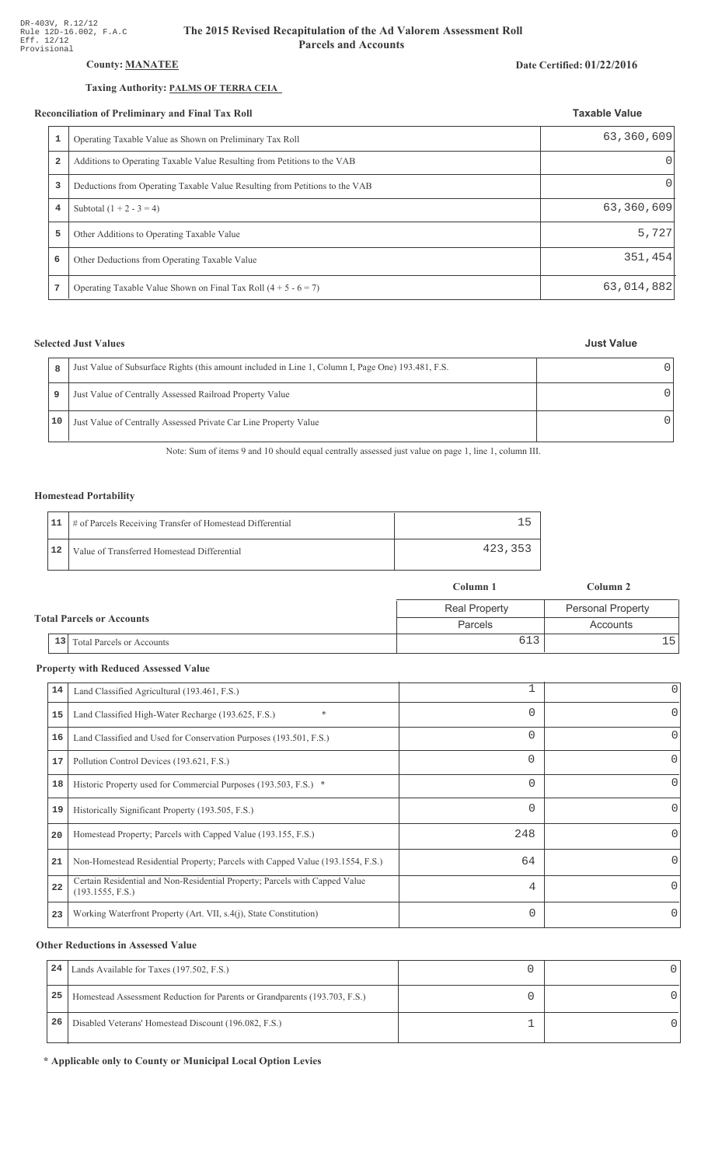# **County: MANATEE**

## Taxing Authority: PALMS OF TERRA CEIA

#### Reconciliation of Preliminary and Final Tax Roll

|   | conciliation of Preliminary and Final Tax Roll                              | <b>Taxable Value</b> |
|---|-----------------------------------------------------------------------------|----------------------|
|   | Operating Taxable Value as Shown on Preliminary Tax Roll                    | 63,360,609           |
| 2 | Additions to Operating Taxable Value Resulting from Petitions to the VAB    | $\Omega$             |
| 3 | Deductions from Operating Taxable Value Resulting from Petitions to the VAB | $\Omega$             |
| 4 | Subtotal $(1 + 2 - 3 = 4)$                                                  | 63,360,609           |
| 5 | Other Additions to Operating Taxable Value                                  | 5,727                |
| 6 | Other Deductions from Operating Taxable Value                               | 351,454              |
| 7 | Operating Taxable Value Shown on Final Tax Roll $(4 + 5 - 6 = 7)$           | 63,014,882           |

## **Selected Just Values**

|    | Just Value of Subsurface Rights (this amount included in Line 1, Column I, Page One) 193.481, F.S. |  |
|----|----------------------------------------------------------------------------------------------------|--|
| q  | Just Value of Centrally Assessed Railroad Property Value                                           |  |
| 10 | Just Value of Centrally Assessed Private Car Line Property Value                                   |  |

Note: Sum of items 9 and 10 should equal centrally assessed just value on page 1, line 1, column III.

### **Homestead Portability**

|    | 11   # of Parcels Receiving Transfer of Homestead Differential |         |
|----|----------------------------------------------------------------|---------|
| 12 | Value of Transferred Homestead Differential                    | 423,353 |

|    |                                  | Column 1             | Column 2                 |
|----|----------------------------------|----------------------|--------------------------|
|    |                                  | <b>Real Property</b> | <b>Personal Property</b> |
|    | <b>Total Parcels or Accounts</b> | Parcels              | Accounts                 |
| 13 | <b>Total Parcels or Accounts</b> | 613                  | ⊥5 '                     |

## **Property with Reduced Assessed Value**

| 14 | Land Classified Agricultural (193.461, F.S.)                                                    |          | 0        |
|----|-------------------------------------------------------------------------------------------------|----------|----------|
| 15 | *<br>Land Classified High-Water Recharge (193.625, F.S.)                                        | 0        | 0        |
| 16 | Land Classified and Used for Conservation Purposes (193.501, F.S.)                              | 0        |          |
| 17 | Pollution Control Devices (193.621, F.S.)                                                       | 0        | 0        |
| 18 | Historic Property used for Commercial Purposes (193.503, F.S.) *                                | 0        |          |
| 19 | Historically Significant Property (193.505, F.S.)                                               | $\Omega$ | 0        |
| 20 | Homestead Property; Parcels with Capped Value (193.155, F.S.)                                   | 248      | 0        |
| 21 | Non-Homestead Residential Property; Parcels with Capped Value (193.1554, F.S.)                  | 64       | 0        |
| 22 | Certain Residential and Non-Residential Property; Parcels with Capped Value<br>(193.1555, F.S.) | 4        | $\Omega$ |
| 23 | Working Waterfront Property (Art. VII, s.4(j), State Constitution)                              | $\Omega$ |          |
|    |                                                                                                 |          |          |

### **Other Reductions in Assessed Value**

| 24 | Lands Available for Taxes (197.502, F.S.)                                  |  |
|----|----------------------------------------------------------------------------|--|
| 25 | Homestead Assessment Reduction for Parents or Grandparents (193.703, F.S.) |  |
| 26 | Disabled Veterans' Homestead Discount (196.082, F.S.)                      |  |

\* Applicable only to County or Municipal Local Option Levies

#### Date Certified: 01/22/2016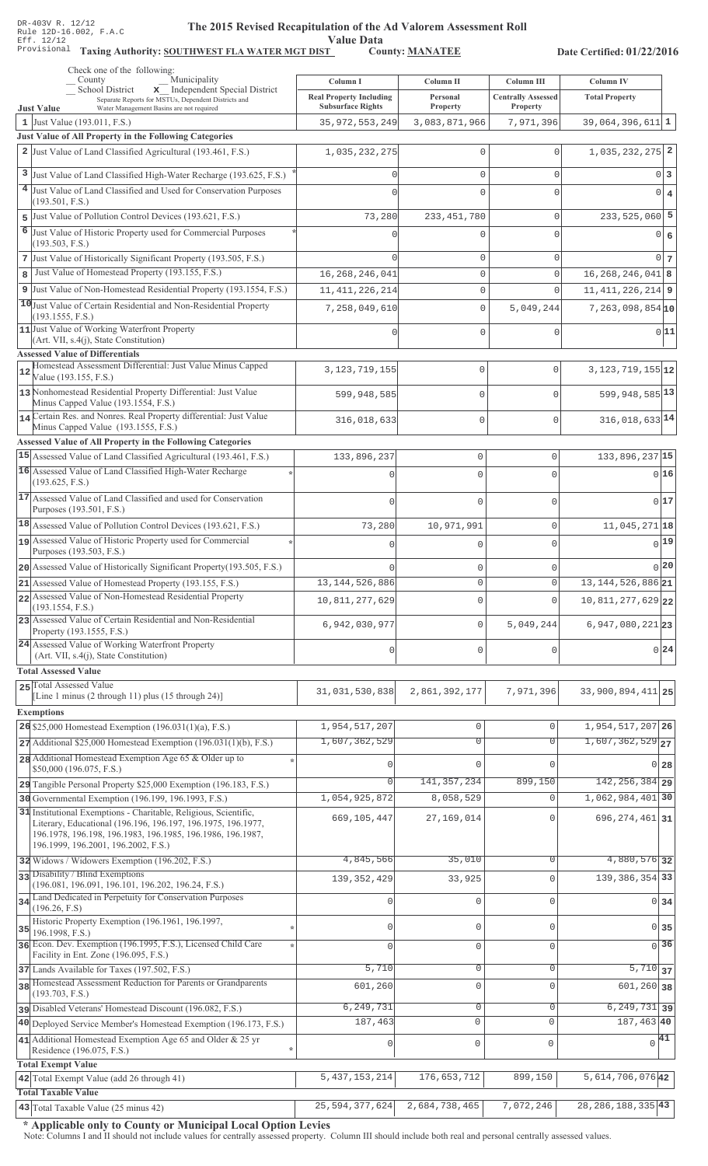Value Data<br>
County: <u>MANATEE</u>

Taxing Authority: SOUTHWEST FLA WATER MGT DIST County: MANATEE

Date Certified: 01/22/2016

| Check one of the following:<br>Municipality<br>County                                                                                                                                                                                 | Column I                                                   | Column II                   | Column III                            | <b>Column IV</b>                 |
|---------------------------------------------------------------------------------------------------------------------------------------------------------------------------------------------------------------------------------------|------------------------------------------------------------|-----------------------------|---------------------------------------|----------------------------------|
| School District<br>x Independent Special District<br>Separate Reports for MSTUs, Dependent Districts and<br>Water Management Basins are not required                                                                                  | <b>Real Property Including</b><br><b>Subsurface Rights</b> | Personal<br><b>Property</b> | <b>Centrally Assessed</b><br>Property | <b>Total Property</b>            |
| <b>Just Value</b><br>1 Just Value (193.011, F.S.)                                                                                                                                                                                     | 35, 972, 553, 249                                          | 3,083,871,966               | 7,971,396                             | 39,064,396,611 1                 |
| Just Value of All Property in the Following Categories                                                                                                                                                                                |                                                            |                             |                                       |                                  |
| 2 Just Value of Land Classified Agricultural (193.461, F.S.)                                                                                                                                                                          | 1,035,232,275                                              | 0                           | $\Omega$                              | $1,035,232,275$ 2                |
| 3 Just Value of Land Classified High-Water Recharge (193.625, F.S.)                                                                                                                                                                   |                                                            | $\mathbf 0$                 | $\Omega$                              | 0 3                              |
| <sup>4</sup> Just Value of Land Classified and Used for Conservation Purposes                                                                                                                                                         |                                                            | $\Omega$                    | $\cap$                                | $\circ$<br>$\bf{4}$              |
| (193.501, F.S.)                                                                                                                                                                                                                       |                                                            |                             |                                       |                                  |
| 5 Just Value of Pollution Control Devices (193.621, F.S.)                                                                                                                                                                             | 73,280                                                     | 233, 451, 780               | 0                                     | $233,525,060$ 5                  |
| 6<br>Just Value of Historic Property used for Commercial Purposes<br>(193.503, F.S.)                                                                                                                                                  |                                                            | 0                           |                                       | 0 <br>6                          |
| 7 Just Value of Historically Significant Property (193.505, F.S.)                                                                                                                                                                     |                                                            | $\mathbf 0$                 | $\Omega$                              | $0\vert 7$                       |
| Just Value of Homestead Property (193.155, F.S.)<br>8                                                                                                                                                                                 | 16, 268, 246, 041                                          | $\mathbb O$                 | $\Omega$                              | $16, 268, 246, 041$ 8            |
| 9 Just Value of Non-Homestead Residential Property (193.1554, F.S.)                                                                                                                                                                   | 11, 411, 226, 214                                          | $\mathbf 0$                 | $\Omega$                              | $11,411,226,214$ 9               |
| 10 Just Value of Certain Residential and Non-Residential Property                                                                                                                                                                     | 7,258,049,610                                              | $\mathbf 0$                 | 5,049,244                             | $7,263,098,854$ <sup>10</sup>    |
| (193.1555, F.S.)<br>11 Just Value of Working Waterfront Property                                                                                                                                                                      |                                                            |                             |                                       |                                  |
| (Art. VII, s.4(j), State Constitution)                                                                                                                                                                                                |                                                            | $\Omega$                    | $\Omega$                              | 0 11                             |
| <b>Assessed Value of Differentials</b>                                                                                                                                                                                                |                                                            |                             |                                       |                                  |
| Homestead Assessment Differential: Just Value Minus Capped<br>12<br>Value (193.155, F.S.)                                                                                                                                             | 3, 123, 719, 155                                           | $\mathbf{0}$                | $\mathbf{0}$                          | $3,123,719,155$ <sup>12</sup>    |
| 13 Nonhomestead Residential Property Differential: Just Value<br>Minus Capped Value (193.1554, F.S.)                                                                                                                                  | 599,948,585                                                | $\mathbf{0}$                | $\bigcap$                             | 599, 948, 585 13                 |
| 14 Certain Res. and Nonres. Real Property differential: Just Value                                                                                                                                                                    | 316,018,633                                                | $\mathbf{0}$                | $\mathbf{0}$                          | $316,018,633$ <sup>14</sup>      |
| Minus Capped Value (193.1555, F.S.)                                                                                                                                                                                                   |                                                            |                             |                                       |                                  |
| Assessed Value of All Property in the Following Categories                                                                                                                                                                            |                                                            |                             |                                       |                                  |
| 15 Assessed Value of Land Classified Agricultural (193.461, F.S.)<br>16 Assessed Value of Land Classified High-Water Recharge                                                                                                         | 133,896,237                                                | $\mathbf 0$                 | 0                                     | 133,896,237 15                   |
| (193.625, F.S.)                                                                                                                                                                                                                       |                                                            | $\Omega$                    | 0                                     | 0 16                             |
| 17 Assessed Value of Land Classified and used for Conservation<br>Purposes (193.501, F.S.)                                                                                                                                            | $\Omega$                                                   | $\Omega$                    | 0                                     | 017                              |
| 18 Assessed Value of Pollution Control Devices (193.621, F.S.)                                                                                                                                                                        | 73,280                                                     | 10,971,991                  | 0                                     | $11,045,271$ 18                  |
| 19 Assessed Value of Historic Property used for Commercial                                                                                                                                                                            |                                                            | $\cap$                      | 0                                     | $0$ 19                           |
| Purposes (193.503, F.S.)                                                                                                                                                                                                              |                                                            |                             |                                       |                                  |
| 20 Assessed Value of Historically Significant Property (193.505, F.S.)                                                                                                                                                                |                                                            | $\mathbf{0}$                | 0                                     | $0$ 20                           |
| 21 Assessed Value of Homestead Property (193.155, F.S.)<br>22 Assessed Value of Non-Homestead Residential Property                                                                                                                    | 13, 144, 526, 886                                          | $\mathbf{0}$                | 0                                     | 13, 144, 526, 886 21             |
| (193.1554, F.S.)                                                                                                                                                                                                                      | 10,811,277,629                                             | $\mathbf{0}$                | 0                                     | 10,811,277,629 22                |
| 23 Assessed Value of Certain Residential and Non-Residential<br>Property (193.1555, F.S.)                                                                                                                                             | 6,942,030,977                                              | $\mathbb O$                 | 5,049,244                             | 6,947,080,221 23                 |
| 24 Assessed Value of Working Waterfront Property<br>(Art. VII, s.4(j), State Constitution)                                                                                                                                            | $\mathbf{0}$                                               | $\mathbf{0}$                | 0                                     | 0 24                             |
| <b>Total Assessed Value</b>                                                                                                                                                                                                           |                                                            |                             |                                       |                                  |
| 25 Total Assessed Value                                                                                                                                                                                                               |                                                            |                             |                                       |                                  |
| [Line 1 minus (2 through 11) plus (15 through 24)]                                                                                                                                                                                    | 31,031,530,838                                             | 2,861,392,177               | 7,971,396                             | 33,900,894,411 25                |
| <b>Exemptions</b>                                                                                                                                                                                                                     |                                                            |                             |                                       |                                  |
| 26 \$25,000 Homestead Exemption $(196.031(1)(a), F.S.)$                                                                                                                                                                               | 1,954,517,207                                              | 0                           | $\mathbf 0$                           | 1,954,517,207 26                 |
| $27$ Additional \$25,000 Homestead Exemption (196.031(1)(b), F.S.)                                                                                                                                                                    | 1,607,362,529                                              | $\overline{0}$              | 0                                     | $1,607,362,529$ <sub>27</sub>    |
| 28 Additional Homestead Exemption Age 65 & Older up to<br>\$50,000 (196.075, F.S.)                                                                                                                                                    |                                                            | $\Omega$                    | $\cap$                                | $0$ 28                           |
| 29 Tangible Personal Property \$25,000 Exemption (196.183, F.S.)                                                                                                                                                                      | $\Omega$                                                   | 141, 357, 234               | 899,150                               | $142, 256, 384$ 29               |
| 30 Governmental Exemption (196.199, 196.1993, F.S.)                                                                                                                                                                                   | 1,054,925,872                                              | 8,058,529                   | $\Omega$                              | 1,062,984,401 30                 |
| 31 Institutional Exemptions - Charitable, Religious, Scientific,<br>Literary, Educational (196.196, 196.197, 196.1975, 196.1977,<br>196.1978, 196.198, 196.1983, 196.1985, 196.1986, 196.1987,<br>196.1999, 196.2001, 196.2002, F.S.) | 669,105,447                                                | 27,169,014                  | $\Omega$                              | 696, 274, 461 31                 |
| 32 Widows / Widowers Exemption (196.202, F.S.)                                                                                                                                                                                        | 4,845,566                                                  | 35,010                      | $\Omega$                              | 4,880,576 32                     |
| 33 Disability / Blind Exemptions<br>(196.081, 196.091, 196.101, 196.202, 196.24, F.S.)                                                                                                                                                | 139, 352, 429                                              | 33,925                      | $\Omega$                              | 139, 386, 354 33                 |
| 34 Land Dedicated in Perpetuity for Conservation Purposes                                                                                                                                                                             |                                                            |                             |                                       |                                  |
| (196.26, F.S)                                                                                                                                                                                                                         |                                                            | $\mathbf 0$                 | $\Omega$                              | $0 \overline{\smash{34}}$        |
| Historic Property Exemption (196.1961, 196.1997,<br>35<br>196.1998, F.S.)                                                                                                                                                             | Ω                                                          | 0                           | 0                                     | $0 \overline{\smash{\big)}\ 35}$ |
| 36 Econ. Dev. Exemption (196.1995, F.S.), Licensed Child Care                                                                                                                                                                         | $\Omega$                                                   | $\mathbf 0$                 | $\overline{0}$                        | $\overline{0}$ 36                |
| Facility in Ent. Zone (196.095, F.S.)                                                                                                                                                                                                 |                                                            |                             |                                       |                                  |
| 37 Lands Available for Taxes (197.502, F.S.)<br>38 Homestead Assessment Reduction for Parents or Grandparents                                                                                                                         | 5,710                                                      | $\circ$                     | 0                                     | $5,710$ 37                       |
| (193.703, F.S.)                                                                                                                                                                                                                       | 601,260                                                    | $\mathbf 0$                 | $\Omega$                              | $601,260$ 38                     |
| pisabled Veterans' Homestead Discount (196.082, F.S.)                                                                                                                                                                                 | 6, 249, 731                                                | $\mathsf{O}\xspace$         | 0                                     | $6, 249, 731$ 39                 |
| 40 Deployed Service Member's Homestead Exemption (196.173, F.S.)                                                                                                                                                                      | 187,463                                                    | 0                           | $\mathbf{0}$                          | 187,463 40                       |
| 41 Additional Homestead Exemption Age 65 and Older & 25 yr<br>Residence (196.075, F.S.)                                                                                                                                               | 0                                                          | $\mathsf 0$                 | 0                                     | $\sqrt{41}$                      |
| <b>Total Exempt Value</b>                                                                                                                                                                                                             |                                                            |                             |                                       |                                  |
| 42 Total Exempt Value (add 26 through 41)                                                                                                                                                                                             | 5, 437, 153, 214                                           | 176,653,712                 | 899,150                               | $5,614,706,076$ 42               |
| <b>Total Taxable Value</b>                                                                                                                                                                                                            |                                                            |                             |                                       |                                  |
| 43 Total Taxable Value (25 minus 42)                                                                                                                                                                                                  | 25, 594, 377, 624                                          | 2,684,738,465               | 7,072,246                             | 28, 286, 188, 335 43             |

\* Applicable only to County or Municipal Local Option Levies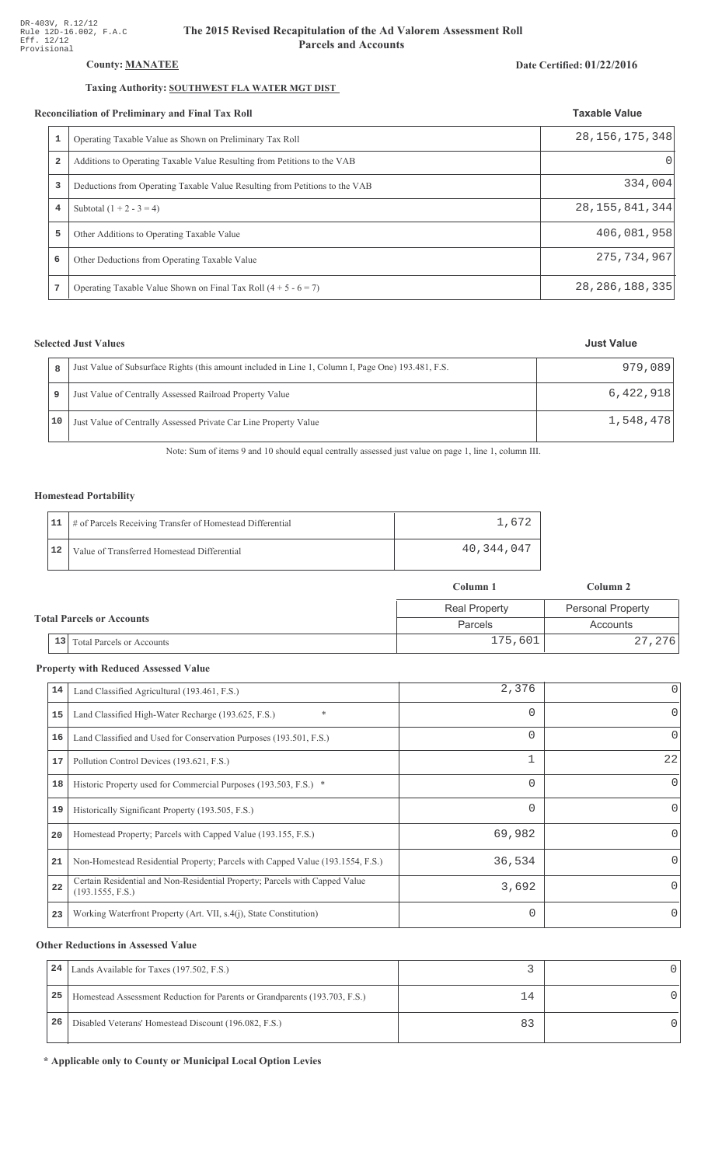## County: **MANATEE**

### Taxing Authority: SOUTHWEST FLA WATER MGT DIST

#### Reconciliation of Preliminary and Final Tax Roll

|                | Operating Taxable Value as Shown on Preliminary Tax Roll                    | 28, 156, 175, 348 |
|----------------|-----------------------------------------------------------------------------|-------------------|
| $\overline{a}$ | Additions to Operating Taxable Value Resulting from Petitions to the VAB    |                   |
| 3              | Deductions from Operating Taxable Value Resulting from Petitions to the VAB | 334,004           |
| 4              | Subtotal $(1 + 2 - 3 = 4)$                                                  | 28, 155, 841, 344 |
| 5              | Other Additions to Operating Taxable Value                                  | 406,081,958       |
| 6              | Other Deductions from Operating Taxable Value                               | 275, 734, 967     |
| 7              | Operating Taxable Value Shown on Final Tax Roll $(4 + 5 - 6 = 7)$           | 28, 286, 188, 335 |

## **Selected Just Values**

|    | Just Value of Subsurface Rights (this amount included in Line 1, Column I, Page One) 193.481, F.S. | 979,089   |
|----|----------------------------------------------------------------------------------------------------|-----------|
|    | Just Value of Centrally Assessed Railroad Property Value                                           | 6,422,918 |
| 10 | Just Value of Centrally Assessed Private Car Line Property Value                                   | 1,548,478 |

Note: Sum of items 9 and 10 should equal centrally assessed just value on page 1, line 1, column III.

### Homestead Portability

|      | 11   # of Parcels Receiving Transfer of Homestead Differential | 1,672      |
|------|----------------------------------------------------------------|------------|
| ' 12 | Value of Transferred Homestead Differential                    | 40,344,047 |

|                                        | Column 1             | Column 2                             |  |
|----------------------------------------|----------------------|--------------------------------------|--|
|                                        | <b>Real Property</b> | <b>Personal Property</b><br>Accounts |  |
| <b>Total Parcels or Accounts</b>       | Parcels              |                                      |  |
| 13<br><b>Total Parcels or Accounts</b> | 175,601              | 27,276                               |  |

#### **Property with Reduced Assessed Value**

| 14 | Land Classified Agricultural (193.461, F.S.)                                                    | 2,376    |          |
|----|-------------------------------------------------------------------------------------------------|----------|----------|
| 15 | $\ast$<br>Land Classified High-Water Recharge (193.625, F.S.)                                   | 0        | $\Omega$ |
| 16 | Land Classified and Used for Conservation Purposes (193.501, F.S.)                              | $\Omega$ | 0        |
| 17 | Pollution Control Devices (193.621, F.S.)                                                       | 1        | 22       |
| 18 | Historic Property used for Commercial Purposes (193.503, F.S.) *                                | 0        | $\Omega$ |
| 19 | Historically Significant Property (193.505, F.S.)                                               | 0        | $\Omega$ |
| 20 | Homestead Property; Parcels with Capped Value (193.155, F.S.)                                   | 69,982   |          |
| 21 | Non-Homestead Residential Property; Parcels with Capped Value (193.1554, F.S.)                  | 36,534   |          |
| 22 | Certain Residential and Non-Residential Property; Parcels with Capped Value<br>(193.1555, F.S.) | 3,692    | $\Omega$ |
| 23 | Working Waterfront Property (Art. VII, s.4(j), State Constitution)                              | $\Omega$ | $\Omega$ |

#### **Other Reductions in Assessed Value**

| 24 | Lands Available for Taxes (197.502, F.S.)                                  |    |  |
|----|----------------------------------------------------------------------------|----|--|
| 25 | Homestead Assessment Reduction for Parents or Grandparents (193.703, F.S.) | 14 |  |
| 26 | Disabled Veterans' Homestead Discount (196.082, F.S.)                      |    |  |

\* Applicable only to County or Municipal Local Option Levies

### Date Certified: 01/22/2016

**Taxable Value**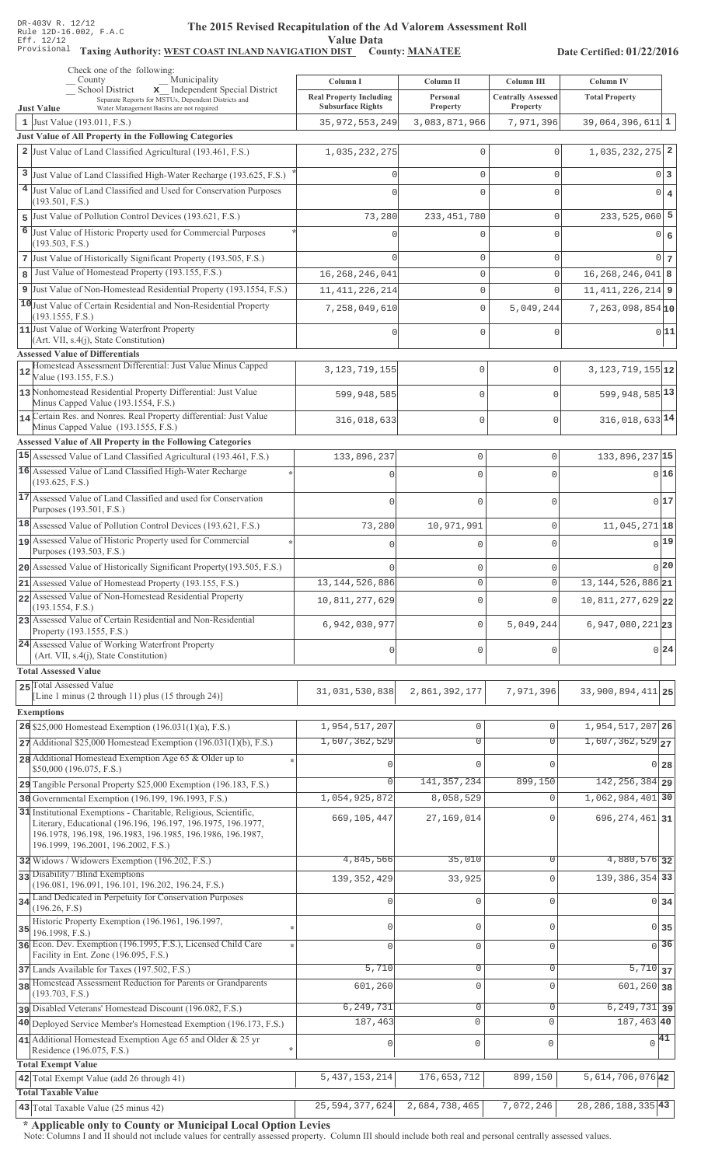#### The 2015 Revised Recapitulation of th The 2015 Revised Recapitulation of the Ad Valorem Assessment Roll **Value Data**

# Taxing Authority: WEST COAST INLAND NAVIGATION DIST County: MANATEE

Date Certified: 01/22/2016

| County                                 | Check one of the following:<br>Municipality                                                                                       | Column I                       | Column II                          | Column III                | Column IV                     |                  |
|----------------------------------------|-----------------------------------------------------------------------------------------------------------------------------------|--------------------------------|------------------------------------|---------------------------|-------------------------------|------------------|
|                                        | School District<br>x Independent Special District<br>Separate Reports for MSTUs, Dependent Districts and                          | <b>Real Property Including</b> | Personal                           | <b>Centrally Assessed</b> | <b>Total Property</b>         |                  |
| <b>Just Value</b>                      | Water Management Basins are not required                                                                                          | <b>Subsurface Rights</b>       | Property                           | Property                  |                               |                  |
| 1 Just Value (193.011, F.S.)           | Just Value of All Property in the Following Categories                                                                            | 35, 972, 553, 249              | 3,083,871,966                      | 7,971,396                 | $39,064,396,611$ 1            |                  |
|                                        | 2 Just Value of Land Classified Agricultural (193.461, F.S.)                                                                      | 1,035,232,275                  | $\mathbf 0$                        | $\mathbf 0$               | $1,035,232,275$ 2             |                  |
|                                        |                                                                                                                                   |                                |                                    |                           |                               |                  |
|                                        | 3 Just Value of Land Classified High-Water Recharge (193.625, F.S.)                                                               |                                | $\mathbf{0}$                       | $\Omega$                  |                               | $0\vert 3$       |
| (193.501, F.S.)                        | 4 Just Value of Land Classified and Used for Conservation Purposes                                                                |                                | $\mathbf 0$                        | $\Omega$                  |                               | $0 \mid 4$       |
|                                        | 5 Just Value of Pollution Control Devices (193.621, F.S.)                                                                         | 73,280                         | 233, 451, 780                      | $\mathbf 0$               | $233,525,060$ 5               |                  |
|                                        | 6 Just Value of Historic Property used for Commercial Purposes                                                                    |                                | 0                                  | $\Omega$                  |                               | 0 6              |
| (193.503, F.S.)                        | 7 Just Value of Historically Significant Property (193.505, F.S.)                                                                 |                                |                                    |                           |                               | $0\vert$ 7       |
| 8                                      | Just Value of Homestead Property (193.155, F.S.)                                                                                  | 16, 268, 246, 041              | $\mathsf{O}\xspace$<br>$\mathbb O$ | $\mathbf 0$<br>$\circ$    | $16, 268, 246, 041$ 8         |                  |
|                                        | 9 Just Value of Non-Homestead Residential Property (193.1554, F.S.)                                                               | 11, 411, 226, 214              | $\mathsf{O}\xspace$                | $\Omega$                  | $11, 411, 226, 214$ 9         |                  |
|                                        | 10 Just Value of Certain Residential and Non-Residential Property                                                                 | 7,258,049,610                  | $\mathbb O$                        | 5,049,244                 | $7,263,098,854$ 10            |                  |
| (193.1555, F.S.)                       |                                                                                                                                   |                                |                                    |                           |                               |                  |
|                                        | 11 Just Value of Working Waterfront Property<br>(Art. VII, s.4(j), State Constitution)                                            |                                | $\mathbf 0$                        | $\mathbf 0$               |                               | 0 11             |
| <b>Assessed Value of Differentials</b> |                                                                                                                                   |                                |                                    |                           |                               |                  |
| 12<br>Value (193.155, F.S.)            | Homestead Assessment Differential: Just Value Minus Capped                                                                        | 3, 123, 719, 155               | 0                                  | $\mathbf{0}$              | $3, 123, 719, 155$ 12         |                  |
|                                        | 13 Nonhomestead Residential Property Differential: Just Value                                                                     | 599,948,585                    | 0                                  | $\Omega$                  | 599, 948, 585 13              |                  |
|                                        | Minus Capped Value (193.1554, F.S.)<br>14 Certain Res. and Nonres. Real Property differential: Just Value                         |                                | 0                                  | $\mathbf 0$               | $316,018,633$ <sup>14</sup>   |                  |
|                                        | Minus Capped Value (193.1555, F.S.)                                                                                               | 316,018,633                    |                                    |                           |                               |                  |
|                                        | Assessed Value of All Property in the Following Categories                                                                        |                                |                                    |                           |                               |                  |
|                                        | 15 Assessed Value of Land Classified Agricultural (193.461, F.S.)<br>16 Assessed Value of Land Classified High-Water Recharge     | 133,896,237                    | $\mathbb O$                        | 0                         | 133,896,237 15                |                  |
| (193.625, F.S.)                        |                                                                                                                                   | n                              | $\Omega$                           | $\Omega$                  |                               | 0 16             |
| Purposes (193.501, F.S.)               | 17 Assessed Value of Land Classified and used for Conservation                                                                    | $\Omega$                       | $\Omega$                           | $\Omega$                  |                               | 0 17             |
|                                        | 18 Assessed Value of Pollution Control Devices (193.621, F.S.)                                                                    | 73,280                         | 10,971,991                         | 0                         | 11,045,271 18                 |                  |
|                                        | 19 Assessed Value of Historic Property used for Commercial                                                                        | $\Omega$                       | $\mathbf{0}$                       | O                         |                               | 0 19             |
| Purposes (193.503, F.S.)               |                                                                                                                                   |                                |                                    |                           |                               | $0$  20          |
|                                        | 20 Assessed Value of Historically Significant Property (193.505, F.S.)<br>21 Assessed Value of Homestead Property (193.155, F.S.) | 13, 144, 526, 886              | $\mathbf 0$<br>$\mathbf{0}$        | 0<br>0                    | 13, 144, 526, 886 21          |                  |
|                                        | 22 Assessed Value of Non-Homestead Residential Property                                                                           | 10,811,277,629                 | $\mathbf 0$                        | $\Omega$                  |                               |                  |
| (193.1554, F.S.)                       | 23 Assessed Value of Certain Residential and Non-Residential                                                                      |                                |                                    |                           | $10,811,277,629$ 22           |                  |
| Property (193.1555, F.S.)              |                                                                                                                                   | 6,942,030,977                  | $\mathbf 0$                        | 5,049,244                 | $6,947,080,221$ 23            |                  |
|                                        | 24 Assessed Value of Working Waterfront Property<br>(Art. VII, s.4(j), State Constitution)                                        | $\mathbf 0$                    | $\mathbf 0$                        | 0                         |                               | 0 24             |
| <b>Total Assessed Value</b>            |                                                                                                                                   |                                |                                    |                           |                               |                  |
| 25 Total Assessed Value                | [Line 1 minus (2 through 11) plus (15 through 24)]                                                                                | 31,031,530,838                 | 2,861,392,177                      | 7,971,396                 | 33,900,894,411 25             |                  |
| <b>Exemptions</b>                      |                                                                                                                                   |                                |                                    |                           |                               |                  |
|                                        | 26 \$25,000 Homestead Exemption $(196.031(1)(a), F.S.)$                                                                           | 1,954,517,207                  | $\mathbb O$                        | $\circ$                   | 1,954,517,207 26              |                  |
|                                        | $27$ Additional \$25,000 Homestead Exemption (196.031(1)(b), F.S.)                                                                | 1,607,362,529                  | $\overline{0}$                     | $\Omega$                  | $1,607,362,529$ <sub>27</sub> |                  |
|                                        | 28 Additional Homestead Exemption Age 65 & Older up to                                                                            |                                | $\Omega$                           | U                         |                               | 0 <sub>28</sub>  |
| \$50,000 (196.075, F.S.)               | 29 Tangible Personal Property \$25,000 Exemption (196.183, F.S.)                                                                  |                                | 141, 357, 234                      | 899,150                   | $142, 256, 384$ 29            |                  |
|                                        | 30 Governmental Exemption (196.199, 196.1993, F.S.)                                                                               | 1,054,925,872                  | 8,058,529                          | $\mathbf 0$               | 1,062,984,401 30              |                  |
|                                        | 31 Institutional Exemptions - Charitable, Religious, Scientific,                                                                  | 669, 105, 447                  | 27,169,014                         | $\Omega$                  | 696, 274, 461 31              |                  |
|                                        | Literary, Educational (196.196, 196.197, 196.1975, 196.1977,<br>196.1978, 196.198, 196.1983, 196.1985, 196.1986, 196.1987,        |                                |                                    |                           |                               |                  |
|                                        | 196.1999, 196.2001, 196.2002, F.S.)                                                                                               |                                |                                    |                           |                               |                  |
|                                        | 32 Widows / Widowers Exemption (196.202, F.S.)                                                                                    | 4,845,566                      | 35,010                             | $\Omega$                  | 4,880,576 32                  |                  |
| 33 Disability / Blind Exemptions       | (196.081, 196.091, 196.101, 196.202, 196.24, F.S.)                                                                                | 139, 352, 429                  | 33,925                             | $\Omega$                  | 139, 386, 354 33              |                  |
| (196.26, F.S)                          | 34 Land Dedicated in Perpetuity for Conservation Purposes                                                                         |                                | $\mathbf 0$                        | $\Omega$                  |                               | 0 <sub>34</sub>  |
|                                        | Historic Property Exemption (196.1961, 196.1997,                                                                                  | $\Omega$                       | $\mathbf 0$                        | $\Omega$                  |                               | $0\overline{35}$ |
| 35<br>196.1998, F.S.)                  | 36 Econ. Dev. Exemption (196.1995, F.S.), Licensed Child Care                                                                     |                                |                                    |                           |                               | $0\overline{36}$ |
|                                        | Facility in Ent. Zone (196.095, F.S.)                                                                                             | $\Omega$                       | $\mathbf 0$                        | $\mathbf 0$               |                               |                  |
|                                        | 37 Lands Available for Taxes (197.502, F.S.)                                                                                      | 5,710                          | $\mathbf 0$                        | $\mathbf 0$               | $5,710$ 37                    |                  |
| (193.703, F.S.)                        | 38 Homestead Assessment Reduction for Parents or Grandparents                                                                     | 601,260                        | $\mathbb O$                        | $\Omega$                  | $601, 260$ 38                 |                  |
|                                        | pisabled Veterans' Homestead Discount (196.082, F.S.)                                                                             | 6, 249, 731                    | $\overline{0}$                     | $\mathbb O$               | $6, 249, 731$ 39              |                  |
|                                        | 40 Deployed Service Member's Homestead Exemption (196.173, F.S.)                                                                  | 187,463                        | $\overline{0}$                     | $\mathbf 0$               | 187,463 40                    |                  |
| Residence (196.075, F.S.)              | 41 Additional Homestead Exemption Age 65 and Older & 25 yr                                                                        | $\mathbf 0$                    | 0                                  | $\mathbf 0$               | $\sqrt{41}$                   |                  |
| <b>Total Exempt Value</b>              |                                                                                                                                   |                                |                                    |                           |                               |                  |
|                                        | 42 Total Exempt Value (add 26 through 41)                                                                                         | 5, 437, 153, 214               | 176,653,712                        | 899,150                   | 5, 614, 706, 076 42           |                  |
| <b>Total Taxable Value</b>             |                                                                                                                                   |                                |                                    |                           |                               |                  |
| 43 Total Taxable Value (25 minus 42)   |                                                                                                                                   | 25, 594, 377, 624              | 2,684,738,465                      | 7,072,246                 | 28, 286, 188, 335 43          |                  |

\* Applicable only to County or Municipal Local Option Levies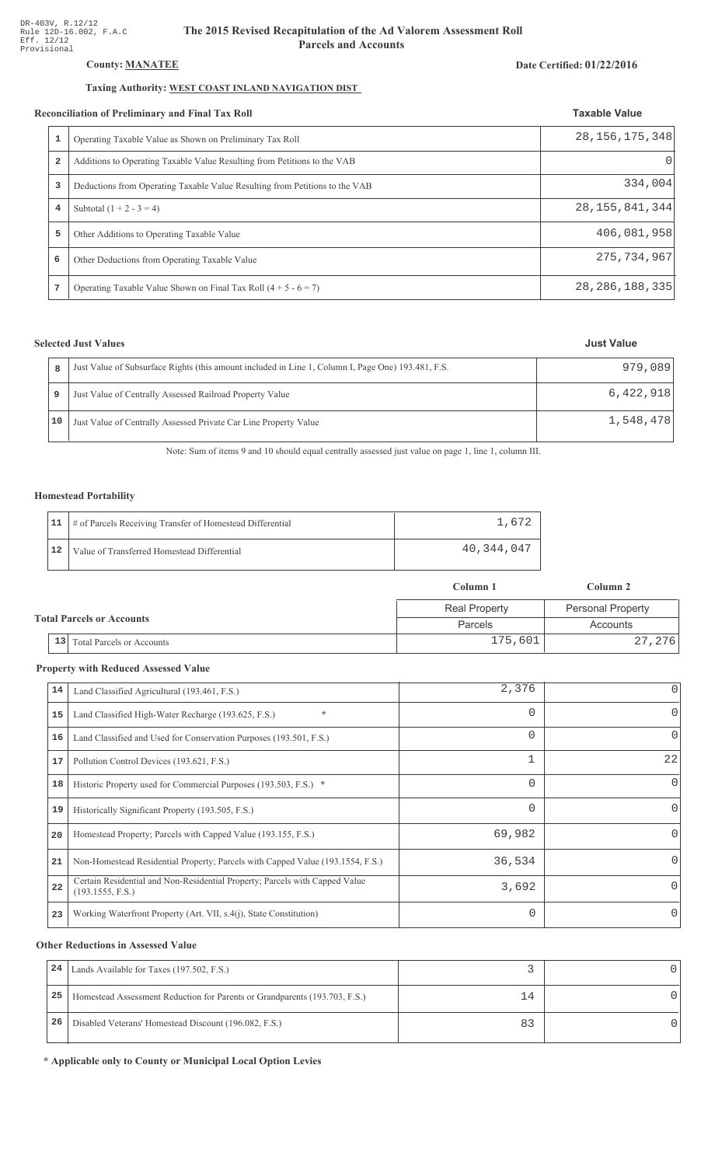## County: **MANATEE**

### Taxing Authority: WEST COAST INLAND NAVIGATION DIST

#### Reconciliation of Preliminary and Final Tax Roll

|                | conciliation of Preliminary and Final Tax Roll                              | <b>Taxable Value</b> |
|----------------|-----------------------------------------------------------------------------|----------------------|
| 1              | Operating Taxable Value as Shown on Preliminary Tax Roll                    | 28, 156, 175, 348    |
| $\overline{a}$ | Additions to Operating Taxable Value Resulting from Petitions to the VAB    | $\cup$               |
| 3              | Deductions from Operating Taxable Value Resulting from Petitions to the VAB | 334,004              |
| 4              | Subtotal $(1 + 2 - 3 = 4)$                                                  | 28, 155, 841, 344    |
| 5              | Other Additions to Operating Taxable Value                                  | 406,081,958          |
| 6              | Other Deductions from Operating Taxable Value                               | 275, 734, 967        |
|                | Operating Taxable Value Shown on Final Tax Roll $(4 + 5 - 6 = 7)$           | 28, 286, 188, 335    |

## **Selected Just Values**

|    | Just Value of Subsurface Rights (this amount included in Line 1, Column I, Page One) 193.481, F.S. | 979,089   |
|----|----------------------------------------------------------------------------------------------------|-----------|
|    | Just Value of Centrally Assessed Railroad Property Value                                           | 6,422,918 |
| 10 | Just Value of Centrally Assessed Private Car Line Property Value                                   | 1,548,478 |

Note: Sum of items 9 and 10 should equal centrally assessed just value on page 1, line 1, column III.

### Homestead Portability

|    | 11   # of Parcels Receiving Transfer of Homestead Differential | 1,672      |
|----|----------------------------------------------------------------|------------|
| 12 | Value of Transferred Homestead Differential                    | 40,344,047 |

|                                  |                                        | Column 1             | Column 2                 |
|----------------------------------|----------------------------------------|----------------------|--------------------------|
| <b>Total Parcels or Accounts</b> |                                        | <b>Real Property</b> | <b>Personal Property</b> |
|                                  |                                        | Parcels              | Accounts                 |
|                                  | 13<br><b>Total Parcels or Accounts</b> | 175,601              | 27,276                   |

#### **Property with Reduced Assessed Value**

| 14 | Land Classified Agricultural (193.461, F.S.)                                                    | 2,376    | 0        |
|----|-------------------------------------------------------------------------------------------------|----------|----------|
| 15 | $\ast$<br>Land Classified High-Water Recharge (193.625, F.S.)                                   | 0        | 0        |
| 16 | Land Classified and Used for Conservation Purposes (193.501, F.S.)                              | 0        | $\Omega$ |
| 17 | Pollution Control Devices (193.621, F.S.)                                                       |          | 22       |
| 18 | Historic Property used for Commercial Purposes (193.503, F.S.) *                                | 0        | 0        |
| 19 | Historically Significant Property (193.505, F.S.)                                               | $\Omega$ | 0        |
| 20 | Homestead Property; Parcels with Capped Value (193.155, F.S.)                                   | 69,982   | 0        |
| 21 | Non-Homestead Residential Property; Parcels with Capped Value (193.1554, F.S.)                  | 36,534   | 0        |
| 22 | Certain Residential and Non-Residential Property; Parcels with Capped Value<br>(193.1555, F.S.) | 3,692    |          |
| 23 | Working Waterfront Property (Art. VII, s.4(j), State Constitution)                              | $\Omega$ | 0        |

#### **Other Reductions in Assessed Value**

| 24 | Lands Available for Taxes (197.502, F.S.)                                  |    |  |
|----|----------------------------------------------------------------------------|----|--|
| 25 | Homestead Assessment Reduction for Parents or Grandparents (193.703, F.S.) | 14 |  |
| 26 | Disabled Veterans' Homestead Discount (196.082, F.S.)                      |    |  |

\* Applicable only to County or Municipal Local Option Levies

# Date Certified: 01/22/2016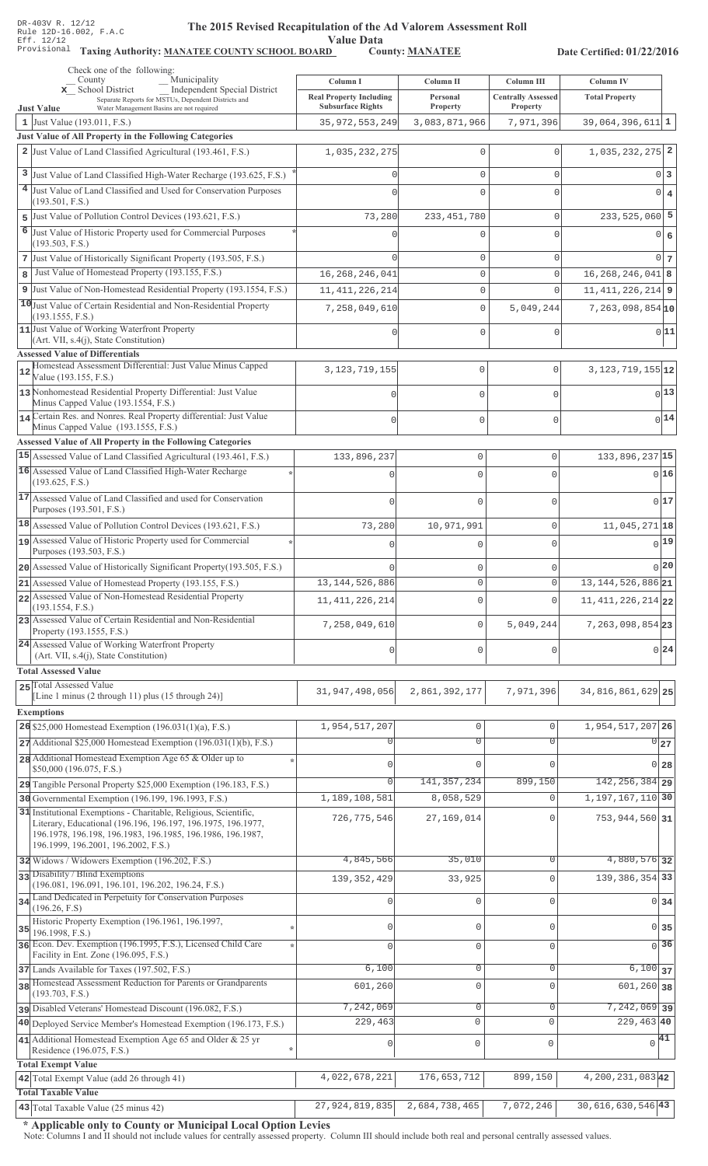Value Data<br>D County: MANATEE

Taxing Authority: MANATEE COUNTY SCHOOL BOARD County: MANATEE

Date Certified: 01/22/2016

| Check one of the following:<br>Municipality<br>County                                                                           | Column I                       | Column II           | Column III                |                                    |  |
|---------------------------------------------------------------------------------------------------------------------------------|--------------------------------|---------------------|---------------------------|------------------------------------|--|
| <b>Independent Special District</b><br>x School District                                                                        | <b>Real Property Including</b> | Personal            | <b>Centrally Assessed</b> | Column IV<br><b>Total Property</b> |  |
| Separate Reports for MSTUs, Dependent Districts and<br><b>Just Value</b><br>Water Management Basins are not required            | <b>Subsurface Rights</b>       | Property            | Property                  |                                    |  |
| 1 Just Value (193.011, F.S.)                                                                                                    | 35, 972, 553, 249              | 3,083,871,966       | 7,971,396                 | 39,064,396,611 1                   |  |
| Just Value of All Property in the Following Categories                                                                          |                                |                     |                           |                                    |  |
| 2 Just Value of Land Classified Agricultural (193.461, F.S.)                                                                    | 1,035,232,275                  | $\mathbf{0}$        | $\Omega$                  | $1,035,232,275$ <sup>2</sup>       |  |
| 3 Just Value of Land Classified High-Water Recharge (193.625, F.S.)                                                             |                                | $\mathbf{0}$        | $\Omega$                  | 0 3                                |  |
| 4 Just Value of Land Classified and Used for Conservation Purposes<br>(193.501, F.S.)                                           |                                | $\Omega$            | U                         | $0 \mid 4$                         |  |
| 5 Just Value of Pollution Control Devices (193.621, F.S.)                                                                       | 73,280                         | 233, 451, 780       | $\mathbf 0$               | $233,525,060$ 5                    |  |
| 6<br>Just Value of Historic Property used for Commercial Purposes                                                               |                                | $\Omega$            | U                         | 0 6                                |  |
| (193.503, F.S.)                                                                                                                 |                                |                     |                           |                                    |  |
| 7 Just Value of Historically Significant Property (193.505, F.S.)                                                               |                                | $\mathbf{0}$        | $\mathbf 0$               | 0 <sub>7</sub>                     |  |
| Just Value of Homestead Property (193.155, F.S.)<br>8                                                                           | 16, 268, 246, 041              | $\mathsf{O}\xspace$ | $\circ$                   | $16, 268, 246, 041$ 8              |  |
| 9 Just Value of Non-Homestead Residential Property (193.1554, F.S.)                                                             | 11, 411, 226, 214              | $\mathsf{O}\xspace$ | $\Omega$                  | $11,411,226,214$ 9                 |  |
| 10 Just Value of Certain Residential and Non-Residential Property<br>(193.1555, F.S.)                                           | 7,258,049,610                  | $\mathbb O$         | 5,049,244                 | $7,263,098,854$ <sub>10</sub>      |  |
| 11 Just Value of Working Waterfront Property                                                                                    |                                | $\mathbf{0}$        | $\Omega$                  | 0 11                               |  |
| (Art. VII, s.4(j), State Constitution)<br><b>Assessed Value of Differentials</b>                                                |                                |                     |                           |                                    |  |
| Homestead Assessment Differential: Just Value Minus Capped<br>12                                                                | 3, 123, 719, 155               | 0                   | 0                         | $3, 123, 719, 155$ 12              |  |
| Value (193.155, F.S.)                                                                                                           |                                |                     |                           |                                    |  |
| 13 Nonhomestead Residential Property Differential: Just Value<br>Minus Capped Value (193.1554, F.S.)                            |                                | 0                   | $\mathbf 0$               | $0^{13}$                           |  |
| 14 Certain Res. and Nonres. Real Property differential: Just Value                                                              |                                | 0                   | $\mathbf{0}$              | 0 14                               |  |
| Minus Capped Value (193.1555, F.S.)                                                                                             |                                |                     |                           |                                    |  |
| Assessed Value of All Property in the Following Categories<br>15 Assessed Value of Land Classified Agricultural (193.461, F.S.) |                                |                     | 0                         | 133,896,237 15                     |  |
| 16 Assessed Value of Land Classified High-Water Recharge                                                                        | 133,896,237                    | $\mathbf 0$         |                           |                                    |  |
| (193.625, F.S.)                                                                                                                 | n                              | $\Omega$            | $\cap$                    | 0 16                               |  |
| 17 Assessed Value of Land Classified and used for Conservation                                                                  | $\Omega$                       | $\mathbf 0$         | O                         | 017                                |  |
| Purposes (193.501, F.S.)                                                                                                        |                                |                     |                           |                                    |  |
| 18 Assessed Value of Pollution Control Devices (193.621, F.S.)<br>19 Assessed Value of Historic Property used for Commercial    | 73,280                         | 10,971,991          | 0                         | $11,045,271$ 18                    |  |
| Purposes (193.503, F.S.)                                                                                                        |                                | $\Omega$            | 0                         | 0 19                               |  |
| 20 Assessed Value of Historically Significant Property (193.505, F.S.)                                                          |                                | $\mathbf 0$         | 0                         | 0 20                               |  |
| 21 Assessed Value of Homestead Property (193.155, F.S.)                                                                         | 13, 144, 526, 886              | $\circ$             | 0                         | 13, 144, 526, 886 21               |  |
| 22 Assessed Value of Non-Homestead Residential Property<br>(193.1554, F.S.)                                                     | 11, 411, 226, 214              | $\mathbf{0}$        | O                         | 11, 411, 226, 214 22               |  |
| 23 Assessed Value of Certain Residential and Non-Residential                                                                    | 7,258,049,610                  | $\mathbb O$         | 5,049,244                 | 7, 263, 098, 854 23                |  |
| Property (193.1555, F.S.)                                                                                                       |                                |                     |                           |                                    |  |
| 24 Assessed Value of Working Waterfront Property<br>(Art. VII, s.4(j), State Constitution)                                      | $\theta$                       | $\mathbf 0$         | U                         | 0 24                               |  |
| <b>Total Assessed Value</b>                                                                                                     |                                |                     |                           |                                    |  |
| 25 Total Assessed Value                                                                                                         | 31, 947, 498, 056              | 2,861,392,177       | 7,971,396                 | 34, 816, 861, 629 25               |  |
| [Line 1 minus (2 through 11) plus (15 through 24)]                                                                              |                                |                     |                           |                                    |  |
| <b>Exemptions</b><br>26 \$25,000 Homestead Exemption (196.031(1)(a), F.S.)                                                      | 1,954,517,207                  | $\mathbb O$         | $\mathbf 0$               | 1,954,517,207 26                   |  |
| $27$ Additional \$25,000 Homestead Exemption (196.031(1)(b), F.S.)                                                              |                                | $\overline{0}$      | $\overline{0}$            | $0\overline{27}$                   |  |
| 28 Additional Homestead Exemption Age 65 & Older up to                                                                          |                                |                     |                           |                                    |  |
| \$50,000 (196.075, F.S.)                                                                                                        |                                | $\mathbf{0}$        | $\Omega$                  | $0$ 28                             |  |
| 29 Tangible Personal Property \$25,000 Exemption (196.183, F.S.)                                                                | O                              | 141, 357, 234       | 899,150                   | $142, 256, 384$ 29                 |  |
| 30 Governmental Exemption (196.199, 196.1993, F.S.)<br>31 Institutional Exemptions - Charitable, Religious, Scientific,         | 1,189,108,581                  | 8,058,529           | $\mathbf 0$               | 1, 197, 167, 110 30                |  |
| Literary, Educational (196.196, 196.197, 196.1975, 196.1977,                                                                    | 726, 775, 546                  | 27,169,014          | $\Omega$                  | 753, 944, 560 31                   |  |
| 196.1978, 196.198, 196.1983, 196.1985, 196.1986, 196.1987,<br>196.1999, 196.2001, 196.2002, F.S.)                               |                                |                     |                           |                                    |  |
| 32 Widows / Widowers Exemption (196.202, F.S.)                                                                                  | 4,845,566                      | 35,010              | 0                         | 4,880,576 32                       |  |
| 33 Disability / Blind Exemptions                                                                                                | 139, 352, 429                  | 33,925              | $\Omega$                  | 139, 386, 354 33                   |  |
| (196.081, 196.091, 196.101, 196.202, 196.24, F.S.)<br>34 Land Dedicated in Perpetuity for Conservation Purposes                 |                                |                     |                           |                                    |  |
| (196.26, F.S)                                                                                                                   | 0                              | $\mathbf 0$         | $\Omega$                  | 0 <sub>34</sub>                    |  |
| Historic Property Exemption (196.1961, 196.1997,<br>35                                                                          |                                | 0                   | $\Omega$                  | $0$ 35                             |  |
| 196.1998, F.S.)<br>36 Econ. Dev. Exemption (196.1995, F.S.), Licensed Child Care                                                |                                | $\mathbf 0$         | $\mathbf 0$               | $\overline{0}$ 36                  |  |
| Facility in Ent. Zone (196.095, F.S.)                                                                                           |                                |                     |                           |                                    |  |
| 37 Lands Available for Taxes (197.502, F.S.)                                                                                    | 6,100                          | 0                   | $\mathbf{0}$              | $6,100$ 37                         |  |
| 38 Homestead Assessment Reduction for Parents or Grandparents<br>(193.703, F.S.)                                                | 601,260                        | $\mathbf 0$         | $\Omega$                  | $601,260$ 38                       |  |
| pisabled Veterans' Homestead Discount (196.082, F.S.)                                                                           | 7,242,069                      | $\mathbf 0$         | $\mathbf 0$               | $7,242,069$ 39                     |  |
| 40 Deployed Service Member's Homestead Exemption (196.173, F.S.)                                                                | 229,463                        | $\mathbf 0$         | $\mathbf{0}$              | $229,463$ 40                       |  |
| 41 Additional Homestead Exemption Age 65 and Older & 25 yr<br>Residence (196.075, F.S.)                                         | 0                              | $\mathsf 0$         | $\mathbf 0$               | $\sqrt{41}$                        |  |
| <b>Total Exempt Value</b>                                                                                                       |                                |                     |                           |                                    |  |
| 42 Total Exempt Value (add 26 through 41)                                                                                       | 4,022,678,221                  | 176,653,712         | 899,150                   | 4, 200, 231, 083 42                |  |
| <b>Total Taxable Value</b>                                                                                                      |                                |                     |                           |                                    |  |
| 43 Total Taxable Value (25 minus 42)                                                                                            | 27,924,819,835                 | 2,684,738,465       | 7,072,246                 | $30,616,630,546$ <sup>43</sup>     |  |

\* Applicable only to County or Municipal Local Option Levies